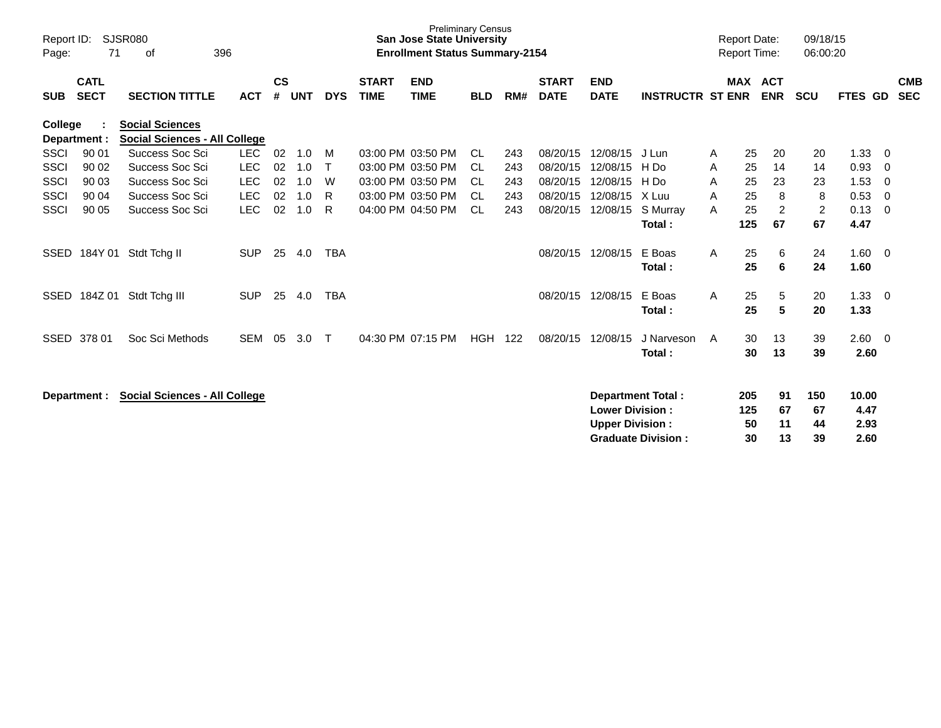| Report ID:<br>Page: | 71                         | <b>SJSR080</b><br>396<br>0f                                    |            |                    |            |            |                             | <b>Preliminary Census</b><br><b>San Jose State University</b><br><b>Enrollment Status Summary-2154</b> |            |     |                             |                                                  |                                                       | <b>Report Date:</b><br><b>Report Time:</b> |                        |                       | 09/18/15<br>06:00:20  |                               |                          |
|---------------------|----------------------------|----------------------------------------------------------------|------------|--------------------|------------|------------|-----------------------------|--------------------------------------------------------------------------------------------------------|------------|-----|-----------------------------|--------------------------------------------------|-------------------------------------------------------|--------------------------------------------|------------------------|-----------------------|-----------------------|-------------------------------|--------------------------|
| <b>SUB</b>          | <b>CATL</b><br><b>SECT</b> | <b>SECTION TITTLE</b>                                          | <b>ACT</b> | $\mathsf{cs}$<br># | <b>UNT</b> | <b>DYS</b> | <b>START</b><br><b>TIME</b> | <b>END</b><br><b>TIME</b>                                                                              | <b>BLD</b> | RM# | <b>START</b><br><b>DATE</b> | <b>END</b><br><b>DATE</b>                        | <b>INSTRUCTR ST ENR</b>                               |                                            |                        | MAX ACT<br><b>ENR</b> | <b>SCU</b>            | <b>FTES GD</b>                | <b>CMB</b><br><b>SEC</b> |
| College             | Department :               | <b>Social Sciences</b><br><b>Social Sciences - All College</b> |            |                    |            |            |                             |                                                                                                        |            |     |                             |                                                  |                                                       |                                            |                        |                       |                       |                               |                          |
| <b>SSCI</b>         | 90 01                      | Success Soc Sci                                                | <b>LEC</b> | 02                 | 1.0        | M          |                             | 03:00 PM 03:50 PM                                                                                      | CL.        | 243 | 08/20/15                    | 12/08/15                                         | J Lun                                                 | A                                          | 25                     | 20                    | 20                    | 1.33                          | -0                       |
| SSCI                | 90 02                      | Success Soc Sci                                                | <b>LEC</b> | 02                 | 1.0        | т          |                             | 03:00 PM 03:50 PM                                                                                      | CL.        | 243 | 08/20/15                    | 12/08/15                                         | H Do                                                  | A                                          | 25                     | 14                    | 14                    | 0.93                          | - 0                      |
| <b>SSCI</b>         | 90 03                      | Success Soc Sci                                                | <b>LEC</b> | 02                 | 1.0        | W          |                             | 03:00 PM 03:50 PM                                                                                      | <b>CL</b>  | 243 | 08/20/15                    | 12/08/15                                         | H Do                                                  | A                                          | 25                     | 23                    | 23                    | 1.53                          | $\overline{0}$           |
| <b>SSCI</b>         | 90 04                      | Success Soc Sci                                                | <b>LEC</b> | 02                 | 1.0        | R          |                             | 03:00 PM 03:50 PM                                                                                      | <b>CL</b>  | 243 | 08/20/15                    | 12/08/15                                         | X Luu                                                 | A                                          | 25                     | 8                     | 8                     | 0.53                          | - 0                      |
| <b>SSCI</b>         | 90 05                      | Success Soc Sci                                                | <b>LEC</b> | 02                 | 1.0        | R          |                             | 04:00 PM 04:50 PM                                                                                      | <b>CL</b>  | 243 | 08/20/15                    | 12/08/15                                         | S Murray<br>Total:                                    | A                                          | 25<br>125              | $\overline{2}$<br>67  | $\overline{c}$<br>67  | 0.13<br>4.47                  | - 0                      |
| SSED                | 184Y 01                    | Stdt Tchg II                                                   | <b>SUP</b> | 25                 | 4.0        | <b>TBA</b> |                             |                                                                                                        |            |     | 08/20/15                    | 12/08/15                                         | E Boas<br>Total:                                      | A                                          | 25<br>25               | 6<br>6                | 24<br>24              | 1.60<br>1.60                  | $\overline{\mathbf{0}}$  |
| SSED                | 184Z 01                    | Stdt Tchg III                                                  | <b>SUP</b> | 25                 | 4.0        | <b>TBA</b> |                             |                                                                                                        |            |     | 08/20/15                    | 12/08/15                                         | E Boas<br>Total:                                      | A                                          | 25<br>25               | 5<br>5                | 20<br>20              | 1.33<br>1.33                  | - 0                      |
| <b>SSED</b>         | 378 01                     | Soc Sci Methods                                                | <b>SEM</b> | 05                 | 3.0        | $\top$     |                             | 04:30 PM 07:15 PM                                                                                      | <b>HGH</b> | 122 | 08/20/15                    | 12/08/15                                         | J Narveson<br>Total:                                  | A                                          | 30<br>30               | 13<br>13              | 39<br>39              | $2.60 \quad 0$<br>2.60        |                          |
|                     | Department :               | <b>Social Sciences - All College</b>                           |            |                    |            |            |                             |                                                                                                        |            |     |                             | <b>Lower Division:</b><br><b>Upper Division:</b> | <b>Department Total:</b><br><b>Graduate Division:</b> |                                            | 205<br>125<br>50<br>30 | 91<br>67<br>11<br>13  | 150<br>67<br>44<br>39 | 10.00<br>4.47<br>2.93<br>2.60 |                          |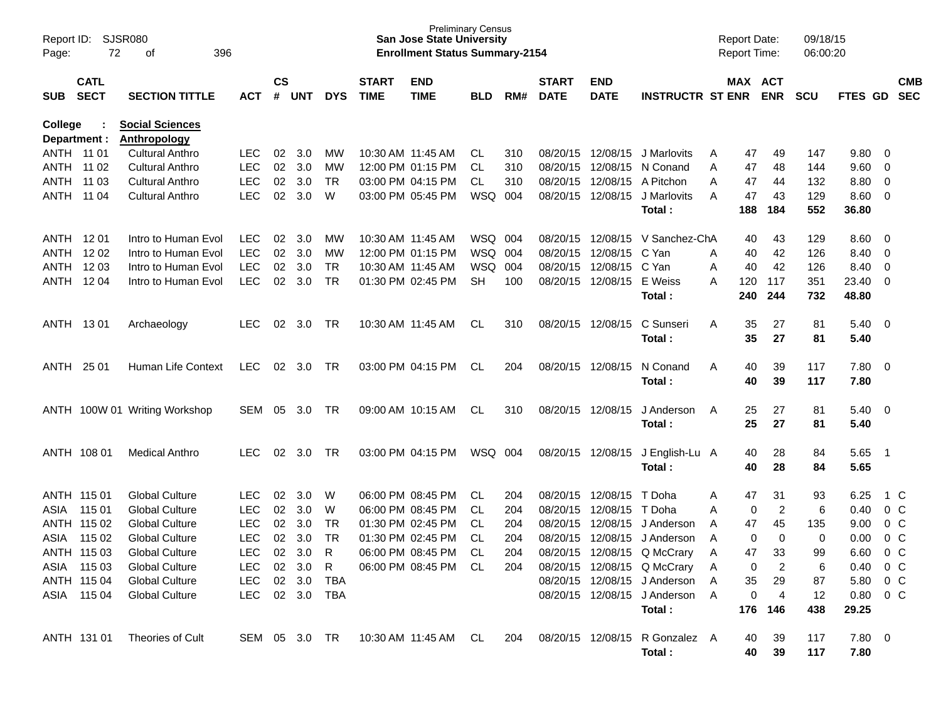| SJSR080<br>Report ID:<br>72<br>396<br>оf<br>Page: |                                                            |                                               |               |                    |            |            |                             | <b>San Jose State University</b><br><b>Enrollment Status Summary-2154</b> | <b>Preliminary Census</b> |     |                             |                           |                                | <b>Report Date:</b><br><b>Report Time:</b> |             |                       | 09/18/15<br>06:00:20 |                        |                         |                          |
|---------------------------------------------------|------------------------------------------------------------|-----------------------------------------------|---------------|--------------------|------------|------------|-----------------------------|---------------------------------------------------------------------------|---------------------------|-----|-----------------------------|---------------------------|--------------------------------|--------------------------------------------|-------------|-----------------------|----------------------|------------------------|-------------------------|--------------------------|
| <b>SUB</b>                                        | <b>CATL</b><br><b>SECT</b><br><b>SECTION TITTLE</b><br>ACT |                                               |               | $\mathsf{cs}$<br># | <b>UNT</b> | <b>DYS</b> | <b>START</b><br><b>TIME</b> | <b>END</b><br><b>TIME</b>                                                 | <b>BLD</b>                | RM# | <b>START</b><br><b>DATE</b> | <b>END</b><br><b>DATE</b> | <b>INSTRUCTR ST ENR</b>        |                                            |             | MAX ACT<br><b>ENR</b> | <b>SCU</b>           | FTES GD                |                         | <b>CMB</b><br><b>SEC</b> |
| College<br>Department :                           |                                                            | <b>Social Sciences</b><br><b>Anthropology</b> |               |                    |            |            |                             |                                                                           |                           |     |                             |                           |                                |                                            |             |                       |                      |                        |                         |                          |
| ANTH 11 01                                        |                                                            | <b>Cultural Anthro</b>                        | <b>LEC</b>    | 02                 | 3.0        | MW         |                             | 10:30 AM 11:45 AM                                                         | CL.                       | 310 |                             | 08/20/15 12/08/15         | J Marlovits                    | A                                          | 47          | 49                    | 147                  | 9.80                   | $\overline{\mathbf{0}}$ |                          |
| ANTH 11 02                                        |                                                            | <b>Cultural Anthro</b>                        | <b>LEC</b>    | 02                 | 3.0        | MW         |                             | 12:00 PM 01:15 PM                                                         | CL                        | 310 |                             | 08/20/15 12/08/15         | N Conand                       | A                                          | 47          | 48                    | 144                  | 9.60                   | $\overline{\mathbf{0}}$ |                          |
| ANTH 11 03                                        |                                                            | <b>Cultural Anthro</b>                        | <b>LEC</b>    | 02                 | 3.0        | TR         |                             | 03:00 PM 04:15 PM                                                         | CL                        | 310 |                             | 08/20/15 12/08/15         | A Pitchon                      | A                                          | 47          | 44                    | 132                  | 8.80                   | $\overline{\mathbf{0}}$ |                          |
| ANTH 11 04                                        |                                                            | Cultural Anthro                               | <b>LEC</b>    | 02                 | 3.0        | W          |                             | 03:00 PM 05:45 PM                                                         | WSQ                       | 004 |                             | 08/20/15 12/08/15         | J Marlovits                    | A                                          | 47          | 43                    | 129                  | 8.60                   | $\overline{\mathbf{0}}$ |                          |
|                                                   |                                                            |                                               |               |                    |            |            |                             |                                                                           |                           |     |                             |                           | Total:                         |                                            | 188         | 184                   | 552                  | 36.80                  |                         |                          |
| ANTH 1201                                         |                                                            | Intro to Human Evol                           | <b>LEC</b>    | 02                 | 3.0        | MW         |                             | 10:30 AM 11:45 AM                                                         | WSQ 004                   |     |                             | 08/20/15 12/08/15         | V Sanchez-ChA                  |                                            | 40          | 43                    | 129                  | 8.60                   | $\overline{\mathbf{0}}$ |                          |
| ANTH 1202                                         |                                                            | Intro to Human Evol                           | <b>LEC</b>    | 02                 | 3.0        | MW         |                             | 12:00 PM 01:15 PM                                                         | WSQ 004                   |     |                             | 08/20/15 12/08/15         | C Yan                          | A                                          | 40          | 42                    | 126                  | 8.40                   | $\overline{\mathbf{0}}$ |                          |
| ANTH 1203                                         |                                                            | Intro to Human Evol                           | <b>LEC</b>    | 02                 | 3.0        | <b>TR</b>  | 10:30 AM 11:45 AM           |                                                                           | WSQ 004                   |     |                             | 08/20/15 12/08/15         | C Yan                          | Α                                          | 40          | 42                    | 126                  | 8.40                   | $\overline{\mathbf{0}}$ |                          |
| ANTH 1204                                         |                                                            | Intro to Human Evol                           | <b>LEC</b>    | 02                 | 3.0        | TR         |                             | 01:30 PM 02:45 PM                                                         | <b>SH</b>                 | 100 |                             | 08/20/15 12/08/15         | E Weiss                        | A                                          | 120         | 117                   | 351                  | 23.40                  | $\overline{\mathbf{0}}$ |                          |
|                                                   |                                                            |                                               |               |                    |            |            |                             |                                                                           |                           |     |                             |                           | Total:                         |                                            | 240         | 244                   | 732                  | 48.80                  |                         |                          |
| ANTH 1301                                         |                                                            | Archaeology                                   | LEC           | 02                 | 3.0        | TR         |                             | 10:30 AM 11:45 AM                                                         | CL.                       | 310 |                             | 08/20/15 12/08/15         | C Sunseri                      | A                                          | 35          | 27                    | 81                   | $5.40 \quad 0$         |                         |                          |
|                                                   |                                                            |                                               |               |                    |            |            |                             |                                                                           |                           |     |                             |                           | Total:                         |                                            | 35          | 27                    | 81                   | 5.40                   |                         |                          |
| ANTH 25 01                                        |                                                            | Human Life Context                            | <b>LEC</b>    | 02 <sub>o</sub>    | 3.0        | TR         |                             | 03:00 PM 04:15 PM                                                         | CL.                       | 204 |                             | 08/20/15 12/08/15         | N Conand                       | A                                          | 40          | 39                    | 117                  | 7.80 0                 |                         |                          |
|                                                   |                                                            |                                               |               |                    |            |            |                             |                                                                           |                           |     |                             |                           | Total:                         |                                            | 40          | 39                    | 117                  | 7.80                   |                         |                          |
|                                                   |                                                            | ANTH 100W 01 Writing Workshop                 | SEM           | 05                 | 3.0        | TR         |                             | 09:00 AM 10:15 AM                                                         | CL                        | 310 |                             | 08/20/15 12/08/15         | J Anderson                     | A                                          | 25          | 27                    | 81                   | $5.40 \quad 0$         |                         |                          |
|                                                   |                                                            |                                               |               |                    |            |            |                             |                                                                           |                           |     |                             |                           | Total:                         |                                            | 25          | 27                    | 81                   | 5.40                   |                         |                          |
| ANTH 108 01                                       |                                                            | Medical Anthro                                | LEC           | 02                 | 3.0        | TR         |                             | 03:00 PM 04:15 PM                                                         | WSQ 004                   |     |                             | 08/20/15 12/08/15         | J English-Lu A                 |                                            | 40          | 28                    | 84                   | 5.65                   | - 1                     |                          |
|                                                   |                                                            |                                               |               |                    |            |            |                             |                                                                           |                           |     |                             |                           | Total:                         |                                            | 40          | 28                    | 84                   | 5.65                   |                         |                          |
| ANTH 115 01                                       |                                                            | <b>Global Culture</b>                         | LEC.          | 02                 | 3.0        | W          |                             | 06:00 PM 08:45 PM                                                         | CL.                       | 204 |                             | 08/20/15 12/08/15         | T Doha                         | A                                          | 47          | 31                    | 93                   | 6.25                   |                         | 1 C                      |
| 115 01<br>ASIA                                    |                                                            | <b>Global Culture</b>                         | <b>LEC</b>    | 02                 | 3.0        | W          |                             | 06:00 PM 08:45 PM                                                         | CL                        | 204 |                             | 08/20/15 12/08/15         | T Doha                         | A                                          | 0           | $\overline{2}$        | $\,6$                | 0.40                   |                         | $0\,C$                   |
| ANTH 115 02                                       |                                                            | <b>Global Culture</b>                         | <b>LEC</b>    | 02                 | 3.0        | TR         |                             | 01:30 PM 02:45 PM                                                         | CL                        | 204 | 08/20/15                    | 12/08/15                  | J Anderson                     | A                                          | 47          | 45                    | 135                  | 9.00                   |                         | $0\,C$                   |
| ASIA                                              | 115 02                                                     | <b>Global Culture</b>                         | <b>LEC</b>    | 02                 | 3.0        | TR         |                             | 01:30 PM 02:45 PM                                                         | CL                        | 204 | 08/20/15                    | 12/08/15                  | J Anderson                     | A                                          | 0           | 0                     | 0                    | 0.00                   |                         | $0\,C$                   |
| ANTH 115 03                                       |                                                            | <b>Global Culture</b>                         | <b>LEC</b>    | 02                 | 3.0        | R          |                             | 06:00 PM 08:45 PM                                                         | <b>CL</b>                 | 204 |                             | 08/20/15 12/08/15         | Q McCrary                      | A                                          | 47          | 33                    | 99                   | 6.60                   | $0\,C$                  |                          |
| ASIA 115 03                                       |                                                            | <b>Global Culture</b>                         | LEC.          |                    | 02 3.0     | R.         |                             | 06:00 PM 08:45 PM CL                                                      |                           | 204 |                             |                           | 08/20/15 12/08/15 Q McCrary    |                                            | 0           | $\overline{2}$        | 6                    | $0.40 \quad 0 \quad C$ |                         |                          |
| ANTH 115 04                                       |                                                            | <b>Global Culture</b>                         | <b>LEC</b>    |                    |            | 02 3.0 TBA |                             |                                                                           |                           |     |                             |                           | 08/20/15 12/08/15 J Anderson   | A                                          | 35          | 29                    | 87                   | 5.80 0 C               |                         |                          |
| ASIA 115 04                                       |                                                            | <b>Global Culture</b>                         | LEC.          |                    |            | 02 3.0 TBA |                             |                                                                           |                           |     |                             |                           | 08/20/15 12/08/15 J Anderson   | A                                          | $\mathbf 0$ | $\overline{4}$        | 12                   | 0.80 0 C               |                         |                          |
|                                                   |                                                            |                                               |               |                    |            |            |                             |                                                                           |                           |     |                             |                           | Total:                         |                                            |             | 176 146               | 438                  | 29.25                  |                         |                          |
| ANTH 131 01                                       |                                                            | Theories of Cult                              | SEM 05 3.0 TR |                    |            |            |                             | 10:30 AM_11:45 AM  CL                                                     |                           | 204 |                             |                           | 08/20/15 12/08/15 R Gonzalez A |                                            | 40          | 39                    | 117                  | 7.80 0                 |                         |                          |
|                                                   |                                                            |                                               |               |                    |            |            |                             |                                                                           |                           |     |                             |                           | Total:                         |                                            | 40          | 39                    | 117                  | 7.80                   |                         |                          |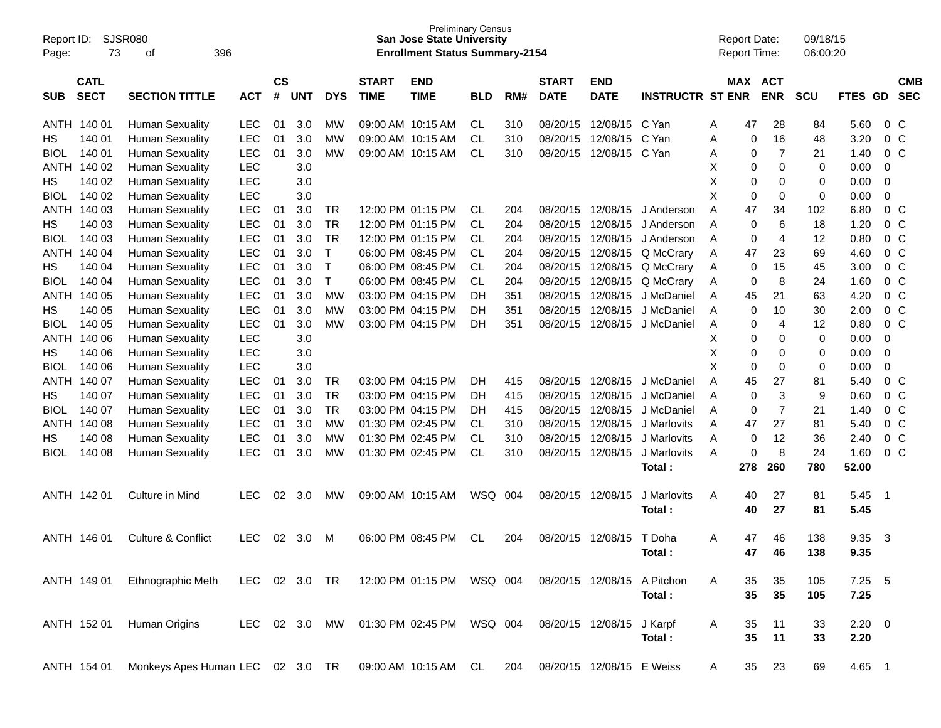| Report ID:<br>Page: | 73                         | <b>SJSR080</b><br>396<br>οf                                                           |            |                    |            |            |                             | <b>Preliminary Census</b><br><b>San Jose State University</b><br><b>Enrollment Status Summary-2154</b> |            |     |                             |                           |                         |   | <b>Report Date:</b><br><b>Report Time:</b> |                | 09/18/15<br>06:00:20 |                     |                |                          |
|---------------------|----------------------------|---------------------------------------------------------------------------------------|------------|--------------------|------------|------------|-----------------------------|--------------------------------------------------------------------------------------------------------|------------|-----|-----------------------------|---------------------------|-------------------------|---|--------------------------------------------|----------------|----------------------|---------------------|----------------|--------------------------|
| <b>SUB</b>          | <b>CATL</b><br><b>SECT</b> | <b>SECTION TITTLE</b>                                                                 | <b>ACT</b> | $\mathsf{cs}$<br># | <b>UNT</b> | <b>DYS</b> | <b>START</b><br><b>TIME</b> | <b>END</b><br><b>TIME</b>                                                                              | <b>BLD</b> | RM# | <b>START</b><br><b>DATE</b> | <b>END</b><br><b>DATE</b> | <b>INSTRUCTR ST ENR</b> |   | <b>MAX ACT</b>                             | <b>ENR</b>     | <b>SCU</b>           | <b>FTES</b>         | <b>GD</b>      | <b>CMB</b><br><b>SEC</b> |
| <b>ANTH</b>         | 140 01                     | <b>Human Sexuality</b>                                                                | LEC        | 01                 | 3.0        | МW         | 09:00 AM 10:15 AM           |                                                                                                        | <b>CL</b>  | 310 | 08/20/15                    | 12/08/15                  | C Yan                   | Α | 47                                         | 28             | 84                   | 5.60                | 0 <sup>o</sup> |                          |
| НS                  | 140 01                     | <b>Human Sexuality</b>                                                                | <b>LEC</b> | 01                 | 3.0        | МW         | 09:00 AM 10:15 AM           |                                                                                                        | <b>CL</b>  | 310 | 08/20/15                    | 12/08/15                  | C Yan                   | Α | 0                                          | 16             | 48                   | 3.20                | 0 <sup>o</sup> |                          |
| <b>BIOL</b>         | 140 01                     | <b>Human Sexuality</b>                                                                | <b>LEC</b> | 01                 | 3.0        | МW         | 09:00 AM 10:15 AM           |                                                                                                        | <b>CL</b>  | 310 | 08/20/15                    | 12/08/15                  | C Yan                   | Α | 0                                          | $\overline{7}$ | 21                   | 1.40                | 0 <sup>o</sup> |                          |
| ANTH                | 140 02                     | <b>Human Sexuality</b>                                                                | <b>LEC</b> |                    | 3.0        |            |                             |                                                                                                        |            |     |                             |                           |                         | Χ | 0                                          | $\mathbf 0$    | 0                    | 0.00                | 0              |                          |
| НS                  | 140 02                     | <b>Human Sexuality</b>                                                                | <b>LEC</b> |                    | 3.0        |            |                             |                                                                                                        |            |     |                             |                           |                         | X | 0                                          | 0              | 0                    | 0.00                | $\mathbf 0$    |                          |
| <b>BIOL</b>         | 140 02                     | <b>Human Sexuality</b>                                                                | <b>LEC</b> |                    | 3.0        |            |                             |                                                                                                        |            |     |                             |                           |                         | X | 0                                          | 0              | 0                    | 0.00                | 0              |                          |
| ANTH                | 140 03                     | <b>Human Sexuality</b>                                                                | <b>LEC</b> | 01                 | 3.0        | TR         |                             | 12:00 PM 01:15 PM                                                                                      | <b>CL</b>  | 204 | 08/20/15                    | 12/08/15                  | J Anderson              | A | 47                                         | 34             | 102                  | 6.80                | 0 <sup>o</sup> |                          |
| НS                  | 140 03                     | <b>Human Sexuality</b>                                                                | <b>LEC</b> | 01                 | 3.0        | <b>TR</b>  |                             | 12:00 PM 01:15 PM                                                                                      | <b>CL</b>  | 204 | 08/20/15                    | 12/08/15                  | J Anderson              | A | 0                                          | 6              | 18                   | 1.20                | 0 <sup>o</sup> |                          |
| <b>BIOL</b>         | 140 03                     | <b>Human Sexuality</b>                                                                | <b>LEC</b> | 01                 | 3.0        | <b>TR</b>  |                             | 12:00 PM 01:15 PM                                                                                      | <b>CL</b>  | 204 | 08/20/15                    | 12/08/15                  | J Anderson              | A | 0                                          | 4              | 12                   | 0.80                | 0 <sup>o</sup> |                          |
| <b>ANTH</b>         | 140 04                     | <b>Human Sexuality</b>                                                                | <b>LEC</b> | 01                 | 3.0        | T          | 06:00 PM 08:45 PM           |                                                                                                        | <b>CL</b>  | 204 | 08/20/15                    | 12/08/15                  | Q McCrary               | A | 47                                         | 23             | 69                   | 4.60                | 0 <sup>o</sup> |                          |
| НS                  | 140 04                     | <b>Human Sexuality</b>                                                                | <b>LEC</b> | 01                 | 3.0        | Т          |                             | 06:00 PM 08:45 PM                                                                                      | <b>CL</b>  | 204 | 08/20/15                    | 12/08/15                  | Q McCrary               | A | 0                                          | 15             | 45                   | 3.00                | 0 <sup>o</sup> |                          |
| <b>BIOL</b>         | 140 04                     | <b>Human Sexuality</b>                                                                | <b>LEC</b> | 01                 | 3.0        | T          |                             | 06:00 PM 08:45 PM                                                                                      | <b>CL</b>  | 204 | 08/20/15                    | 12/08/15                  | Q McCrary               | A | 0                                          | 8              | 24                   | 1.60                | 0 <sup>o</sup> |                          |
| ANTH                | 140 05                     | <b>Human Sexuality</b>                                                                | <b>LEC</b> | 01                 | 3.0        | <b>MW</b>  |                             | 03:00 PM 04:15 PM                                                                                      | DH         | 351 | 08/20/15                    | 12/08/15                  | J McDaniel              | A | 45                                         | 21             | 63                   | 4.20                | 0 <sup>o</sup> |                          |
| НS                  | 140 05                     | <b>Human Sexuality</b>                                                                | <b>LEC</b> | 01                 | 3.0        | <b>MW</b>  |                             | 03:00 PM 04:15 PM                                                                                      | DH         | 351 | 08/20/15                    | 12/08/15                  | J McDaniel              | A | 0                                          | 10             | 30                   | 2.00                | 0 <sup>o</sup> |                          |
| <b>BIOL</b>         | 140 05                     | <b>Human Sexuality</b>                                                                | <b>LEC</b> | 01                 | 3.0        | МW         |                             | 03:00 PM 04:15 PM                                                                                      | DH         | 351 | 08/20/15                    | 12/08/15                  | J McDaniel              | A | 0                                          | 4              | 12                   | 0.80                | 0 <sup>o</sup> |                          |
| ANTH                | 140 06                     | <b>Human Sexuality</b>                                                                | <b>LEC</b> |                    | 3.0        |            |                             |                                                                                                        |            |     |                             |                           |                         | х | 0                                          | 0              | 0                    | 0.00                | 0              |                          |
| НS                  | 140 06                     | <b>Human Sexuality</b>                                                                | <b>LEC</b> |                    | 3.0        |            |                             |                                                                                                        |            |     |                             |                           |                         | X | 0                                          | 0              | 0                    | 0.00                | 0              |                          |
| <b>BIOL</b>         | 140 06                     | <b>Human Sexuality</b>                                                                | <b>LEC</b> |                    | 3.0        |            |                             |                                                                                                        |            |     |                             |                           |                         | X | 0                                          | 0              | 0                    | 0.00                | 0              |                          |
| ANTH                | 140 07                     | <b>Human Sexuality</b>                                                                | <b>LEC</b> | 01                 | 3.0        | TR         |                             | 03:00 PM 04:15 PM                                                                                      | DН         | 415 | 08/20/15                    | 12/08/15                  | J McDaniel              | A | 45                                         | 27             | 81                   | 5.40                | 0 <sup>o</sup> |                          |
| НS                  | 140 07                     | <b>Human Sexuality</b>                                                                | <b>LEC</b> | 01                 | 3.0        | <b>TR</b>  |                             | 03:00 PM 04:15 PM                                                                                      | DН         | 415 | 08/20/15                    | 12/08/15                  | J McDaniel              | A | 0                                          | 3              | 9                    | 0.60                | 0 <sup>o</sup> |                          |
| <b>BIOL</b>         | 140 07                     | <b>Human Sexuality</b>                                                                | <b>LEC</b> | 01                 | 3.0        | <b>TR</b>  |                             | 03:00 PM 04:15 PM                                                                                      | DH         | 415 | 08/20/15                    | 12/08/15                  | J McDaniel              | A | 0                                          | $\overline{7}$ | 21                   | 1.40                | 0 <sup>o</sup> |                          |
| <b>ANTH</b>         | 140 08                     | <b>Human Sexuality</b>                                                                | <b>LEC</b> | 01                 | 3.0        | <b>MW</b>  |                             | 01:30 PM 02:45 PM                                                                                      | CL         | 310 | 08/20/15                    | 12/08/15                  | J Marlovits             | A | 47                                         | 27             | 81                   | 5.40                | 0 <sup>o</sup> |                          |
| НS                  | 140 08                     | <b>Human Sexuality</b>                                                                | <b>LEC</b> | 01                 | 3.0        | МW         |                             | 01:30 PM 02:45 PM                                                                                      | <b>CL</b>  | 310 | 08/20/15                    | 12/08/15                  | J Marlovits             | A | 0                                          | 12             | 36                   | 2.40                | 0 <sup>o</sup> |                          |
| <b>BIOL</b>         | 140 08                     | <b>Human Sexuality</b>                                                                | <b>LEC</b> | 01                 | 3.0        | МW         |                             | 01:30 PM 02:45 PM                                                                                      | <b>CL</b>  | 310 | 08/20/15                    | 12/08/15                  | J Marlovits             | A | 0                                          | 8              | 24                   | 1.60                | $0\quad C$     |                          |
|                     |                            |                                                                                       |            |                    |            |            |                             |                                                                                                        |            |     |                             |                           | Total:                  |   | 278                                        | 260            | 780                  | 52.00               |                |                          |
|                     | ANTH 142 01                | Culture in Mind                                                                       | <b>LEC</b> | 02                 | 3.0        | MW         | 09:00 AM 10:15 AM           |                                                                                                        | WSQ        | 004 | 08/20/15                    | 12/08/15                  | J Marlovits<br>Total:   | A | 40<br>40                                   | 27<br>27       | 81<br>81             | 5.45<br>5.45        | $\overline{1}$ |                          |
|                     | ANTH 146 01                | <b>Culture &amp; Conflict</b>                                                         | <b>LEC</b> | 02                 | 3.0        | м          |                             | 06:00 PM 08:45 PM                                                                                      | <b>CL</b>  | 204 | 08/20/15                    | 12/08/15                  | T Doha<br>Total:        | A | 47<br>47                                   | 46<br>46       | 138<br>138           | 9.35<br>9.35        | 3              |                          |
|                     | ANTH 149 01                | Ethnographic Meth LEC 02 3.0 TR 12:00 PM 01:15 PM WSQ 004 08/20/15 12/08/15 A Pitchon |            |                    |            |            |                             |                                                                                                        |            |     |                             |                           | Total:                  | A | 35<br>35                                   | 35<br>35       | 105<br>105           | $7.25$ 5<br>7.25    |                |                          |
|                     | ANTH 152 01                | Human Origins                                                                         |            |                    |            |            |                             | LEC 02 3.0 MW 01:30 PM 02:45 PM WSQ 004                                                                |            |     | 08/20/15 12/08/15 J Karpf   |                           | Total:                  | A | 35<br>35                                   | 11<br>11       | 33<br>33             | $2.20 \t 0$<br>2.20 |                |                          |
|                     | ANTH 154 01                | Monkeys Apes Human LEC 02 3.0 TR 09:00 AM 10:15 AM CL                                 |            |                    |            |            |                             |                                                                                                        |            | 204 | 08/20/15 12/08/15 E Weiss   |                           |                         | A | 35                                         | 23             | 69                   | 4.65 1              |                |                          |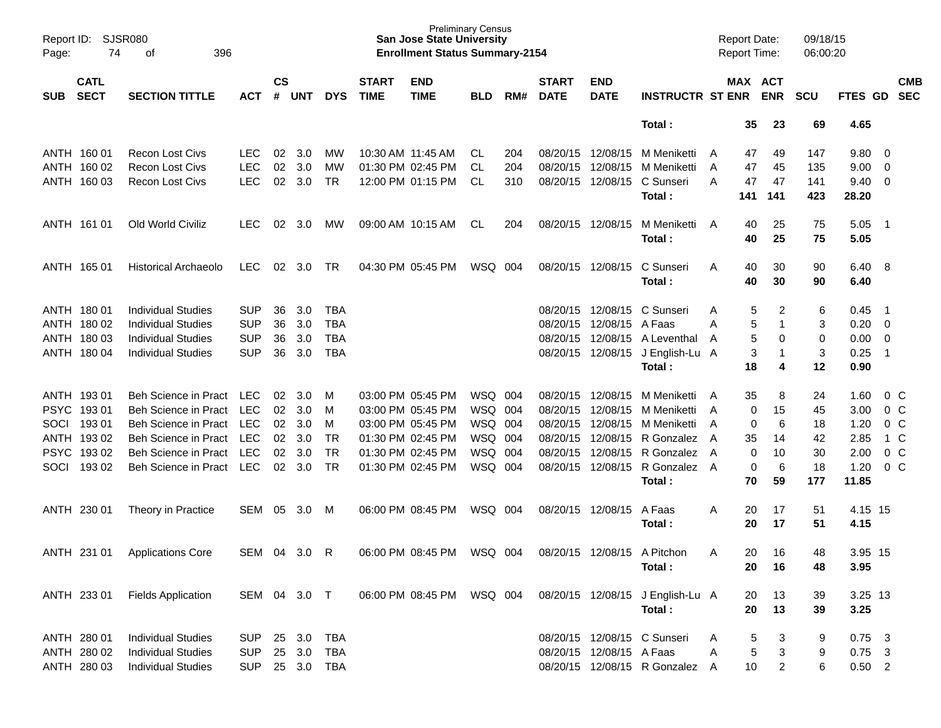| Page:      | Report ID: SJSR080<br>396<br>74<br>of |                             |              |                    |            |            |                             | <b>Preliminary Census</b><br><b>San Jose State University</b><br><b>Enrollment Status Summary-2154</b> |            |     |                             |                           |                                  |   | <b>Report Date:</b><br><b>Report Time:</b> |                | 09/18/15<br>06:00:20 |                |                          |                          |
|------------|---------------------------------------|-----------------------------|--------------|--------------------|------------|------------|-----------------------------|--------------------------------------------------------------------------------------------------------|------------|-----|-----------------------------|---------------------------|----------------------------------|---|--------------------------------------------|----------------|----------------------|----------------|--------------------------|--------------------------|
| <b>SUB</b> | <b>CATL</b><br><b>SECT</b>            | <b>SECTION TITTLE</b>       | <b>ACT</b>   | $\mathsf{cs}$<br># | <b>UNT</b> | <b>DYS</b> | <b>START</b><br><b>TIME</b> | <b>END</b><br><b>TIME</b>                                                                              | <b>BLD</b> | RM# | <b>START</b><br><b>DATE</b> | <b>END</b><br><b>DATE</b> | <b>INSTRUCTR ST ENR</b>          |   | MAX ACT                                    | <b>ENR</b>     | <b>SCU</b>           | <b>FTES GD</b> |                          | <b>CMB</b><br><b>SEC</b> |
|            |                                       |                             |              |                    |            |            |                             |                                                                                                        |            |     |                             |                           | Total:                           |   | 35                                         | 23             | 69                   | 4.65           |                          |                          |
|            | ANTH 160 01                           | <b>Recon Lost Civs</b>      | LEC.         | 02                 | 3.0        | <b>MW</b>  |                             | 10:30 AM 11:45 AM                                                                                      | CL.        | 204 |                             | 08/20/15 12/08/15         | M Meniketti                      | A | 47                                         | 49             | 147                  | 9.80           | $\overline{\mathbf{0}}$  |                          |
|            | ANTH 160 02                           | <b>Recon Lost Civs</b>      | <b>LEC</b>   | 02                 | 3.0        | MW         |                             | 01:30 PM 02:45 PM                                                                                      | CL         | 204 | 08/20/15                    | 12/08/15                  | M Meniketti                      | A | 47                                         | 45             | 135                  | 9.00           | $\overline{0}$           |                          |
|            | ANTH 160 03                           | <b>Recon Lost Civs</b>      | <b>LEC</b>   | 02                 | 3.0        | <b>TR</b>  |                             | 12:00 PM 01:15 PM                                                                                      | CL         | 310 |                             | 08/20/15 12/08/15         | C Sunseri<br>Total:              | A | 47<br>141                                  | 47<br>141      | 141<br>423           | 9.40<br>28.20  | $\overline{0}$           |                          |
|            | ANTH 161 01                           | Old World Civiliz           | <b>LEC</b>   | 02                 | 3.0        | <b>MW</b>  |                             | 09:00 AM 10:15 AM                                                                                      | CL         | 204 |                             | 08/20/15 12/08/15         | M Meniketti                      | A | 40                                         | 25             | 75                   | 5.05           | $\overline{\phantom{1}}$ |                          |
|            |                                       |                             |              |                    |            |            |                             |                                                                                                        |            |     |                             |                           | Total:                           |   | 40                                         | 25             | 75                   | 5.05           |                          |                          |
|            | ANTH 165 01                           | Historical Archaeolo        | <b>LEC</b>   | 02                 | 3.0        | TR         |                             | 04:30 PM 05:45 PM                                                                                      | WSQ 004    |     |                             | 08/20/15 12/08/15         | C Sunseri                        | A | 40                                         | 30             | 90                   | 6.40 8         |                          |                          |
|            |                                       |                             |              |                    |            |            |                             |                                                                                                        |            |     |                             |                           | Total:                           |   | 40                                         | 30             | 90                   | 6.40           |                          |                          |
|            | ANTH 180 01                           | <b>Individual Studies</b>   | <b>SUP</b>   | 36                 | 3.0        | TBA        |                             |                                                                                                        |            |     |                             | 08/20/15 12/08/15         | C Sunseri                        | A | 5                                          | 2              | 6                    | 0.45           | - 1                      |                          |
|            | ANTH 180 02                           | <b>Individual Studies</b>   | <b>SUP</b>   | 36                 | 3.0        | <b>TBA</b> |                             |                                                                                                        |            |     |                             | 08/20/15 12/08/15         | A Faas                           | A | 5                                          | $\mathbf{1}$   | 3                    | 0.20           | $\overline{\mathbf{0}}$  |                          |
|            | ANTH 180 03                           | <b>Individual Studies</b>   | <b>SUP</b>   | 36                 | 3.0        | <b>TBA</b> |                             |                                                                                                        |            |     |                             |                           | 08/20/15 12/08/15 A Leventhal    | A | 5                                          | 0              | 0                    | 0.00           | - 0                      |                          |
|            | ANTH 180 04                           | <b>Individual Studies</b>   | <b>SUP</b>   | 36                 | 3.0        | <b>TBA</b> |                             |                                                                                                        |            |     |                             | 08/20/15 12/08/15         | J English-Lu A                   |   | 3                                          | $\mathbf{1}$   | 3                    | 0.25           | $\overline{1}$           |                          |
|            |                                       |                             |              |                    |            |            |                             |                                                                                                        |            |     |                             |                           | Total:                           |   | 18                                         | 4              | 12                   | 0.90           |                          |                          |
|            | ANTH 193 01                           | <b>Beh Science in Pract</b> | LEC.         | 02                 | 3.0        | M          |                             | 03:00 PM 05:45 PM                                                                                      | WSQ 004    |     |                             | 08/20/15 12/08/15         | M Meniketti                      | A | 35                                         | 8              | 24                   | 1.60           | $0\,C$                   |                          |
|            | PSYC 19301                            | <b>Beh Science in Pract</b> | <b>LEC</b>   | 02                 | 3.0        | м          |                             | 03:00 PM 05:45 PM                                                                                      | WSQ 004    |     | 08/20/15                    | 12/08/15                  | M Meniketti                      | A | 0                                          | 15             | 45                   | 3.00           | $0\,C$                   |                          |
| SOCI       | 19301                                 | <b>Beh Science in Pract</b> | <b>LEC</b>   | 02                 | 3.0        | M          |                             | 03:00 PM 05:45 PM                                                                                      | WSQ 004    |     | 08/20/15                    | 12/08/15                  | M Meniketti                      | A | 0                                          | 6              | 18                   | 1.20           | 0 <sup>C</sup>           |                          |
|            | ANTH 193 02                           | <b>Beh Science in Pract</b> | LEC          | 02                 | 3.0        | <b>TR</b>  |                             | 01:30 PM 02:45 PM                                                                                      | WSQ 004    |     |                             | 08/20/15 12/08/15         | R Gonzalez                       | A | 35                                         | 14             | 42                   | 2.85           | 1 C                      |                          |
|            | PSYC 193 02                           | <b>Beh Science in Pract</b> | <b>LEC</b>   | 02 <sub>2</sub>    | 3.0        | <b>TR</b>  |                             | 01:30 PM 02:45 PM                                                                                      | WSQ 004    |     | 08/20/15                    | 12/08/15                  | R Gonzalez                       | A | 0                                          | 10             | 30                   | 2.00           | 0 <sup>C</sup>           |                          |
| SOCI       | 193 02                                | <b>Beh Science in Pract</b> | LEC          | 02                 | 3.0        | <b>TR</b>  |                             | 01:30 PM 02:45 PM                                                                                      | WSQ 004    |     |                             | 08/20/15 12/08/15         | R Gonzalez A<br>Total:           |   | 0<br>70                                    | 6<br>59        | 18<br>177            | 1.20<br>11.85  | 0 <sup>C</sup>           |                          |
|            | ANTH 230 01                           | Theory in Practice          | SEM          | 05                 | 3.0        | M          |                             | 06:00 PM 08:45 PM                                                                                      | WSQ 004    |     |                             | 08/20/15 12/08/15         | A Faas                           | A | 20                                         | 17             | 51                   | 4.15 15        |                          |                          |
|            |                                       |                             |              |                    |            |            |                             |                                                                                                        |            |     |                             |                           | Total:                           |   | 20                                         | 17             | 51                   | 4.15           |                          |                          |
|            | ANTH 231 01                           | <b>Applications Core</b>    | SEM 04       |                    | 3.0        | R          |                             | 06:00 PM 08:45 PM                                                                                      | WSQ 004    |     |                             |                           | 08/20/15 12/08/15 A Pitchon      | A | 20                                         | 16             | 48                   | 3.95 15        |                          |                          |
|            |                                       |                             |              |                    |            |            |                             |                                                                                                        |            |     |                             |                           | Total:                           |   | 20                                         | 16             | 48                   | 3.95           |                          |                          |
|            | ANTH 233 01                           | <b>Fields Application</b>   | SEM 04 3.0 T |                    |            |            |                             | 06:00 PM 08:45 PM                                                                                      | WSQ 004    |     |                             |                           | 08/20/15 12/08/15 J English-Lu A |   | 20                                         | 13             | 39                   | 3.25 13        |                          |                          |
|            |                                       |                             |              |                    |            |            |                             |                                                                                                        |            |     |                             |                           | Total:                           |   | 20                                         | 13             | 39                   | 3.25           |                          |                          |
|            | ANTH 280 01                           | <b>Individual Studies</b>   | <b>SUP</b>   |                    | 25 3.0     | <b>TBA</b> |                             |                                                                                                        |            |     |                             |                           | 08/20/15 12/08/15 C Sunseri      | Α | 5                                          | 3              | 9                    | $0.75$ 3       |                          |                          |
|            | ANTH 280 02                           | <b>Individual Studies</b>   | <b>SUP</b>   |                    | 25 3.0     | <b>TBA</b> |                             |                                                                                                        |            |     |                             | 08/20/15 12/08/15 A Faas  |                                  | A | 5                                          | 3              | 9                    | $0.75$ 3       |                          |                          |
|            | ANTH 280 03                           | <b>Individual Studies</b>   | <b>SUP</b>   |                    | 25 3.0     | TBA        |                             |                                                                                                        |            |     |                             |                           | 08/20/15 12/08/15 R Gonzalez A   |   | 10 <sub>1</sub>                            | $\overline{2}$ | 6                    | $0.50$ 2       |                          |                          |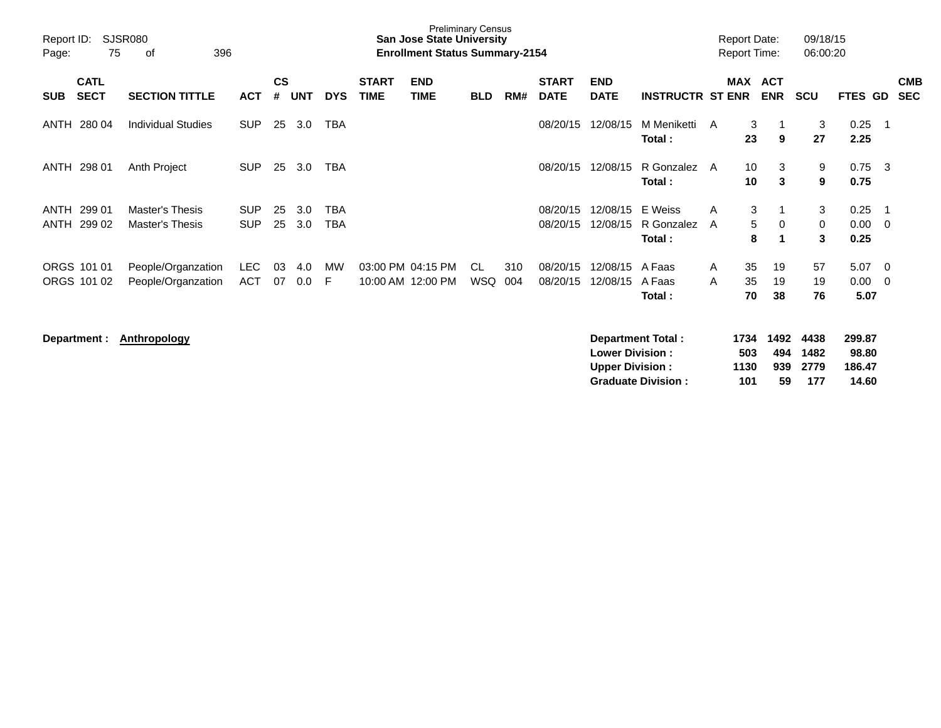| Report ID:<br>Page: | SJSR080<br>75<br>396<br>оf |                                          |                          |                |                |            |                             | <b>Preliminary Census</b><br><b>San Jose State University</b><br><b>Enrollment Status Summary-2154</b> |            |            |                             |                           |                                 | <b>Report Date:</b><br><b>Report Time:</b> |                |                          | 09/18/15<br>06:00:20 |                      |                |                          |
|---------------------|----------------------------|------------------------------------------|--------------------------|----------------|----------------|------------|-----------------------------|--------------------------------------------------------------------------------------------------------|------------|------------|-----------------------------|---------------------------|---------------------------------|--------------------------------------------|----------------|--------------------------|----------------------|----------------------|----------------|--------------------------|
| <b>SUB</b>          | <b>CATL</b><br><b>SECT</b> | <b>SECTION TITTLE</b>                    | <b>ACT</b>               | <b>CS</b><br># | <b>UNT</b>     | <b>DYS</b> | <b>START</b><br><b>TIME</b> | <b>END</b><br><b>TIME</b>                                                                              | <b>BLD</b> | RM#        | <b>START</b><br><b>DATE</b> | <b>END</b><br><b>DATE</b> | <b>INSTRUCTR ST ENR</b>         | MAX                                        |                | <b>ACT</b><br><b>ENR</b> | <b>SCU</b>           | <b>FTES GD</b>       |                | <b>CMB</b><br><b>SEC</b> |
| ANTH                | 280 04                     | <b>Individual Studies</b>                | <b>SUP</b>               | 25             | 3.0            | TBA        |                             |                                                                                                        |            |            | 08/20/15                    | 12/08/15                  | M Meniketti<br>Total:           | A                                          | 3<br>23        | 9                        | 3<br>27              | 0.25<br>2.25         | $\overline{1}$ |                          |
| ANTH                | 298 01                     | Anth Project                             | <b>SUP</b>               | 25             | 3.0            | <b>TBA</b> |                             |                                                                                                        |            |            | 08/20/15                    | 12/08/15                  | R Gonzalez<br>Total:            | A                                          | 10<br>10       | 3<br>3                   | 9<br>9               | 0.75<br>0.75         | - 3            |                          |
| <b>ANTH</b><br>ANTH | 299 01<br>299 02           | Master's Thesis<br>Master's Thesis       | <b>SUP</b><br><b>SUP</b> | 25<br>25       | 3.0<br>3.0     | TBA<br>TBA |                             |                                                                                                        |            |            | 08/20/15<br>08/20/15        | 12/08/15<br>12/08/15      | E Weiss<br>R Gonzalez<br>Total: | A<br>A                                     | 3<br>5<br>8    | 0                        | 3<br>0<br>3          | 0.25<br>0.00<br>0.25 | - 1<br>- 0     |                          |
|                     | ORGS 101 01<br>ORGS 101 02 | People/Organzation<br>People/Organzation | <b>LEC</b><br>ACT        | 03<br>07       | 4.0<br>$0.0\,$ | МW<br>F    |                             | 03:00 PM 04:15 PM<br>10:00 AM 12:00 PM                                                                 | CL.<br>WSQ | 310<br>004 | 08/20/15<br>08/20/15        | 12/08/15<br>12/08/15      | A Faas<br>A Faas<br>Total:      | A<br>A                                     | 35<br>35<br>70 | 19<br>19<br>38           | 57<br>19<br>76       | 5.07<br>0.00<br>5.07 | - 0<br>- 0     |                          |

**Department : Anthropology Department Total : 1734 1492 4438 299.87 Lower Division : 503 494 1482 98.80** 1130 939 2779<br>101 59 177 **Graduate Division : 101 59 177 14.60**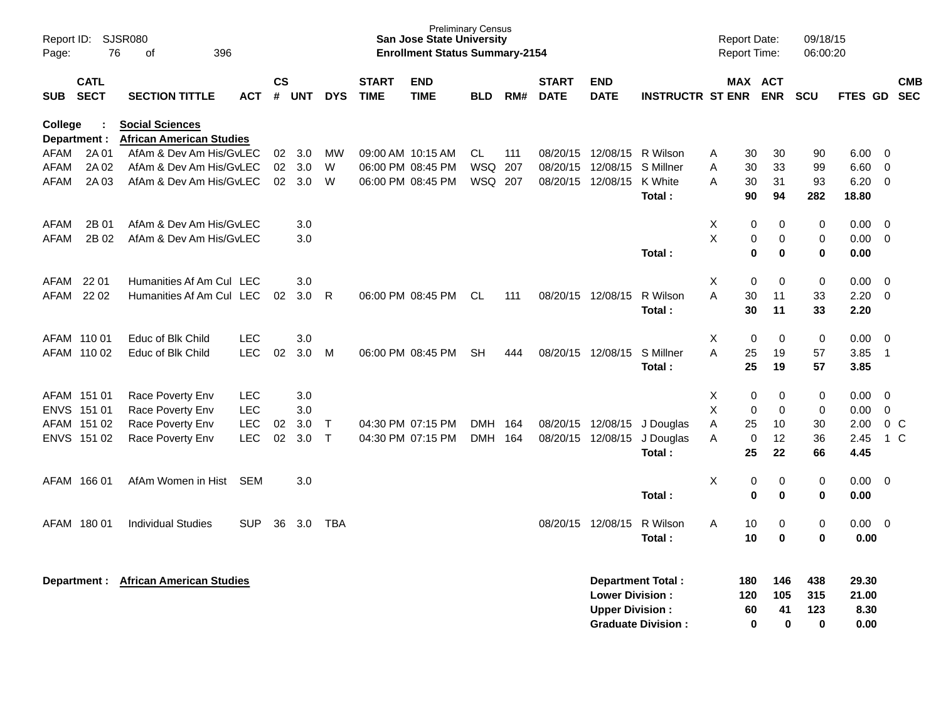| Report ID:<br>Page: | 76                         | SJSR080<br>396<br>of                                      |            |                |            |              |                             | <b>Preliminary Census</b><br><b>San Jose State University</b><br><b>Enrollment Status Summary-2154</b> |            |       |                             |                                                  |                                                | <b>Report Date:</b><br>Report Time: |                       |                              | 09/18/15<br>06:00:20          |                                |                          |
|---------------------|----------------------------|-----------------------------------------------------------|------------|----------------|------------|--------------|-----------------------------|--------------------------------------------------------------------------------------------------------|------------|-------|-----------------------------|--------------------------------------------------|------------------------------------------------|-------------------------------------|-----------------------|------------------------------|-------------------------------|--------------------------------|--------------------------|
| <b>SUB</b>          | <b>CATL</b><br><b>SECT</b> | <b>SECTION TITTLE</b>                                     | ACT        | <b>CS</b><br># | <b>UNT</b> | <b>DYS</b>   | <b>START</b><br><b>TIME</b> | <b>END</b><br>TIME                                                                                     | <b>BLD</b> | RM#   | <b>START</b><br><b>DATE</b> | END<br><b>DATE</b>                               | <b>INSTRUCTR ST ENR</b>                        |                                     |                       | MAX ACT<br><b>ENR</b>        | <b>SCU</b>                    | <b>FTES GD</b>                 | <b>CMB</b><br><b>SEC</b> |
| College             | Department :               | <b>Social Sciences</b><br><b>African American Studies</b> |            |                |            |              |                             |                                                                                                        |            |       |                             |                                                  |                                                |                                     |                       |                              |                               |                                |                          |
| AFAM                | 2A 01                      | AfAm & Dev Am His/GvLEC                                   |            | 02             | 3.0        | MW           |                             | 09:00 AM 10:15 AM                                                                                      | CL         | 111   | 08/20/15                    | 12/08/15                                         | R Wilson                                       | Α                                   | 30                    | 30                           | 90                            | 6.00                           | - 0                      |
| AFAM                | 2A 02                      | AfAm & Dev Am His/GvLEC                                   |            | 02             | 3.0        | W            |                             | 06:00 PM 08:45 PM                                                                                      | WSQ        | 207   | 08/20/15                    | 12/08/15                                         | S Millner                                      | A                                   | 30                    | 33                           | 99                            | 6.60                           | 0                        |
| AFAM                | 2A 03                      | AfAm & Dev Am His/GvLEC                                   |            | 02             | 3.0        | W            |                             | 06:00 PM 08:45 PM                                                                                      | WSQ 207    |       | 08/20/15                    | 12/08/15                                         | K White                                        | A                                   | 30                    | 31                           | 93                            | 6.20                           | 0                        |
|                     |                            |                                                           |            |                |            |              |                             |                                                                                                        |            |       |                             |                                                  | Total:                                         |                                     | 90                    | 94                           | 282                           | 18.80                          |                          |
| AFAM                | 2B 01                      | AfAm & Dev Am His/GyLEC                                   |            |                | 3.0        |              |                             |                                                                                                        |            |       |                             |                                                  |                                                | Χ                                   | 0                     | 0                            | 0                             | 0.00                           | $\overline{0}$           |
| AFAM                | 2B 02                      | AfAm & Dev Am His/GvLEC                                   |            |                | 3.0        |              |                             |                                                                                                        |            |       |                             |                                                  |                                                | X                                   | 0                     | $\mathbf 0$                  | $\mathbf 0$                   | 0.00                           | $\overline{0}$           |
|                     |                            |                                                           |            |                |            |              |                             |                                                                                                        |            |       |                             |                                                  | Total:                                         |                                     | 0                     | $\mathbf 0$                  | $\bf{0}$                      | 0.00                           |                          |
| AFAM                | 22 01                      | Humanities Af Am Cul LEC                                  |            |                | 3.0        |              |                             |                                                                                                        |            |       |                             |                                                  |                                                | X                                   | 0                     | $\mathbf 0$                  | $\pmb{0}$                     | 0.00                           | - 0                      |
| AFAM                | 22 02                      | Humanities Af Am Cul LEC                                  |            | 02             | 3.0        | $\mathsf{R}$ |                             | 06:00 PM 08:45 PM                                                                                      | CL         | 111   |                             | 08/20/15 12/08/15                                | R Wilson                                       | A                                   | 30                    | 11                           | 33                            | 2.20                           | $\overline{0}$           |
|                     |                            |                                                           |            |                |            |              |                             |                                                                                                        |            |       |                             |                                                  | Total:                                         |                                     | 30                    | 11                           | 33                            | 2.20                           |                          |
|                     | AFAM 110 01                | Educ of Blk Child                                         | <b>LEC</b> |                | 3.0        |              |                             |                                                                                                        |            |       |                             |                                                  |                                                | X                                   | 0                     | 0                            | 0                             | 0.00                           | 0                        |
|                     | AFAM 110 02                | Educ of Blk Child                                         | <b>LEC</b> | 02             | 3.0        | M            |                             | 06:00 PM 08:45 PM                                                                                      | <b>SH</b>  | 444   |                             | 08/20/15 12/08/15                                | S Millner                                      | A                                   | 25                    | 19                           | 57                            | 3.85                           | $\overline{1}$           |
|                     |                            |                                                           |            |                |            |              |                             |                                                                                                        |            |       |                             |                                                  | Total:                                         |                                     | 25                    | 19                           | 57                            | 3.85                           |                          |
|                     | AFAM 151 01                | Race Poverty Env                                          | <b>LEC</b> |                | 3.0        |              |                             |                                                                                                        |            |       |                             |                                                  |                                                | X                                   | 0                     | 0                            | 0                             | 0.00                           | $\overline{0}$           |
|                     | ENVS 151 01                | Race Poverty Env                                          | <b>LEC</b> |                | 3.0        |              |                             |                                                                                                        |            |       |                             |                                                  |                                                | X                                   | 0                     | $\mathbf 0$                  | $\mathbf 0$                   | 0.00                           | $\mathbf 0$              |
|                     | AFAM 151 02                | Race Poverty Env                                          | <b>LEC</b> | 02             | 3.0        | $\mathsf{T}$ |                             | 04:30 PM 07:15 PM                                                                                      | DMH        | - 164 |                             | 08/20/15 12/08/15                                | J Douglas                                      | Α                                   | 25                    | 10                           | 30                            | 2.00                           | $0\,C$                   |
|                     | ENVS 151 02                | Race Poverty Env                                          | <b>LEC</b> | 02             | 3.0        | $\mathsf{T}$ |                             | 04:30 PM 07:15 PM                                                                                      | DMH 164    |       |                             | 08/20/15 12/08/15                                | J Douglas                                      | A                                   | $\mathbf 0$           | 12                           | 36                            | 2.45                           | 1 C                      |
|                     |                            |                                                           |            |                |            |              |                             |                                                                                                        |            |       |                             |                                                  | Total:                                         |                                     | 25                    | 22                           | 66                            | 4.45                           |                          |
|                     | AFAM 166 01                | AfAm Women in Hist                                        | <b>SEM</b> |                | 3.0        |              |                             |                                                                                                        |            |       |                             |                                                  |                                                | X                                   | 0                     | 0                            | 0                             | 0.00                           | 0                        |
|                     |                            |                                                           |            |                |            |              |                             |                                                                                                        |            |       |                             |                                                  | Total:                                         |                                     | 0                     | $\bf{0}$                     | 0                             | 0.00                           |                          |
|                     | AFAM 180 01                | <b>Individual Studies</b>                                 | <b>SUP</b> | 36             | 3.0        | TBA          |                             |                                                                                                        |            |       |                             | 08/20/15 12/08/15                                | R Wilson                                       | A                                   | 10                    | 0                            | 0                             | 0.00                           | - 0                      |
|                     |                            |                                                           |            |                |            |              |                             |                                                                                                        |            |       |                             |                                                  | Total:                                         |                                     | 10                    | $\bf{0}$                     | 0                             | 0.00                           |                          |
|                     |                            | Department : African American Studies                     |            |                |            |              |                             |                                                                                                        |            |       |                             | <b>Lower Division:</b><br><b>Upper Division:</b> | Department Total:<br><b>Graduate Division:</b> |                                     | 180<br>120<br>60<br>0 | 146<br>105<br>41<br>$\bf{0}$ | 438<br>315<br>123<br>$\bf{0}$ | 29.30<br>21.00<br>8.30<br>0.00 |                          |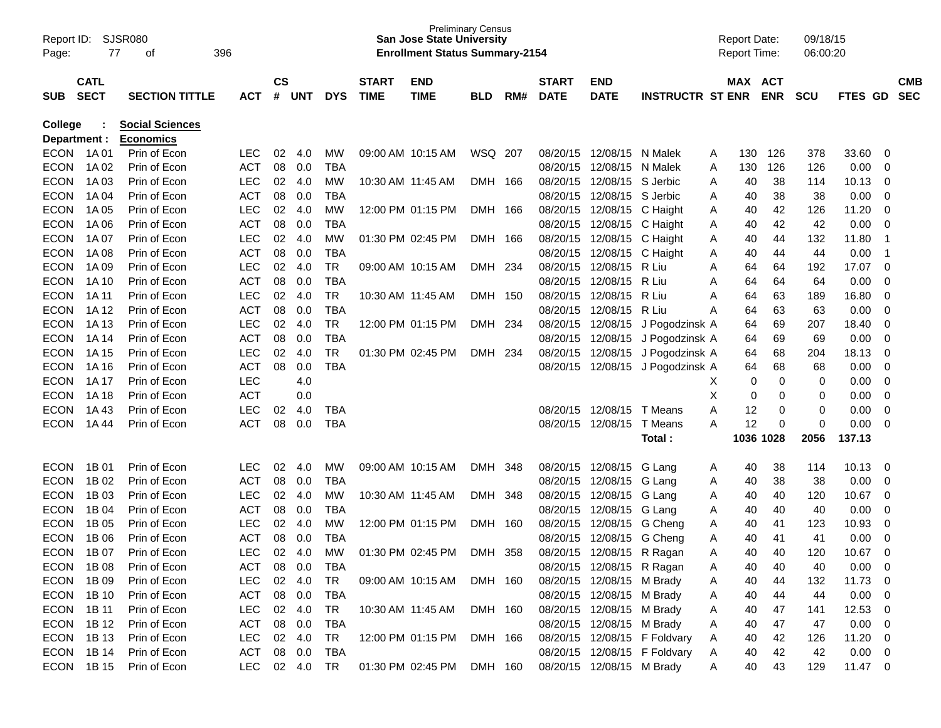| Page:          | SJSR080<br>Report ID:<br>396<br>77<br>оf<br><b>CATL</b> |                        |            |               |        |            |                   | <b>Preliminary Census</b><br><b>San Jose State University</b><br><b>Enrollment Status Summary-2154</b> |            |     |              |                           |                              |   | <b>Report Date:</b><br><b>Report Time:</b> |             | 09/18/15<br>06:00:20 |           |                |            |
|----------------|---------------------------------------------------------|------------------------|------------|---------------|--------|------------|-------------------|--------------------------------------------------------------------------------------------------------|------------|-----|--------------|---------------------------|------------------------------|---|--------------------------------------------|-------------|----------------------|-----------|----------------|------------|
|                |                                                         |                        |            | $\mathsf{cs}$ |        |            | <b>START</b>      | <b>END</b>                                                                                             |            |     | <b>START</b> | <b>END</b>                |                              |   | MAX ACT                                    |             |                      |           |                | <b>CMB</b> |
| <b>SUB</b>     | <b>SECT</b>                                             | <b>SECTION TITTLE</b>  | <b>ACT</b> | #             | UNT    | <b>DYS</b> | <b>TIME</b>       | <b>TIME</b>                                                                                            | <b>BLD</b> | RM# | <b>DATE</b>  | <b>DATE</b>               | <b>INSTRUCTR ST ENR</b>      |   |                                            | <b>ENR</b>  | <b>SCU</b>           | FTES GD   |                | <b>SEC</b> |
| <b>College</b> |                                                         | <b>Social Sciences</b> |            |               |        |            |                   |                                                                                                        |            |     |              |                           |                              |   |                                            |             |                      |           |                |            |
| Department :   |                                                         | <b>Economics</b>       |            |               |        |            |                   |                                                                                                        |            |     |              |                           |                              |   |                                            |             |                      |           |                |            |
| <b>ECON</b>    | 1A 01                                                   | Prin of Econ           | <b>LEC</b> | 02            | 4.0    | MW         |                   | 09:00 AM 10:15 AM                                                                                      | WSQ 207    |     | 08/20/15     | 12/08/15 N Malek          |                              | A | 130                                        | 126         | 378                  | 33.60     | 0              |            |
| <b>ECON</b>    | 1A 02                                                   | Prin of Econ           | <b>ACT</b> | 08            | 0.0    | <b>TBA</b> |                   |                                                                                                        |            |     | 08/20/15     | 12/08/15 N Malek          |                              | A | 130                                        | 126         | 126                  | 0.00      | 0              |            |
| <b>ECON</b>    | 1A 03                                                   | Prin of Econ           | <b>LEC</b> | 02            | 4.0    | <b>MW</b>  |                   | 10:30 AM 11:45 AM                                                                                      | DMH 166    |     | 08/20/15     | 12/08/15 S Jerbic         |                              | A | 40                                         | 38          | 114                  | 10.13     | 0              |            |
| <b>ECON</b>    | 1A 04                                                   | Prin of Econ           | <b>ACT</b> | 08            | 0.0    | <b>TBA</b> |                   |                                                                                                        |            |     | 08/20/15     | 12/08/15 S Jerbic         |                              | A | 40                                         | 38          | 38                   | 0.00      | 0              |            |
| <b>ECON</b>    | 1A 05                                                   | Prin of Econ           | <b>LEC</b> | 02            | 4.0    | <b>MW</b>  |                   | 12:00 PM 01:15 PM                                                                                      | DMH 166    |     | 08/20/15     | 12/08/15                  | C Haight                     | A | 40                                         | 42          | 126                  | 11.20     | 0              |            |
| <b>ECON</b>    | 1A 06                                                   | Prin of Econ           | <b>ACT</b> | 08            | 0.0    | <b>TBA</b> |                   |                                                                                                        |            |     | 08/20/15     | 12/08/15                  | C Haight                     | A | 40                                         | 42          | 42                   | 0.00      | 0              |            |
| <b>ECON</b>    | 1A 07                                                   | Prin of Econ           | <b>LEC</b> | 02            | 4.0    | <b>MW</b>  |                   | 01:30 PM 02:45 PM                                                                                      | DMH 166    |     | 08/20/15     | 12/08/15                  | C Haight                     | Α | 40                                         | 44          | 132                  | 11.80     | $\mathbf 1$    |            |
| <b>ECON</b>    | 1A 08                                                   | Prin of Econ           | <b>ACT</b> | 08            | 0.0    | <b>TBA</b> |                   |                                                                                                        |            |     | 08/20/15     | 12/08/15                  | C Haight                     | A | 40                                         | 44          | 44                   | 0.00      | -1             |            |
| <b>ECON</b>    | 1A 09                                                   | Prin of Econ           | <b>LEC</b> | 02            | 4.0    | <b>TR</b>  |                   | 09:00 AM 10:15 AM                                                                                      | DMH 234    |     | 08/20/15     | 12/08/15                  | R Liu                        | A | 64                                         | 64          | 192                  | 17.07     | $\mathbf 0$    |            |
| <b>ECON</b>    | 1A 10                                                   | Prin of Econ           | <b>ACT</b> | 08            | 0.0    | <b>TBA</b> |                   |                                                                                                        |            |     | 08/20/15     | 12/08/15                  | R Liu                        | Α | 64                                         | 64          | 64                   | 0.00      | 0              |            |
| <b>ECON</b>    | 1A 11                                                   | Prin of Econ           | <b>LEC</b> | 02            | 4.0    | <b>TR</b>  |                   | 10:30 AM 11:45 AM                                                                                      | DMH 150    |     | 08/20/15     | 12/08/15                  | R Liu                        | A | 64                                         | 63          | 189                  | 16.80     | $\mathbf 0$    |            |
| <b>ECON</b>    | 1A 12                                                   | Prin of Econ           | <b>ACT</b> | 08            | 0.0    | <b>TBA</b> |                   |                                                                                                        |            |     | 08/20/15     | 12/08/15                  | R Liu                        | A | 64                                         | 63          | 63                   | 0.00      | 0              |            |
| <b>ECON</b>    | 1A 13                                                   | Prin of Econ           | <b>LEC</b> | 02            | 4.0    | <b>TR</b>  |                   | 12:00 PM 01:15 PM                                                                                      | DMH 234    |     | 08/20/15     | 12/08/15                  | J Pogodzinsk A               |   | 64                                         | 69          | 207                  | 18.40     | 0              |            |
| <b>ECON</b>    | 1A 14                                                   | Prin of Econ           | <b>ACT</b> | 08            | 0.0    | <b>TBA</b> |                   |                                                                                                        |            |     | 08/20/15     | 12/08/15                  | J Pogodzinsk A               |   | 64                                         | 69          | 69                   | 0.00      | 0              |            |
| <b>ECON</b>    | 1A 15                                                   | Prin of Econ           | <b>LEC</b> | 02            | 4.0    | <b>TR</b>  |                   | 01:30 PM 02:45 PM                                                                                      | DMH        | 234 | 08/20/15     | 12/08/15                  | J Pogodzinsk A               |   | 64                                         | 68          | 204                  | 18.13     | $\mathbf 0$    |            |
| <b>ECON</b>    | 1A 16                                                   | Prin of Econ           | <b>ACT</b> | 08            | 0.0    | <b>TBA</b> |                   |                                                                                                        |            |     | 08/20/15     |                           | 12/08/15 J Pogodzinsk A      |   | 64                                         | 68          | 68                   | 0.00      | 0              |            |
| <b>ECON</b>    | 1A 17                                                   | Prin of Econ           | LEC        |               | 4.0    |            |                   |                                                                                                        |            |     |              |                           |                              | Х | 0                                          | 0           | 0                    | 0.00      | 0              |            |
| <b>ECON</b>    | 1A 18                                                   | Prin of Econ           | <b>ACT</b> |               | 0.0    |            |                   |                                                                                                        |            |     |              |                           |                              | X | 0                                          | 0           | 0                    | 0.00      | 0              |            |
| <b>ECON</b>    | 1A43                                                    | Prin of Econ           | LEC        | 02            | 4.0    | <b>TBA</b> |                   |                                                                                                        |            |     | 08/20/15     | 12/08/15                  | T Means                      | Α | 12                                         | 0           | 0                    | 0.00      | $\mathbf 0$    |            |
| <b>ECON</b>    | 1A 44                                                   | Prin of Econ           | <b>ACT</b> | 08            | 0.0    | <b>TBA</b> |                   |                                                                                                        |            |     | 08/20/15     | 12/08/15                  | T Means                      | A | 12                                         | $\mathbf 0$ | 0                    | 0.00      | $\mathbf 0$    |            |
|                |                                                         |                        |            |               |        |            |                   |                                                                                                        |            |     |              |                           | Total :                      |   | 1036 1028                                  |             | 2056                 | 137.13    |                |            |
| <b>ECON</b>    | 1B 01                                                   | Prin of Econ           | <b>LEC</b> | 02            | 4.0    | MW         | 09:00 AM 10:15 AM |                                                                                                        | DMH 348    |     | 08/20/15     | 12/08/15                  | G Lang                       | A | 40                                         | 38          | 114                  | 10.13     | 0              |            |
| <b>ECON</b>    | 1B 02                                                   | Prin of Econ           | <b>ACT</b> | 08            | 0.0    | <b>TBA</b> |                   |                                                                                                        |            |     | 08/20/15     | 12/08/15                  | G Lang                       | A | 40                                         | 38          | 38                   | 0.00      | 0              |            |
| <b>ECON</b>    | 1B 03                                                   | Prin of Econ           | <b>LEC</b> | 02            | 4.0    | <b>MW</b>  |                   | 10:30 AM 11:45 AM                                                                                      | DMH 348    |     | 08/20/15     | 12/08/15                  | G Lang                       | A | 40                                         | 40          | 120                  | 10.67     | 0              |            |
| <b>ECON</b>    | 1B 04                                                   | Prin of Econ           | <b>ACT</b> | 08            | 0.0    | <b>TBA</b> |                   |                                                                                                        |            |     | 08/20/15     | 12/08/15                  | G Lang                       | Α | 40                                         | 40          | 40                   | 0.00      | 0              |            |
| <b>ECON</b>    | 1B 05                                                   | Prin of Econ           | <b>LEC</b> | 02            | 4.0    | <b>MW</b>  |                   | 12:00 PM 01:15 PM                                                                                      | DMH 160    |     | 08/20/15     | 12/08/15                  | G Cheng                      | Α | 40                                         | 41          | 123                  | 10.93     | 0              |            |
| <b>ECON</b>    | 1B 06                                                   | Prin of Econ           | <b>ACT</b> | 08            | 0.0    | <b>TBA</b> |                   |                                                                                                        |            |     | 08/20/15     | 12/08/15                  | G Cheng                      | Α | 40                                         | 41          | 41                   | 0.00      | 0              |            |
| <b>ECON</b>    | 1B 07                                                   | Prin of Econ           | LEC        | 02            | 4.0    | <b>MW</b>  |                   | 01:30 PM 02:45 PM                                                                                      | DMH        | 358 | 08/20/15     | 12/08/15                  | R Ragan                      | Α | 40                                         | 40          | 120                  | 10.67     | $\Omega$       |            |
| ECON 1B08      |                                                         | Prin of Econ           | ACT        | 08            | 0.0    | TBA        |                   |                                                                                                        |            |     |              | 08/20/15 12/08/15 R Ragan |                              | A | 40                                         | 40          | 40                   | 0.00      | $\mathbf 0$    |            |
| <b>ECON</b>    | 1B 09                                                   | Prin of Econ           | <b>LEC</b> |               | 02 4.0 | TR         |                   | 09:00 AM 10:15 AM                                                                                      | DMH 160    |     |              | 08/20/15 12/08/15 M Brady |                              | A | 40                                         | 44          | 132                  | 11.73     | 0              |            |
| <b>ECON</b>    | 1B 10                                                   | Prin of Econ           | <b>ACT</b> |               | 08 0.0 | <b>TBA</b> |                   |                                                                                                        |            |     |              | 08/20/15 12/08/15 M Brady |                              | A | 40                                         | 44          | 44                   | 0.00      | 0              |            |
| <b>ECON</b>    | 1B 11                                                   | Prin of Econ           | <b>LEC</b> |               | 02 4.0 | TR         |                   | 10:30 AM 11:45 AM                                                                                      | DMH 160    |     |              | 08/20/15 12/08/15 M Brady |                              | A | 40                                         | 47          | 141                  | 12.53     | 0              |            |
| <b>ECON</b>    | 1B 12                                                   | Prin of Econ           | ACT        |               | 08 0.0 | <b>TBA</b> |                   |                                                                                                        |            |     |              | 08/20/15 12/08/15 M Brady |                              | A | 40                                         | 47          | 47                   | 0.00      | 0              |            |
| <b>ECON</b>    | 1B 13                                                   | Prin of Econ           | <b>LEC</b> |               | 02 4.0 | TR         |                   | 12:00 PM 01:15 PM DMH 166                                                                              |            |     |              |                           | 08/20/15 12/08/15 F Foldvary | A | 40                                         | 42          | 126                  | 11.20     | 0              |            |
| <b>ECON</b>    | 1B 14                                                   | Prin of Econ           | ACT        |               | 08 0.0 | <b>TBA</b> |                   |                                                                                                        |            |     |              |                           | 08/20/15 12/08/15 F Foldvary | A | 40                                         | 42          | 42                   | 0.00      | $\overline{0}$ |            |
| ECON 1B15      |                                                         | Prin of Econ           | LEC        |               | 02 4.0 | TR         |                   | 01:30 PM 02:45 PM DMH 160                                                                              |            |     |              | 08/20/15 12/08/15 M Brady |                              | A | 40                                         | 43          | 129                  | $11.47$ 0 |                |            |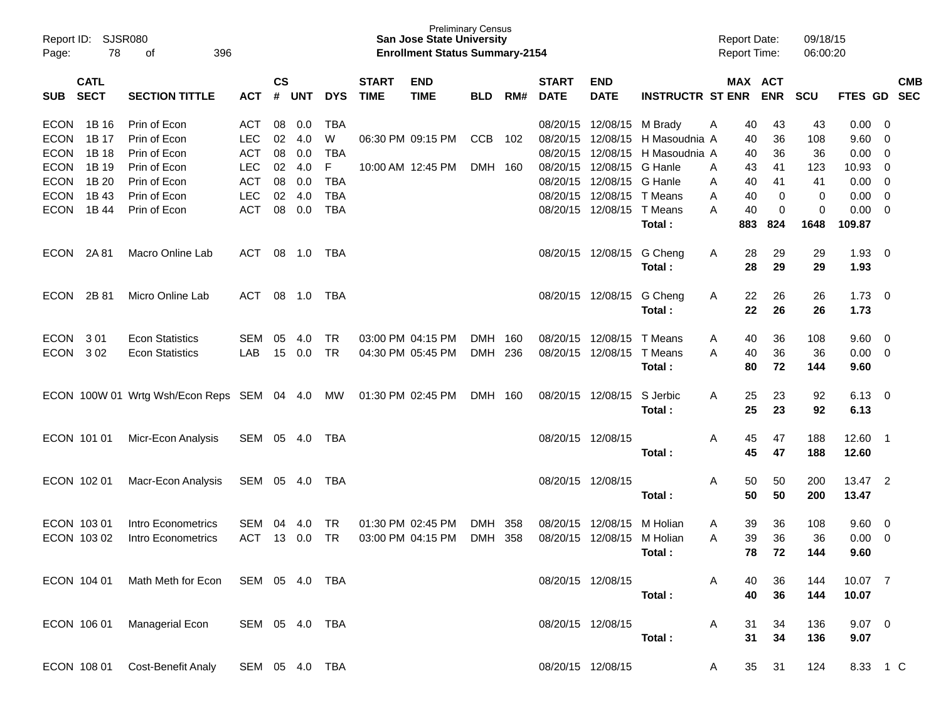| Page:                      | Report ID: SJSR080<br>78   |                                               |                          |                             |            |                 | <b>San Jose State University</b><br><b>Enrollment Status Summary-2154</b> | <b>Preliminary Census</b>              |                    |            |                             |                           | <b>Report Date:</b><br><b>Report Time:</b> |                    | 09/18/15<br>06:00:20  |            |                |                                |            |
|----------------------------|----------------------------|-----------------------------------------------|--------------------------|-----------------------------|------------|-----------------|---------------------------------------------------------------------------|----------------------------------------|--------------------|------------|-----------------------------|---------------------------|--------------------------------------------|--------------------|-----------------------|------------|----------------|--------------------------------|------------|
| <b>SUB</b>                 | <b>CATL</b><br><b>SECT</b> | <b>SECTION TITTLE</b>                         | <b>ACT</b>               | $\mathsf{cs}$<br>$\pmb{\#}$ | <b>UNT</b> | <b>DYS</b>      | <b>START</b><br><b>TIME</b>                                               | <b>END</b><br><b>TIME</b>              | <b>BLD</b>         | RM#        | <b>START</b><br><b>DATE</b> | <b>END</b><br><b>DATE</b> | <b>INSTRUCTR ST ENR</b>                    |                    | MAX ACT<br><b>ENR</b> | <b>SCU</b> | FTES GD SEC    |                                | <b>CMB</b> |
| <b>ECON</b>                | 1B 16                      | Prin of Econ                                  | <b>ACT</b>               | 08                          | 0.0        | <b>TBA</b>      |                                                                           |                                        |                    |            |                             | 08/20/15 12/08/15         | M Brady                                    | Α<br>40            | 43                    | 43         | 0.00           | $\overline{\mathbf{0}}$        |            |
| <b>ECON</b>                | 1B 17                      | Prin of Econ                                  | <b>LEC</b>               | 02                          | 4.0        | W               |                                                                           | 06:30 PM 09:15 PM                      | <b>CCB</b>         | 102        | 08/20/15                    | 12/08/15                  | H Masoudnia A                              | 40                 | 36                    | 108        | 9.60           | - 0                            |            |
| <b>ECON</b>                | 1B 18                      | Prin of Econ                                  | <b>ACT</b>               | 08                          | 0.0        | <b>TBA</b>      |                                                                           |                                        |                    |            | 08/20/15                    | 12/08/15                  | H Masoudnia A                              | 40                 | 36                    | 36         | 0.00           | - 0                            |            |
| <b>ECON</b>                | 1B 19                      | Prin of Econ                                  | <b>LEC</b>               | 02                          | 4.0        | F               |                                                                           | 10:00 AM 12:45 PM                      | DMH 160            |            | 08/20/15                    | 12/08/15                  | G Hanle                                    | 43<br>A            | 41                    | 123        | 10.93          | 0                              |            |
| <b>ECON</b>                | 1B 20                      | Prin of Econ                                  | <b>ACT</b>               | 08                          | 0.0        | <b>TBA</b>      |                                                                           |                                        |                    |            | 08/20/15                    | 12/08/15 G Hanle          |                                            | 40<br>A            | 41                    | 41         | 0.00           | $\overline{0}$                 |            |
| <b>ECON</b>                | 1B 43                      | Prin of Econ                                  | <b>LEC</b>               | 02                          | 4.0        | <b>TBA</b>      |                                                                           |                                        |                    |            | 08/20/15                    | 12/08/15                  | T Means                                    | 40<br>A            | 0                     | 0          | 0.00           | - 0                            |            |
| <b>ECON</b>                | 1B 44                      | Prin of Econ                                  | <b>ACT</b>               | 08                          | 0.0        | <b>TBA</b>      |                                                                           |                                        |                    |            | 08/20/15                    | 12/08/15                  | T Means                                    | 40<br>A            | 0                     | 0          | 0.00           | - 0                            |            |
|                            |                            |                                               |                          |                             |            |                 |                                                                           |                                        |                    |            |                             |                           | Total:                                     | 883                | 824                   | 1648       | 109.87         |                                |            |
| ECON                       | 2A 81                      | Macro Online Lab                              | ACT                      |                             | 08 1.0     | TBA             |                                                                           |                                        |                    |            |                             | 08/20/15 12/08/15         | G Cheng                                    | 28<br>A            | 29                    | 29         | $1.93$ 0       |                                |            |
|                            |                            |                                               |                          |                             |            |                 |                                                                           |                                        |                    |            |                             |                           | Total:                                     | 28                 | 29                    | 29         | 1.93           |                                |            |
|                            |                            |                                               |                          |                             |            |                 |                                                                           |                                        |                    |            |                             |                           |                                            |                    |                       |            | $1.73 \t 0$    |                                |            |
| ECON                       | 2B 81                      | Micro Online Lab                              | ACT                      |                             | 08 1.0     | <b>TBA</b>      |                                                                           |                                        |                    |            |                             | 08/20/15 12/08/15         | G Cheng<br>Total:                          | 22<br>A<br>22      | 26<br>26              | 26<br>26   | 1.73           |                                |            |
|                            |                            |                                               |                          |                             |            |                 |                                                                           |                                        |                    |            |                             |                           |                                            |                    |                       |            |                |                                |            |
| ECON                       | 301                        | <b>Econ Statistics</b>                        | <b>SEM</b>               | 05                          | 4.0        | <b>TR</b>       |                                                                           | 03:00 PM 04:15 PM                      | <b>DMH</b>         | 160        | 08/20/15                    | 12/08/15                  | T Means                                    | 40<br>A            | 36                    | 108        | 9.60 0         |                                |            |
| <b>ECON</b>                | 302                        | <b>Econ Statistics</b>                        | LAB                      | 15                          | 0.0        | <b>TR</b>       |                                                                           | 04:30 PM 05:45 PM                      | DMH                | 236        | 08/20/15                    | 12/08/15                  | T Means                                    | 40<br>A            | 36                    | 36         | 0.00           | $\overline{\phantom{0}}$       |            |
|                            |                            |                                               |                          |                             |            |                 |                                                                           |                                        |                    |            |                             |                           | Total:                                     | 80                 | 72                    | 144        | 9.60           |                                |            |
|                            |                            | ECON 100W 01 Wrtg Wsh/Econ Reps SEM 04 4.0    |                          |                             |            | MW              |                                                                           | 01:30 PM 02:45 PM                      | DMH 160            |            |                             | 08/20/15 12/08/15         | S Jerbic                                   | 25<br>Α            | 23                    | 92         | $6.13 \quad 0$ |                                |            |
|                            |                            |                                               |                          |                             |            |                 |                                                                           |                                        |                    |            |                             |                           | Total:                                     | 25                 | 23                    | 92         | 6.13           |                                |            |
|                            |                            |                                               |                          |                             |            |                 |                                                                           |                                        |                    |            |                             |                           |                                            |                    |                       |            |                |                                |            |
| ECON 101 01                |                            | Micr-Econ Analysis                            | SEM 05 4.0               |                             |            | TBA             |                                                                           |                                        |                    |            | 08/20/15 12/08/15           |                           |                                            | 45<br>A            | 47                    | 188        | 12.60 1        |                                |            |
|                            |                            |                                               |                          |                             |            |                 |                                                                           |                                        |                    |            |                             |                           | Total:                                     | 45                 | 47                    | 188        | 12.60          |                                |            |
| ECON 102 01                |                            | Macr-Econ Analysis                            | SEM 05 4.0               |                             |            | TBA             |                                                                           |                                        |                    |            |                             | 08/20/15 12/08/15         |                                            | 50<br>A            | 50                    | 200        | 13.47 2        |                                |            |
|                            |                            |                                               |                          |                             |            |                 |                                                                           |                                        |                    |            |                             |                           | Total:                                     | 50                 | 50                    | 200        | 13.47          |                                |            |
|                            |                            | Intro Econometrics                            |                          |                             |            |                 |                                                                           |                                        |                    |            |                             | 12/08/15                  |                                            |                    |                       |            |                |                                |            |
| ECON 103 01<br>ECON 103 02 |                            | Intro Econometrics                            | <b>SEM</b><br><b>ACT</b> | 04                          | 4.0        | TR<br><b>TR</b> |                                                                           | 01:30 PM 02:45 PM<br>03:00 PM 04:15 PM | <b>DMH</b><br>DMH. | 358<br>358 | 08/20/15<br>08/20/15        | 12/08/15                  | M Holian<br>M Holian                       | 39<br>A<br>39<br>A | 36<br>36              | 108<br>36  | 9.60<br>0.00   | $\overline{\mathbf{0}}$<br>- 0 |            |
|                            |                            |                                               |                          |                             | 13 0.0     |                 |                                                                           |                                        |                    |            |                             |                           |                                            | 78                 | 72                    | 144        | 9.60           |                                |            |
|                            |                            |                                               |                          |                             |            |                 |                                                                           |                                        |                    |            |                             |                           | Total:                                     |                    |                       |            |                |                                |            |
|                            |                            | ECON 104 01 Math Meth for Econ SEM 05 4.0 TBA |                          |                             |            |                 |                                                                           |                                        |                    |            |                             | 08/20/15 12/08/15         |                                            | A<br>40            | 36                    | 144        | 10.07 7        |                                |            |
|                            |                            |                                               |                          |                             |            |                 |                                                                           |                                        |                    |            |                             |                           | Total:                                     | 40                 | 36                    | 144        | 10.07          |                                |            |
|                            |                            |                                               |                          |                             |            |                 |                                                                           |                                        |                    |            |                             |                           |                                            |                    |                       |            |                |                                |            |
|                            |                            | ECON 106 01 Managerial Econ                   | SEM 05 4.0 TBA           |                             |            |                 |                                                                           |                                        |                    |            |                             | 08/20/15 12/08/15         |                                            | A<br>31            | 34                    | 136        | $9.07 \quad 0$ |                                |            |
|                            |                            |                                               |                          |                             |            |                 |                                                                           |                                        |                    |            |                             |                           | Total:                                     | 31                 | 34                    | 136        | 9.07           |                                |            |
|                            |                            | ECON 108 01 Cost-Benefit Analy                | SEM 05 4.0 TBA           |                             |            |                 |                                                                           |                                        |                    |            |                             | 08/20/15 12/08/15         |                                            | 35<br>A            | 31                    | 124        | 8.33 1 C       |                                |            |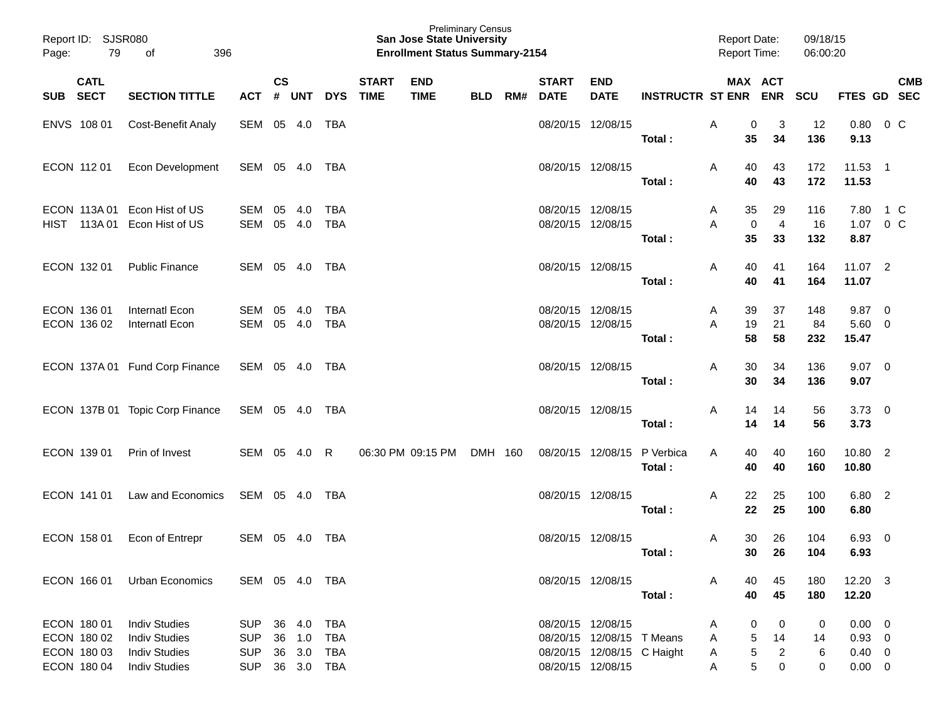| Report ID: SJSR080<br>Page:                              | 79<br>396<br>оf                                                                              |                                                      |                    |                                      |                                               |                             | <b>Preliminary Census</b><br><b>San Jose State University</b><br><b>Enrollment Status Summary-2154</b> |            |     |                                        |                                                         |                         | <b>Report Date:</b><br><b>Report Time:</b> |                                                    | 09/18/15<br>06:00:20 |                                                               |                                                    |                          |
|----------------------------------------------------------|----------------------------------------------------------------------------------------------|------------------------------------------------------|--------------------|--------------------------------------|-----------------------------------------------|-----------------------------|--------------------------------------------------------------------------------------------------------|------------|-----|----------------------------------------|---------------------------------------------------------|-------------------------|--------------------------------------------|----------------------------------------------------|----------------------|---------------------------------------------------------------|----------------------------------------------------|--------------------------|
| <b>CATL</b><br><b>SECT</b><br><b>SUB</b>                 | <b>SECTION TITTLE</b>                                                                        | <b>ACT</b>                                           | $\mathsf{cs}$<br># | <b>UNT</b>                           | <b>DYS</b>                                    | <b>START</b><br><b>TIME</b> | <b>END</b><br><b>TIME</b>                                                                              | <b>BLD</b> | RM# | <b>START</b><br><b>DATE</b>            | <b>END</b><br><b>DATE</b>                               | <b>INSTRUCTR ST ENR</b> |                                            | MAX ACT<br><b>ENR</b>                              | <b>SCU</b>           | <b>FTES GD</b>                                                |                                                    | <b>CMB</b><br><b>SEC</b> |
| ENVS 108 01                                              | <b>Cost-Benefit Analy</b>                                                                    | SEM                                                  | 05                 | 4.0                                  | <b>TBA</b>                                    |                             |                                                                                                        |            |     | 08/20/15 12/08/15                      |                                                         | Total:                  | A<br>35                                    | 3<br>0<br>34                                       | 12<br>136            | 0.80<br>9.13                                                  | 0 C                                                |                          |
| ECON 112 01                                              | Econ Development                                                                             | SEM 05 4.0                                           |                    |                                      | TBA                                           |                             |                                                                                                        |            |     | 08/20/15 12/08/15                      |                                                         | Total:                  | 40<br>A<br>40                              | 43<br>43                                           | 172<br>172           | 11.53<br>11.53                                                | $\overline{\phantom{1}}$                           |                          |
| ECON 113A 01<br>HIST 113A01                              | Econ Hist of US<br>Econ Hist of US                                                           | SEM<br>SEM                                           | 05                 | 4.0<br>05 4.0                        | <b>TBA</b><br><b>TBA</b>                      |                             |                                                                                                        |            |     | 08/20/15 12/08/15<br>08/20/15 12/08/15 |                                                         |                         | 35<br>A<br>Α                               | 29<br>0<br>$\overline{4}$                          | 116<br>16            | 7.80<br>1.07                                                  | 1 C<br>$0\,C$                                      |                          |
| ECON 132 01                                              | <b>Public Finance</b>                                                                        | SEM 05 4.0                                           |                    |                                      | TBA                                           |                             |                                                                                                        |            |     | 08/20/15 12/08/15                      |                                                         | Total:<br>Total:        | 35<br>40<br>A<br>40                        | 33<br>41<br>41                                     | 132<br>164<br>164    | 8.87<br>$11.07$ 2<br>11.07                                    |                                                    |                          |
| ECON 136 01<br>ECON 136 02                               | <b>Internatl Econ</b><br>Internatl Econ                                                      | SEM<br>SEM                                           | 05                 | 4.0<br>05 4.0                        | <b>TBA</b><br><b>TBA</b>                      |                             |                                                                                                        |            |     | 08/20/15 12/08/15<br>08/20/15 12/08/15 |                                                         | Total:                  | 39<br>A<br>Α<br>19<br>58                   | 37<br>21<br>58                                     | 148<br>84<br>232     | 9.87<br>5.60<br>15.47                                         | $\overline{\mathbf{0}}$<br>$\overline{\mathbf{0}}$ |                          |
|                                                          | ECON 137A 01 Fund Corp Finance                                                               | SEM 05 4.0                                           |                    |                                      | TBA                                           |                             |                                                                                                        |            |     | 08/20/15 12/08/15                      |                                                         | Total:                  | 30<br>A<br>30                              | 34<br>34                                           | 136<br>136           | $9.07 \quad 0$<br>9.07                                        |                                                    |                          |
|                                                          | ECON 137B 01 Topic Corp Finance                                                              | SEM 05 4.0                                           |                    |                                      | TBA                                           |                             |                                                                                                        |            |     | 08/20/15 12/08/15                      |                                                         | Total:                  | 14<br>A<br>14                              | 14<br>14                                           | 56<br>56             | $3.73 \quad 0$<br>3.73                                        |                                                    |                          |
| ECON 139 01                                              | Prin of Invest                                                                               | SEM 05 4.0                                           |                    |                                      | R                                             |                             | 06:30 PM 09:15 PM                                                                                      | DMH 160    |     | 08/20/15 12/08/15                      |                                                         | P Verbica<br>Total:     | 40<br>A<br>40                              | 40<br>40                                           | 160<br>160           | 10.80 2<br>10.80                                              |                                                    |                          |
| ECON 141 01                                              | Law and Economics                                                                            | SEM 05 4.0                                           |                    |                                      | TBA                                           |                             |                                                                                                        |            |     | 08/20/15 12/08/15                      |                                                         | Total:                  | 22<br>A<br>22                              | 25<br>25                                           | 100<br>100           | 6.80 2<br>6.80                                                |                                                    |                          |
| ECON 158 01                                              | Econ of Entrepr                                                                              | SEM 05 4.0                                           |                    |                                      | TBA                                           |                             |                                                                                                        |            |     | 08/20/15 12/08/15                      |                                                         | Total:                  | 30<br>A<br>30                              | 26<br>26                                           | 104<br>104           | 6.93<br>6.93                                                  | $\overline{\mathbf{0}}$                            |                          |
| ECON 166 01                                              | Urban Economics                                                                              | SEM 05 4.0 TBA                                       |                    |                                      |                                               |                             |                                                                                                        |            |     | 08/20/15 12/08/15                      |                                                         | Total:                  | A<br>40<br>40                              | 45<br>45                                           | 180<br>180           | $12.20 \t3$<br>12.20                                          |                                                    |                          |
| ECON 180 01<br>ECON 180 02<br>ECON 180 03<br>ECON 180 04 | <b>Indiv Studies</b><br><b>Indiv Studies</b><br><b>Indiv Studies</b><br><b>Indiv Studies</b> | <b>SUP</b><br><b>SUP</b><br><b>SUP</b><br><b>SUP</b> |                    | 36 4.0<br>36 1.0<br>36 3.0<br>36 3.0 | <b>TBA</b><br><b>TBA</b><br>TBA<br><b>TBA</b> |                             |                                                                                                        |            |     | 08/20/15 12/08/15<br>08/20/15 12/08/15 | 08/20/15 12/08/15 T Means<br>08/20/15 12/08/15 C Haight |                         | A<br>A<br>A<br>A                           | 0<br>0<br>5<br>14<br>$\overline{2}$<br>5<br>5<br>0 | 0<br>14<br>6<br>0    | $0.00 \quad 0$<br>$0.93 \ 0$<br>$0.40 \quad 0$<br>$0.00 \t 0$ |                                                    |                          |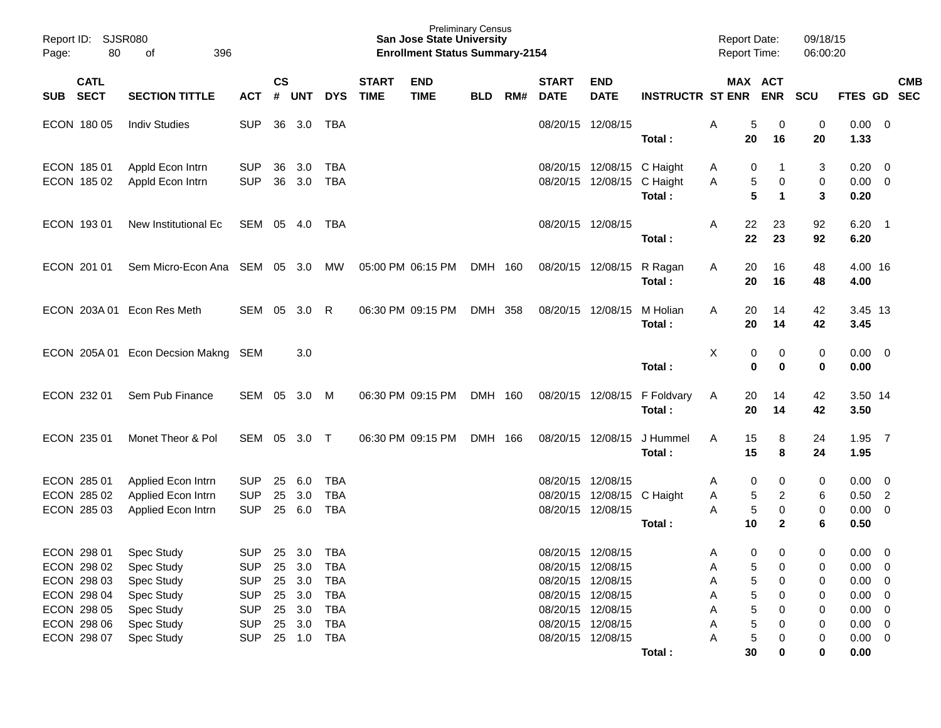| Report ID: SJSR080<br>80<br>396<br>Page:<br>of                                         |                                                                                  |                                                                                  |                    |                                                          |                                                                           |                             | <b>San Jose State University</b><br><b>Enrollment Status Summary-2154</b> | <b>Preliminary Census</b> |     |                             |                                                                                                       |                         | <b>Report Date:</b><br><b>Report Time:</b> |                            |                             | 09/18/15<br>06:00:20       |                                                                          |                                                    |            |
|----------------------------------------------------------------------------------------|----------------------------------------------------------------------------------|----------------------------------------------------------------------------------|--------------------|----------------------------------------------------------|---------------------------------------------------------------------------|-----------------------------|---------------------------------------------------------------------------|---------------------------|-----|-----------------------------|-------------------------------------------------------------------------------------------------------|-------------------------|--------------------------------------------|----------------------------|-----------------------------|----------------------------|--------------------------------------------------------------------------|----------------------------------------------------|------------|
| <b>CATL</b><br>SUB SECT                                                                | <b>SECTION TITTLE</b>                                                            | ACT                                                                              | $\mathsf{cs}$<br># | <b>UNT</b>                                               | <b>DYS</b>                                                                | <b>START</b><br><b>TIME</b> | <b>END</b><br><b>TIME</b>                                                 | <b>BLD</b>                | RM# | <b>START</b><br><b>DATE</b> | <b>END</b><br><b>DATE</b>                                                                             | <b>INSTRUCTR ST ENR</b> |                                            |                            | MAX ACT<br><b>ENR</b>       | <b>SCU</b>                 | FTES GD SEC                                                              |                                                    | <b>CMB</b> |
| ECON 180 05                                                                            | <b>Indiv Studies</b>                                                             | <b>SUP</b>                                                                       | 36                 | 3.0                                                      | TBA                                                                       |                             |                                                                           |                           |     |                             | 08/20/15 12/08/15                                                                                     | Total:                  | Α                                          | 5<br>20                    | 0<br>16                     | 0<br>20                    | 0.00<br>1.33                                                             | $\overline{\mathbf{0}}$                            |            |
| ECON 185 01<br>ECON 185 02                                                             | Appld Econ Intrn<br>Appld Econ Intrn                                             | <b>SUP</b><br><b>SUP</b>                                                         | 36<br>36           | 3.0<br>3.0                                               | TBA<br><b>TBA</b>                                                         |                             |                                                                           |                           |     |                             | 08/20/15 12/08/15 C Haight<br>08/20/15 12/08/15 C Haight                                              | Total:                  | A<br>Α                                     | 0<br>5<br>5                | 0<br>1                      | 3<br>0<br>3                | 0.20<br>0.00<br>0.20                                                     | $\overline{\mathbf{0}}$<br>$\overline{\mathbf{0}}$ |            |
| ECON 193 01                                                                            | New Institutional Ec                                                             | SEM                                                                              |                    | 05 4.0                                                   | TBA                                                                       |                             |                                                                           |                           |     | 08/20/15 12/08/15           |                                                                                                       | Total:                  | A                                          | 22<br>22                   | 23<br>23                    | 92<br>92                   | $6.20$ 1<br>6.20                                                         |                                                    |            |
| ECON 201 01                                                                            | Sem Micro-Econ Ana SEM 05 3.0                                                    |                                                                                  |                    |                                                          | MW                                                                        |                             | 05:00 PM 06:15 PM                                                         | DMH 160                   |     |                             | 08/20/15 12/08/15                                                                                     | R Ragan<br>Total:       | A                                          | 20<br>20                   | 16<br>16                    | 48<br>48                   | 4.00 16<br>4.00                                                          |                                                    |            |
| ECON 203A 01                                                                           | Econ Res Meth                                                                    | SEM                                                                              | 05                 | 3.0                                                      | R                                                                         |                             | 06:30 PM 09:15 PM                                                         | DMH 358                   |     |                             | 08/20/15 12/08/15                                                                                     | M Holian<br>Total:      | A                                          | 20<br>20                   | 14<br>14                    | 42<br>42                   | 3.45 13<br>3.45                                                          |                                                    |            |
|                                                                                        | ECON 205A 01 Econ Decsion Makng SEM                                              |                                                                                  |                    | 3.0                                                      |                                                                           |                             |                                                                           |                           |     |                             |                                                                                                       | Total:                  | X                                          | 0<br>$\mathbf 0$           | 0<br>0                      | 0<br>0                     | 0.00<br>0.00                                                             | $\overline{\mathbf{0}}$                            |            |
| ECON 232 01                                                                            | Sem Pub Finance                                                                  | SEM                                                                              | 05                 | 3.0                                                      | M                                                                         |                             | 06:30 PM 09:15 PM                                                         | DMH 160                   |     |                             | 08/20/15 12/08/15                                                                                     | F Foldvary<br>Total:    | A                                          | 20<br>20                   | 14<br>14                    | 42<br>42                   | 3.50 14<br>3.50                                                          |                                                    |            |
| ECON 235 01                                                                            | Monet Theor & Pol                                                                | SEM                                                                              | 05                 | 3.0 T                                                    |                                                                           |                             | 06:30 PM 09:15 PM                                                         | DMH 166                   |     | 08/20/15 12/08/15           |                                                                                                       | J Hummel<br>Total:      | A                                          | 15<br>15                   | 8<br>8                      | 24<br>24                   | 1.95<br>1.95                                                             | $\overline{7}$                                     |            |
| ECON 285 01<br>ECON 285 02<br>ECON 285 03                                              | Applied Econ Intrn<br>Applied Econ Intrn<br>Applied Econ Intrn                   | <b>SUP</b><br><b>SUP</b><br><b>SUP</b>                                           | 25<br>25           | 6.0<br>3.0<br>25 6.0                                     | <b>TBA</b><br><b>TBA</b><br><b>TBA</b>                                    |                             |                                                                           |                           |     | 08/20/15 12/08/15           | 08/20/15 12/08/15 C Haight<br>08/20/15 12/08/15                                                       | Total:                  | A<br>Α<br>A                                | 0<br>5<br>5<br>10          | 0<br>2<br>0<br>$\mathbf{2}$ | 0<br>6<br>0<br>6           | 0.00<br>$0.50$ 2<br>0.00<br>0.50                                         | $\overline{\mathbf{0}}$<br>$\overline{\mathbf{0}}$ |            |
| ECON 298 01<br>ECON 298 02<br>ECON 298 03<br>ECON 298 04<br>ECON 298 05<br>ECON 298 06 | Spec Study<br>Spec Study<br>Spec Study<br>Spec Study<br>Spec Study<br>Spec Study | <b>SUP</b><br><b>SUP</b><br><b>SUP</b><br><b>SUP</b><br><b>SUP</b><br><b>SUP</b> |                    | 25 3.0<br>25 3.0<br>25 3.0<br>25 3.0<br>25 3.0<br>25 3.0 | TBA<br><b>TBA</b><br><b>TBA</b><br><b>TBA</b><br><b>TBA</b><br><b>TBA</b> |                             |                                                                           |                           |     | 08/20/15 12/08/15           | 08/20/15 12/08/15<br>08/20/15 12/08/15<br>08/20/15 12/08/15<br>08/20/15 12/08/15<br>08/20/15 12/08/15 |                         | A<br>Α<br>Α<br>Α<br>Α<br>Α                 | 0<br>5<br>5<br>5<br>5<br>5 | 0<br>0<br>0<br>0<br>0<br>0  | 0<br>0<br>0<br>0<br>0<br>0 | 0.00<br>0.00<br>$0.00 \t 0$<br>$0.00 \t 0$<br>$0.00 \t 0$<br>$0.00 \t 0$ | $\overline{\mathbf{0}}$<br>$\overline{\mathbf{0}}$ |            |
| ECON 298 07                                                                            | Spec Study                                                                       | <b>SUP</b>                                                                       |                    | 25 1.0 TBA                                               |                                                                           |                             |                                                                           |                           |     |                             | 08/20/15 12/08/15                                                                                     | Total:                  | A                                          | 5<br>30                    | 0<br>0                      | 0<br>0                     | $0.00 \t 0$<br>0.00                                                      |                                                    |            |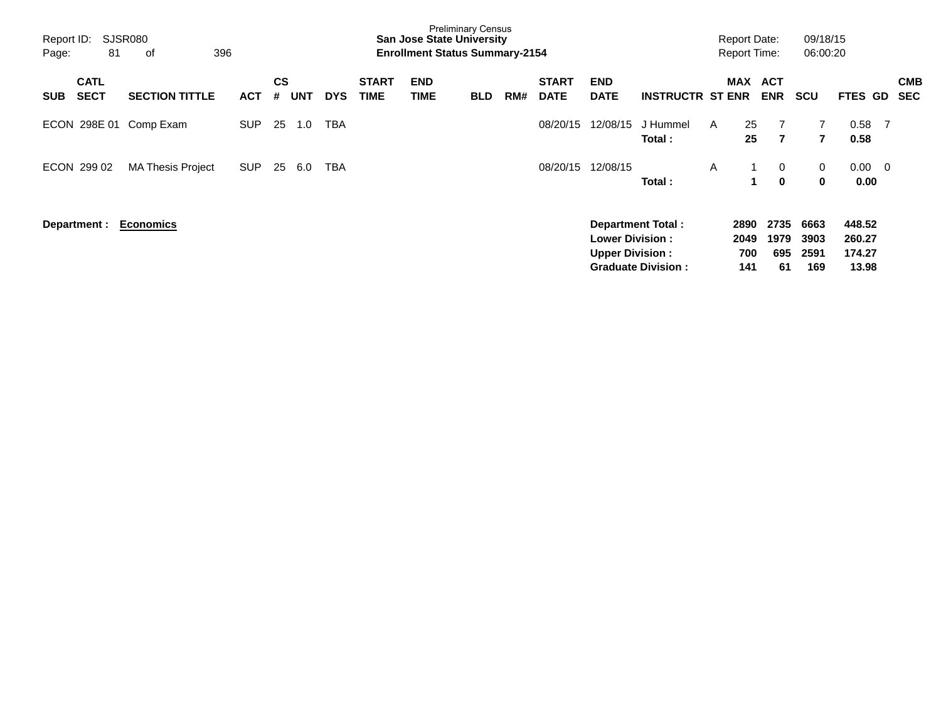| Report ID:<br>Page: | 81                         | SJSR080<br>оf            | 396        |                |            |            |                             | <b>San Jose State University</b><br><b>Enrollment Status Summary-2154</b> | <b>Preliminary Census</b> |     |                             |                                                  |                                                       |   | <b>Report Date:</b><br><b>Report Time:</b> |                           | 09/18/15<br>06:00:20             |                                     |                         |                          |
|---------------------|----------------------------|--------------------------|------------|----------------|------------|------------|-----------------------------|---------------------------------------------------------------------------|---------------------------|-----|-----------------------------|--------------------------------------------------|-------------------------------------------------------|---|--------------------------------------------|---------------------------|----------------------------------|-------------------------------------|-------------------------|--------------------------|
| <b>SUB</b>          | <b>CATL</b><br><b>SECT</b> | <b>SECTION TITTLE</b>    | <b>ACT</b> | <b>CS</b><br># | <b>UNT</b> | <b>DYS</b> | <b>START</b><br><b>TIME</b> | <b>END</b><br>TIME                                                        | <b>BLD</b>                | RM# | <b>START</b><br><b>DATE</b> | <b>END</b><br><b>DATE</b>                        | <b>INSTRUCTR ST ENR</b>                               |   | <b>MAX</b>                                 | <b>ACT</b><br><b>ENR</b>  | <b>SCU</b>                       | <b>FTES GD</b>                      |                         | <b>CMB</b><br><b>SEC</b> |
|                     | ECON 298E 01               | Comp Exam                | <b>SUP</b> | 25             | 1.0        | TBA        |                             |                                                                           |                           |     | 08/20/15                    | 12/08/15                                         | J Hummel<br>Total:                                    | A | 25<br>25                                   | 7<br>$\overline{7}$       | $\overline{7}$<br>$\overline{7}$ | 0.58<br>0.58                        | - 7                     |                          |
|                     | ECON 299 02                | <b>MA Thesis Project</b> | <b>SUP</b> | 25             | 6.0        | TBA        |                             |                                                                           |                           |     | 08/20/15                    | 12/08/15                                         | Total:                                                | A |                                            | 0<br>$\mathbf{0}$         | 0<br>0                           | 0.00<br>0.00                        | $\overline{\mathbf{0}}$ |                          |
|                     | Department :               | <b>Economics</b>         |            |                |            |            |                             |                                                                           |                           |     |                             | <b>Lower Division:</b><br><b>Upper Division:</b> | <b>Department Total:</b><br><b>Graduate Division:</b> |   | 2890<br>2049<br>700<br>141                 | 2735<br>1979<br>695<br>61 | 6663<br>3903<br>2591<br>169      | 448.52<br>260.27<br>174.27<br>13.98 |                         |                          |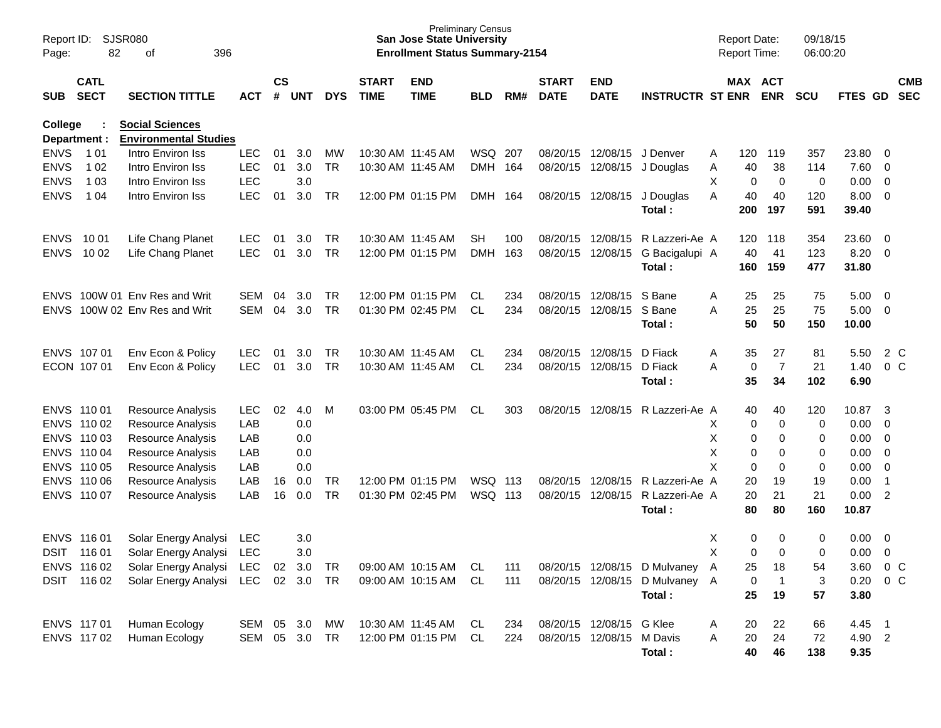| Page:          | SJSR080<br>Report ID:<br>82<br>396<br>οf |                                    |               |                    |            |            |                             | <b>Preliminary Census</b><br><b>San Jose State University</b><br><b>Enrollment Status Summary-2154</b> |            |     |                             |                           |                                |   | <b>Report Date:</b><br><b>Report Time:</b> |                         | 09/18/15<br>06:00:20 |               |                |                          |
|----------------|------------------------------------------|------------------------------------|---------------|--------------------|------------|------------|-----------------------------|--------------------------------------------------------------------------------------------------------|------------|-----|-----------------------------|---------------------------|--------------------------------|---|--------------------------------------------|-------------------------|----------------------|---------------|----------------|--------------------------|
| <b>SUB</b>     | <b>CATL</b><br><b>SECT</b>               | <b>SECTION TITTLE</b>              | ACT           | $\mathsf{cs}$<br># | <b>UNT</b> | <b>DYS</b> | <b>START</b><br><b>TIME</b> | <b>END</b><br><b>TIME</b>                                                                              | <b>BLD</b> | RM# | <b>START</b><br><b>DATE</b> | <b>END</b><br><b>DATE</b> | <b>INSTRUCTR ST ENR</b>        |   | MAX ACT                                    | <b>ENR</b>              | <b>SCU</b>           | FTES GD       |                | <b>CMB</b><br><b>SEC</b> |
| <b>College</b> |                                          | <b>Social Sciences</b>             |               |                    |            |            |                             |                                                                                                        |            |     |                             |                           |                                |   |                                            |                         |                      |               |                |                          |
|                | Department :                             | <b>Environmental Studies</b>       |               |                    |            |            |                             |                                                                                                        |            |     |                             |                           |                                |   |                                            |                         |                      |               |                |                          |
| <b>ENVS</b>    | 1 0 1                                    | Intro Environ Iss                  | <b>LEC</b>    | 01                 | 3.0        | MW         | 10:30 AM 11:45 AM           |                                                                                                        | WSQ 207    |     | 08/20/15                    | 12/08/15 J Denver         |                                | A | 120                                        | 119                     | 357                  | 23.80         | - 0            |                          |
| <b>ENVS</b>    | 1 0 2                                    | Intro Environ Iss                  | <b>LEC</b>    | 01                 | 3.0        | <b>TR</b>  | 10:30 AM 11:45 AM           |                                                                                                        | DMH 164    |     | 08/20/15                    |                           | 12/08/15 J Douglas             | Α | 40                                         | 38                      | 114                  | 7.60          | $\overline{0}$ |                          |
| <b>ENVS</b>    | 1 0 3                                    | Intro Environ Iss                  | LEC           |                    | 3.0        |            |                             |                                                                                                        |            |     |                             |                           |                                | Х | 0                                          | 0                       | 0                    | 0.00          | $\overline{0}$ |                          |
| <b>ENVS</b>    | 1 0 4                                    | Intro Environ Iss                  | <b>LEC</b>    | 01                 | 3.0        | TR         |                             | 12:00 PM 01:15 PM                                                                                      | DMH        | 164 |                             | 08/20/15 12/08/15         | J Douglas<br>Total:            | A | 40<br>200                                  | 40<br>197               | 120<br>591           | 8.00<br>39.40 | $\overline{0}$ |                          |
| <b>ENVS</b>    | 10 01                                    | Life Chang Planet                  | <b>LEC</b>    | 01                 | 3.0        | TR.        | 10:30 AM 11:45 AM           |                                                                                                        | SН         | 100 | 08/20/15                    | 12/08/15                  | R Lazzeri-Ae A                 |   | 120                                        | 118                     | 354                  | 23.60         | 0              |                          |
| <b>ENVS</b>    | 10 02                                    | Life Chang Planet                  | <b>LEC</b>    | 01                 | 3.0        | TR         |                             | 12:00 PM 01:15 PM                                                                                      | <b>DMH</b> | 163 | 08/20/15                    | 12/08/15                  | G Bacigalupi A                 |   | 40                                         | 41                      | 123                  | 8.20          | $\overline{0}$ |                          |
|                |                                          |                                    |               |                    |            |            |                             |                                                                                                        |            |     |                             |                           | Total:                         |   | 160                                        | 159                     | 477                  | 31.80         |                |                          |
| <b>ENVS</b>    |                                          | 100W 01 Env Res and Writ           | SEM           | 04                 | 3.0        | TR.        |                             | 12:00 PM 01:15 PM                                                                                      | CL.        | 234 | 08/20/15                    | 12/08/15                  | S Bane                         | A | 25                                         | 25                      | 75                   | 5.00          | $\overline{0}$ |                          |
| <b>ENVS</b>    |                                          | 100W 02 Env Res and Writ           | <b>SEM</b>    | 04                 | 3.0        | <b>TR</b>  |                             | 01:30 PM 02:45 PM                                                                                      | CL.        | 234 | 08/20/15                    | 12/08/15                  | S Bane                         | A | 25                                         | 25                      | 75                   | 5.00          | $\overline{0}$ |                          |
|                |                                          |                                    |               |                    |            |            |                             |                                                                                                        |            |     |                             |                           | Total:                         |   | 50                                         | 50                      | 150                  | 10.00         |                |                          |
|                | ENVS 107 01                              | Env Econ & Policy                  | <b>LEC</b>    | 01                 | 3.0        | TR.        | 10:30 AM 11:45 AM           |                                                                                                        | CL         | 234 | 08/20/15                    | 12/08/15                  | D Fiack                        | A | 35                                         | 27                      | 81                   | 5.50          | 2 C            |                          |
|                | ECON 107 01                              | Env Econ & Policy                  | <b>LEC</b>    | 01                 | 3.0        | <b>TR</b>  |                             | 10:30 AM 11:45 AM                                                                                      | CL.        | 234 | 08/20/15                    | 12/08/15                  | D Fiack                        | A | 0                                          | $\overline{7}$          | 21                   | 1.40          | 0 <sup>C</sup> |                          |
|                |                                          |                                    |               |                    |            |            |                             |                                                                                                        |            |     |                             |                           | Total:                         |   | 35                                         | 34                      | 102                  | 6.90          |                |                          |
|                | ENVS 110 01                              | Resource Analysis                  | <b>LEC</b>    | 02                 | 4.0        | M          |                             | 03:00 PM 05:45 PM                                                                                      | CL         | 303 | 08/20/15                    |                           | 12/08/15 R Lazzeri-Ae A        |   | 40                                         | 40                      | 120                  | 10.87         | -3             |                          |
|                | ENVS 110 02                              | Resource Analysis                  | LAB           |                    | 0.0        |            |                             |                                                                                                        |            |     |                             |                           |                                | Х | 0                                          | $\mathbf 0$             | 0                    | 0.00          | $\overline{0}$ |                          |
|                | ENVS 110 03                              | Resource Analysis                  | LAB           |                    | 0.0        |            |                             |                                                                                                        |            |     |                             |                           |                                | X | 0                                          | 0                       | 0                    | 0.00          | $\overline{0}$ |                          |
|                | ENVS 110 04                              | Resource Analysis                  | LAB           |                    | 0.0        |            |                             |                                                                                                        |            |     |                             |                           |                                | X | 0                                          | 0                       | 0                    | 0.00          | $\overline{0}$ |                          |
|                | ENVS 110 05                              | Resource Analysis                  | LAB           |                    | 0.0        |            |                             |                                                                                                        |            |     |                             |                           |                                | X | 0                                          | 0                       | 0                    | 0.00          | $\overline{0}$ |                          |
|                | ENVS 110 06                              | Resource Analysis                  | LAB           | 16                 | 0.0        | TR         |                             | 12:00 PM 01:15 PM                                                                                      | WSQ 113    |     | 08/20/15                    | 12/08/15                  | R Lazzeri-Ae A                 |   | 20                                         | 19                      | 19                   | 0.00          | $\overline{1}$ |                          |
|                | ENVS 110 07                              | Resource Analysis                  | LAB           | 16                 | 0.0        | TR         |                             | 01:30 PM 02:45 PM                                                                                      | WSQ 113    |     | 08/20/15                    | 12/08/15                  | R Lazzeri-Ae A                 |   | 20                                         | 21                      | 21                   | 0.00          | $\overline{2}$ |                          |
|                |                                          |                                    |               |                    |            |            |                             |                                                                                                        |            |     |                             |                           | Total:                         |   | 80                                         | 80                      | 160                  | 10.87         |                |                          |
|                | ENVS 116 01                              | Solar Energy Analysi               | LEC           |                    | 3.0        |            |                             |                                                                                                        |            |     |                             |                           |                                | Х | 0                                          | 0                       | 0                    | 0.00          | $\overline{0}$ |                          |
| DSIT           | 116 01                                   | Solar Energy Analysi               | <b>LEC</b>    |                    | 3.0        |            |                             |                                                                                                        |            |     |                             |                           |                                | X | 0                                          | $\Omega$                | $\Omega$             | 0.00          | $\mathbf 0$    |                          |
|                | ENVS 116 02                              | Solar Energy Analysi LEC 02 3.0    |               |                    |            | TR         |                             | 09:00 AM 10:15 AM                                                                                      | CL         | 111 |                             |                           | 08/20/15 12/08/15 D Mulvaney A |   | 25                                         | 18                      | 54                   | 3.60          | 0 C            |                          |
|                | DSIT 116 02                              | Solar Energy Analysi LEC 02 3.0 TR |               |                    |            |            |                             | 09:00 AM 10:15 AM                                                                                      | CL         | 111 |                             |                           | 08/20/15 12/08/15 D Mulvaney A |   | 0                                          | $\overline{\mathbf{1}}$ | 3                    | $0.20 \t 0 C$ |                |                          |
|                |                                          |                                    |               |                    |            |            |                             |                                                                                                        |            |     |                             |                           | Total:                         |   | 25                                         | 19                      | 57                   | 3.80          |                |                          |
|                | ENVS 117 01                              | Human Ecology                      | SEM 05 3.0    |                    |            | MW         |                             | 10:30 AM 11:45 AM                                                                                      | CL         | 234 |                             | 08/20/15 12/08/15 G Klee  |                                | A | 20                                         | 22                      | 66                   | 4.45 1        |                |                          |
|                | ENVS 117 02                              | Human Ecology                      | SEM 05 3.0 TR |                    |            |            |                             | 12:00 PM 01:15 PM CL                                                                                   |            | 224 |                             | 08/20/15 12/08/15 M Davis |                                | Α | 20                                         | 24                      | 72                   | 4.90 2        |                |                          |
|                |                                          |                                    |               |                    |            |            |                             |                                                                                                        |            |     |                             |                           | Total:                         |   | 40                                         | 46                      | 138                  | 9.35          |                |                          |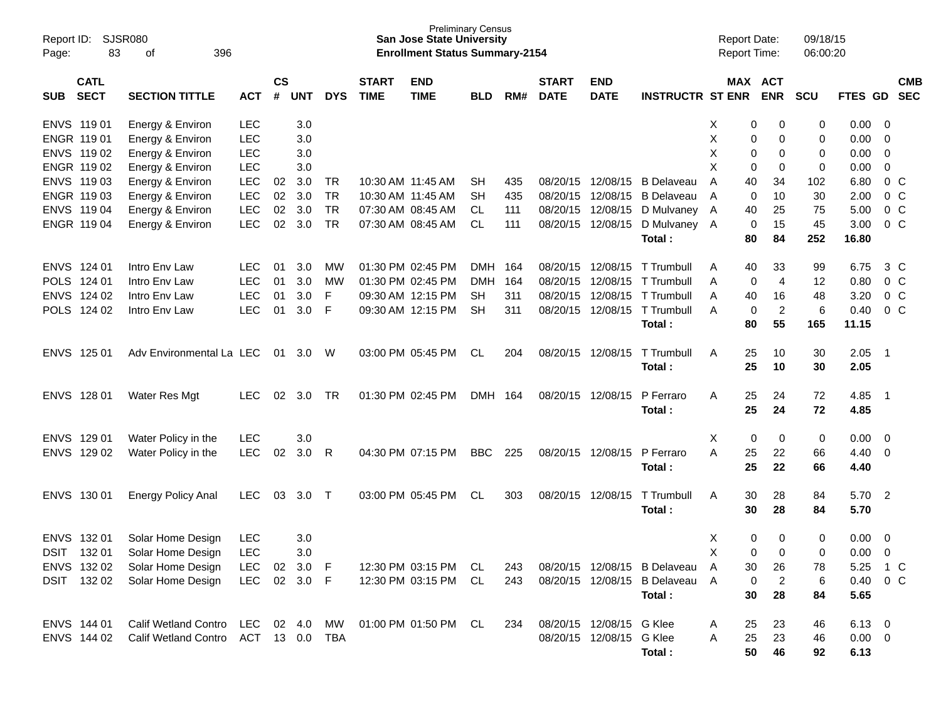| Report ID:<br>Page: | <b>SJSR080</b><br>83       | 396<br>οf                                               |              |                |            |            |                             | <b>Preliminary Census</b><br><b>San Jose State University</b><br><b>Enrollment Status Summary-2154</b> |            |     |                             |                           |                                | <b>Report Date:</b> |          | Report Time:          | 09/18/15<br>06:00:20 |                |                         |                          |
|---------------------|----------------------------|---------------------------------------------------------|--------------|----------------|------------|------------|-----------------------------|--------------------------------------------------------------------------------------------------------|------------|-----|-----------------------------|---------------------------|--------------------------------|---------------------|----------|-----------------------|----------------------|----------------|-------------------------|--------------------------|
| <b>SUB</b>          | <b>CATL</b><br><b>SECT</b> | <b>SECTION TITTLE</b>                                   | <b>ACT</b>   | <b>CS</b><br># | <b>UNT</b> | <b>DYS</b> | <b>START</b><br><b>TIME</b> | <b>END</b><br><b>TIME</b>                                                                              | <b>BLD</b> | RM# | <b>START</b><br><b>DATE</b> | <b>END</b><br><b>DATE</b> | <b>INSTRUCTR ST ENR</b>        |                     |          | MAX ACT<br><b>ENR</b> | <b>SCU</b>           | FTES GD        |                         | <b>CMB</b><br><b>SEC</b> |
| ENVS 119 01         |                            | Energy & Environ                                        | <b>LEC</b>   |                | 3.0        |            |                             |                                                                                                        |            |     |                             |                           |                                | X                   | 0        | 0                     | 0                    | 0.00           | $\overline{\mathbf{0}}$ |                          |
| ENGR 119 01         |                            | Energy & Environ                                        | <b>LEC</b>   |                | 3.0        |            |                             |                                                                                                        |            |     |                             |                           |                                | х                   | 0        | 0                     | 0                    | 0.00           | 0                       |                          |
| ENVS 119 02         |                            | Energy & Environ                                        | <b>LEC</b>   |                | 3.0        |            |                             |                                                                                                        |            |     |                             |                           |                                | х                   | 0        | 0                     | 0                    | 0.00           | 0                       |                          |
| ENGR 119 02         |                            | Energy & Environ                                        | <b>LEC</b>   |                | 3.0        |            |                             |                                                                                                        |            |     |                             |                           |                                | X                   | 0        | 0                     | 0                    | 0.00           | 0                       |                          |
| ENVS 119 03         |                            | Energy & Environ                                        | LEC          | 02             | 3.0        | TR         |                             | 10:30 AM 11:45 AM                                                                                      | SН         | 435 | 08/20/15                    | 12/08/15                  | <b>B</b> Delaveau              | A                   | 40       | 34                    | 102                  | 6.80           | $0\,$ C                 |                          |
| ENGR 119 03         |                            | Energy & Environ                                        | LEC          | 02             | 3.0        | <b>TR</b>  |                             | 10:30 AM 11:45 AM                                                                                      | SН         | 435 | 08/20/15                    | 12/08/15                  | B Delaveau                     | A                   | 0        | 10                    | 30                   | 2.00           | 0 <sup>o</sup>          |                          |
| ENVS 119 04         |                            | Energy & Environ                                        | LEC          | 02             | 3.0        | <b>TR</b>  |                             | 07:30 AM 08:45 AM                                                                                      | CL.        | 111 | 08/20/15                    | 12/08/15                  | D Mulvaney                     | A                   | 40       | 25                    | 75                   | 5.00           | 0 <sup>o</sup>          |                          |
| ENGR 119 04         |                            | Energy & Environ                                        | <b>LEC</b>   | 02             | 3.0        | <b>TR</b>  |                             | 07:30 AM 08:45 AM                                                                                      | CL         | 111 | 08/20/15                    | 12/08/15                  | D Mulvaney A<br>Total:         |                     | 0<br>80  | 15<br>84              | 45<br>252            | 3.00<br>16.80  | $0\,C$                  |                          |
| ENVS 124 01         |                            | Intro Env Law                                           | <b>LEC</b>   | 01             | 3.0        | MW         |                             | 01:30 PM 02:45 PM                                                                                      | <b>DMH</b> | 164 | 08/20/15                    | 12/08/15                  | T Trumbull                     | A                   | 40       | 33                    | 99                   | 6.75           | 3 C                     |                          |
| POLS 124 01         |                            | Intro Env Law                                           | <b>LEC</b>   | 01             | 3.0        | MW         |                             | 01:30 PM 02:45 PM                                                                                      | <b>DMH</b> | 164 | 08/20/15                    | 12/08/15                  | T Trumbull                     | A                   | 0        | 4                     | 12                   | 0.80           | $0\,$ C                 |                          |
| ENVS 124 02         |                            | Intro Env Law                                           | <b>LEC</b>   | 01             | 3.0        | F          |                             | 09:30 AM 12:15 PM                                                                                      | SН         | 311 | 08/20/15                    | 12/08/15                  | T Trumbull                     | Α                   | 40       | 16                    | 48                   | 3.20           | $0\,$ C                 |                          |
| POLS 124 02         |                            | Intro Env Law                                           | <b>LEC</b>   | 01             | 3.0        | F          |                             | 09:30 AM 12:15 PM                                                                                      | <b>SH</b>  | 311 | 08/20/15                    | 12/08/15                  | T Trumbull                     | Α                   | 0        | $\overline{2}$        | 6                    | 0.40           | $0\,C$                  |                          |
|                     |                            |                                                         |              |                |            |            |                             |                                                                                                        |            |     |                             |                           | Total:                         |                     | 80       | 55                    | 165                  | 11.15          |                         |                          |
| ENVS 125 01         |                            | Adv Environmental La LEC                                |              |                | 01 3.0     | W          |                             | 03:00 PM 05:45 PM                                                                                      | <b>CL</b>  | 204 | 08/20/15 12/08/15           |                           | T Trumbull                     | Α                   | 25       | 10                    | 30                   | 2.05           | - 1                     |                          |
|                     |                            |                                                         |              |                |            |            |                             |                                                                                                        |            |     |                             |                           | Total:                         |                     | 25       | 10                    | 30                   | 2.05           |                         |                          |
| ENVS 128 01         |                            | Water Res Mgt                                           | <b>LEC</b>   | 02             | 3.0        | TR         |                             | 01:30 PM 02:45 PM                                                                                      | DMH 164    |     |                             | 08/20/15 12/08/15         | P Ferraro                      | Α                   | 25       | 24                    | 72                   | 4.85           | - 1                     |                          |
|                     |                            |                                                         |              |                |            |            |                             |                                                                                                        |            |     |                             |                           | Total:                         |                     | 25       | 24                    | 72                   | 4.85           |                         |                          |
| ENVS 129 01         |                            | Water Policy in the                                     | <b>LEC</b>   |                | 3.0        |            |                             |                                                                                                        |            |     |                             |                           |                                | X                   | 0        | 0                     | 0                    | 0.00           | $\overline{\mathbf{0}}$ |                          |
| ENVS 129 02         |                            | Water Policy in the                                     | <b>LEC</b>   | 02             | 3.0        | R          |                             | 04:30 PM 07:15 PM                                                                                      | <b>BBC</b> | 225 |                             | 08/20/15 12/08/15         | P Ferraro                      | A                   | 25       | 22                    | 66                   | 4.40           | $\overline{\mathbf{0}}$ |                          |
|                     |                            |                                                         |              |                |            |            |                             |                                                                                                        |            |     |                             |                           | Total:                         |                     | 25       | 22                    | 66                   | 4.40           |                         |                          |
| ENVS 130 01         |                            | <b>Energy Policy Anal</b>                               | <b>LEC</b>   | 03             | 3.0        | $\top$     |                             | 03:00 PM 05:45 PM                                                                                      | <b>CL</b>  | 303 | 08/20/15 12/08/15           |                           | T Trumbull                     | Α                   | 30       | 28                    | 84                   | 5.70 2         |                         |                          |
|                     |                            |                                                         |              |                |            |            |                             |                                                                                                        |            |     |                             |                           | Total:                         |                     | 30       | 28                    | 84                   | 5.70           |                         |                          |
| ENVS 132 01         |                            | Solar Home Design                                       | <b>LEC</b>   |                | 3.0        |            |                             |                                                                                                        |            |     |                             |                           |                                | X                   | 0        | 0                     | 0                    | 0.00           | $\overline{\mathbf{0}}$ |                          |
| DSIT 132 01         |                            | Solar Home Design                                       | LEC          |                | 3.0        |            |                             |                                                                                                        |            |     |                             |                           |                                | X                   | $\Omega$ | $\Omega$              | $\Omega$             | 0.00           | 0                       |                          |
|                     |                            | ENVS 132 02 Solar Home Design                           | LEC 02 3.0 F |                |            |            |                             | 12:30 PM 03:15 PM CL                                                                                   |            | 243 |                             |                           | 08/20/15 12/08/15 B Delaveau A |                     | 30       | 26                    | 78                   | 5.25 1 C       |                         |                          |
|                     |                            | DSIT 132 02 Solar Home Design                           | LEC 02 3.0 F |                |            |            |                             | 12:30 PM 03:15 PM CL                                                                                   |            | 243 |                             |                           | 08/20/15 12/08/15 B Delaveau A |                     | 0        | $\overline{2}$        | 6                    | 0.40 0 C       |                         |                          |
|                     |                            |                                                         |              |                |            |            |                             |                                                                                                        |            |     |                             |                           | Total:                         |                     | 30       | 28                    | 84                   | 5.65           |                         |                          |
| ENVS 144 01         |                            | Calif Wetland Contro LEC 02 4.0 MW 01:00 PM 01:50 PM CL |              |                |            |            |                             |                                                                                                        |            | 234 |                             | 08/20/15 12/08/15 G Klee  |                                | A                   | 25       | 23                    | 46                   | $6.13 \quad 0$ |                         |                          |
| ENVS 144 02         |                            | Calif Wetland Contro ACT 13 0.0 TBA                     |              |                |            |            |                             |                                                                                                        |            |     |                             | 08/20/15 12/08/15 G Klee  |                                | A                   | 25       | 23                    | 46                   | $0.00 \quad 0$ |                         |                          |
|                     |                            |                                                         |              |                |            |            |                             |                                                                                                        |            |     |                             |                           | Total:                         |                     | 50       | 46                    | 92                   | 6.13           |                         |                          |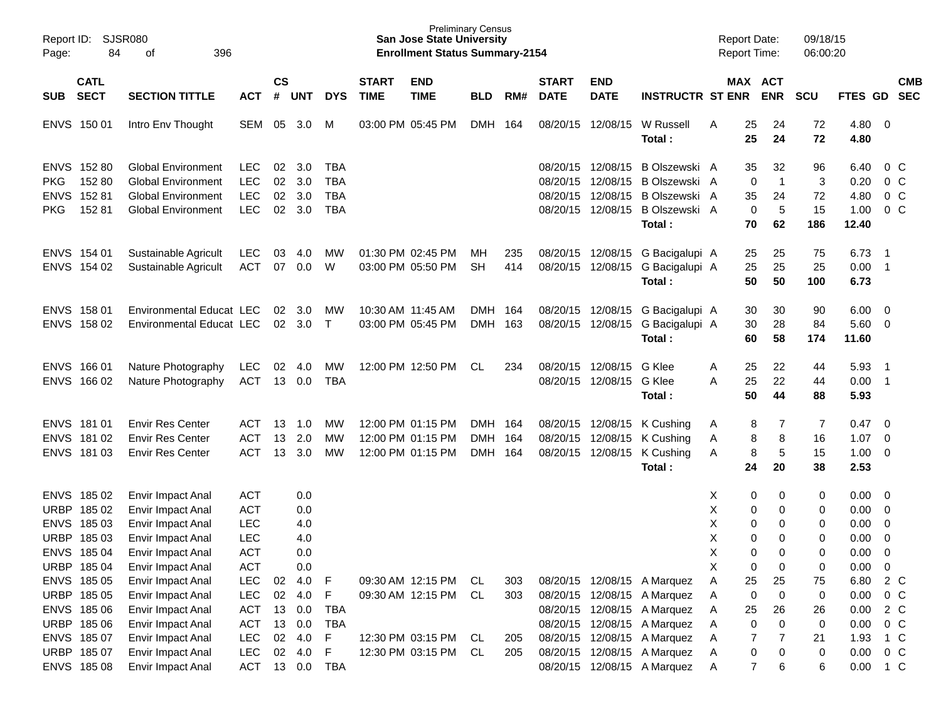| Page:      | Report ID: SJSR080<br>84   |                                        |                          |                    |            |                  | <b>Preliminary Census</b><br><b>San Jose State University</b><br><b>Enrollment Status Summary-2154</b> |                                           |            |            |                             |                           | <b>Report Date:</b><br>Report Time:                        |        |                       | 09/18/15<br>06:00:20 |            |                   |                            |                          |
|------------|----------------------------|----------------------------------------|--------------------------|--------------------|------------|------------------|--------------------------------------------------------------------------------------------------------|-------------------------------------------|------------|------------|-----------------------------|---------------------------|------------------------------------------------------------|--------|-----------------------|----------------------|------------|-------------------|----------------------------|--------------------------|
| SUB        | <b>CATL</b><br><b>SECT</b> | <b>SECTION TITTLE</b>                  | <b>ACT</b>               | $\mathsf{cs}$<br># | <b>UNT</b> | <b>DYS</b>       | <b>START</b><br><b>TIME</b>                                                                            | <b>END</b><br><b>TIME</b>                 | <b>BLD</b> | RM#        | <b>START</b><br><b>DATE</b> | <b>END</b><br><b>DATE</b> | <b>INSTRUCTR ST ENR</b>                                    |        | MAX ACT<br><b>ENR</b> |                      | <b>SCU</b> | <b>FTES GD</b>    |                            | <b>CMB</b><br><b>SEC</b> |
|            | ENVS 150 01                | Intro Env Thought                      | SEM                      | 05                 | 3.0        | M                |                                                                                                        | 03:00 PM 05:45 PM                         | <b>DMH</b> | 164        | 08/20/15                    | 12/08/15                  | W Russell<br>Total:                                        | A      | 25<br>25              | 24<br>24             | 72<br>72   | $4.80\ 0$<br>4.80 |                            |                          |
|            | ENVS 152 80                | <b>Global Environment</b>              | <b>LEC</b>               | 02                 | 3.0        | <b>TBA</b>       |                                                                                                        |                                           |            |            | 08/20/15                    | 12/08/15                  | B Olszewski A                                              |        | 35                    | 32                   | 96         | 6.40              | 0 C                        |                          |
| <b>PKG</b> | 152 80                     | <b>Global Environment</b>              | <b>LEC</b>               | 02                 | 3.0        | <b>TBA</b>       |                                                                                                        |                                           |            |            | 08/20/15                    | 12/08/15                  | B Olszewski A                                              |        | $\mathbf 0$           | $\mathbf{1}$         | 3          | 0.20              | 0 <sup>o</sup>             |                          |
|            | ENVS 152 81                | <b>Global Environment</b>              | <b>LEC</b>               | 02                 | 3.0        | <b>TBA</b>       |                                                                                                        |                                           |            |            | 08/20/15                    | 12/08/15                  | B Olszewski A                                              |        | 35                    | 24                   | 72         | 4.80              | 0 <sup>o</sup>             |                          |
| <b>PKG</b> | 152 81                     | <b>Global Environment</b>              | <b>LEC</b>               | 02                 | 3.0        | <b>TBA</b>       |                                                                                                        |                                           |            |            | 08/20/15                    | 12/08/15                  | B Olszewski A                                              |        | 0                     | 5                    | 15         | 1.00              | 0 <sup>o</sup>             |                          |
|            |                            |                                        |                          |                    |            |                  |                                                                                                        |                                           |            |            |                             |                           | Total:                                                     |        | 70                    | 62                   | 186        | 12.40             |                            |                          |
|            | ENVS 154 01                | Sustainable Agricult                   | <b>LEC</b>               | 03                 | 4.0        | МW               | 01:30 PM 02:45 PM                                                                                      |                                           | МH         | 235        |                             | 08/20/15 12/08/15         | G Bacigalupi A                                             |        | 25                    | 25                   | 75         | 6.73              | $\overline{\phantom{1}}$   |                          |
|            | ENVS 154 02                | Sustainable Agricult                   | <b>ACT</b>               | 07                 | 0.0        | W                |                                                                                                        | 03:00 PM 05:50 PM                         | <b>SH</b>  | 414        | 08/20/15                    | 12/08/15                  | G Bacigalupi A                                             |        | 25                    | 25                   | 25         | $0.00$ 1          |                            |                          |
|            |                            |                                        |                          |                    |            |                  |                                                                                                        |                                           |            |            |                             |                           | Total:                                                     |        | 50                    | 50                   | 100        | 6.73              |                            |                          |
|            | ENVS 158 01                | Environmental Educat LEC               |                          | 02                 | 3.0        | МW               |                                                                                                        | 10:30 AM 11:45 AM                         | <b>DMH</b> | 164        |                             | 08/20/15 12/08/15         | G Bacigalupi A                                             |        | 30                    | 30                   | 90         | $6.00 \quad 0$    |                            |                          |
|            | ENVS 158 02                | Environmental Educat LEC               |                          | 02                 | 3.0        | $\top$           |                                                                                                        | 03:00 PM 05:45 PM                         | <b>DMH</b> | 163        |                             | 08/20/15 12/08/15         | G Bacigalupi A                                             |        | 30                    | 28                   | 84         | 5.60 0            |                            |                          |
|            |                            |                                        |                          |                    |            |                  |                                                                                                        |                                           |            |            |                             |                           | Total:                                                     |        | 60                    | 58                   | 174        | 11.60             |                            |                          |
|            | ENVS 166 01                | Nature Photography                     | <b>LEC</b>               | 02                 | 4.0        | МW               |                                                                                                        | 12:00 PM 12:50 PM                         | CL         | 234        | 08/20/15                    | 12/08/15                  | G Klee                                                     | Α      | 25                    | 22                   | 44         | 5.93              | $\overline{\phantom{0}}$ 1 |                          |
|            | ENVS 166 02                | Nature Photography                     | ACT                      | 13                 | 0.0        | <b>TBA</b>       |                                                                                                        |                                           |            |            |                             | 08/20/15 12/08/15         | G Klee                                                     | A      | 25                    | 22                   | 44         | $0.00$ 1          |                            |                          |
|            |                            |                                        |                          |                    |            |                  |                                                                                                        |                                           |            |            |                             |                           | Total:                                                     |        | 50                    | 44                   | 88         | 5.93              |                            |                          |
|            | ENVS 181 01                | <b>Envir Res Center</b>                | <b>ACT</b>               | 13                 | 1.0        | MW               |                                                                                                        | 12:00 PM 01:15 PM                         | DMH 164    |            | 08/20/15                    | 12/08/15                  | K Cushing                                                  | A      | 8                     | 7                    | 7          | 0.47              | $\overline{\phantom{0}}$   |                          |
|            | ENVS 181 02                | <b>Envir Res Center</b>                | <b>ACT</b>               | 13                 | 2.0        | MW               |                                                                                                        | 12:00 PM 01:15 PM                         | <b>DMH</b> | 164        | 08/20/15                    | 12/08/15                  | K Cushing                                                  | Α      | 8                     | 8                    | 16         | 1.07              | $\overline{0}$             |                          |
|            | ENVS 181 03                | <b>Envir Res Center</b>                | <b>ACT</b>               | 13                 | 3.0        | <b>MW</b>        |                                                                                                        | 12:00 PM 01:15 PM                         | <b>DMH</b> | 164        | 08/20/15                    | 12/08/15                  | K Cushing                                                  | A      | 8                     | 5                    | 15         | $1.00 \t 0$       |                            |                          |
|            |                            |                                        |                          |                    |            |                  |                                                                                                        |                                           |            |            |                             |                           | Total:                                                     |        | 24                    | 20                   | 38         | 2.53              |                            |                          |
|            | ENVS 185 02                | Envir Impact Anal                      | <b>ACT</b>               |                    | 0.0        |                  |                                                                                                        |                                           |            |            |                             |                           |                                                            | х      | 0                     | 0                    | 0          | $0.00 \ 0$        |                            |                          |
|            | URBP 18502                 | Envir Impact Anal                      | <b>ACT</b>               |                    | 0.0        |                  |                                                                                                        |                                           |            |            |                             |                           |                                                            | X      | 0                     | 0                    | 0          | 0.00              | $\overline{\phantom{0}}$   |                          |
|            | ENVS 185 03                | Envir Impact Anal                      | <b>LEC</b>               |                    | 4.0        |                  |                                                                                                        |                                           |            |            |                             |                           |                                                            | X      | 0                     | 0                    | 0          | 0.00              | $\overline{\phantom{0}}$   |                          |
|            | URBP 185 03                | Envir Impact Anal                      | <b>LEC</b>               |                    | 4.0        |                  |                                                                                                        |                                           |            |            |                             |                           |                                                            | Χ      | 0                     | 0                    | 0          | 0.00              | $\overline{0}$             |                          |
|            | ENVS 185 04                | Envir Impact Anal                      | <b>ACT</b>               |                    | 0.0        |                  |                                                                                                        |                                           |            |            |                             |                           |                                                            | X      | 0                     | 0                    | 0          | 0.00              | $\overline{0}$             |                          |
|            | URBP 185 04                | Envir Impact Anal                      | <b>ACT</b>               |                    | 0.0        |                  |                                                                                                        |                                           |            |            |                             |                           |                                                            | Χ      | 0                     | 0                    | 0          | 0.00              | $\overline{0}$             |                          |
|            | ENVS 185 05                | Envir Impact Anal                      | <b>LEC</b>               | 02                 | 4.0        | F                |                                                                                                        | 09:30 AM 12:15 PM                         | CL         | 303        |                             |                           | 08/20/15 12/08/15 A Marquez                                | Α      | 25                    | 25                   | 75         | 6.80              | 2 C                        |                          |
|            | URBP 185 05                | Envir Impact Anal                      | <b>LEC</b>               | 02                 | 4.0        | F                |                                                                                                        | 09:30 AM 12:15 PM CL                      |            | 303        |                             |                           | 08/20/15 12/08/15 A Marquez                                | A      | 0                     | 0                    | 0          | 0.00              | $0\,C$                     |                          |
|            | ENVS 185 06                | Envir Impact Anal                      | ACT                      | 13                 | 0.0        | <b>TBA</b>       |                                                                                                        |                                           |            |            |                             |                           | 08/20/15 12/08/15 A Marquez                                | A      | 25                    | 26                   | 26         | 0.00              | 2 C                        |                          |
|            | URBP 185 06                | Envir Impact Anal                      | <b>ACT</b>               | 13                 | 0.0        | <b>TBA</b>       |                                                                                                        |                                           |            |            |                             |                           | 08/20/15 12/08/15 A Marquez<br>08/20/15 12/08/15 A Marquez | Α      | $\pmb{0}$             | 0                    | 0          | 0.00              | $0\,$ C                    |                          |
|            | ENVS 185 07<br>URBP 185 07 | Envir Impact Anal<br>Envir Impact Anal | <b>LEC</b><br><b>LEC</b> | 02<br>$02\,$       | 4.0<br>4.0 | $\mathsf F$<br>F |                                                                                                        | 12:30 PM 03:15 PM<br>12:30 PM 03:15 PM CL | CL.        | 205<br>205 | 08/20/15                    |                           | 12/08/15 A Marquez                                         | A      | 7<br>0                | 7<br>0               | 21<br>0    | 1.93<br>0.00      | 1 C<br>$0\,C$              |                          |
|            | ENVS 185 08                | Envir Impact Anal                      | ACT                      |                    | 13 0.0     | TBA              |                                                                                                        |                                           |            |            |                             |                           | 08/20/15 12/08/15 A Marquez                                | A<br>A | $\overline{7}$        | 6                    | 6          | 0.00 1 C          |                            |                          |
|            |                            |                                        |                          |                    |            |                  |                                                                                                        |                                           |            |            |                             |                           |                                                            |        |                       |                      |            |                   |                            |                          |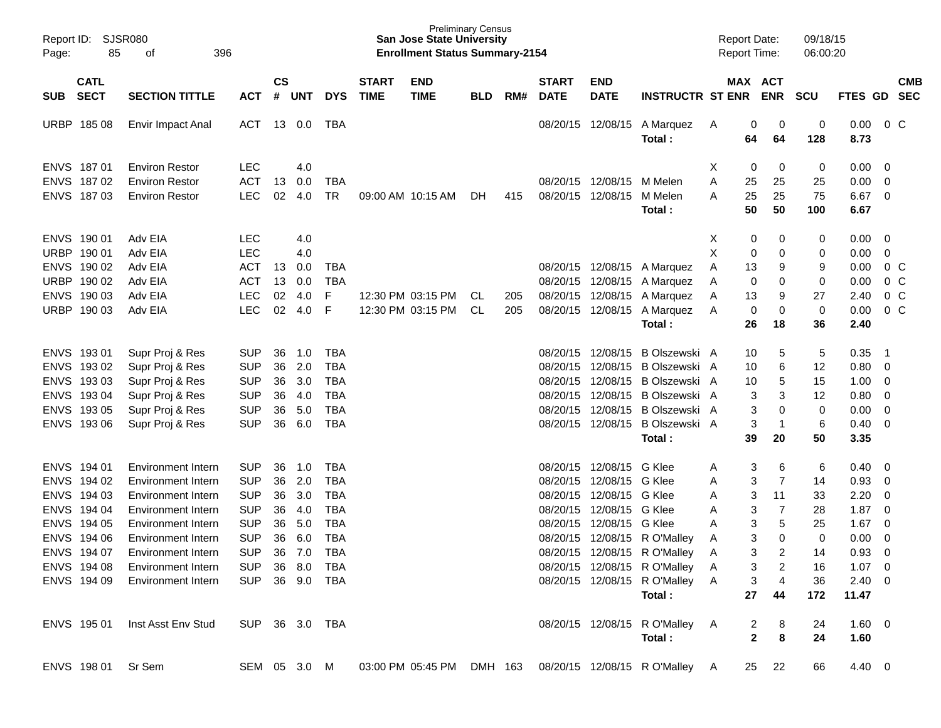| Report ID:<br>Page: | SJSR080<br>85              | 396<br>οf                 |                |                    |            |            |                             | <b>Preliminary Census</b><br><b>San Jose State University</b><br><b>Enrollment Status Summary-2154</b> |            |     |                             |                           |                                                                      |   | <b>Report Date:</b><br><b>Report Time:</b> |                | 09/18/15<br>06:00:20 |             |                         |                          |
|---------------------|----------------------------|---------------------------|----------------|--------------------|------------|------------|-----------------------------|--------------------------------------------------------------------------------------------------------|------------|-----|-----------------------------|---------------------------|----------------------------------------------------------------------|---|--------------------------------------------|----------------|----------------------|-------------|-------------------------|--------------------------|
| <b>SUB</b>          | <b>CATL</b><br><b>SECT</b> | <b>SECTION TITTLE</b>     | <b>ACT</b>     | $\mathsf{cs}$<br># | <b>UNT</b> | <b>DYS</b> | <b>START</b><br><b>TIME</b> | <b>END</b><br><b>TIME</b>                                                                              | <b>BLD</b> | RM# | <b>START</b><br><b>DATE</b> | <b>END</b><br><b>DATE</b> | <b>INSTRUCTR ST ENR</b>                                              |   | MAX ACT                                    | <b>ENR</b>     | <b>SCU</b>           | <b>FTES</b> | <b>GD</b>               | <b>CMB</b><br><b>SEC</b> |
|                     |                            |                           |                |                    |            |            |                             |                                                                                                        |            |     |                             |                           |                                                                      |   |                                            |                |                      |             |                         |                          |
| URBP                | 185 08                     | Envir Impact Anal         | ACT            | 13                 | 0.0        | TBA        |                             |                                                                                                        |            |     | 08/20/15                    | 12/08/15                  | A Marquez                                                            | A | 0                                          | 0              | 0                    | 0.00        |                         | $0\,C$                   |
|                     |                            |                           |                |                    |            |            |                             |                                                                                                        |            |     |                             |                           | Total:                                                               |   | 64                                         | 64             | 128                  | 8.73        |                         |                          |
| <b>ENVS</b>         | 187 01                     | <b>Environ Restor</b>     | <b>LEC</b>     |                    | 4.0        |            |                             |                                                                                                        |            |     |                             |                           |                                                                      | X | 0                                          | 0              | 0                    | 0.00        | - 0                     |                          |
| <b>ENVS</b>         | 18702                      | <b>Environ Restor</b>     | <b>ACT</b>     | 13                 | 0.0        | <b>TBA</b> |                             |                                                                                                        |            |     |                             | 08/20/15 12/08/15         | M Melen                                                              | Α | 25                                         | 25             | 25                   | 0.00        | - 0                     |                          |
| <b>ENVS</b>         | 18703                      | <b>Environ Restor</b>     | <b>LEC</b>     | 02                 | 4.0        | <b>TR</b>  |                             | 09:00 AM 10:15 AM                                                                                      | DH         | 415 |                             | 08/20/15 12/08/15         | M Melen                                                              | A | 25                                         | 25             | 75                   | 6.67        | $\overline{\mathbf{0}}$ |                          |
|                     |                            |                           |                |                    |            |            |                             |                                                                                                        |            |     |                             |                           | Total:                                                               |   | 50                                         | 50             | 100                  | 6.67        |                         |                          |
| <b>ENVS</b>         | 190 01                     | Adv EIA                   | <b>LEC</b>     |                    | 4.0        |            |                             |                                                                                                        |            |     |                             |                           |                                                                      | Х | 0                                          | 0              | 0                    | 0.00        | - 0                     |                          |
| URBP                | 190 01                     | Adv EIA                   | <b>LEC</b>     |                    | 4.0        |            |                             |                                                                                                        |            |     |                             |                           |                                                                      | X | 0                                          | 0              | 0                    | 0.00        | 0                       |                          |
| <b>ENVS</b>         | 190 02                     | Adv EIA                   | <b>ACT</b>     | 13                 | 0.0        | <b>TBA</b> |                             |                                                                                                        |            |     | 08/20/15                    | 12/08/15                  | A Marquez                                                            | A | 13                                         | 9              | 9                    | 0.00        |                         | $0\,$ C                  |
| URBP                | 190 02                     | Adv EIA                   | <b>ACT</b>     | 13                 | 0.0        | <b>TBA</b> |                             |                                                                                                        |            |     |                             | 08/20/15 12/08/15         | A Marquez                                                            | A | 0                                          | 0              | 0                    | 0.00        |                         | 0 <sup>o</sup>           |
| <b>ENVS</b>         | 190 03                     | Adv EIA                   | <b>LEC</b>     | 02                 | 4.0        | F          |                             | 12:30 PM 03:15 PM                                                                                      | CL         | 205 | 08/20/15                    | 12/08/15                  | A Marquez                                                            | A | 13                                         | 9              | 27                   | 2.40        |                         | 0 <sup>o</sup>           |
| URBP                | 190 03                     | Adv EIA                   | <b>LEC</b>     | 02                 | 4.0        | F          |                             | 12:30 PM 03:15 PM                                                                                      | CL         | 205 |                             | 08/20/15 12/08/15         | A Marquez                                                            | A | 0                                          | 0              | 0                    | 0.00        |                         | 0 <sup>o</sup>           |
|                     |                            |                           |                |                    |            |            |                             |                                                                                                        |            |     |                             |                           | Total:                                                               |   | 26                                         | 18             | 36                   | 2.40        |                         |                          |
| <b>ENVS</b>         | 193 01                     | Supr Proj & Res           | <b>SUP</b>     | 36                 | 1.0        | <b>TBA</b> |                             |                                                                                                        |            |     | 08/20/15                    | 12/08/15                  | B Olszewski A                                                        |   | 10                                         | 5              | 5                    | 0.35        | - 1                     |                          |
| <b>ENVS</b>         | 19302                      | Supr Proj & Res           | <b>SUP</b>     | 36                 | 2.0        | <b>TBA</b> |                             |                                                                                                        |            |     | 08/20/15                    | 12/08/15                  | B Olszewski A                                                        |   | 10                                         | 6              | 12                   | 0.80        | - 0                     |                          |
| <b>ENVS</b>         | 193 03                     | Supr Proj & Res           | <b>SUP</b>     | 36                 | 3.0        | <b>TBA</b> |                             |                                                                                                        |            |     | 08/20/15                    | 12/08/15                  | B Olszewski A                                                        |   | 10                                         | 5              | 15                   | 1.00        | - 0                     |                          |
| <b>ENVS</b>         | 193 04                     | Supr Proj & Res           | <b>SUP</b>     | 36                 | 4.0        | <b>TBA</b> |                             |                                                                                                        |            |     | 08/20/15                    | 12/08/15                  | B Olszewski A                                                        |   | 3                                          | 3              | 12                   | 0.80        | $\overline{0}$          |                          |
| <b>ENVS</b>         | 193 05                     | Supr Proj & Res           | <b>SUP</b>     | 36                 | 5.0        | <b>TBA</b> |                             |                                                                                                        |            |     | 08/20/15                    | 12/08/15                  | B Olszewski A                                                        |   | 3                                          | 0              | $\mathbf 0$          | 0.00        | $\overline{0}$          |                          |
| <b>ENVS</b>         | 193 06                     | Supr Proj & Res           | <b>SUP</b>     | 36                 | 6.0        | <b>TBA</b> |                             |                                                                                                        |            |     |                             | 08/20/15 12/08/15         | B Olszewski A                                                        |   | 3                                          | -1             | 6                    | 0.40        | - 0                     |                          |
|                     |                            |                           |                |                    |            |            |                             |                                                                                                        |            |     |                             |                           | Total:                                                               |   | 39                                         | 20             | 50                   | 3.35        |                         |                          |
| <b>ENVS</b>         | 194 01                     | Environment Intern        | <b>SUP</b>     | 36                 | 1.0        | <b>TBA</b> |                             |                                                                                                        |            |     | 08/20/15                    | 12/08/15                  | G Klee                                                               | A | 3                                          | 6              | 6                    | 0.40        | - 0                     |                          |
| <b>ENVS</b>         | 194 02                     | Environment Intern        | <b>SUP</b>     | 36                 | 2.0        | <b>TBA</b> |                             |                                                                                                        |            |     | 08/20/15                    | 12/08/15                  | G Klee                                                               | A | 3                                          | 7              | 14                   | 0.93        | $\overline{0}$          |                          |
| <b>ENVS</b>         | 194 03                     | Environment Intern        | <b>SUP</b>     | 36                 | 3.0        | <b>TBA</b> |                             |                                                                                                        |            |     | 08/20/15                    | 12/08/15                  | G Klee                                                               | A | 3                                          | 11             | 33                   | 2.20        | $\overline{0}$          |                          |
| <b>ENVS</b>         | 194 04                     | Environment Intern        | <b>SUP</b>     | 36                 | 4.0        | <b>TBA</b> |                             |                                                                                                        |            |     | 08/20/15                    | 12/08/15                  | G Klee                                                               | A | 3                                          | 7              | 28                   | 1.87        | 0                       |                          |
| <b>ENVS</b>         | 194 05                     | <b>Environment Intern</b> | <b>SUP</b>     | 36                 | 5.0        | <b>TBA</b> |                             |                                                                                                        |            |     | 08/20/15                    | 12/08/15                  | G Klee                                                               | A | 3                                          | 5              | 25                   | 1.67        | $\overline{0}$          |                          |
|                     | ENVS 194 06                | Environment Intern        | <b>SUP</b>     | 36                 | 6.0        | <b>TBA</b> |                             |                                                                                                        |            |     |                             |                           | 08/20/15 12/08/15 R O'Malley                                         | A | 3                                          | 0              | $\mathbf 0$          | 0.00        | 0                       |                          |
|                     | ENVS 194 07                | Environment Intern        | SUP 36 7.0 TBA |                    |            |            |                             |                                                                                                        |            |     |                             |                           | 08/20/15 12/08/15 R O'Malley A                                       |   |                                            | $3 \quad 2$    | 14                   | $0.93 \ 0$  |                         |                          |
|                     | ENVS 194 08                | Environment Intern        | SUP 36 8.0 TBA |                    |            |            |                             |                                                                                                        |            |     |                             |                           | 08/20/15 12/08/15 R O'Malley A                                       |   |                                            | $3 \quad 2$    | 16                   | $1.07 \t 0$ |                         |                          |
|                     | ENVS 194 09                | Environment Intern        | SUP 36 9.0 TBA |                    |            |            |                             |                                                                                                        |            |     |                             |                           | 08/20/15 12/08/15 R O'Malley A                                       |   | 3                                          | $\overline{4}$ | 36                   | $2.40 \ 0$  |                         |                          |
|                     |                            |                           |                |                    |            |            |                             |                                                                                                        |            |     |                             |                           | Total:                                                               |   | 27                                         | 44             | 172                  | 11.47       |                         |                          |
|                     | ENVS 195 01                | Inst Asst Env Stud        | SUP 36 3.0 TBA |                    |            |            |                             |                                                                                                        |            |     |                             |                           | 08/20/15 12/08/15 R O'Malley A                                       |   | 2                                          | 8              | 24                   | $1.60 \t 0$ |                         |                          |
|                     |                            |                           |                |                    |            |            |                             |                                                                                                        |            |     |                             |                           | Total:                                                               |   | $\mathbf{2}$                               | 8              | 24                   | 1.60        |                         |                          |
|                     | ENVS 198 01 Sr Sem         |                           |                |                    |            |            |                             |                                                                                                        |            |     |                             |                           | SEM 05 3.0 M 03:00 PM 05:45 PM DMH 163 08/20/15 12/08/15 RO'Malley A |   |                                            | 25 22          | 66                   | 4.40 0      |                         |                          |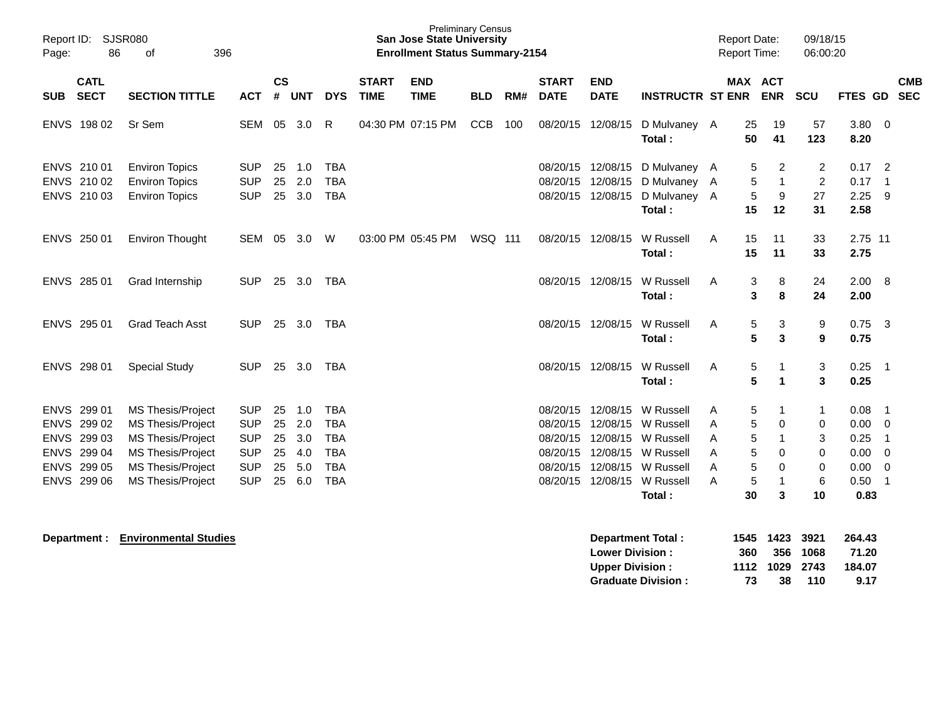| Page:      | Report ID: SJSR080<br>86                                                               | 396<br>of                                                                                                                                              |                                                                                  |                                  |                                        |                                                                                  |                             | <b>Preliminary Census</b><br><b>San Jose State University</b><br><b>Enrollment Status Summary-2154</b> |            |     |                                                                      |                                                          |                                                                                     | <b>Report Date:</b><br><b>Report Time:</b> |                                                                                                    | 09/18/15<br>06:00:20                                     |                                              |                                                                                                          |
|------------|----------------------------------------------------------------------------------------|--------------------------------------------------------------------------------------------------------------------------------------------------------|----------------------------------------------------------------------------------|----------------------------------|----------------------------------------|----------------------------------------------------------------------------------|-----------------------------|--------------------------------------------------------------------------------------------------------|------------|-----|----------------------------------------------------------------------|----------------------------------------------------------|-------------------------------------------------------------------------------------|--------------------------------------------|----------------------------------------------------------------------------------------------------|----------------------------------------------------------|----------------------------------------------|----------------------------------------------------------------------------------------------------------|
| <b>SUB</b> | <b>CATL</b><br><b>SECT</b>                                                             | <b>SECTION TITTLE</b>                                                                                                                                  | <b>ACT</b>                                                                       | $\mathsf{cs}$<br>#               | <b>UNT</b>                             | <b>DYS</b>                                                                       | <b>START</b><br><b>TIME</b> | <b>END</b><br><b>TIME</b>                                                                              | <b>BLD</b> | RM# | <b>START</b><br><b>DATE</b>                                          | <b>END</b><br><b>DATE</b>                                | <b>INSTRUCTR ST ENR</b>                                                             |                                            | <b>MAX ACT</b><br><b>ENR</b>                                                                       | <b>SCU</b>                                               | FTES GD                                      | <b>CMB</b><br><b>SEC</b>                                                                                 |
|            | ENVS 198 02                                                                            | Sr Sem                                                                                                                                                 | SEM                                                                              | 05                               | 3.0                                    | R                                                                                |                             | 04:30 PM 07:15 PM                                                                                      | <b>CCB</b> | 100 | 08/20/15                                                             | 12/08/15                                                 | D Mulvaney A<br>Total:                                                              | 25                                         | 19<br>50<br>41                                                                                     | 57<br>123                                                | $3.80\ 0$<br>8.20                            |                                                                                                          |
|            | ENVS 210 01<br>ENVS 210 02<br>ENVS 210 03                                              | <b>Environ Topics</b><br><b>Environ Topics</b><br><b>Environ Topics</b>                                                                                | <b>SUP</b><br><b>SUP</b><br><b>SUP</b>                                           | 25<br>25<br>25                   | 1.0<br>2.0<br>3.0                      | <b>TBA</b><br><b>TBA</b><br><b>TBA</b>                                           |                             |                                                                                                        |            |     | 08/20/15<br>08/20/15<br>08/20/15 12/08/15                            | 12/08/15<br>12/08/15                                     | D Mulvaney A<br>D Mulvaney A<br>D Mulvaney A<br>Total:                              | 15                                         | 2<br>5<br>$\mathbf{1}$<br>5<br>9<br>5<br>12                                                        | 2<br>$\overline{c}$<br>27<br>31                          | 0.17<br>0.17<br>2.25<br>2.58                 | $\overline{2}$<br>$\overline{1}$<br>-9                                                                   |
|            | ENVS 250 01                                                                            | <b>Environ Thought</b>                                                                                                                                 | SEM 05                                                                           |                                  | 3.0                                    | W                                                                                |                             | 03:00 PM 05:45 PM                                                                                      | WSQ 111    |     | 08/20/15 12/08/15                                                    |                                                          | W Russell<br>Total:                                                                 | A                                          | 15<br>11<br>11<br>15                                                                               | 33<br>33                                                 | 2.75 11<br>2.75                              |                                                                                                          |
|            | ENVS 285 01                                                                            | Grad Internship                                                                                                                                        | <b>SUP</b>                                                                       | 25                               | 3.0                                    | TBA                                                                              |                             |                                                                                                        |            |     | 08/20/15 12/08/15                                                    |                                                          | W Russell<br>Total:                                                                 | A                                          | 3<br>8<br>8<br>3                                                                                   | 24<br>24                                                 | 2.00 8<br>2.00                               |                                                                                                          |
|            | ENVS 295 01                                                                            | <b>Grad Teach Asst</b>                                                                                                                                 | <b>SUP</b>                                                                       | 25                               | 3.0                                    | <b>TBA</b>                                                                       |                             |                                                                                                        |            |     | 08/20/15 12/08/15                                                    |                                                          | W Russell<br>Total:                                                                 | A                                          | 3<br>5<br>5<br>3                                                                                   | 9<br>9                                                   | 0.75<br>0.75                                 | $\overline{\mathbf{3}}$                                                                                  |
|            | ENVS 298 01                                                                            | <b>Special Study</b>                                                                                                                                   | <b>SUP</b>                                                                       |                                  | 25 3.0                                 | <b>TBA</b>                                                                       |                             |                                                                                                        |            |     | 08/20/15 12/08/15                                                    |                                                          | W Russell<br>Total:                                                                 | A                                          | 5<br>$\mathbf 1$<br>5<br>$\mathbf 1$                                                               | 3<br>3                                                   | 0.25<br>0.25                                 | $\overline{\phantom{1}}$                                                                                 |
|            | ENVS 299 01<br>ENVS 299 02<br>ENVS 299 03<br>ENVS 299 04<br>ENVS 299 05<br>ENVS 299 06 | <b>MS Thesis/Project</b><br><b>MS Thesis/Project</b><br>MS Thesis/Project<br>MS Thesis/Project<br><b>MS Thesis/Project</b><br><b>MS Thesis/Project</b> | <b>SUP</b><br><b>SUP</b><br><b>SUP</b><br><b>SUP</b><br><b>SUP</b><br><b>SUP</b> | 25<br>25<br>25<br>25<br>25<br>25 | 1.0<br>2.0<br>3.0<br>4.0<br>5.0<br>6.0 | <b>TBA</b><br><b>TBA</b><br><b>TBA</b><br><b>TBA</b><br><b>TBA</b><br><b>TBA</b> |                             |                                                                                                        |            |     | 08/20/15<br>08/20/15<br>08/20/15<br>08/20/15<br>08/20/15<br>08/20/15 | 12/08/15<br>12/08/15<br>12/08/15<br>12/08/15<br>12/08/15 | W Russell<br>W Russell<br>W Russell<br>12/08/15 W Russell<br>W Russell<br>W Russell | A<br>Α<br>Α<br>A<br>Α<br>A                 | 5<br>1<br>5<br>$\mathbf 0$<br>5<br>$\mathbf{1}$<br>5<br>0<br>5<br>$\mathbf 0$<br>5<br>$\mathbf{1}$ | 1<br>$\mathbf 0$<br>3<br>$\mathbf 0$<br>$\mathbf 0$<br>6 | 0.08<br>0.00<br>0.25<br>0.00<br>0.00<br>0.50 | $\overline{1}$<br>$\overline{0}$<br>$\overline{1}$<br>$\overline{0}$<br>$\overline{0}$<br>$\overline{1}$ |
|            |                                                                                        |                                                                                                                                                        |                                                                                  |                                  |                                        |                                                                                  |                             |                                                                                                        |            |     |                                                                      |                                                          | Total:                                                                              |                                            | 30<br>3                                                                                            | 10                                                       | 0.83                                         |                                                                                                          |

**Department : Environmental Studies and Studies and Studies and Studies and Studies in the UP of Studies and Studies and Studies and Department Total : 1545 1423 3921 264.43 Lower Division : 360 356 1068 71.20<br>
Upper Division : 3112 1029 2743 184.07 Upper Division : 1112 1029 2743 184.07 Graduate Division : 73 38 110 9.17**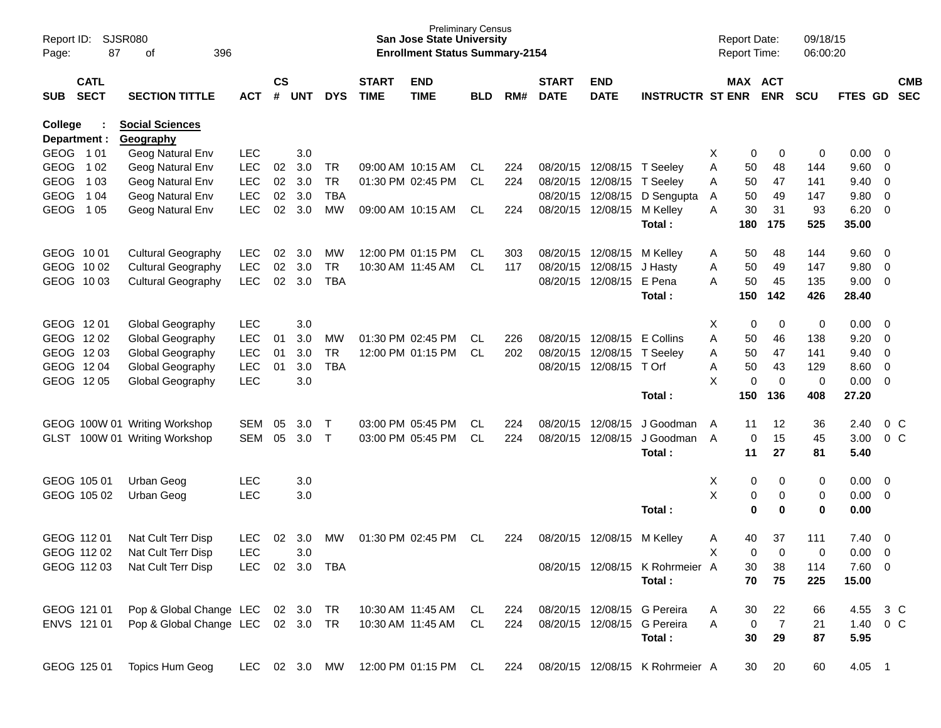| Page:       | SJSR080<br>Report ID:<br>87<br>οf<br>396<br><b>CATL</b> |                                   |               |                    |            |              |                             | <b>Preliminary Census</b><br><b>San Jose State University</b><br><b>Enrollment Status Summary-2154</b> |            |     |                             |                            |                                 | <b>Report Date:</b><br>Report Time: |                       | 09/18/15<br>06:00:20 |               |                         |                          |
|-------------|---------------------------------------------------------|-----------------------------------|---------------|--------------------|------------|--------------|-----------------------------|--------------------------------------------------------------------------------------------------------|------------|-----|-----------------------------|----------------------------|---------------------------------|-------------------------------------|-----------------------|----------------------|---------------|-------------------------|--------------------------|
| <b>SUB</b>  | <b>SECT</b>                                             | <b>SECTION TITTLE</b>             | <b>ACT</b>    | $\mathsf{cs}$<br># | <b>UNT</b> | <b>DYS</b>   | <b>START</b><br><b>TIME</b> | <b>END</b><br><b>TIME</b>                                                                              | <b>BLD</b> | RM# | <b>START</b><br><b>DATE</b> | <b>END</b><br><b>DATE</b>  | <b>INSTRUCTR ST ENR</b>         |                                     | MAX ACT<br><b>ENR</b> | <b>SCU</b>           | FTES GD       |                         | <b>CMB</b><br><b>SEC</b> |
| College     |                                                         | <b>Social Sciences</b>            |               |                    |            |              |                             |                                                                                                        |            |     |                             |                            |                                 |                                     |                       |                      |               |                         |                          |
|             | Department :                                            | Geography                         |               |                    |            |              |                             |                                                                                                        |            |     |                             |                            |                                 |                                     |                       |                      |               |                         |                          |
| GEOG 101    |                                                         | Geog Natural Env                  | <b>LEC</b>    |                    | 3.0        |              |                             |                                                                                                        |            |     |                             |                            |                                 | X                                   | 0<br>0                | 0                    | 0.00          | - 0                     |                          |
| <b>GEOG</b> | 1 0 2                                                   | Geog Natural Env                  | <b>LEC</b>    | 02                 | 3.0        | <b>TR</b>    |                             | 09:00 AM 10:15 AM                                                                                      | CL         | 224 |                             | 08/20/15 12/08/15 T Seeley |                                 | Α<br>50                             | 48                    | 144                  | 9.60          | 0                       |                          |
| <b>GEOG</b> | 1 03                                                    | Geog Natural Env                  | <b>LEC</b>    | 02                 | 3.0        | <b>TR</b>    |                             | 01:30 PM 02:45 PM                                                                                      | <b>CL</b>  | 224 |                             | 08/20/15 12/08/15          | T Seeley                        | Α<br>50                             | 47                    | 141                  | 9.40          | 0                       |                          |
| <b>GEOG</b> | 1 0 4                                                   | Geog Natural Env                  | <b>LEC</b>    | 02                 | 3.0        | <b>TBA</b>   |                             |                                                                                                        |            |     | 08/20/15                    | 12/08/15                   | D Sengupta                      | 50<br>A                             | 49                    | 147                  | 9.80          | 0                       |                          |
| <b>GEOG</b> | 1 05                                                    | Geog Natural Env                  | <b>LEC</b>    | 02                 | 3.0        | <b>MW</b>    |                             | 09:00 AM 10:15 AM                                                                                      | CL         | 224 |                             | 08/20/15 12/08/15          | M Kellev<br>Total:              | A<br>30<br>180                      | 31<br>175             | 93<br>525            | 6.20<br>35.00 | 0                       |                          |
|             |                                                         |                                   |               |                    |            |              |                             |                                                                                                        |            |     |                             |                            |                                 |                                     |                       |                      |               |                         |                          |
| GEOG 10 01  |                                                         | <b>Cultural Geography</b>         | <b>LEC</b>    | 02                 | 3.0        | МW           |                             | 12:00 PM 01:15 PM                                                                                      | CL         | 303 |                             | 08/20/15 12/08/15          | M Kellev                        | A<br>50                             | 48                    | 144                  | 9.60          | 0                       |                          |
| GEOG 10 02  |                                                         | <b>Cultural Geography</b>         | <b>LEC</b>    | 02                 | 3.0        | <b>TR</b>    |                             | 10:30 AM 11:45 AM                                                                                      | CL         | 117 |                             | 08/20/15 12/08/15          | J Hasty                         | 50<br>Α                             | 49                    | 147                  | 9.80          | 0                       |                          |
|             | GEOG 1003                                               | <b>Cultural Geography</b>         | <b>LEC</b>    | 02                 | 3.0        | <b>TBA</b>   |                             |                                                                                                        |            |     |                             | 08/20/15 12/08/15          | E Pena                          | 50<br>А                             | 45                    | 135                  | 9.00          | 0                       |                          |
|             |                                                         |                                   |               |                    |            |              |                             |                                                                                                        |            |     |                             |                            | Total:                          | 150                                 | 142                   | 426                  | 28.40         |                         |                          |
|             |                                                         |                                   |               |                    |            |              |                             |                                                                                                        |            |     |                             |                            |                                 |                                     |                       |                      |               |                         |                          |
| GEOG 1201   |                                                         | Global Geography                  | <b>LEC</b>    |                    | 3.0        |              |                             |                                                                                                        |            |     |                             |                            |                                 | х                                   | 0<br>0                | 0                    | 0.00          | $\overline{\mathbf{0}}$ |                          |
| GEOG 1202   |                                                         | Global Geography                  | <b>LEC</b>    | 01                 | 3.0        | МW           |                             | 01:30 PM 02:45 PM                                                                                      | CL         | 226 |                             | 08/20/15 12/08/15          | E Collins                       | A<br>50                             | 46                    | 138                  | 9.20          | 0                       |                          |
| GEOG 1203   |                                                         | Global Geography                  | LEC           | 01                 | 3.0        | <b>TR</b>    |                             | 12:00 PM 01:15 PM                                                                                      | <b>CL</b>  | 202 |                             | 08/20/15 12/08/15          | T Seeley                        | Α<br>50                             | 47                    | 141                  | 9.40          | 0                       |                          |
| GEOG 1204   |                                                         | Global Geography                  | <b>LEC</b>    | 01                 | 3.0        | <b>TBA</b>   |                             |                                                                                                        |            |     |                             | 08/20/15 12/08/15          | T Orf                           | 50<br>Α                             | 43                    | 129                  | 8.60          | 0                       |                          |
|             | GEOG 1205                                               | Global Geography                  | <b>LEC</b>    |                    | 3.0        |              |                             |                                                                                                        |            |     |                             |                            |                                 | X                                   | 0<br>$\mathbf 0$      | 0                    | 0.00          | $\overline{0}$          |                          |
|             |                                                         |                                   |               |                    |            |              |                             |                                                                                                        |            |     |                             |                            | Total:                          | 150                                 | 136                   | 408                  | 27.20         |                         |                          |
|             |                                                         | GEOG 100W 01 Writing Workshop     | <b>SEM</b>    | 05                 | 3.0        | Τ            |                             | 03:00 PM 05:45 PM                                                                                      | CL         | 224 | 08/20/15                    | 12/08/15                   | J Goodman                       | 11<br>A                             | 12                    | 36                   | 2.40          |                         | $0\,$ C                  |
| GLST        |                                                         | 100W 01 Writing Workshop          | <b>SEM</b>    | 05                 | 3.0        | $\mathsf{T}$ |                             | 03:00 PM 05:45 PM                                                                                      | <b>CL</b>  | 224 | 08/20/15                    | 12/08/15                   | J Goodman                       | A                                   | 15<br>0               | 45                   | 3.00          |                         | 0 <sup>o</sup>           |
|             |                                                         |                                   |               |                    |            |              |                             |                                                                                                        |            |     |                             |                            | Total:                          | 11                                  | 27                    | 81                   | 5.40          |                         |                          |
|             |                                                         |                                   |               |                    |            |              |                             |                                                                                                        |            |     |                             |                            |                                 |                                     |                       |                      |               |                         |                          |
|             | GEOG 105 01                                             | Urban Geog                        | <b>LEC</b>    |                    | 3.0        |              |                             |                                                                                                        |            |     |                             |                            |                                 | X                                   | 0<br>0                | 0                    | 0.00          | 0                       |                          |
|             | GEOG 105 02                                             | Urban Geog                        | <b>LEC</b>    |                    | 3.0        |              |                             |                                                                                                        |            |     |                             |                            |                                 | X                                   | 0<br>0                | 0                    | 0.00          | $\overline{\mathbf{0}}$ |                          |
|             |                                                         |                                   |               |                    |            |              |                             |                                                                                                        |            |     |                             |                            | Total:                          |                                     | $\mathbf 0$<br>0      | 0                    | 0.00          |                         |                          |
|             |                                                         |                                   |               |                    |            |              |                             |                                                                                                        |            |     |                             |                            |                                 |                                     |                       |                      |               |                         |                          |
|             | GEOG 112 01                                             | Nat Cult Terr Disp                | <b>LEC</b>    | 02                 | 3.0        | МW           |                             | 01:30 PM 02:45 PM                                                                                      | СL         | 224 | 08/20/15                    | 12/08/15                   | M Kelley                        | 40<br>A                             | 37                    | 111                  | 7.40          | 0                       |                          |
|             | GEOG 112 02                                             | Nat Cult Terr Disp                | <b>LEC</b>    |                    | 3.0        |              |                             |                                                                                                        |            |     |                             |                            |                                 | X                                   | 0<br>$\Omega$         | 0                    | 0.00          | 0                       |                          |
|             | GEOG 112 03                                             | Nat Cult Terr Disp                | LEC           |                    | 02 3.0 TBA |              |                             |                                                                                                        |            |     |                             |                            | 08/20/15 12/08/15 K Rohrmeier A | 30                                  | 38                    | 114                  | 7.60 0        |                         |                          |
|             |                                                         |                                   |               |                    |            |              |                             |                                                                                                        |            |     |                             |                            | Total:                          |                                     | 70<br>75              | 225                  | 15.00         |                         |                          |
|             | GEOG 121 01                                             | Pop & Global Change LEC 02 3.0    |               |                    |            |              | TR  10:30 AM  11:45 AM      |                                                                                                        | CL         | 224 |                             |                            | 08/20/15 12/08/15 G Pereira     | 30<br>Α                             | 22                    | 66                   | 4.55 3 C      |                         |                          |
|             | ENVS 121 01                                             | Pop & Global Change LEC 02 3.0 TR |               |                    |            |              |                             | 10:30 AM 11:45 AM                                                                                      | CL         | 224 |                             |                            | 08/20/15 12/08/15 G Pereira     | A                                   | $\overline{7}$<br>0   | 21                   | 1.40 0 C      |                         |                          |
|             |                                                         |                                   |               |                    |            |              |                             |                                                                                                        |            |     |                             |                            | Total:                          | 30                                  | 29                    | 87                   | 5.95          |                         |                          |
|             |                                                         |                                   |               |                    |            |              |                             |                                                                                                        |            |     |                             |                            |                                 |                                     |                       |                      |               |                         |                          |
|             | GEOG 125 01                                             | Topics Hum Geog                   | LEC 02 3.0 MW |                    |            |              |                             | 12:00 PM 01:15 PM CL                                                                                   |            | 224 |                             |                            | 08/20/15 12/08/15 K Rohrmeier A | 30                                  | 20                    | 60                   | 4.05 1        |                         |                          |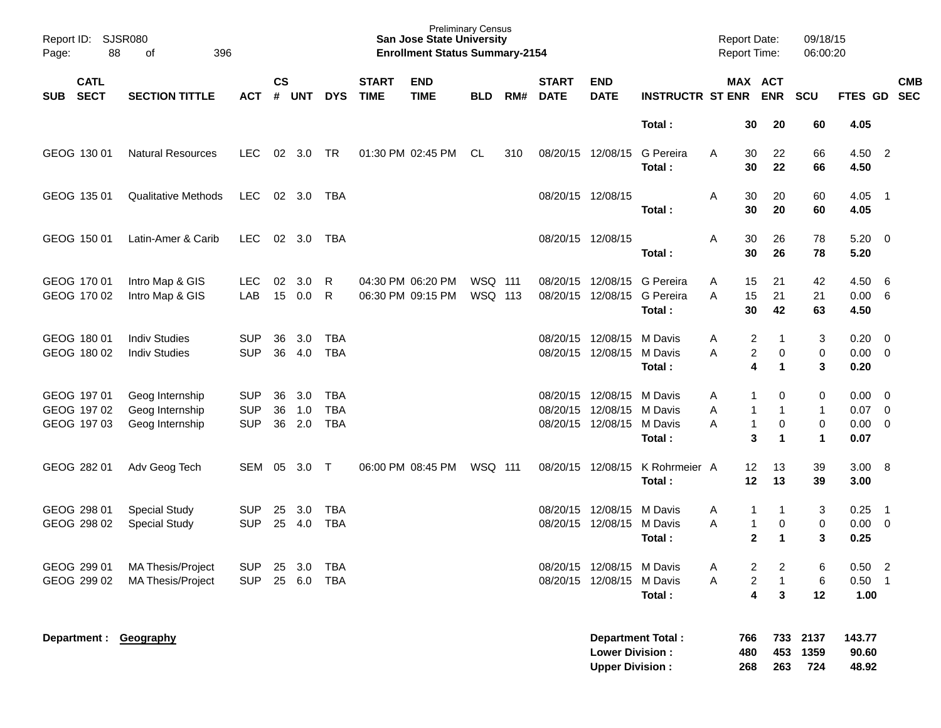| Report ID:<br>Page:                       | <b>SJSR080</b><br>88 | 396<br>оf                                             |                                        |                    |                   |                                        |                                        | <b>Preliminary Census</b><br><b>San Jose State University</b><br><b>Enrollment Status Summary-2154</b> |                           |     |                                           |                                                        |                                         | <b>Report Date:</b><br>Report Time: |                             |                             | 09/18/15<br>06:00:20                   |                              |                                            |                          |
|-------------------------------------------|----------------------|-------------------------------------------------------|----------------------------------------|--------------------|-------------------|----------------------------------------|----------------------------------------|--------------------------------------------------------------------------------------------------------|---------------------------|-----|-------------------------------------------|--------------------------------------------------------|-----------------------------------------|-------------------------------------|-----------------------------|-----------------------------|----------------------------------------|------------------------------|--------------------------------------------|--------------------------|
| <b>CATL</b><br><b>SECT</b><br><b>SUB</b>  |                      | <b>SECTION TITTLE</b>                                 | <b>ACT</b>                             | $\mathsf{cs}$<br># | <b>UNT</b>        | <b>DYS</b>                             | <b>START</b><br><b>TIME</b>            | <b>END</b><br><b>TIME</b>                                                                              | <b>BLD</b>                | RM# | <b>START</b><br><b>DATE</b>               | <b>END</b><br><b>DATE</b>                              | <b>INSTRUCTR ST ENR</b>                 |                                     |                             | MAX ACT<br><b>ENR</b>       | SCU                                    | FTES GD                      |                                            | <b>CMB</b><br><b>SEC</b> |
|                                           |                      |                                                       |                                        |                    |                   |                                        |                                        |                                                                                                        |                           |     |                                           |                                                        | Total:                                  |                                     | 30                          | 20                          | 60                                     | 4.05                         |                                            |                          |
| GEOG 130 01                               |                      | <b>Natural Resources</b>                              | <b>LEC</b>                             | 02                 | 3.0               | <b>TR</b>                              |                                        | 01:30 PM 02:45 PM                                                                                      | <b>CL</b>                 | 310 | 08/20/15 12/08/15                         |                                                        | G Pereira<br>Total:                     | Α                                   | 30<br>30                    | 22<br>22                    | 66<br>66                               | 4.50<br>4.50                 | $\overline{2}$                             |                          |
| GEOG 135 01                               |                      | <b>Qualitative Methods</b>                            | <b>LEC</b>                             | 02                 | 3.0               | TBA                                    |                                        |                                                                                                        |                           |     | 08/20/15 12/08/15                         |                                                        | Total:                                  | Α                                   | 30<br>30                    | 20<br>20                    | 60<br>60                               | 4.05<br>4.05                 | $\overline{\phantom{1}}$                   |                          |
| GEOG 150 01                               |                      | Latin-Amer & Carib                                    | <b>LEC</b>                             | 02                 | 3.0               | TBA                                    |                                        |                                                                                                        |                           |     | 08/20/15 12/08/15                         |                                                        | Total:                                  | Α                                   | 30<br>30                    | 26<br>26                    | 78<br>78                               | 5.20<br>5.20                 | $\overline{0}$                             |                          |
| GEOG 170 01<br>GEOG 170 02                |                      | Intro Map & GIS<br>Intro Map & GIS                    | <b>LEC</b><br>LAB                      | 02<br>15           | 3.0<br>0.0        | R<br>R                                 | 04:30 PM 06:20 PM<br>06:30 PM 09:15 PM |                                                                                                        | <b>WSQ 111</b><br>WSQ 113 |     | 08/20/15<br>08/20/15                      | 12/08/15<br>12/08/15                                   | <b>G</b> Pereira<br>G Pereira<br>Total: | Α<br>Α                              | 15<br>15<br>30              | 21<br>21<br>42              | 42<br>21<br>63                         | 4.50<br>0.00<br>4.50         | - 6<br>6                                   |                          |
| GEOG 180 01<br>GEOG 180 02                |                      | <b>Indiv Studies</b><br><b>Indiv Studies</b>          | <b>SUP</b><br><b>SUP</b>               | 36<br>36           | 3.0<br>4.0        | <b>TBA</b><br><b>TBA</b>               |                                        |                                                                                                        |                           |     | 08/20/15<br>08/20/15 12/08/15             | 12/08/15                                               | M Davis<br>M Davis<br>Total:            | Α<br>А                              | 2<br>2<br>4                 | -1<br>0<br>$\mathbf 1$      | 3<br>0<br>3                            | 0.20<br>0.00<br>0.20         | $\overline{0}$<br>$\overline{0}$           |                          |
| GEOG 197 01<br>GEOG 197 02<br>GEOG 197 03 |                      | Geog Internship<br>Geog Internship<br>Geog Internship | <b>SUP</b><br><b>SUP</b><br><b>SUP</b> | 36<br>36<br>36     | 3.0<br>1.0<br>2.0 | <b>TBA</b><br><b>TBA</b><br><b>TBA</b> |                                        |                                                                                                        |                           |     | 08/20/15<br>08/20/15<br>08/20/15 12/08/15 | 12/08/15<br>12/08/15                                   | M Davis<br>M Davis<br>M Davis<br>Total: | Α<br>Α<br>А                         | 1<br>1<br>$\mathbf{1}$<br>3 | 0<br>-1<br>0<br>$\mathbf 1$ | 0<br>$\mathbf{1}$<br>0<br>$\mathbf{1}$ | 0.00<br>0.07<br>0.00<br>0.07 | 0<br>0<br>0                                |                          |
| GEOG 282 01                               |                      | Adv Geog Tech                                         | <b>SEM</b>                             | 05                 | 3.0               | $\top$                                 |                                        | 06:00 PM 08:45 PM                                                                                      | WSQ 111                   |     | 08/20/15 12/08/15                         |                                                        | K Rohrmeier A<br>Total:                 |                                     | 12<br>12                    | 13<br>13                    | 39<br>39                               | 3.00<br>3.00                 | - 8                                        |                          |
| GEOG 298 01<br>GEOG 298 02                |                      | <b>Special Study</b><br><b>Special Study</b>          | <b>SUP</b><br><b>SUP</b>               | 25<br>25           | 3.0<br>4.0        | <b>TBA</b><br><b>TBA</b>               |                                        |                                                                                                        |                           |     | 08/20/15<br>08/20/15 12/08/15             | 12/08/15                                               | M Davis<br>M Davis<br>Total:            | Α<br>Α                              | 1<br>1<br>$\overline{2}$    | -1<br>0<br>$\mathbf 1$      | 3<br>0<br>3                            | 0.25<br>0.00<br>0.25         | $\overline{1}$<br>0                        |                          |
| GEOG 299 01<br>GEOG 299 02                |                      | MA Thesis/Project<br>MA Thesis/Project                | <b>SUP</b><br><b>SUP</b>               | 25                 | 3.0<br>25 6.0     | TBA<br><b>TBA</b>                      |                                        |                                                                                                        |                           |     |                                           | 08/20/15 12/08/15 M Davis<br>08/20/15 12/08/15 M Davis | Total:                                  | Α<br>Α                              | 2<br>2<br>4                 | 2<br>$\mathbf{1}$<br>3      | 6<br>6<br>12                           | 0.50<br>0.50<br>1.00         | $\overline{\phantom{0}}$<br>$\overline{1}$ |                          |
|                                           |                      | Department: Geography                                 |                                        |                    |                   |                                        |                                        |                                                                                                        |                           |     |                                           | <b>Lower Division:</b><br><b>Upper Division:</b>       | <b>Department Total:</b>                |                                     | 766<br>480<br>268           | 733<br>453<br>263           | 2137<br>1359<br>724                    | 143.77<br>90.60<br>48.92     |                                            |                          |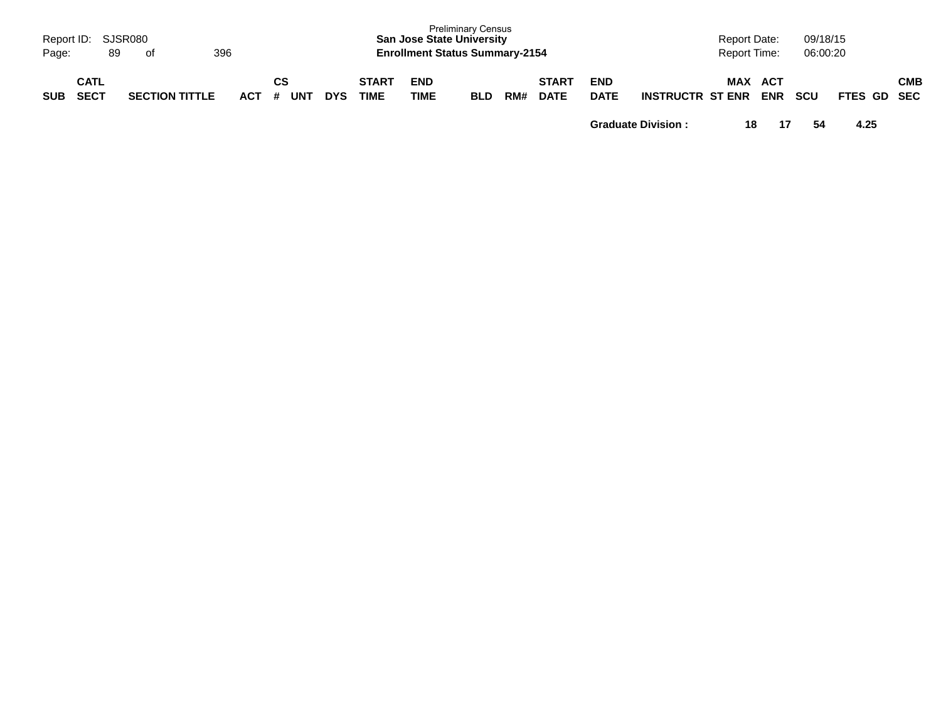| Report ID:<br>Page: | 89                         | SJSR080<br>of         | 396 |                      |            |                      |                           | <b>Preliminary Census</b><br><b>San Jose State University</b><br><b>Enrollment Status Summary-2154</b> |     |                             |                           |                         | <b>Report Date:</b><br><b>Report Time:</b> |                   | 09/18/15<br>06:00:20 |             |            |
|---------------------|----------------------------|-----------------------|-----|----------------------|------------|----------------------|---------------------------|--------------------------------------------------------------------------------------------------------|-----|-----------------------------|---------------------------|-------------------------|--------------------------------------------|-------------------|----------------------|-------------|------------|
| <b>SUB</b>          | <b>CATL</b><br><b>SECT</b> | <b>SECTION TITTLE</b> |     | CS<br>UNT<br>$ACT$ # | <b>DYS</b> | <b>START</b><br>TIME | <b>END</b><br><b>TIME</b> | <b>BLD</b>                                                                                             | RM# | <b>START</b><br><b>DATE</b> | <b>END</b><br><b>DATE</b> | <b>INSTRUCTR ST ENR</b> | <b>MAX</b>                                 | ACT<br><b>ENR</b> | <b>SCU</b>           | FTES GD SEC | <b>CMB</b> |

**Graduate Division : 18 17 54 4.25**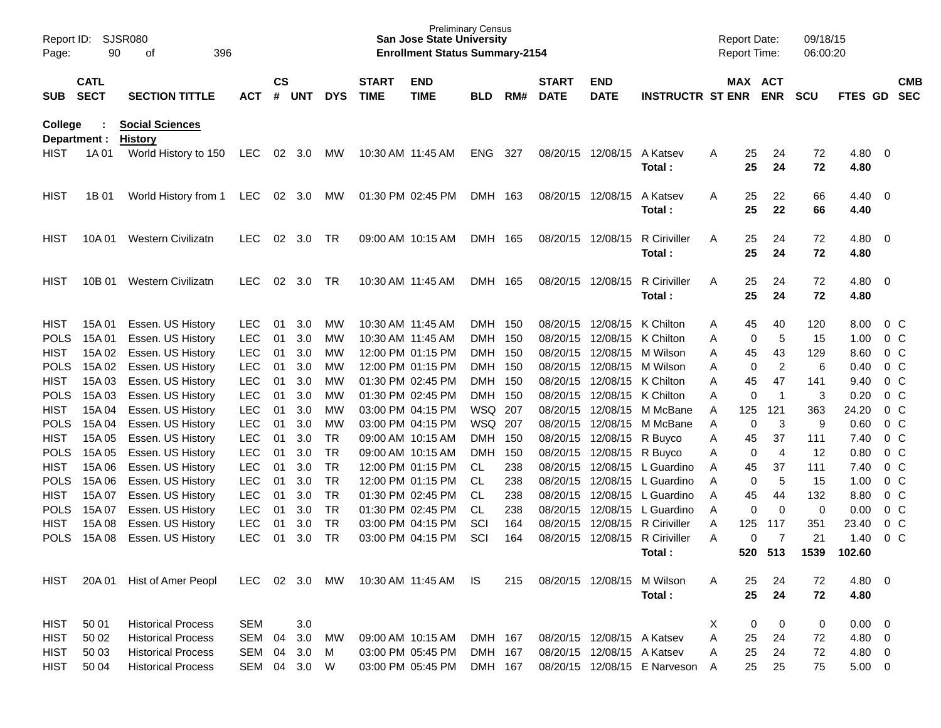| Report ID:<br>Page: | 90                         | <b>SJSR080</b><br>396<br>οf              |            |                    |        |            |                             | <b>San Jose State University</b><br><b>Enrollment Status Summary-2154</b> | <b>Preliminary Census</b> |     |                             |                            |                               |   | <b>Report Date:</b><br><b>Report Time:</b> |                | 09/18/15<br>06:00:20 |              |                          |                          |
|---------------------|----------------------------|------------------------------------------|------------|--------------------|--------|------------|-----------------------------|---------------------------------------------------------------------------|---------------------------|-----|-----------------------------|----------------------------|-------------------------------|---|--------------------------------------------|----------------|----------------------|--------------|--------------------------|--------------------------|
| <b>SUB</b>          | <b>CATL</b><br><b>SECT</b> | <b>SECTION TITTLE</b>                    | <b>ACT</b> | $\mathsf{cs}$<br># | UNT    | <b>DYS</b> | <b>START</b><br><b>TIME</b> | <b>END</b><br><b>TIME</b>                                                 | <b>BLD</b>                | RM# | <b>START</b><br><b>DATE</b> | <b>END</b><br><b>DATE</b>  | <b>INSTRUCTR ST ENR</b>       |   | MAX ACT                                    | <b>ENR</b>     | <b>SCU</b>           | FTES GD      |                          | <b>CMB</b><br><b>SEC</b> |
| College             | Department :               | <b>Social Sciences</b><br><b>History</b> |            |                    |        |            |                             |                                                                           |                           |     |                             |                            |                               |   |                                            |                |                      |              |                          |                          |
| HIST                | 1A 01                      | World History to 150                     | <b>LEC</b> |                    | 02 3.0 | МW         |                             | 10:30 AM 11:45 AM                                                         | <b>ENG</b>                | 327 | 08/20/15                    | 12/08/15                   | A Katsev<br>Total:            | A | 25<br>25                                   | 24<br>24       | 72<br>72             | 4.80<br>4.80 | - 0                      |                          |
| HIST                | 1B 01                      | World History from 1                     | <b>LEC</b> | 02                 | 3.0    | МW         |                             | 01:30 PM 02:45 PM                                                         | DMH 163                   |     | 08/20/15 12/08/15           |                            | A Katsev<br>Total:            | A | 25<br>25                                   | 22<br>22       | 66<br>66             | 4.40<br>4.40 | - 0                      |                          |
| HIST                | 10A 01                     | Western Civilizatn                       | <b>LEC</b> | 02                 | 3.0    | TR         |                             | 09:00 AM 10:15 AM                                                         | DMH 165                   |     | 08/20/15 12/08/15           |                            | <b>R</b> Ciriviller<br>Total: | A | 25<br>25                                   | 24<br>24       | 72<br>72             | 4.80<br>4.80 | - 0                      |                          |
| HIST                | 10B 01                     | Western Civilizatn                       | <b>LEC</b> | 02                 | 3.0    | TR.        |                             | 10:30 AM 11:45 AM                                                         | DMH 165                   |     |                             | 08/20/15 12/08/15          | R Ciriviller<br>Total:        | A | 25<br>25                                   | 24<br>24       | 72<br>72             | 4.80<br>4.80 | - 0                      |                          |
| <b>HIST</b>         | 15A 01                     | Essen. US History                        | <b>LEC</b> | 01                 | 3.0    | MW         |                             | 10:30 AM 11:45 AM                                                         | DMH 150                   |     |                             | 08/20/15 12/08/15          | K Chilton                     | A | 45                                         | 40             | 120                  | 8.00         | $0\,C$                   |                          |
| <b>POLS</b>         | 15A 01                     | Essen. US History                        | <b>LEC</b> | 01                 | 3.0    | MW         |                             | 10:30 AM 11:45 AM                                                         | <b>DMH</b>                | 150 | 08/20/15                    | 12/08/15                   | K Chilton                     | Α | 0                                          | 5              | 15                   | 1.00         | 0 <sup>C</sup>           |                          |
| <b>HIST</b>         | 15A 02                     | Essen. US History                        | <b>LEC</b> | 01                 | 3.0    | МW         |                             | 12:00 PM 01:15 PM                                                         | DMH 150                   |     | 08/20/15                    | 12/08/15                   | M Wilson                      | A | 45                                         | 43             | 129                  | 8.60         | 0 <sup>C</sup>           |                          |
| <b>POLS</b>         | 15A 02                     | Essen. US History                        | <b>LEC</b> | 01                 | 3.0    | МW         |                             | 12:00 PM 01:15 PM                                                         | DMH 150                   |     | 08/20/15                    |                            | 12/08/15 M Wilson             | A | 0                                          | $\overline{2}$ | 6                    | 0.40         | 0 <sup>C</sup>           |                          |
| <b>HIST</b>         | 15A 03                     | Essen. US History                        | <b>LEC</b> | 01                 | 3.0    | МW         |                             | 01:30 PM 02:45 PM                                                         | DMH 150                   |     | 08/20/15                    |                            | 12/08/15 K Chilton            | Α | 45                                         | 47             | 141                  | 9.40         | 0 <sup>C</sup>           |                          |
| <b>POLS</b>         | 15A 03                     | Essen. US History                        | <b>LEC</b> | 01                 | 3.0    | МW         |                             | 01:30 PM 02:45 PM                                                         | <b>DMH</b>                | 150 | 08/20/15                    |                            | 12/08/15 K Chilton            | Α | 0                                          | $\overline{1}$ | 3                    | 0.20         | 0 <sup>C</sup>           |                          |
| <b>HIST</b>         | 15A 04                     | Essen. US History                        | <b>LEC</b> | 01                 | 3.0    | МW         |                             | 03:00 PM 04:15 PM                                                         | WSQ                       | 207 | 08/20/15                    |                            | 12/08/15 M McBane             | A | 125                                        | 121            | 363                  | 24.20        | 0 <sup>C</sup>           |                          |
| <b>POLS</b>         | 15A 04                     | Essen. US History                        | <b>LEC</b> | 01                 | 3.0    | МW         |                             | 03:00 PM 04:15 PM                                                         | WSQ                       | 207 | 08/20/15                    |                            | 12/08/15 M McBane             | A | 0                                          | 3              | 9                    | 0.60         | 0 <sup>C</sup>           |                          |
| <b>HIST</b>         | 15A 05                     | Essen. US History                        | <b>LEC</b> | 01                 | 3.0    | <b>TR</b>  |                             | 09:00 AM 10:15 AM                                                         | <b>DMH</b>                | 150 | 08/20/15                    | 12/08/15 R Buyco           |                               | A | 45                                         | 37             | 111                  | 7.40         | 0 <sup>C</sup>           |                          |
| <b>POLS</b>         | 15A 05                     | Essen. US History                        | <b>LEC</b> | 01                 | 3.0    | <b>TR</b>  |                             | 09:00 AM 10:15 AM                                                         | <b>DMH</b>                | 150 | 08/20/15                    | 12/08/15 R Buyco           |                               | A | 0                                          | $\overline{4}$ | 12                   | 0.80         | 0 <sup>C</sup>           |                          |
| <b>HIST</b>         | 15A 06                     | Essen. US History                        | <b>LEC</b> | 01                 | 3.0    | <b>TR</b>  |                             | 12:00 PM 01:15 PM                                                         | CL                        | 238 | 08/20/15                    |                            | 12/08/15 L Guardino           | A | 45                                         | 37             | 111                  | 7.40         | 0 <sup>C</sup>           |                          |
| <b>POLS</b>         | 15A 06                     | Essen. US History                        | <b>LEC</b> | 01                 | 3.0    | <b>TR</b>  |                             | 12:00 PM 01:15 PM                                                         | CL                        | 238 | 08/20/15                    |                            | 12/08/15 L Guardino           | A | 0                                          | 5              | 15                   | 1.00         | 0 <sup>C</sup>           |                          |
| <b>HIST</b>         | 15A 07                     | Essen. US History                        | <b>LEC</b> | 01                 | 3.0    | <b>TR</b>  |                             | 01:30 PM 02:45 PM                                                         | CL                        | 238 | 08/20/15                    | 12/08/15                   | L Guardino                    | A | 45                                         | 44             | 132                  | 8.80         | 0 <sup>C</sup>           |                          |
| <b>POLS</b>         | 15A 07                     | Essen. US History                        | <b>LEC</b> | 01                 | 3.0    | <b>TR</b>  |                             | 01:30 PM 02:45 PM                                                         | CL                        | 238 | 08/20/15                    | 12/08/15                   | L Guardino                    | A | 0                                          | $\mathbf 0$    | 0                    | 0.00         | 0 <sup>C</sup>           |                          |
| <b>HIST</b>         | 15A 08                     | Essen. US History                        | LEC        | 01                 | 3.0    | <b>TR</b>  |                             | 03:00 PM 04:15 PM                                                         | SCI                       | 164 | 08/20/15                    | 12/08/15                   | R Ciriviller                  | A | 125                                        | 117            | 351                  | 23.40        | 0 <sup>C</sup>           |                          |
| <b>POLS</b>         | 15A 08                     | Essen. US History                        | <b>LEC</b> | 01                 | 3.0    | <b>TR</b>  |                             | 03:00 PM 04:15 PM                                                         | SCI                       | 164 | 08/20/15                    | 12/08/15                   | R Ciriviller                  | Α | 0                                          | $\overline{7}$ | 21                   | 1.40         | 0 <sup>o</sup>           |                          |
|                     |                            |                                          |            |                    |        |            |                             |                                                                           |                           |     |                             |                            | Total:                        |   | 520                                        | 513            | 1539                 | 102.60       |                          |                          |
| <b>HIST</b>         | 20A 01                     | Hist of Amer Peopl                       | LEC.       |                    | 02 3.0 | MW         |                             | 10:30 AM 11:45 AM                                                         | IS.                       | 215 |                             | 08/20/15 12/08/15          | M Wilson<br>Total:            | A | 25<br>25                                   | 24<br>24       | 72<br>72             | 4.80<br>4.80 | $\overline{\mathbf{0}}$  |                          |
| <b>HIST</b>         | 50 01                      | <b>Historical Process</b>                | SEM        |                    | 3.0    |            |                             |                                                                           |                           |     |                             |                            |                               | X | 0                                          | 0              | 0                    | 0.00         | $\overline{\phantom{0}}$ |                          |
| <b>HIST</b>         | 50 02                      | <b>Historical Process</b>                | SEM        | 04                 | 3.0    | МW         |                             | 09:00 AM 10:15 AM                                                         | DMH 167                   |     |                             | 08/20/15 12/08/15          | A Katsev                      | Α | 25                                         | 24             | 72                   | 4.80 0       |                          |                          |
| <b>HIST</b>         | 50 03                      | <b>Historical Process</b>                | SEM        | 04                 | 3.0    | M          |                             | 03:00 PM 05:45 PM                                                         | DMH 167                   |     |                             | 08/20/15 12/08/15 A Katsev |                               | Α | 25                                         | 24             | 72                   | 4.80 0       |                          |                          |
| <b>HIST</b>         | 50 04                      | <b>Historical Process</b>                | SEM 04 3.0 |                    |        | W          |                             | 03:00 PM 05:45 PM                                                         | DMH 167                   |     |                             |                            | 08/20/15 12/08/15 E Narveson  | A | 25                                         | 25             | 75                   | $5.00 \t 0$  |                          |                          |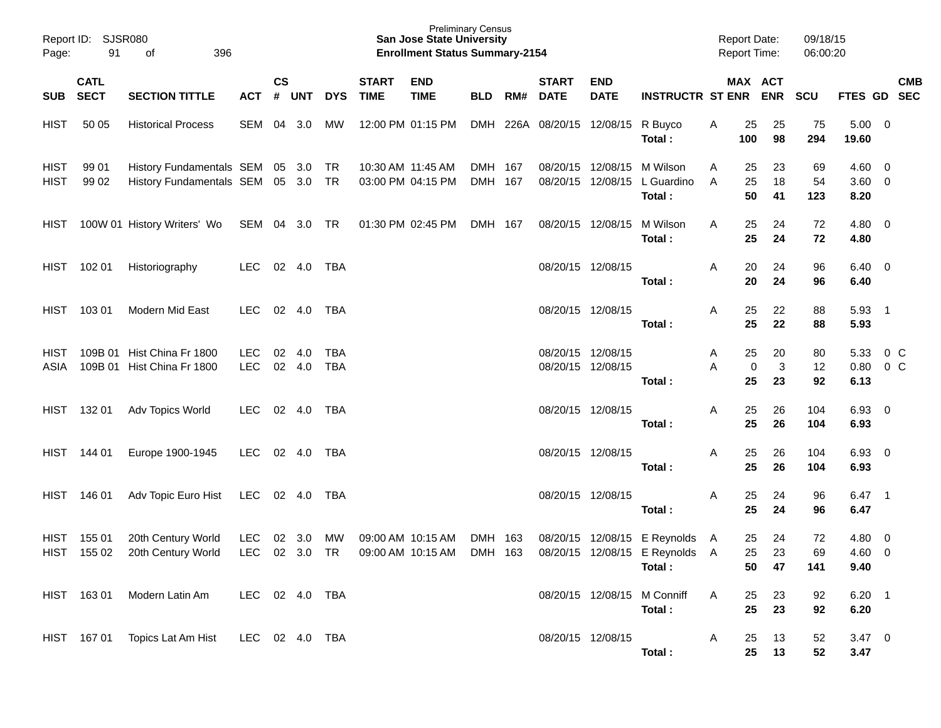| Report ID:<br>Page:        | 91                         | SJSR080<br>396<br>of                                                     |                          |           |                 |            |                             | <b>San Jose State University</b><br><b>Enrollment Status Summary-2154</b> | <b>Preliminary Census</b> |     |                                    |                                        |                                                                            | <b>Report Date:</b><br>Report Time: |                       | 09/18/15<br>06:00:20 |                                      |                                                    |            |
|----------------------------|----------------------------|--------------------------------------------------------------------------|--------------------------|-----------|-----------------|------------|-----------------------------|---------------------------------------------------------------------------|---------------------------|-----|------------------------------------|----------------------------------------|----------------------------------------------------------------------------|-------------------------------------|-----------------------|----------------------|--------------------------------------|----------------------------------------------------|------------|
| <b>SUB</b>                 | <b>CATL</b><br><b>SECT</b> | <b>SECTION TITTLE</b>                                                    | <b>ACT</b>               | <b>CS</b> | # UNT           | <b>DYS</b> | <b>START</b><br><b>TIME</b> | <b>END</b><br><b>TIME</b>                                                 | <b>BLD</b>                | RM# | <b>START</b><br><b>DATE</b>        | <b>END</b><br><b>DATE</b>              | <b>INSTRUCTR ST ENR</b>                                                    |                                     | MAX ACT<br><b>ENR</b> | <b>SCU</b>           | FTES GD SEC                          |                                                    | <b>CMB</b> |
| <b>HIST</b>                | 50 05                      | <b>Historical Process</b>                                                | SEM                      | 04        | 3.0             | МW         |                             | 12:00 PM 01:15 PM                                                         |                           |     | DMH 226A 08/20/15 12/08/15 R Buyco |                                        | Total:                                                                     | 25<br>A<br>100                      | 25<br>98              | 75<br>294            | $5.00 \t 0$<br>19.60                 |                                                    |            |
| <b>HIST</b><br><b>HIST</b> | 99 01<br>99 02             | History Fundamentals SEM 05 3.0 TR<br>History Fundamentals SEM 05 3.0 TR |                          |           |                 |            |                             | 10:30 AM 11:45 AM<br>03:00 PM 04:15 PM                                    | DMH 167<br>DMH 167        |     |                                    |                                        | 08/20/15 12/08/15 M Wilson<br>08/20/15 12/08/15 L Guardino<br>Total:       | 25<br>A<br>25<br>A<br>50            | 23<br>18<br>41        | 69<br>54<br>123      | $4.60 \quad 0$<br>$3.60 \ 0$<br>8.20 |                                                    |            |
| HIST                       |                            | 100W 01 History Writers' Wo SEM 04 3.0 TR                                |                          |           |                 |            | 01:30 PM 02:45 PM           |                                                                           | DMH 167                   |     |                                    | 08/20/15 12/08/15                      | M Wilson<br>Total:                                                         | 25<br>A<br>25                       | 24<br>24              | 72<br>72             | $4.80\ 0$<br>4.80                    |                                                    |            |
| HIST                       | 102 01                     | Historiography                                                           | <b>LEC</b>               |           | 02 4.0 TBA      |            |                             |                                                                           |                           |     |                                    | 08/20/15 12/08/15                      | Total:                                                                     | Α<br>20<br>20                       | 24<br>24              | 96<br>96             | $6.40 \quad 0$<br>6.40               |                                                    |            |
| HIST                       | 103 01                     | Modern Mid East                                                          | <b>LEC</b>               |           | 02 4.0          | TBA        |                             |                                                                           |                           |     |                                    | 08/20/15 12/08/15                      | Total:                                                                     | A<br>25<br>25                       | 22<br>22              | 88<br>88             | 5.93 1<br>5.93                       |                                                    |            |
| HIST<br>ASIA               |                            | 109B 01 Hist China Fr 1800<br>109B 01 Hist China Fr 1800                 | <b>LEC</b><br><b>LEC</b> | 02        | - 4.0<br>02 4.0 | TBA<br>TBA |                             |                                                                           |                           |     |                                    | 08/20/15 12/08/15<br>08/20/15 12/08/15 | Total:                                                                     | 25<br>A<br>A<br>25                  | 20<br>3<br>0<br>23    | 80<br>12<br>92       | 5.33<br>0.80<br>6.13                 | $0\,$ C<br>0 <sup>o</sup>                          |            |
| HIST                       | 132 01                     | Adv Topics World                                                         | <b>LEC</b>               |           | 02 4.0          | TBA        |                             |                                                                           |                           |     |                                    | 08/20/15 12/08/15                      | Total:                                                                     | 25<br>Α<br>25                       | 26<br>26              | 104<br>104           | $6.93$ 0<br>6.93                     |                                                    |            |
| <b>HIST</b>                | 144 01                     | Europe 1900-1945                                                         | LEC                      |           | 02 4.0          | TBA        |                             |                                                                           |                           |     |                                    | 08/20/15 12/08/15                      | Total:                                                                     | 25<br>Α<br>25                       | 26<br>26              | 104<br>104           | $6.93$ 0<br>6.93                     |                                                    |            |
| <b>HIST</b>                | 146 01                     | Adv Topic Euro Hist                                                      | LEC                      |           | 02 4.0          | TBA        |                             |                                                                           |                           |     |                                    | 08/20/15 12/08/15                      | Total:                                                                     | 25<br>Α<br>25                       | 24<br>24              | 96<br>96             | 6.47 1<br>6.47                       |                                                    |            |
| <b>HIST</b><br><b>HIST</b> | 155 01<br>155 02           | 20th Century World<br>20th Century World                                 | <b>LEC</b><br><b>LEC</b> | 02        | 3.0<br>02 3.0   | МW<br>TR   |                             | 09:00 AM 10:15 AM<br>09:00 AM 10:15 AM                                    | DMH 163<br>DMH 163        |     |                                    |                                        | 08/20/15 12/08/15 E Reynolds A<br>08/20/15 12/08/15 E Reynolds A<br>Total: | 25<br>25                            | 24<br>23<br>50<br>47  | 72<br>69<br>141      | 4.80<br>4.60<br>9.40                 | $\overline{\mathbf{0}}$<br>$\overline{\mathbf{0}}$ |            |
|                            |                            | HIST 163 01 Modern Latin Am                                              | LEC 02 4.0 TBA           |           |                 |            |                             |                                                                           |                           |     |                                    |                                        | 08/20/15 12/08/15 M Conniff<br>Total:                                      | 25<br>A<br>25                       | 23<br>23              | 92<br>92             | $6.20$ 1<br>6.20                     |                                                    |            |
|                            |                            | HIST 167 01 Topics Lat Am Hist LEC 02 4.0 TBA                            |                          |           |                 |            |                             |                                                                           |                           |     |                                    | 08/20/15 12/08/15                      | Total:                                                                     | $\mathsf{A}$<br>25<br>25            | 13<br>13              | 52<br>52             | $3.47 \quad 0$<br>3.47               |                                                    |            |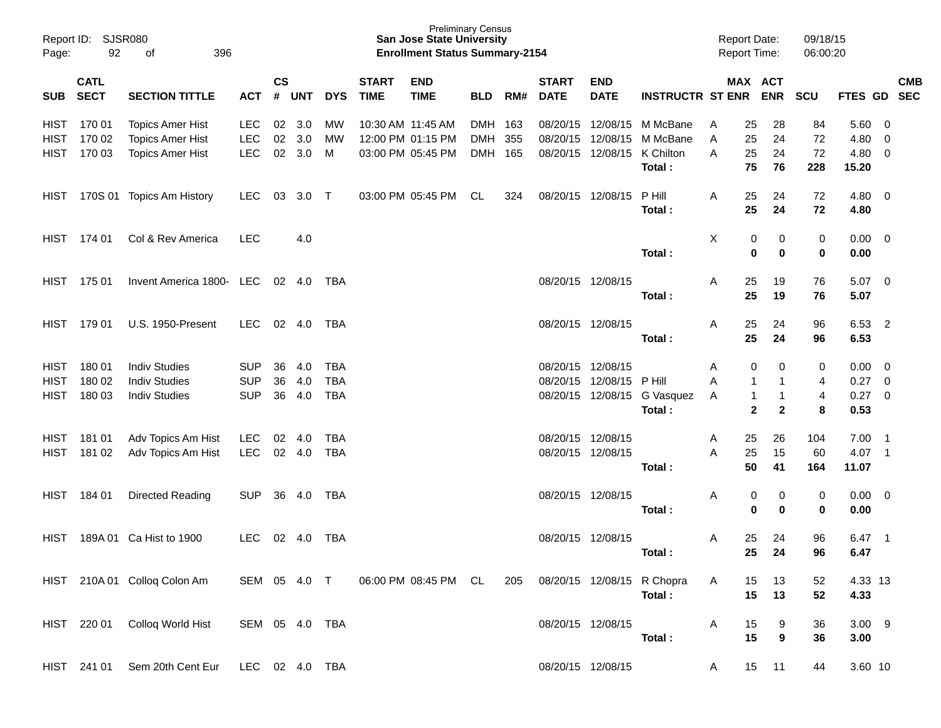| Page:                                     | Report ID: SJSR080<br>92   | 396<br>of                                                                     |                                        |                    |                      |                                 |                             | <b>Preliminary Census</b><br><b>San Jose State University</b><br><b>Enrollment Status Summary-2154</b> |                                  |     |                             |                                                             |                                                 | <b>Report Date:</b><br><b>Report Time:</b> |                                                                                            | 09/18/15<br>06:00:20   |                                       |                          |            |
|-------------------------------------------|----------------------------|-------------------------------------------------------------------------------|----------------------------------------|--------------------|----------------------|---------------------------------|-----------------------------|--------------------------------------------------------------------------------------------------------|----------------------------------|-----|-----------------------------|-------------------------------------------------------------|-------------------------------------------------|--------------------------------------------|--------------------------------------------------------------------------------------------|------------------------|---------------------------------------|--------------------------|------------|
| SUB                                       | <b>CATL</b><br><b>SECT</b> | <b>SECTION TITTLE</b>                                                         | <b>ACT</b>                             | $\mathsf{cs}$<br># | <b>UNT</b>           | <b>DYS</b>                      | <b>START</b><br><b>TIME</b> | <b>END</b><br><b>TIME</b>                                                                              | <b>BLD</b>                       | RM# | <b>START</b><br><b>DATE</b> | <b>END</b><br><b>DATE</b>                                   | <b>INSTRUCTR ST ENR</b>                         |                                            | MAX ACT<br><b>ENR</b>                                                                      | <b>SCU</b>             | FTES GD SEC                           |                          | <b>CMB</b> |
| HIST<br><b>HIST</b><br><b>HIST</b>        | 170 01<br>170 02<br>170 03 | <b>Topics Amer Hist</b><br><b>Topics Amer Hist</b><br><b>Topics Amer Hist</b> | LEC.<br><b>LEC</b><br><b>LEC</b>       | 02<br>02           | 3.0<br>3.0<br>02 3.0 | <b>MW</b><br>МW<br>M            | 10:30 AM 11:45 AM           | 12:00 PM 01:15 PM<br>03:00 PM 05:45 PM                                                                 | DMH 163<br><b>DMH</b><br>DMH 165 | 355 |                             | 08/20/15 12/08/15<br>08/20/15 12/08/15<br>08/20/15 12/08/15 | M McBane<br>M McBane<br>K Chilton<br>Total:     | A<br>A<br>A                                | 28<br>25<br>25<br>24<br>24<br>25<br>75<br>76                                               | 84<br>72<br>72<br>228  | 5.60 0<br>4.80<br>4.80 0<br>15.20     | $\overline{\mathbf{0}}$  |            |
| HIST                                      |                            | 170S 01 Topics Am History                                                     | LEC.                                   | 03                 | $3.0$ T              |                                 |                             | 03:00 PM 05:45 PM                                                                                      | CL                               | 324 |                             | 08/20/15 12/08/15                                           | P Hill<br>Total:                                | A                                          | 25<br>24<br>25<br>24                                                                       | 72<br>72               | $4.80$ 0<br>4.80                      |                          |            |
| HIST                                      | 174 01                     | Col & Rev America                                                             | <b>LEC</b>                             |                    | 4.0                  |                                 |                             |                                                                                                        |                                  |     |                             |                                                             | Total:                                          | Χ                                          | 0<br>0<br>$\mathbf 0$<br>0                                                                 | $\pmb{0}$<br>$\pmb{0}$ | $0.00 \t 0$<br>0.00                   |                          |            |
| HIST                                      | 175 01                     | Invent America 1800- LEC 02 4.0 TBA                                           |                                        |                    |                      |                                 |                             |                                                                                                        |                                  |     | 08/20/15 12/08/15           |                                                             | Total:                                          | A                                          | 25<br>19<br>25<br>19                                                                       | 76<br>76               | $5.07$ 0<br>5.07                      |                          |            |
| HIST                                      | 179 01                     | <b>U.S. 1950-Present</b>                                                      | <b>LEC</b>                             |                    | 02 4.0               | TBA                             |                             |                                                                                                        |                                  |     |                             | 08/20/15 12/08/15                                           | Total:                                          | A                                          | 25<br>24<br>25<br>24                                                                       | 96<br>96               | 6.53 2<br>6.53                        |                          |            |
| <b>HIST</b><br><b>HIST</b><br><b>HIST</b> | 18001<br>180 02<br>180 03  | <b>Indiv Studies</b><br><b>Indiv Studies</b><br><b>Indiv Studies</b>          | <b>SUP</b><br><b>SUP</b><br><b>SUP</b> | 36<br>36<br>36     | 4.0<br>4.0<br>4.0    | TBA<br><b>TBA</b><br><b>TBA</b> |                             |                                                                                                        |                                  |     | 08/20/15 12/08/15           | 08/20/15 12/08/15                                           | P Hill<br>08/20/15 12/08/15 G Vasquez<br>Total: | A<br>A<br>A                                | 0<br>0<br>$\mathbf 1$<br>1<br>$\mathbf{1}$<br>$\mathbf{1}$<br>$\mathbf{2}$<br>$\mathbf{2}$ | 0<br>4<br>4<br>8       | $0.00 \t 0$<br>0.27<br>0.27 0<br>0.53 | $\overline{\phantom{0}}$ |            |
| HIST<br><b>HIST</b>                       | 181 01<br>181 02           | Adv Topics Am Hist<br>Adv Topics Am Hist                                      | <b>LEC</b><br><b>LEC</b>               | 02                 | 4.0<br>02 4.0        | TBA<br><b>TBA</b>               |                             |                                                                                                        |                                  |     |                             | 08/20/15 12/08/15<br>08/20/15 12/08/15                      | Total:                                          | A<br>A                                     | 25<br>26<br>25<br>15<br>50<br>41                                                           | 104<br>60<br>164       | $7.00$ 1<br>4.07 1<br>11.07           |                          |            |
| HIST                                      | 184 01                     | Directed Reading                                                              | <b>SUP</b>                             | 36                 | 4.0                  | TBA                             |                             |                                                                                                        |                                  |     | 08/20/15 12/08/15           |                                                             | Total:                                          | A                                          | 0<br>0<br>$\mathbf 0$<br>$\mathbf 0$                                                       | $\pmb{0}$<br>$\pmb{0}$ | $0.00 \t 0$<br>0.00                   |                          |            |
| <b>HIST</b>                               |                            | 189A 01 Ca Hist to 1900                                                       | LEC.                                   |                    | $02 \quad 4.0$       | TBA                             |                             |                                                                                                        |                                  |     |                             | 08/20/15 12/08/15                                           | Total:                                          | A                                          | 25<br>24<br>24<br>25                                                                       | 96<br>96               | 6.47<br>6.47                          | - 1                      |            |
|                                           |                            | HIST 210A 01 Colloq Colon Am                                                  | SEM 05 4.0 T                           |                    |                      |                                 |                             | 06:00 PM 08:45 PM CL                                                                                   |                                  | 205 |                             |                                                             | 08/20/15 12/08/15 R Chopra<br>Total:            | A                                          | 15<br>13<br>15<br>13                                                                       | 52<br>52               | 4.33 13<br>4.33                       |                          |            |
|                                           | HIST 220 01                | Colloq World Hist                                                             | SEM 05 4.0 TBA                         |                    |                      |                                 |                             |                                                                                                        |                                  |     |                             | 08/20/15 12/08/15                                           | Total:                                          | A                                          | 15<br>9<br>15<br>9                                                                         | 36<br>36               | $3.00$ 9<br>3.00                      |                          |            |
|                                           | HIST 241 01                | Sem 20th Cent Eur                                                             | LEC 02 4.0 TBA                         |                    |                      |                                 |                             |                                                                                                        |                                  |     |                             | 08/20/15 12/08/15                                           |                                                 | A                                          | 15<br>11                                                                                   | 44                     | 3.60 10                               |                          |            |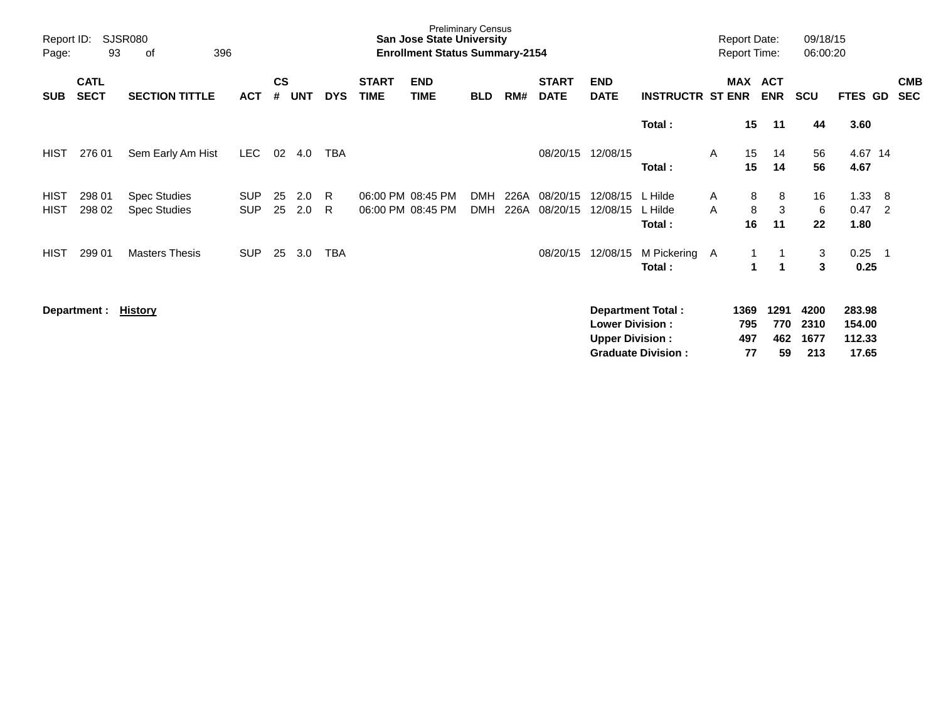| Report ID:<br>Page:        | 93                         | <b>SJSR080</b><br>396<br>of                |                          |                |            |            |                             | San Jose State University<br><b>Enrollment Status Summary-2154</b> | <b>Preliminary Census</b> |              |                             |                                                  |                                                       |        | <b>Report Date:</b><br><b>Report Time:</b> |                          | 09/18/15<br>06:00:20        |                                     |                       |                          |
|----------------------------|----------------------------|--------------------------------------------|--------------------------|----------------|------------|------------|-----------------------------|--------------------------------------------------------------------|---------------------------|--------------|-----------------------------|--------------------------------------------------|-------------------------------------------------------|--------|--------------------------------------------|--------------------------|-----------------------------|-------------------------------------|-----------------------|--------------------------|
| <b>SUB</b>                 | <b>CATL</b><br><b>SECT</b> | <b>SECTION TITTLE</b>                      | <b>ACT</b>               | <b>CS</b><br># | <b>UNT</b> | <b>DYS</b> | <b>START</b><br><b>TIME</b> | <b>END</b><br><b>TIME</b>                                          | <b>BLD</b>                | RM#          | <b>START</b><br><b>DATE</b> | <b>END</b><br><b>DATE</b>                        | <b>INSTRUCTR ST ENR</b>                               |        | <b>MAX</b>                                 | <b>ACT</b><br><b>ENR</b> | <b>SCU</b>                  | <b>FTES GD</b>                      |                       | <b>CMB</b><br><b>SEC</b> |
|                            |                            |                                            |                          |                |            |            |                             |                                                                    |                           |              |                             |                                                  | Total:                                                |        | 15                                         | 11                       | 44                          | 3.60                                |                       |                          |
| <b>HIST</b>                | 276 01                     | Sem Early Am Hist                          | <b>LEC</b>               | 02             | 4.0        | TBA        |                             |                                                                    |                           |              | 08/20/15                    | 12/08/15                                         | Total:                                                | A      | 15<br>15                                   | 14<br>14                 | 56<br>56                    | 4.67 14<br>4.67                     |                       |                          |
| <b>HIST</b><br><b>HIST</b> | 298 01<br>298 02           | <b>Spec Studies</b><br><b>Spec Studies</b> | <b>SUP</b><br><b>SUP</b> | 25<br>25       | 2.0<br>2.0 | R<br>R     |                             | 06:00 PM 08:45 PM<br>06:00 PM 08:45 PM                             | <b>DMH</b><br><b>DMH</b>  | 226A<br>226A | 08/20/15<br>08/20/15        | 12/08/15<br>12/08/15                             | L Hilde<br>L Hilde<br>Total:                          | A<br>A | 8<br>8<br>16                               | 8<br>3<br>11             | 16<br>6<br>22               | 1.33<br>0.47<br>1.80                | - 8<br>$\overline{2}$ |                          |
| <b>HIST</b>                | 299 01                     | <b>Masters Thesis</b>                      | <b>SUP</b>               | 25             | 3.0        | TBA        |                             |                                                                    |                           |              | 08/20/15                    | 12/08/15                                         | M Pickering<br>Total:                                 | A      |                                            | -1                       | 3<br>3                      | 0.25<br>0.25                        | - 1                   |                          |
|                            | Department :               | <u>History</u>                             |                          |                |            |            |                             |                                                                    |                           |              |                             | <b>Lower Division:</b><br><b>Upper Division:</b> | <b>Department Total:</b><br><b>Graduate Division:</b> |        | 1369<br>795<br>497<br>77                   | 1291<br>770<br>462<br>59 | 4200<br>2310<br>1677<br>213 | 283.98<br>154.00<br>112.33<br>17.65 |                       |                          |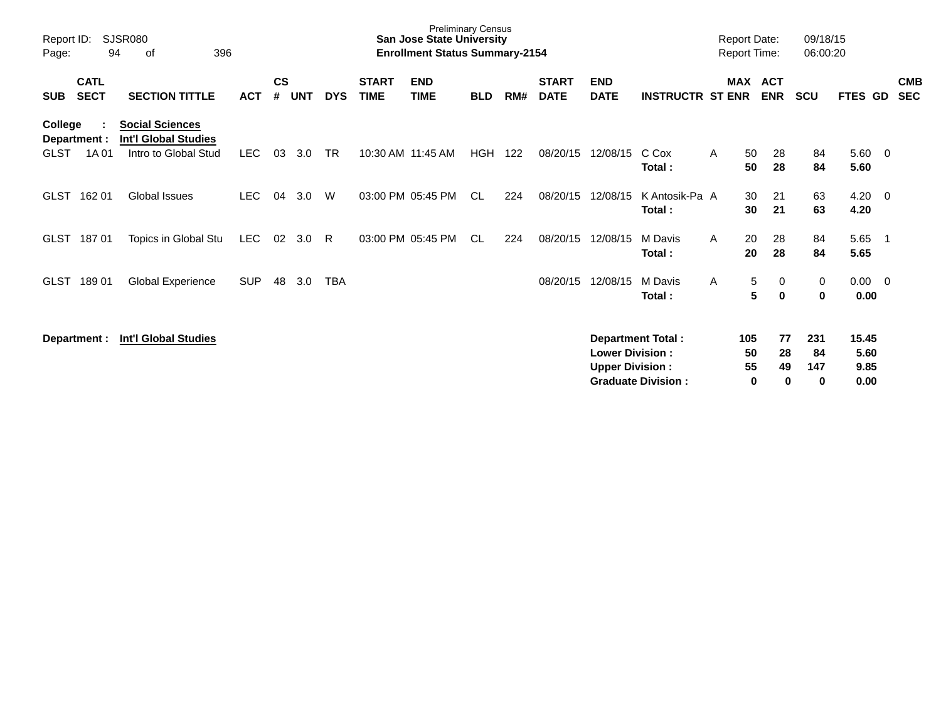| Report ID:<br>Page:                             | SJSR080<br>94<br>396<br>οf                                                    |            |                    |            |            |                             | <b>Preliminary Census</b><br><b>San Jose State University</b><br><b>Enrollment Status Summary-2154</b> |            |     |                             |                                                  |                                                       | <b>Report Date:</b><br><b>Report Time:</b> |                      |                          | 09/18/15<br>06:00:20  |                               |                          |                          |
|-------------------------------------------------|-------------------------------------------------------------------------------|------------|--------------------|------------|------------|-----------------------------|--------------------------------------------------------------------------------------------------------|------------|-----|-----------------------------|--------------------------------------------------|-------------------------------------------------------|--------------------------------------------|----------------------|--------------------------|-----------------------|-------------------------------|--------------------------|--------------------------|
| <b>CATL</b><br><b>SECT</b><br><b>SUB</b>        | <b>SECTION TITTLE</b>                                                         | <b>ACT</b> | $\mathsf{cs}$<br># | <b>UNT</b> | <b>DYS</b> | <b>START</b><br><b>TIME</b> | <b>END</b><br><b>TIME</b>                                                                              | <b>BLD</b> | RM# | <b>START</b><br><b>DATE</b> | <b>END</b><br><b>DATE</b>                        | <b>INSTRUCTR ST ENR</b>                               | MAX                                        |                      | <b>ACT</b><br><b>ENR</b> | <b>SCU</b>            | FTES GD                       |                          | <b>CMB</b><br><b>SEC</b> |
| College<br>Department :<br><b>GLST</b><br>1A 01 | <b>Social Sciences</b><br><b>Int'l Global Studies</b><br>Intro to Global Stud | LEC.       | 03                 | 3.0        | <b>TR</b>  | 10:30 AM 11:45 AM           |                                                                                                        | <b>HGH</b> | 122 | 08/20/15                    | 12/08/15                                         | C Cox<br>Total:                                       | A                                          | 50<br>50             | 28<br>28                 | 84<br>84              | 5.60<br>5.60                  | $\overline{0}$           |                          |
| <b>GLST</b><br>162 01                           | <b>Global Issues</b>                                                          | <b>LEC</b> | 04                 | 3.0        | W          |                             | 03:00 PM 05:45 PM                                                                                      | <b>CL</b>  | 224 | 08/20/15                    | 12/08/15                                         | K Antosik-Pa A<br>Total:                              |                                            | 30<br>30             | 21<br>21                 | 63<br>63              | 4.20<br>4.20                  | $\overline{0}$           |                          |
| <b>GLST</b><br>18701                            | Topics in Global Stu                                                          | <b>LEC</b> | 02                 | 3.0        | R.         |                             | 03:00 PM 05:45 PM                                                                                      | CL         | 224 | 08/20/15                    | 12/08/15                                         | M Davis<br>Total:                                     | A                                          | 20<br>20             | 28<br>28                 | 84<br>84              | 5.65<br>5.65                  | $\overline{\phantom{1}}$ |                          |
| <b>GLST</b><br>18901                            | Global Experience                                                             | <b>SUP</b> | 48                 | 3.0        | <b>TBA</b> |                             |                                                                                                        |            |     | 08/20/15                    | 12/08/15                                         | M Davis<br>Total:                                     | A                                          | 5<br>5               | 0<br>$\bf{0}$            | 0<br>0                | $0.00 \t 0$<br>0.00           |                          |                          |
| Department :                                    | <b>Int'l Global Studies</b>                                                   |            |                    |            |            |                             |                                                                                                        |            |     |                             | <b>Lower Division:</b><br><b>Upper Division:</b> | <b>Department Total:</b><br><b>Graduate Division:</b> |                                            | 105<br>50<br>55<br>0 | 77<br>28<br>49<br>0      | 231<br>84<br>147<br>0 | 15.45<br>5.60<br>9.85<br>0.00 |                          |                          |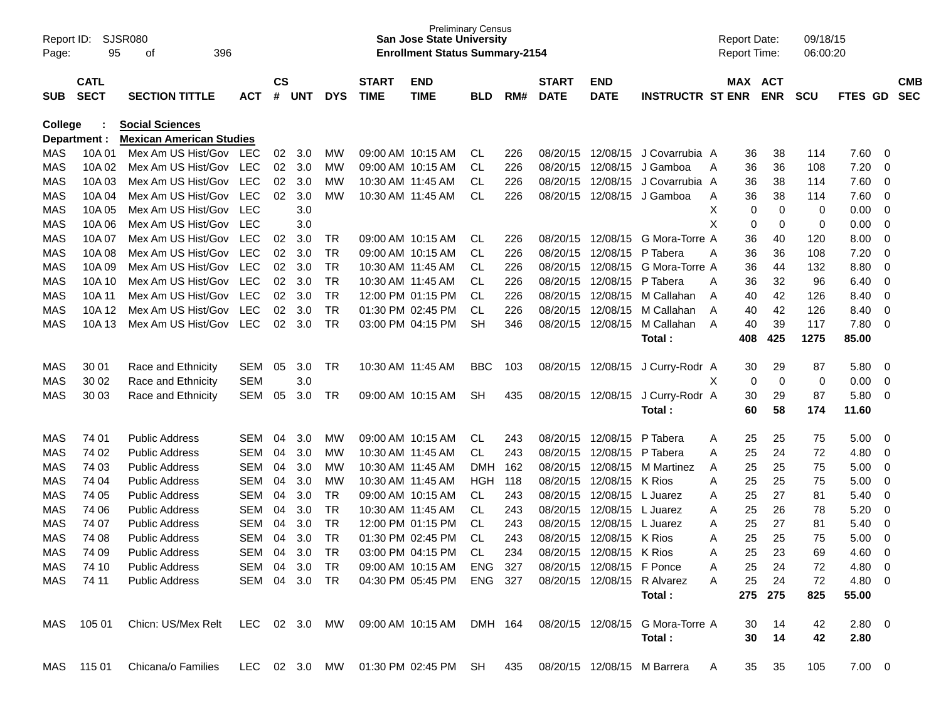| Report ID:<br>Page: | 95               | SJSR080<br>396<br>of                     |            |               |            |            |              | <b>San Jose State University</b><br><b>Enrollment Status Summary-2154</b> | <b>Preliminary Census</b> |            |              |                           |                                            |        | <b>Report Date:</b><br><b>Report Time:</b> |             | 09/18/15<br>06:00:20 |                   |                          |            |
|---------------------|------------------|------------------------------------------|------------|---------------|------------|------------|--------------|---------------------------------------------------------------------------|---------------------------|------------|--------------|---------------------------|--------------------------------------------|--------|--------------------------------------------|-------------|----------------------|-------------------|--------------------------|------------|
|                     | <b>CATL</b>      |                                          |            | $\mathsf{cs}$ |            |            | <b>START</b> | <b>END</b>                                                                |                           |            | <b>START</b> | <b>END</b>                |                                            |        | MAX ACT                                    |             |                      |                   |                          | <b>CMB</b> |
| <b>SUB</b>          | <b>SECT</b>      | <b>SECTION TITTLE</b>                    | <b>ACT</b> | #             | <b>UNT</b> | <b>DYS</b> | <b>TIME</b>  | <b>TIME</b>                                                               | <b>BLD</b>                | RM#        | <b>DATE</b>  | <b>DATE</b>               | <b>INSTRUCTR ST ENR</b>                    |        |                                            | <b>ENR</b>  | <b>SCU</b>           | <b>FTES GD</b>    |                          | <b>SEC</b> |
| College             |                  | <b>Social Sciences</b>                   |            |               |            |            |              |                                                                           |                           |            |              |                           |                                            |        |                                            |             |                      |                   |                          |            |
|                     | Department :     | <b>Mexican American Studies</b>          |            |               |            |            |              |                                                                           |                           |            |              |                           |                                            |        |                                            |             |                      |                   |                          |            |
| MAS                 | 10A 01           | Mex Am US Hist/Gov                       | LEC        | 02            | 3.0        | МW         |              | 09:00 AM 10:15 AM                                                         | CL.                       | 226        | 08/20/15     | 12/08/15                  | J Covarrubia A                             |        | 36                                         | 38          | 114                  | 7.60              | 0                        |            |
| <b>MAS</b>          | 10A 02           | Mex Am US Hist/Gov                       | <b>LEC</b> | 02            | 3.0        | МW         |              | 09:00 AM 10:15 AM                                                         | <b>CL</b>                 | 226        | 08/20/15     | 12/08/15                  | J Gamboa                                   | A      | 36                                         | 36          | 108                  | 7.20              | 0                        |            |
| MAS                 | 10A03            | Mex Am US Hist/Gov                       | <b>LEC</b> | 02            | 3.0        | МW         |              | 10:30 AM 11:45 AM                                                         | CL                        | 226        | 08/20/15     | 12/08/15                  | J Covarrubia A                             |        | 36                                         | 38          | 114                  | 7.60              | 0                        |            |
| <b>MAS</b>          | 10A 04           | Mex Am US Hist/Gov                       | <b>LEC</b> | 02            | 3.0        | МW         |              | 10:30 AM 11:45 AM                                                         | <b>CL</b>                 | 226        | 08/20/15     | 12/08/15                  | J Gamboa                                   | A      | 36                                         | 38          | 114                  | 7.60              | 0                        |            |
| MAS<br><b>MAS</b>   | 10A 05<br>10A 06 | Mex Am US Hist/Gov<br>Mex Am US Hist/Gov | LEC<br>LEC |               | 3.0<br>3.0 |            |              |                                                                           |                           |            |              |                           |                                            | х<br>X | 0                                          | 0<br>0      | 0                    | 0.00<br>0.00      | 0                        |            |
| MAS                 | 10A 07           | Mex Am US Hist/Gov                       | <b>LEC</b> | 02            | 3.0        |            |              | 09:00 AM 10:15 AM                                                         |                           |            | 08/20/15     | 12/08/15                  | G Mora-Torre A                             |        | 0<br>36                                    | 40          | 0                    | 8.00              | 0<br>0                   |            |
| MAS                 | 10A 08           | Mex Am US Hist/Gov                       | <b>LEC</b> | 02            | 3.0        | TR<br>TR   |              | 09:00 AM 10:15 AM                                                         | CL.<br><b>CL</b>          | 226<br>226 | 08/20/15     | 12/08/15                  | P Tabera                                   | Α      | 36                                         | 36          | 120<br>108           | 7.20              | 0                        |            |
| MAS                 | 10A 09           | Mex Am US Hist/Gov                       | <b>LEC</b> | 02            | 3.0        | TR         |              | 10:30 AM 11:45 AM                                                         | CL                        | 226        | 08/20/15     | 12/08/15                  | G Mora-Torre A                             |        | 36                                         | 44          | 132                  | 8.80              | 0                        |            |
| MAS                 | 10A 10           | Mex Am US Hist/Gov                       | <b>LEC</b> | 02            | 3.0        | <b>TR</b>  |              | 10:30 AM 11:45 AM                                                         | CL                        | 226        | 08/20/15     | 12/08/15                  | P Tabera                                   | Α      | 36                                         | 32          | 96                   | 6.40              | 0                        |            |
| MAS                 | 10A 11           | Mex Am US Hist/Gov                       | <b>LEC</b> | 02            | 3.0        | <b>TR</b>  |              | 12:00 PM 01:15 PM                                                         | CL                        | 226        | 08/20/15     | 12/08/15                  | M Callahan                                 | A      | 40                                         | 42          | 126                  | 8.40              | 0                        |            |
| MAS                 | 10A 12           | Mex Am US Hist/Gov                       | <b>LEC</b> | 02            | 3.0        | <b>TR</b>  |              | 01:30 PM 02:45 PM                                                         | CL                        | 226        | 08/20/15     | 12/08/15                  | M Callahan                                 | A      | 40                                         | 42          | 126                  | 8.40              | 0                        |            |
| <b>MAS</b>          | 10A 13           | Mex Am US Hist/Gov                       | <b>LEC</b> | 02            | 3.0        | <b>TR</b>  |              | 03:00 PM 04:15 PM                                                         | <b>SH</b>                 | 346        | 08/20/15     | 12/08/15                  | M Callahan                                 | A      | 40                                         | 39          | 117                  | 7.80              | 0                        |            |
|                     |                  |                                          |            |               |            |            |              |                                                                           |                           |            |              |                           | Total:                                     |        | 408                                        | 425         | 1275                 | 85.00             |                          |            |
|                     |                  |                                          |            |               |            |            |              |                                                                           |                           |            |              |                           |                                            |        |                                            |             |                      |                   |                          |            |
| MAS                 | 30 01            | Race and Ethnicity                       | <b>SEM</b> | 05            | 3.0        | TR         |              | 10:30 AM 11:45 AM                                                         | <b>BBC</b>                | 103        | 08/20/15     | 12/08/15                  | J Curry-Rodr A                             |        | 30                                         | 29          | 87                   | 5.80              | 0                        |            |
| MAS                 | 30 02            | Race and Ethnicity                       | <b>SEM</b> |               | 3.0        |            |              |                                                                           |                           |            |              |                           |                                            | Χ      | 0                                          | $\mathbf 0$ | 0                    | 0.00              | 0                        |            |
| <b>MAS</b>          | 30 03            | Race and Ethnicity                       | <b>SEM</b> | 05            | 3.0        | TR         |              | 09:00 AM 10:15 AM                                                         | <b>SH</b>                 | 435        | 08/20/15     | 12/08/15                  | J Curry-Rodr A                             |        | 30                                         | 29          | 87                   | 5.80              | 0                        |            |
|                     |                  |                                          |            |               |            |            |              |                                                                           |                           |            |              |                           | Total:                                     |        | 60                                         | 58          | 174                  | 11.60             |                          |            |
|                     |                  |                                          |            |               |            |            |              |                                                                           |                           |            |              |                           |                                            |        |                                            |             |                      |                   |                          |            |
| MAS                 | 74 01            | <b>Public Address</b>                    | <b>SEM</b> | 04            | 3.0        | MW         |              | 09:00 AM 10:15 AM                                                         | CL.                       | 243        | 08/20/15     | 12/08/15                  | P Tabera                                   | A      | 25                                         | 25          | 75                   | 5.00              | 0                        |            |
| MAS                 | 74 02            | <b>Public Address</b>                    | <b>SEM</b> | 04            | 3.0        | MW         |              | 10:30 AM 11:45 AM                                                         | CL.                       | 243        | 08/20/15     | 12/08/15                  | P Tabera                                   | A      | 25                                         | 24          | 72                   | 4.80              | 0                        |            |
| MAS                 | 74 03            | <b>Public Address</b>                    | <b>SEM</b> | 04            | 3.0        | MW         |              | 10:30 AM 11:45 AM                                                         | <b>DMH</b>                | 162        | 08/20/15     | 12/08/15                  | M Martinez                                 | A      | 25                                         | 25          | 75                   | 5.00              | 0                        |            |
| MAS                 | 74 04            | <b>Public Address</b>                    | <b>SEM</b> | 04            | 3.0        | MW         |              | 10:30 AM 11:45 AM                                                         | HGH                       | 118        | 08/20/15     | 12/08/15                  | K Rios                                     | A      | 25                                         | 25          | 75                   | 5.00              | 0                        |            |
| <b>MAS</b>          | 74 05            | <b>Public Address</b>                    | <b>SEM</b> | 04            | 3.0        | TR         |              | 09:00 AM 10:15 AM                                                         | CL.                       | 243        | 08/20/15     | 12/08/15                  | L Juarez                                   | A      | 25                                         | 27          | 81                   | 5.40              | 0                        |            |
| <b>MAS</b>          | 74 06            | <b>Public Address</b>                    | <b>SEM</b> | 04            | 3.0        | TR         |              | 10:30 AM 11:45 AM                                                         | CL                        | 243        | 08/20/15     | 12/08/15                  | L Juarez                                   | Α      | 25                                         | 26          | 78                   | 5.20              | 0                        |            |
| MAS                 | 74 07            | <b>Public Address</b>                    | <b>SEM</b> | 04            | 3.0        | TR         |              | 12:00 PM 01:15 PM                                                         | CL                        | 243        | 08/20/15     | 12/08/15                  | L Juarez                                   | Α      | 25                                         | 27          | 81                   | 5.40              | 0                        |            |
| MAS                 | 74 08            | <b>Public Address</b>                    | <b>SEM</b> | 04            | 3.0        | TR         |              | 01:30 PM 02:45 PM                                                         | <b>CL</b>                 | 243        | 08/20/15     | 12/08/15                  | K Rios                                     | Α      | 25                                         | 25          | 75                   | 5.00              | 0                        |            |
| <b>MAS</b>          | 74 09            | <b>Public Address</b>                    | <b>SEM</b> | 04            | 3.0        | <b>TR</b>  |              | 03:00 PM 04:15 PM                                                         | <b>CL</b>                 | 234        | 08/20/15     | 12/08/15                  | K Rios                                     | А      | 25                                         | 23          | 69                   | 4.60              | $\Omega$                 |            |
| MAS                 | 74 10            | <b>Public Address</b>                    | SEM 04 3.0 |               |            | TR         |              | 09:00 AM 10:15 AM                                                         | ENG 327                   |            |              | 08/20/15 12/08/15 F Ponce |                                            |        | 25                                         | 24          | 72                   | 4.80              | $\overline{\phantom{0}}$ |            |
| MAS                 | 74 11            | <b>Public Address</b>                    | SEM 04 3.0 |               |            | - TR       |              | 04:30 PM 05:45 PM                                                         | ENG 327                   |            |              |                           | 08/20/15 12/08/15 R Alvarez                | A      | 25                                         | 24          | 72                   | 4.80 0            |                          |            |
|                     |                  |                                          |            |               |            |            |              |                                                                           |                           |            |              |                           | Total:                                     |        |                                            | 275 275     | 825                  | 55.00             |                          |            |
|                     |                  |                                          |            |               |            |            |              |                                                                           |                           |            |              |                           |                                            |        |                                            |             |                      |                   |                          |            |
| MAS                 | 105 01           | Chicn: US/Mex Relt LEC 02 3.0 MW         |            |               |            |            |              | 09:00 AM 10:15 AM DMH 164                                                 |                           |            |              |                           | 08/20/15 12/08/15 G Mora-Torre A<br>Total: |        | 30<br>30                                   | 14<br>14    | 42<br>42             | $2.80\ 0$<br>2.80 |                          |            |
|                     |                  |                                          |            |               |            |            |              |                                                                           |                           |            |              |                           |                                            |        |                                            |             |                      |                   |                          |            |
| MAS                 | 115 01           | Chicana/o Families                       | LEC 02 3.0 |               |            | MW         |              | 01:30 PM 02:45 PM SH                                                      |                           | 435        |              |                           | 08/20/15 12/08/15 M Barrera                | A      | 35                                         | 35          | 105                  | $7.00 \t 0$       |                          |            |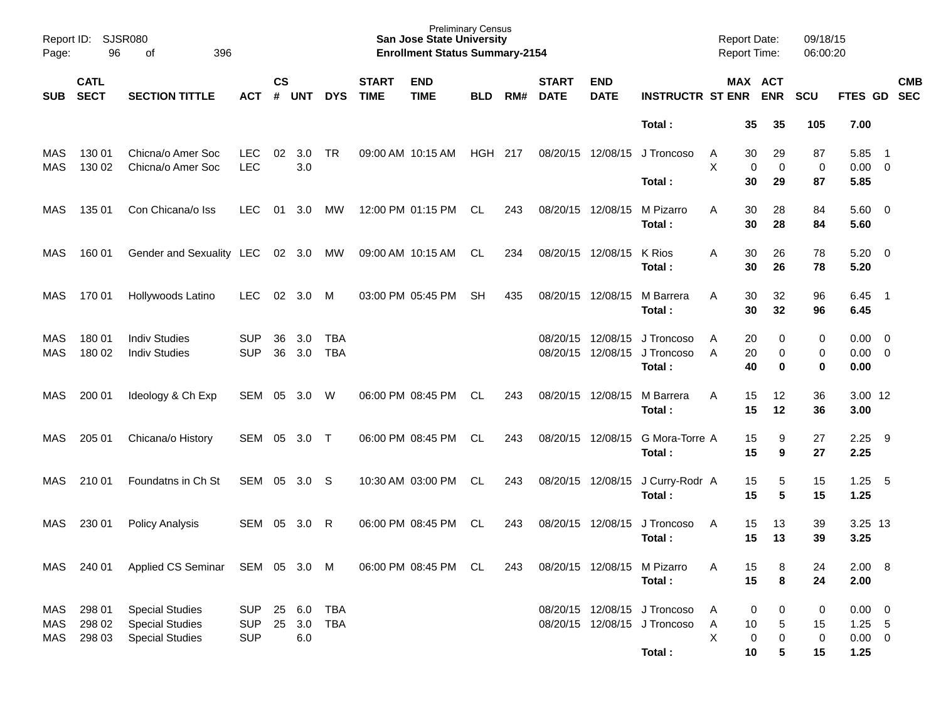| Page:             | Report ID: SJSR080<br>96   | 396<br>оf                                                                  |                                        |                    |                   |                          |                             | <b>Preliminary Census</b><br><b>San Jose State University</b><br><b>Enrollment Status Summary-2154</b> |            |     |                             |                           |                                                              | <b>Report Date:</b><br>Report Time: |                               | 09/18/15<br>06:00:20 |                                          |                            |            |
|-------------------|----------------------------|----------------------------------------------------------------------------|----------------------------------------|--------------------|-------------------|--------------------------|-----------------------------|--------------------------------------------------------------------------------------------------------|------------|-----|-----------------------------|---------------------------|--------------------------------------------------------------|-------------------------------------|-------------------------------|----------------------|------------------------------------------|----------------------------|------------|
| <b>SUB</b>        | <b>CATL</b><br><b>SECT</b> | <b>SECTION TITTLE</b>                                                      | <b>ACT</b>                             | $\mathsf{cs}$<br># | <b>UNT</b>        | <b>DYS</b>               | <b>START</b><br><b>TIME</b> | <b>END</b><br><b>TIME</b>                                                                              | <b>BLD</b> | RM# | <b>START</b><br><b>DATE</b> | <b>END</b><br><b>DATE</b> | <b>INSTRUCTR ST ENR</b>                                      |                                     | MAX ACT<br><b>ENR</b>         | <b>SCU</b>           | FTES GD SEC                              |                            | <b>CMB</b> |
|                   |                            |                                                                            |                                        |                    |                   |                          |                             |                                                                                                        |            |     |                             |                           | Total:                                                       |                                     | 35<br>35                      | 105                  | 7.00                                     |                            |            |
| MAS<br><b>MAS</b> | 130 01<br>130 02           | Chicna/o Amer Soc<br>Chicna/o Amer Soc                                     | <b>LEC</b><br><b>LEC</b>               | 02                 | 3.0<br>3.0        | <b>TR</b>                |                             | 09:00 AM 10:15 AM                                                                                      | HGH 217    |     |                             | 08/20/15 12/08/15         | J Troncoso                                                   | A<br>X                              | 29<br>30<br>0<br>0            | 87<br>0              | 5.85<br>$0.00 \t 0$                      | $\overline{\phantom{0}}$ 1 |            |
|                   |                            |                                                                            |                                        |                    |                   |                          |                             |                                                                                                        |            |     |                             |                           | Total:                                                       |                                     | 30<br>29                      | 87                   | 5.85                                     |                            |            |
| MAS               | 135 01                     | Con Chicana/o Iss                                                          | <b>LEC</b>                             | 01                 | 3.0               | <b>MW</b>                |                             | 12:00 PM 01:15 PM                                                                                      | CL.        | 243 | 08/20/15 12/08/15           |                           | M Pizarro<br>Total:                                          | A                                   | 28<br>30<br>30<br>28          | 84<br>84             | $5.60$ 0<br>5.60                         |                            |            |
| MAS               | 160 01                     | Gender and Sexuality LEC                                                   |                                        |                    | 02 3.0            | MW                       |                             | 09:00 AM 10:15 AM                                                                                      | CL         | 234 | 08/20/15 12/08/15           |                           | K Rios<br>Total:                                             | A                                   | 26<br>30<br>30<br>26          | 78<br>78             | $5.20 \ 0$<br>5.20                       |                            |            |
| MAS               | 170 01                     | Hollywoods Latino                                                          | <b>LEC</b>                             | 02                 | 3.0               | M                        |                             | 03:00 PM 05:45 PM                                                                                      | SH         | 435 | 08/20/15 12/08/15           |                           | M Barrera<br>Total:                                          | A                                   | 32<br>30<br>30<br>32          | 96<br>96             | 6.45<br>6.45                             | $\overline{\phantom{1}}$   |            |
| MAS<br><b>MAS</b> | 180 01<br>180 02           | <b>Indiv Studies</b><br><b>Indiv Studies</b>                               | <b>SUP</b><br><b>SUP</b>               | 36<br>36           | 3.0<br>3.0        | <b>TBA</b><br><b>TBA</b> |                             |                                                                                                        |            |     | 08/20/15<br>08/20/15        | 12/08/15<br>12/08/15      | J Troncoso<br>J Troncoso<br>Total:                           | A<br>A                              | 20<br>0<br>20<br>0<br>40<br>0 | 0<br>0<br>0          | $0.00 \quad 0$<br>$0.00 \t 0$<br>0.00    |                            |            |
| MAS               | 200 01                     | Ideology & Ch Exp                                                          | SEM                                    | 05                 | 3.0               | W                        |                             | 06:00 PM 08:45 PM                                                                                      | CL.        | 243 | 08/20/15 12/08/15           |                           | M Barrera<br>Total:                                          | A                                   | 15<br>12<br>15<br>12          | 36<br>36             | 3.00 12<br>3.00                          |                            |            |
| MAS               | 205 01                     | Chicana/o History                                                          | SEM                                    | 05                 | 3.0               | $\top$                   |                             | 06:00 PM 08:45 PM                                                                                      | CL         | 243 |                             | 08/20/15 12/08/15         | G Mora-Torre A<br>Total:                                     |                                     | 9<br>15<br>15<br>9            | 27<br>27             | 2.25<br>2.25                             | - 9                        |            |
| MAS               | 210 01                     | Foundatns in Ch St                                                         | SEM                                    | 05                 | 3.0               | -S                       |                             | 10:30 AM 03:00 PM                                                                                      | CL         | 243 |                             | 08/20/15 12/08/15         | J Curry-Rodr A<br>Total:                                     |                                     | 5<br>15<br>15<br>5            | 15<br>15             | 1.25<br>1.25                             | 5                          |            |
| MAS               | 230 01                     | <b>Policy Analysis</b>                                                     | SEM                                    | 05                 | 3.0               | R                        |                             | 06:00 PM 08:45 PM                                                                                      | CL.        | 243 | 08/20/15                    | 12/08/15                  | J Troncoso<br>Total:                                         | A                                   | 13<br>15<br>15<br>13          | 39<br>39             | 3.25 13<br>3.25                          |                            |            |
| MAS               |                            | 240 01 Applied CS Seminar SEM 05 3.0 M                                     |                                        |                    |                   |                          |                             | 06:00 PM 08:45 PM CL                                                                                   |            | 243 |                             |                           | 08/20/15 12/08/15 M Pizarro<br>Total:                        | Α                                   | 15<br>8<br>15<br>8            | 24<br>24             | 2.00 8<br>2.00                           |                            |            |
| MAS<br>MAS<br>MAS | 298 01<br>298 02<br>298 03 | <b>Special Studies</b><br><b>Special Studies</b><br><b>Special Studies</b> | <b>SUP</b><br><b>SUP</b><br><b>SUP</b> | 25<br>25           | 6.0<br>3.0<br>6.0 | <b>TBA</b><br>TBA        |                             |                                                                                                        |            |     |                             |                           | 08/20/15 12/08/15 J Troncoso<br>08/20/15 12/08/15 J Troncoso | A<br>A<br>X                         | 0<br>0<br>10<br>5<br>0<br>0   | 0<br>15<br>$\pmb{0}$ | $0.00 \t 0$<br>$1.25 - 5$<br>$0.00 \t 0$ |                            |            |
|                   |                            |                                                                            |                                        |                    |                   |                          |                             |                                                                                                        |            |     |                             |                           | Total:                                                       |                                     | 10<br>5                       | 15                   | 1.25                                     |                            |            |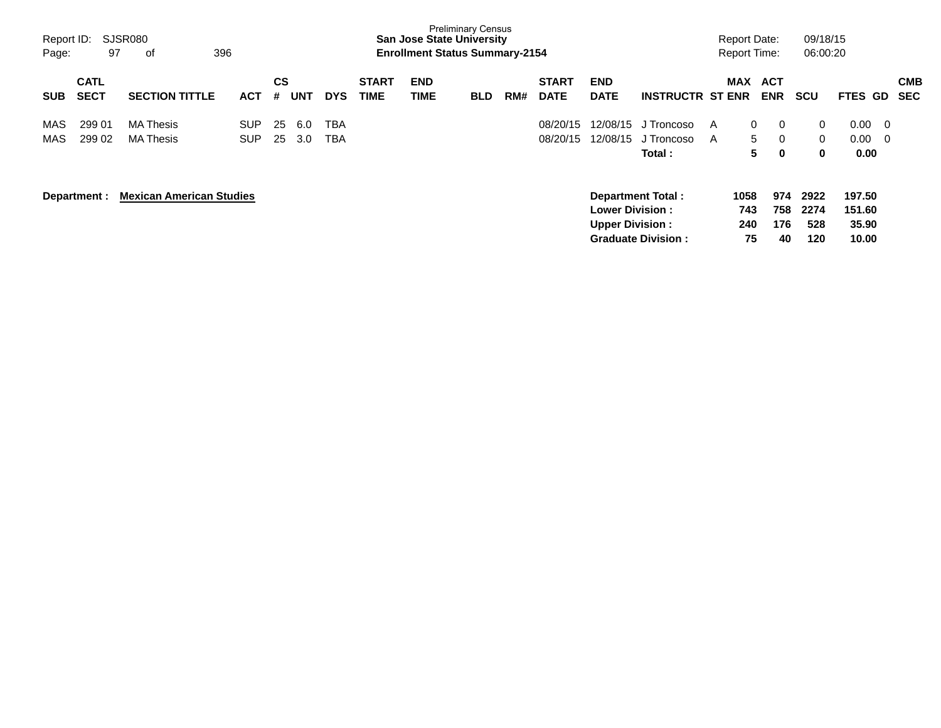| Report ID:<br>Page: | 97                         | SJSR080<br>396<br>оf                 |                          |                |            |                   |                             | <b>San Jose State University</b><br><b>Enrollment Status Summary-2154</b> | <b>Preliminary Census</b> |     |                             |                                                  |                                                       |        | <b>Report Date:</b><br><b>Report Time:</b> |                          | 09/18/15<br>06:00:20                         |                                          |                          |
|---------------------|----------------------------|--------------------------------------|--------------------------|----------------|------------|-------------------|-----------------------------|---------------------------------------------------------------------------|---------------------------|-----|-----------------------------|--------------------------------------------------|-------------------------------------------------------|--------|--------------------------------------------|--------------------------|----------------------------------------------|------------------------------------------|--------------------------|
| <b>SUB</b>          | <b>CATL</b><br><b>SECT</b> | <b>SECTION TITTLE</b>                | <b>ACT</b>               | <b>CS</b><br># | <b>UNT</b> | <b>DYS</b>        | <b>START</b><br><b>TIME</b> | <b>END</b><br><b>TIME</b>                                                 | <b>BLD</b>                | RM# | <b>START</b><br><b>DATE</b> | <b>END</b><br><b>DATE</b>                        | <b>INSTRUCTR ST ENR</b>                               |        | <b>MAX</b>                                 | <b>ACT</b><br><b>ENR</b> | <b>SCU</b>                                   | <b>FTES GD</b>                           | <b>CMB</b><br><b>SEC</b> |
| MAS<br>MAS          | 299 01<br>299 02           | <b>MA Thesis</b><br><b>MA Thesis</b> | <b>SUP</b><br><b>SUP</b> | 25<br>25       | 6.0<br>3.0 | TBA<br><b>TBA</b> |                             |                                                                           |                           |     | 08/20/15<br>08/20/15        | 12/08/15<br>12/08/15                             | J Troncoso<br>J Troncoso<br>Total:                    | A<br>A | $\mathbf{0}$<br>5<br>5                     | 0<br>0<br>0              | $\overline{0}$<br>$\mathbf 0$<br>$\mathbf 0$ | $0.00 \quad 0$<br>$0.00 \quad 0$<br>0.00 |                          |
|                     | Department :               | <b>Mexican American Studies</b>      |                          |                |            |                   |                             |                                                                           |                           |     |                             | <b>Lower Division:</b><br><b>Upper Division:</b> | <b>Department Total:</b><br><b>Graduate Division:</b> |        | 1058<br>743<br>240<br>75                   | 974<br>758<br>176<br>40  | 2922<br>2274<br>528<br>120                   | 197.50<br>151.60<br>35.90<br>10.00       |                          |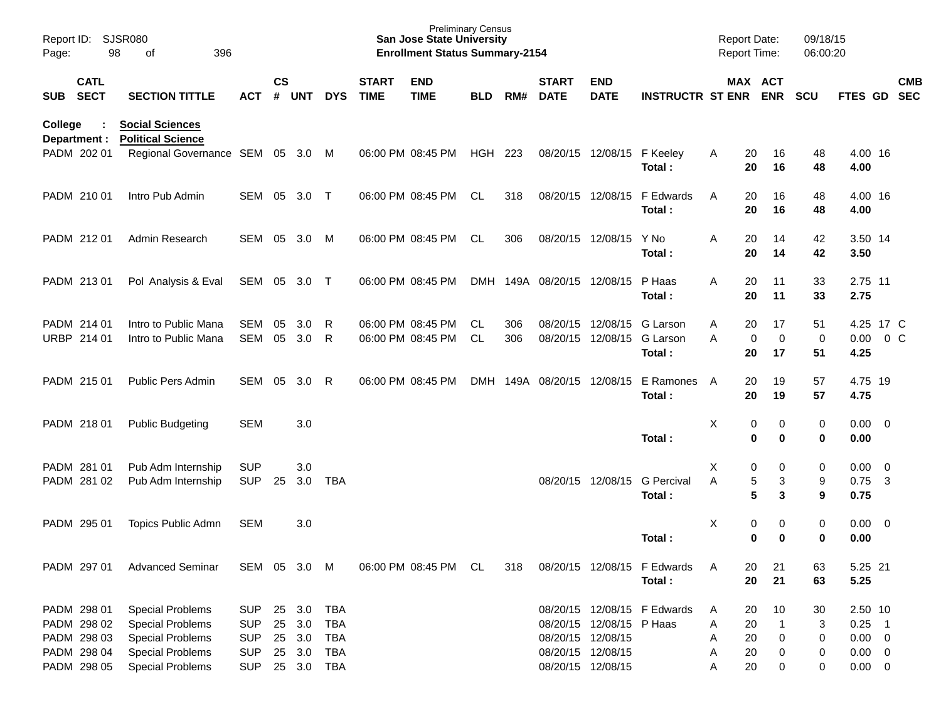| Page:      | Report ID:<br><b>SJSR080</b><br>98<br>396<br>οf                         |                                                                                                                                     |                                                                    |                    |                                                |                                                                    |                             | <b>San Jose State University</b><br><b>Enrollment Status Summary-2154</b> | <b>Preliminary Census</b> |            |                             |                                                                                         |                                       | <b>Report Date:</b><br>Report Time: |                            |                         | 09/18/15<br>06:00:20    |                                                                  |            |
|------------|-------------------------------------------------------------------------|-------------------------------------------------------------------------------------------------------------------------------------|--------------------------------------------------------------------|--------------------|------------------------------------------------|--------------------------------------------------------------------|-----------------------------|---------------------------------------------------------------------------|---------------------------|------------|-----------------------------|-----------------------------------------------------------------------------------------|---------------------------------------|-------------------------------------|----------------------------|-------------------------|-------------------------|------------------------------------------------------------------|------------|
| <b>SUB</b> | <b>CATL</b><br><b>SECT</b>                                              | <b>SECTION TITTLE</b>                                                                                                               | <b>ACT</b>                                                         | $\mathsf{cs}$<br># | UNT                                            | <b>DYS</b>                                                         | <b>START</b><br><b>TIME</b> | <b>END</b><br><b>TIME</b>                                                 | <b>BLD</b>                | RM#        | <b>START</b><br><b>DATE</b> | <b>END</b><br><b>DATE</b>                                                               | <b>INSTRUCTR ST ENR ENR</b>           |                                     |                            | MAX ACT                 | <b>SCU</b>              | FTES GD SEC                                                      | <b>CMB</b> |
| College    | Department :                                                            | <b>Social Sciences</b><br><b>Political Science</b>                                                                                  |                                                                    |                    |                                                |                                                                    |                             |                                                                           |                           |            |                             |                                                                                         |                                       |                                     |                            |                         |                         |                                                                  |            |
|            | PADM 202 01                                                             | Regional Governance SEM 05 3.0 M                                                                                                    |                                                                    |                    |                                                |                                                                    |                             | 06:00 PM 08:45 PM                                                         | <b>HGH 223</b>            |            |                             | 08/20/15 12/08/15 F Keeley                                                              | Total:                                | Α                                   | 20<br>20                   | 16<br>16                | 48<br>48                | 4.00 16<br>4.00                                                  |            |
|            | PADM 210 01                                                             | Intro Pub Admin                                                                                                                     | SEM 05                                                             |                    | 3.0                                            | $\top$                                                             |                             | 06:00 PM 08:45 PM                                                         | CL.                       | 318        |                             | 08/20/15 12/08/15                                                                       | F Edwards<br>Total:                   | A                                   | 20<br>20                   | 16<br>16                | 48<br>48                | 4.00 16<br>4.00                                                  |            |
|            | PADM 212 01                                                             | Admin Research                                                                                                                      | SEM 05                                                             |                    | 3.0                                            | M                                                                  |                             | 06:00 PM 08:45 PM                                                         | CL                        | 306        |                             | 08/20/15 12/08/15                                                                       | Y No<br>Total:                        | Α                                   | 20<br>20                   | 14<br>14                | 42<br>42                | 3.50 14<br>3.50                                                  |            |
|            | PADM 213 01                                                             | Pol Analysis & Eval                                                                                                                 | SEM 05                                                             |                    | 3.0                                            | $\top$                                                             |                             | 06:00 PM 08:45 PM                                                         |                           |            | DMH 149A 08/20/15 12/08/15  |                                                                                         | P Haas<br>Total:                      | A                                   | 20<br>20                   | 11<br>11                | 33<br>33                | 2.75 11<br>2.75                                                  |            |
|            | PADM 214 01<br>URBP 214 01                                              | Intro to Public Mana<br>Intro to Public Mana                                                                                        | <b>SEM</b><br><b>SEM</b>                                           | 05<br>05           | 3.0<br>3.0                                     | R<br>R                                                             |                             | 06:00 PM 08:45 PM<br>06:00 PM 08:45 PM                                    | CL.<br><b>CL</b>          | 306<br>306 |                             | 08/20/15 12/08/15<br>08/20/15 12/08/15                                                  | G Larson<br>G Larson<br>Total:        | Α<br>A                              | 20<br>0<br>20              | 17<br>$\mathbf 0$<br>17 | 51<br>$\mathbf 0$<br>51 | 4.25 17 C<br>$0.00 \t 0 C$<br>4.25                               |            |
|            | PADM 215 01                                                             | Public Pers Admin                                                                                                                   | <b>SEM</b>                                                         | 05                 | 3.0                                            | R                                                                  |                             | 06:00 PM 08:45 PM                                                         | <b>DMH</b>                |            | 149A 08/20/15 12/08/15      |                                                                                         | E Ramones<br>Total:                   | A                                   | 20<br>20                   | 19<br>19                | 57<br>57                | 4.75 19<br>4.75                                                  |            |
|            | PADM 218 01                                                             | <b>Public Budgeting</b>                                                                                                             | <b>SEM</b>                                                         |                    | 3.0                                            |                                                                    |                             |                                                                           |                           |            |                             |                                                                                         | Total:                                | X                                   | 0<br>0                     | 0<br>$\mathbf 0$        | 0<br>0                  | $0.00 \t 0$<br>0.00                                              |            |
|            | PADM 281 01<br>PADM 281 02                                              | Pub Adm Internship<br>Pub Adm Internship                                                                                            | <b>SUP</b><br><b>SUP</b>                                           | 25                 | 3.0<br>3.0                                     | <b>TBA</b>                                                         |                             |                                                                           |                           |            |                             | 08/20/15 12/08/15                                                                       | <b>G</b> Percival<br>Total:           | Χ<br>A                              | 0<br>5<br>5                | 0<br>3<br>3             | 0<br>9<br>9             | $0.00 \t 0$<br>$0.75$ 3<br>0.75                                  |            |
|            | PADM 295 01                                                             | Topics Public Admn                                                                                                                  | <b>SEM</b>                                                         |                    | 3.0                                            |                                                                    |                             |                                                                           |                           |            |                             |                                                                                         | Total:                                | Χ                                   | 0<br>0                     | 0<br>0                  | 0<br>0                  | $0.00 \t 0$<br>0.00                                              |            |
|            | PADM 297 01                                                             | <b>Advanced Seminar</b>                                                                                                             | SEM 05 3.0 M                                                       |                    |                                                |                                                                    |                             | 06:00 PM 08:45 PM                                                         | CL                        | 318        |                             |                                                                                         | 08/20/15 12/08/15 F Edwards<br>Total: | A                                   | 20<br>20                   | 21<br>21                | 63<br>63                | 5.25 21<br>5.25                                                  |            |
|            | PADM 298 01<br>PADM 298 02<br>PADM 298 03<br>PADM 298 04<br>PADM 298 05 | <b>Special Problems</b><br><b>Special Problems</b><br><b>Special Problems</b><br><b>Special Problems</b><br><b>Special Problems</b> | <b>SUP</b><br><b>SUP</b><br><b>SUP</b><br><b>SUP</b><br><b>SUP</b> |                    | 25 3.0<br>25 3.0<br>25 3.0<br>25 3.0<br>25 3.0 | <b>TBA</b><br><b>TBA</b><br><b>TBA</b><br><b>TBA</b><br><b>TBA</b> |                             |                                                                           |                           |            |                             | 08/20/15 12/08/15 P Haas<br>08/20/15 12/08/15<br>08/20/15 12/08/15<br>08/20/15 12/08/15 | 08/20/15 12/08/15 F Edwards           | A<br>Α<br>Α<br>Α<br>Α               | 20<br>20<br>20<br>20<br>20 | 10<br>0<br>0<br>0       | 30<br>3<br>0<br>0<br>0  | 2.50 10<br>$0.25$ 1<br>$0.00 \t 0$<br>$0.00 \t 0$<br>$0.00 \t 0$ |            |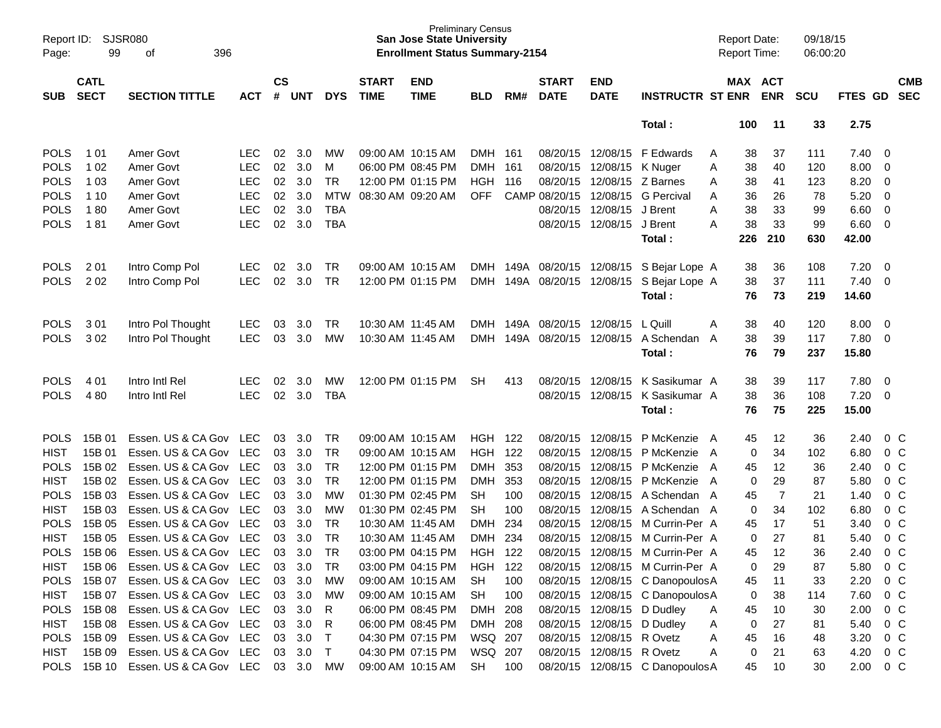| Report ID:<br>Page: | SJSR080<br>99<br>396<br>of<br><b>CATL</b> |                                    |            |                    |            |            |                             | <b>San Jose State University</b><br><b>Enrollment Status Summary-2154</b> | <b>Preliminary Census</b> |       |                             |                           |                                           | <b>Report Date:</b><br><b>Report Time:</b> |                       | 09/18/15<br>06:00:20 |          |                         |                          |
|---------------------|-------------------------------------------|------------------------------------|------------|--------------------|------------|------------|-----------------------------|---------------------------------------------------------------------------|---------------------------|-------|-----------------------------|---------------------------|-------------------------------------------|--------------------------------------------|-----------------------|----------------------|----------|-------------------------|--------------------------|
| SUB                 | <b>SECT</b>                               | <b>SECTION TITTLE</b>              | <b>ACT</b> | $\mathsf{cs}$<br># | <b>UNT</b> | <b>DYS</b> | <b>START</b><br><b>TIME</b> | <b>END</b><br><b>TIME</b>                                                 | <b>BLD</b>                | RM#   | <b>START</b><br><b>DATE</b> | <b>END</b><br><b>DATE</b> | <b>INSTRUCTR ST ENR</b>                   |                                            | MAX ACT<br><b>ENR</b> | <b>SCU</b>           | FTES GD  |                         | <b>CMB</b><br><b>SEC</b> |
|                     |                                           |                                    |            |                    |            |            |                             |                                                                           |                           |       |                             |                           | Total:                                    | 100                                        | 11                    | 33                   | 2.75     |                         |                          |
| <b>POLS</b>         | 1 0 1                                     | Amer Govt                          | LEC.       | 02                 | 3.0        | <b>MW</b>  |                             | 09:00 AM 10:15 AM                                                         | DMH 161                   |       | 08/20/15 12/08/15           |                           | F Edwards                                 | 38<br>A                                    | 37                    | 111                  | 7.40     | $\overline{0}$          |                          |
| <b>POLS</b>         | 1 0 2                                     | Amer Govt                          | <b>LEC</b> | 02                 | 3.0        | M          |                             | 06:00 PM 08:45 PM                                                         | <b>DMH</b>                | 161   | 08/20/15                    | 12/08/15                  | K Nuger                                   | 38<br>Α                                    | 40                    | 120                  | 8.00     | $\overline{0}$          |                          |
| <b>POLS</b>         | 1 0 3                                     | Amer Govt                          | <b>LEC</b> | 02                 | 3.0        | <b>TR</b>  |                             | 12:00 PM 01:15 PM                                                         | <b>HGH</b>                | - 116 | 08/20/15                    | 12/08/15                  | Z Barnes                                  | A<br>38                                    | 41                    | 123                  | 8.20     | $\overline{0}$          |                          |
| <b>POLS</b>         | 1 1 0                                     | Amer Govt                          | <b>LEC</b> | 02                 | 3.0        | <b>MTW</b> |                             | 08:30 AM 09:20 AM                                                         | <b>OFF</b>                |       | CAMP 08/20/15               | 12/08/15                  | <b>G</b> Percival                         | 36<br>A                                    | 26                    | 78                   | 5.20     | $\overline{0}$          |                          |
| <b>POLS</b>         | 180                                       | Amer Govt                          | <b>LEC</b> | 02                 | 3.0        | <b>TBA</b> |                             |                                                                           |                           |       | 08/20/15                    | 12/08/15                  | J Brent                                   | 38<br>A                                    | 33                    | 99                   | 6.60     | $\overline{0}$          |                          |
| <b>POLS</b>         | 181                                       | Amer Govt                          | <b>LEC</b> | 02                 | 3.0        | <b>TBA</b> |                             |                                                                           |                           |       |                             | 08/20/15 12/08/15         | J Brent                                   | A<br>38                                    | 33                    | 99                   | 6.60     | $\overline{0}$          |                          |
|                     |                                           |                                    |            |                    |            |            |                             |                                                                           |                           |       |                             |                           | Total:                                    | 226                                        | 210                   | 630                  | 42.00    |                         |                          |
| <b>POLS</b>         | 2 0 1                                     | Intro Comp Pol                     | <b>LEC</b> | 02                 | 3.0        | TR         |                             | 09:00 AM 10:15 AM                                                         |                           |       |                             |                           | DMH 149A 08/20/15 12/08/15 S Bejar Lope A | 38                                         | 36                    | 108                  | 7.20     | $\overline{0}$          |                          |
| <b>POLS</b>         | 202                                       | Intro Comp Pol                     | <b>LEC</b> | 02                 | 3.0        | <b>TR</b>  |                             | 12:00 PM 01:15 PM                                                         |                           |       | DMH 149A 08/20/15 12/08/15  |                           | S Bejar Lope A                            | 38                                         | 37                    | 111                  | 7.40     | - 0                     |                          |
|                     |                                           |                                    |            |                    |            |            |                             |                                                                           |                           |       |                             |                           | Total:                                    | 76                                         | 73                    | 219                  | 14.60    |                         |                          |
| <b>POLS</b>         | 3 0 1                                     | Intro Pol Thought                  | <b>LEC</b> | 03                 | 3.0        | <b>TR</b>  |                             | 10:30 AM 11:45 AM                                                         |                           |       | DMH 149A 08/20/15 12/08/15  |                           | L Quill                                   | A<br>38                                    | 40                    | 120                  | 8.00     | $\overline{0}$          |                          |
| <b>POLS</b>         | 302                                       | Intro Pol Thought                  | <b>LEC</b> | 03                 | 3.0        | МW         |                             | 10:30 AM 11:45 AM                                                         | <b>DMH</b>                | 149A  | 08/20/15 12/08/15           |                           | A Schendan A                              | 38                                         | 39                    | 117                  | 7.80     | $\overline{\mathbf{0}}$ |                          |
|                     |                                           |                                    |            |                    |            |            |                             |                                                                           |                           |       |                             |                           | Total:                                    | 76                                         | 79                    | 237                  | 15.80    |                         |                          |
| <b>POLS</b>         | 4 0 1                                     | Intro Intl Rel                     | <b>LEC</b> | 02                 | 3.0        | MW         |                             | 12:00 PM 01:15 PM                                                         | SH                        | 413   |                             | 08/20/15 12/08/15         | K Sasikumar A                             | 38                                         | 39                    | 117                  | 7.80     | $\overline{0}$          |                          |
| <b>POLS</b>         | 480                                       | Intro Intl Rel                     | <b>LEC</b> | 02                 | 3.0        | <b>TBA</b> |                             |                                                                           |                           |       |                             | 08/20/15 12/08/15         | K Sasikumar A                             | 38                                         | 36                    | 108                  | 7.20     | $\overline{\mathbf{0}}$ |                          |
|                     |                                           |                                    |            |                    |            |            |                             |                                                                           |                           |       |                             |                           | Total:                                    | 76                                         | 75                    | 225                  | 15.00    |                         |                          |
| <b>POLS</b>         | 15B 01                                    | Essen. US & CA Gov LEC             |            | 03                 | 3.0        | <b>TR</b>  |                             | 09:00 AM 10:15 AM                                                         | <b>HGH 122</b>            |       |                             | 08/20/15 12/08/15         | P McKenzie A                              | 45                                         | 12                    | 36                   | 2.40     | $0\,C$                  |                          |
| <b>HIST</b>         | 15B 01                                    | Essen. US & CA Gov                 | <b>LEC</b> | 03                 | 3.0        | <b>TR</b>  |                             | 09:00 AM 10:15 AM                                                         | <b>HGH 122</b>            |       | 08/20/15                    | 12/08/15                  | P McKenzie A                              |                                            | 34<br>0               | 102                  | 6.80     | 0 C                     |                          |
| <b>POLS</b>         | 15B 02                                    | Essen. US & CA Gov                 | <b>LEC</b> | 03                 | 3.0        | <b>TR</b>  |                             | 12:00 PM 01:15 PM                                                         | <b>DMH</b>                | 353   | 08/20/15                    | 12/08/15                  | P McKenzie                                | 45<br>A                                    | 12                    | 36                   | 2.40     | 0 C                     |                          |
| <b>HIST</b>         | 15B 02                                    | Essen. US & CA Gov                 | <b>LEC</b> | 03                 | 3.0        | <b>TR</b>  |                             | 12:00 PM 01:15 PM                                                         | <b>DMH</b>                | 353   | 08/20/15                    | 12/08/15                  | P McKenzie A                              |                                            | 29<br>0               | 87                   | 5.80     | 0 <sup>C</sup>          |                          |
| <b>POLS</b>         | 15B 03                                    | Essen. US & CA Gov                 | <b>LEC</b> | 03                 | 3.0        | <b>MW</b>  |                             | 01:30 PM 02:45 PM                                                         | <b>SH</b>                 | 100   | 08/20/15                    | 12/08/15                  | A Schendan A                              | 45                                         | $\overline{7}$        | 21                   | 1.40     | 0 <sup>C</sup>          |                          |
| <b>HIST</b>         | 15B 03                                    | Essen. US & CA Gov                 | <b>LEC</b> | 03                 | 3.0        | МW         |                             | 01:30 PM 02:45 PM                                                         | <b>SH</b>                 | 100   | 08/20/15                    | 12/08/15                  | A Schendan A                              |                                            | $\mathbf 0$<br>34     | 102                  | 6.80     | 0 <sup>C</sup>          |                          |
| <b>POLS</b>         | 15B 05                                    | Essen. US & CA Gov                 | <b>LEC</b> | 03                 | 3.0        | <b>TR</b>  |                             | 10:30 AM 11:45 AM                                                         | DMH                       | 234   | 08/20/15                    | 12/08/15                  | M Currin-Per A                            | 45                                         | 17                    | 51                   | 3.40     | 0 <sup>C</sup>          |                          |
| <b>HIST</b>         | 15B 05                                    | Essen. US & CA Gov                 | <b>LEC</b> | 03                 | 3.0        | <b>TR</b>  | 10:30 AM 11:45 AM           |                                                                           | <b>DMH</b>                | 234   | 08/20/15                    | 12/08/15                  | M Currin-Per A                            |                                            | $\mathbf 0$<br>27     | 81                   | 5.40     | 0 <sup>C</sup>          |                          |
| <b>POLS</b>         | 15B 06                                    | Essen. US & CA Gov LEC             |            | 03                 | 3.0        | <b>TR</b>  |                             | 03:00 PM 04:15 PM                                                         | <b>HGH</b>                | 122   |                             | 08/20/15 12/08/15         | M Currin-Per A                            | 45                                         | 12                    | 36                   | 2.40     | $0\,C$                  |                          |
| HIST                |                                           | 15B 06 Essen. US & CA Gov LEC      |            |                    | 03 3.0     | TR         |                             | 03:00 PM 04:15 PM                                                         | HGH 122                   |       |                             |                           | 08/20/15 12/08/15 M Currin-Per A          |                                            | 29<br>0               | 87                   | 5.80     | $0\,C$                  |                          |
| <b>POLS</b>         | 15B 07                                    | Essen. US & CA Gov LEC             |            |                    | 03 3.0     | МW         |                             | 09:00 AM 10:15 AM                                                         | SH                        | 100   |                             |                           | 08/20/15 12/08/15 C DanopoulosA           | 45                                         | 11                    | 33                   | 2.20     | $0\,C$                  |                          |
| <b>HIST</b>         | 15B 07                                    | Essen. US & CA Gov LEC             |            |                    | 03 3.0     | МW         |                             | 09:00 AM 10:15 AM                                                         | SH                        | 100   |                             |                           | 08/20/15 12/08/15 C DanopoulosA           |                                            | 38<br>0               | 114                  | 7.60     | $0\,$ C                 |                          |
| POLS                | 15B 08                                    | Essen. US & CA Gov LEC             |            |                    | 03 3.0     | R          |                             | 06:00 PM 08:45 PM                                                         | DMH 208                   |       |                             |                           | 08/20/15 12/08/15 D Dudley                | 45<br>A                                    | 10                    | 30                   | 2.00     | $0\,C$                  |                          |
| HIST                | 15B 08                                    | Essen. US & CA Gov LEC             |            |                    | 03 3.0     | R          |                             | 06:00 PM 08:45 PM                                                         | DMH 208                   |       |                             |                           | 08/20/15 12/08/15 D Dudley                | Α                                          | 27<br>0               | 81                   | 5.40     | $0\,C$                  |                          |
| POLS                | 15B 09                                    | Essen. US & CA Gov LEC             |            |                    | 03 3.0     | Τ          |                             | 04:30 PM 07:15 PM                                                         | WSQ 207                   |       |                             | 08/20/15 12/08/15 R Ovetz |                                           | Α<br>45                                    | 16                    | 48                   | 3.20     | $0\,C$                  |                          |
| <b>HIST</b>         | 15B 09                                    | Essen. US & CA Gov LEC             |            |                    | 03 3.0     | $\top$     |                             | 04:30 PM 07:15 PM                                                         | WSQ 207                   |       |                             | 08/20/15 12/08/15 R Ovetz |                                           | Α                                          | 21<br>0               | 63                   | 4.20     | $0\,C$                  |                          |
|                     |                                           | POLS 15B 10 Essen. US & CA Gov LEC |            |                    | 03 3.0     | MW         |                             | 09:00 AM 10:15 AM                                                         | SH                        | 100   |                             |                           | 08/20/15 12/08/15 C DanopoulosA           |                                            | 45<br>10              | 30                   | 2.00 0 C |                         |                          |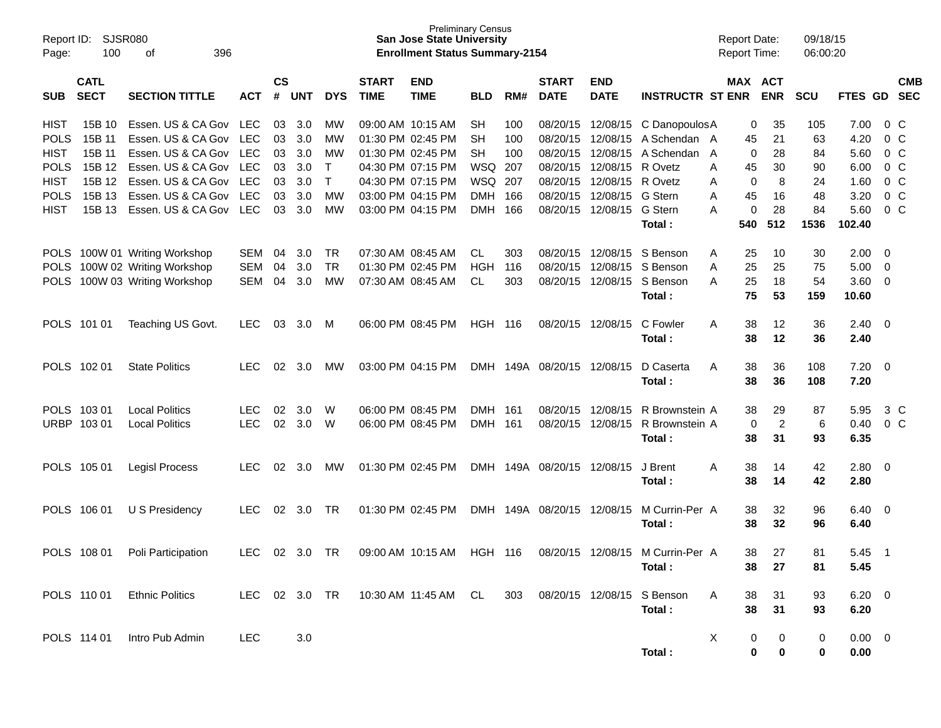| Report ID:<br>Page: | 100                        | SJSR080<br>396<br>οf          |            |                    |            |              |                             | <b>Preliminary Census</b><br><b>San Jose State University</b><br><b>Enrollment Status Summary-2154</b> |                |     |                             |                           |                                  | <b>Report Date:</b><br><b>Report Time:</b> |                | 09/18/15<br>06:00:20 |                |                |                          |
|---------------------|----------------------------|-------------------------------|------------|--------------------|------------|--------------|-----------------------------|--------------------------------------------------------------------------------------------------------|----------------|-----|-----------------------------|---------------------------|----------------------------------|--------------------------------------------|----------------|----------------------|----------------|----------------|--------------------------|
| <b>SUB</b>          | <b>CATL</b><br><b>SECT</b> | <b>SECTION TITTLE</b>         | <b>ACT</b> | $\mathsf{cs}$<br># | <b>UNT</b> | <b>DYS</b>   | <b>START</b><br><b>TIME</b> | <b>END</b><br><b>TIME</b>                                                                              | <b>BLD</b>     | RM# | <b>START</b><br><b>DATE</b> | <b>END</b><br><b>DATE</b> | <b>INSTRUCTR ST ENR</b>          | MAX ACT                                    | <b>ENR</b>     | <b>SCU</b>           | <b>FTES GD</b> |                | <b>CMB</b><br><b>SEC</b> |
| <b>HIST</b>         | 15B 10                     | Essen. US & CA Gov LEC        |            | 03                 | 3.0        | MW           |                             | 09:00 AM 10:15 AM                                                                                      | <b>SH</b>      | 100 |                             | 08/20/15 12/08/15         | C Danopoulos A                   | 0                                          | 35             | 105                  | 7.00           | $0\,$ C        |                          |
| <b>POLS</b>         | 15B 11                     | Essen. US & CA Gov            | <b>LEC</b> | 03                 | 3.0        | MW           |                             | 01:30 PM 02:45 PM                                                                                      | <b>SH</b>      | 100 | 08/20/15                    |                           | 12/08/15 A Schendan A            | 45                                         | 21             | 63                   | 4.20           | $0\,C$         |                          |
| <b>HIST</b>         | 15B 11                     | Essen. US & CA Gov            | <b>LEC</b> | 03                 | 3.0        | MW           |                             | 01:30 PM 02:45 PM                                                                                      | <b>SH</b>      | 100 | 08/20/15                    |                           | 12/08/15 A Schendan              | 0<br>$\mathsf{A}$                          | 28             | 84                   | 5.60           | $0\,C$         |                          |
| <b>POLS</b>         | 15B 12                     | Essen. US & CA Gov            | <b>LEC</b> | 03                 | 3.0        | $\top$       |                             | 04:30 PM 07:15 PM                                                                                      | <b>WSQ 207</b> |     |                             | 08/20/15 12/08/15 R Ovetz |                                  | 45<br>A                                    | 30             | 90                   | 6.00           | $0\,C$         |                          |
| <b>HIST</b>         | 15B 12                     | Essen. US & CA Gov            | <b>LEC</b> | 03                 | 3.0        | $\mathsf{T}$ |                             | 04:30 PM 07:15 PM                                                                                      | <b>WSQ 207</b> |     |                             | 08/20/15 12/08/15 R Ovetz |                                  | 0<br>A                                     | 8              | 24                   | 1.60           | $0\,C$         |                          |
| <b>POLS</b>         | 15B 13                     | Essen. US & CA Gov            | <b>LEC</b> | 03                 | 3.0        | MW           |                             | 03:00 PM 04:15 PM                                                                                      | <b>DMH</b>     | 166 |                             | 08/20/15 12/08/15 G Stern |                                  | 45<br>A                                    | 16             | 48                   | 3.20           | $0\,C$         |                          |
| <b>HIST</b>         | 15B 13                     | Essen. US & CA Gov            | LEC        | 03                 | 3.0        | MW           |                             | 03:00 PM 04:15 PM                                                                                      | <b>DMH</b>     | 166 |                             | 08/20/15 12/08/15         | G Stern                          | $\mathbf 0$<br>A                           | 28             | 84                   | 5.60           | $0\,$ C        |                          |
|                     |                            |                               |            |                    |            |              |                             |                                                                                                        |                |     |                             |                           | Total :                          | 540                                        | 512            | 1536                 | 102.40         |                |                          |
|                     |                            | POLS 100W 01 Writing Workshop | SEM        | 04                 | 3.0        | <b>TR</b>    |                             | 07:30 AM 08:45 AM                                                                                      | CL             | 303 |                             | 08/20/15 12/08/15         | S Benson                         | 25<br>A                                    | 10             | 30                   | 2.00           | - 0            |                          |
|                     |                            | POLS 100W 02 Writing Workshop | SEM        | 04                 | 3.0        | <b>TR</b>    |                             | 01:30 PM 02:45 PM                                                                                      | <b>HGH</b>     | 116 |                             | 08/20/15 12/08/15         | S Benson                         | 25<br>A                                    | 25             | 75                   | 5.00           | - 0            |                          |
| <b>POLS</b>         |                            | 100W 03 Writing Workshop      | SEM        | 04                 | 3.0        | MW           |                             | 07:30 AM 08:45 AM                                                                                      | <b>CL</b>      | 303 |                             | 08/20/15 12/08/15         | S Benson                         | 25<br>A                                    | 18             | 54                   | 3.60           | - 0            |                          |
|                     |                            |                               |            |                    |            |              |                             |                                                                                                        |                |     |                             |                           | Total:                           | 75                                         | 53             | 159                  | 10.60          |                |                          |
| POLS 101 01         |                            | Teaching US Govt.             | <b>LEC</b> | 03                 | 3.0        | M            |                             | 06:00 PM 08:45 PM                                                                                      | <b>HGH 116</b> |     |                             | 08/20/15 12/08/15         | C Fowler                         | 38<br>A                                    | 12             | 36                   | $2.40 \quad 0$ |                |                          |
|                     |                            |                               |            |                    |            |              |                             |                                                                                                        |                |     |                             |                           | Total:                           | 38                                         | 12             | 36                   | 2.40           |                |                          |
| POLS 102 01         |                            | <b>State Politics</b>         | LEC.       | 02                 | 3.0        | MW           |                             | 03:00 PM 04:15 PM                                                                                      |                |     | DMH 149A 08/20/15 12/08/15  |                           | D Caserta                        | 38<br>A                                    | 36             | 108                  | $7.20 \t 0$    |                |                          |
|                     |                            |                               |            |                    |            |              |                             |                                                                                                        |                |     |                             |                           | Total:                           | 38                                         | 36             | 108                  | 7.20           |                |                          |
| POLS 103 01         |                            | <b>Local Politics</b>         | <b>LEC</b> | 02                 | 3.0        | W            |                             | 06:00 PM 08:45 PM                                                                                      | <b>DMH</b>     | 161 |                             | 08/20/15 12/08/15         | R Brownstein A                   | 38                                         | 29             | 87                   | 5.95           | 3 C            |                          |
| URBP 103 01         |                            | <b>Local Politics</b>         | <b>LEC</b> | 02                 | 3.0        | W            |                             | 06:00 PM 08:45 PM                                                                                      | DMH 161        |     |                             | 08/20/15 12/08/15         | R Brownstein A                   | 0                                          | $\overline{2}$ | 6                    | 0.40           | $0\,$ C        |                          |
|                     |                            |                               |            |                    |            |              |                             |                                                                                                        |                |     |                             |                           | Total:                           | 38                                         | 31             | 93                   | 6.35           |                |                          |
|                     | POLS 105 01                | <b>Legisl Process</b>         | <b>LEC</b> | 02                 | 3.0        | MW           |                             | 01:30 PM 02:45 PM                                                                                      |                |     | DMH 149A 08/20/15 12/08/15  |                           | J Brent                          | 38<br>Α                                    | 14             | 42                   | 2.80 0         |                |                          |
|                     |                            |                               |            |                    |            |              |                             |                                                                                                        |                |     |                             |                           | Total:                           | 38                                         | 14             | 42                   | 2.80           |                |                          |
|                     | POLS 106 01                | U S Presidency                | <b>LEC</b> | 02                 | 3.0        | TR           |                             | 01:30 PM 02:45 PM                                                                                      |                |     | DMH 149A 08/20/15 12/08/15  |                           | M Currin-Per A                   | 38                                         | 32             | 96                   | $6.40\ 0$      |                |                          |
|                     |                            |                               |            |                    |            |              |                             |                                                                                                        |                |     |                             |                           | Total:                           | 38                                         | 32             | 96                   | 6.40           |                |                          |
|                     | POLS 108 01                | Poli Participation            | LEC        | 02                 | 3.0 TR     |              |                             | 09:00 AM 10:15 AM                                                                                      | HGH 116        |     |                             |                           | 08/20/15 12/08/15 M Currin-Per A | 38                                         | 27             | 81                   | 5.45           | $\overline{1}$ |                          |
|                     |                            |                               |            |                    |            |              |                             |                                                                                                        |                |     |                             |                           | Total:                           | 38                                         | 27             | 81                   | 5.45           |                |                          |
|                     | POLS 110 01                | <b>Ethnic Politics</b>        |            |                    |            |              |                             | LEC 02 3.0 TR 10:30 AM 11:45 AM CL                                                                     |                |     |                             |                           | 303 08/20/15 12/08/15 S Benson   | A<br>38                                    | 31             | 93                   | $6.20 \quad 0$ |                |                          |
|                     |                            |                               |            |                    |            |              |                             |                                                                                                        |                |     |                             |                           | Total:                           | 38                                         | 31             | 93                   | 6.20           |                |                          |
|                     | POLS 114 01                | Intro Pub Admin               | <b>LEC</b> |                    | $3.0\,$    |              |                             |                                                                                                        |                |     |                             |                           |                                  | X<br>0                                     | 0              | 0                    | $0.00 \t 0$    |                |                          |
|                     |                            |                               |            |                    |            |              |                             |                                                                                                        |                |     |                             |                           | Total:                           | 0                                          | 0              | 0                    | 0.00           |                |                          |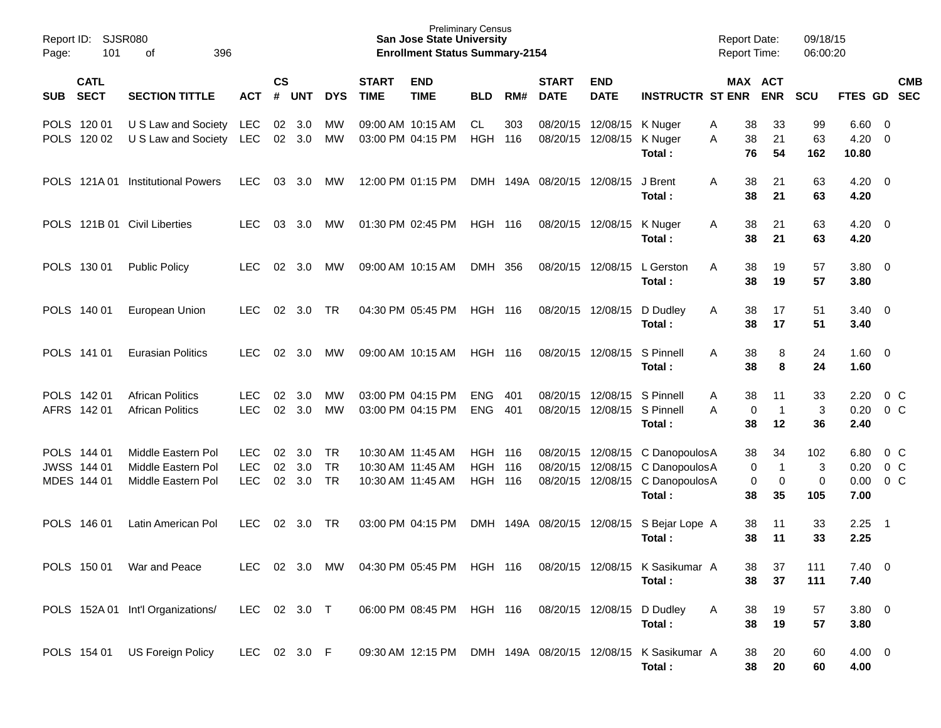| Page:      | Report ID: SJSR080<br>101                 | 396<br>0f                                                      |                                        |                |                   |                                     |                             | <b>San Jose State University</b><br><b>Enrollment Status Summary-2154</b> | <b>Preliminary Census</b>                  |            |                             |                                                    |                                                            | <b>Report Date:</b><br>Report Time: |                               | 09/18/15<br>06:00:20           |                              |                                     |            |
|------------|-------------------------------------------|----------------------------------------------------------------|----------------------------------------|----------------|-------------------|-------------------------------------|-----------------------------|---------------------------------------------------------------------------|--------------------------------------------|------------|-----------------------------|----------------------------------------------------|------------------------------------------------------------|-------------------------------------|-------------------------------|--------------------------------|------------------------------|-------------------------------------|------------|
| <b>SUB</b> | <b>CATL</b><br><b>SECT</b>                | <b>SECTION TITTLE</b>                                          | <b>ACT</b>                             | <b>CS</b><br># | <b>UNT</b>        | <b>DYS</b>                          | <b>START</b><br><b>TIME</b> | <b>END</b><br><b>TIME</b>                                                 | <b>BLD</b>                                 | RM#        | <b>START</b><br><b>DATE</b> | <b>END</b><br><b>DATE</b>                          | <b>INSTRUCTR ST ENR ENR</b>                                |                                     | MAX ACT                       | <b>SCU</b>                     | FTES GD SEC                  |                                     | <b>CMB</b> |
|            | POLS 120 01<br>POLS 120 02                | U S Law and Society LEC<br>U S Law and Society LEC             |                                        | 02             | 3.0<br>02 3.0     | MW<br>MW                            |                             | 09:00 AM 10:15 AM<br>03:00 PM 04:15 PM                                    | <b>CL</b><br><b>HGH</b>                    | 303<br>116 |                             | 08/20/15 12/08/15<br>08/20/15 12/08/15             | K Nuger<br>K Nuger<br>Total:                               | 38<br>Α<br>A<br>38<br>76            | 33<br>21<br>54                | 99<br>63<br>162                | 6.60<br>4.20<br>10.80        | - 0<br>$\overline{0}$               |            |
|            | POLS 121A01                               | <b>Institutional Powers</b>                                    | LEC                                    | 03             | 3.0               | MW                                  |                             | 12:00 PM 01:15 PM                                                         |                                            |            | DMH 149A 08/20/15 12/08/15  |                                                    | J Brent<br>Total:                                          | 38<br>A<br>38                       | 21<br>21                      | 63<br>63                       | $4.20 \ 0$<br>4.20           |                                     |            |
|            |                                           | POLS 121B 01 Civil Liberties                                   | <b>LEC</b>                             | 03             | 3.0               | MW                                  |                             | 01:30 PM 02:45 PM                                                         | <b>HGH 116</b>                             |            |                             | 08/20/15 12/08/15                                  | K Nuger<br>Total:                                          | 38<br>A<br>38                       | 21<br>21                      | 63<br>63                       | 4.20<br>4.20                 | $\overline{\phantom{0}}$            |            |
|            | POLS 130 01                               | <b>Public Policy</b>                                           | LEC.                                   | 02             | 3.0               | MW                                  |                             | 09:00 AM 10:15 AM                                                         | DMH 356                                    |            |                             | 08/20/15 12/08/15                                  | L Gerston<br>Total:                                        | 38<br>Α<br>38                       | 19<br>19                      | 57<br>57                       | $3.80 \ 0$<br>3.80           |                                     |            |
|            | POLS 140 01                               | European Union                                                 | <b>LEC</b>                             | 02             | 3.0               | TR                                  |                             | 04:30 PM 05:45 PM                                                         | <b>HGH 116</b>                             |            |                             | 08/20/15 12/08/15                                  | D Dudley<br>Total:                                         | 38<br>Α<br>38                       | 17<br>17                      | 51<br>51                       | 3.40<br>3.40                 | $\overline{\phantom{0}}$            |            |
|            | POLS 141 01                               | <b>Eurasian Politics</b>                                       | <b>LEC</b>                             | 02             | 3.0               | MW                                  |                             | 09:00 AM 10:15 AM                                                         | <b>HGH 116</b>                             |            |                             | 08/20/15 12/08/15                                  | S Pinnell<br>Total:                                        | 38<br>Α<br>38                       | 8<br>8                        | 24<br>24                       | $1.60 \t 0$<br>1.60          |                                     |            |
|            | POLS 142 01<br>AFRS 142 01                | <b>African Politics</b><br><b>African Politics</b>             | <b>LEC</b><br><b>LEC</b>               | 02<br>02       | 3.0<br>3.0        | MW<br>MW                            |                             | 03:00 PM 04:15 PM<br>03:00 PM 04:15 PM                                    | <b>ENG</b><br><b>ENG</b>                   | 401<br>401 | 08/20/15                    | 12/08/15 S Pinnell<br>08/20/15 12/08/15 S Pinnell  | Total:                                                     | A<br>38<br>0<br>A<br>38             | 11<br>$\mathbf{1}$<br>12      | 33<br>$\mathbf{3}$<br>36       | 2.20<br>0.20<br>2.40         | 0 <sup>o</sup><br>0 <sup>o</sup>    |            |
|            | POLS 144 01<br>JWSS 144 01<br>MDES 144 01 | Middle Eastern Pol<br>Middle Eastern Pol<br>Middle Eastern Pol | <b>LEC</b><br><b>LEC</b><br><b>LEC</b> | 02<br>02<br>02 | 3.0<br>3.0<br>3.0 | <b>TR</b><br><b>TR</b><br><b>TR</b> |                             | 10:30 AM 11:45 AM<br>10:30 AM 11:45 AM<br>10:30 AM 11:45 AM               | <b>HGH 116</b><br><b>HGH</b><br><b>HGH</b> | 116<br>116 | 08/20/15                    | 08/20/15 12/08/15<br>12/08/15<br>08/20/15 12/08/15 | C DanopoulosA<br>C Danopoulos A<br>C DanopoulosA<br>Total: | 38<br>0<br>0<br>38                  | 34<br>$\mathbf{1}$<br>0<br>35 | 102<br>3<br>$\mathbf 0$<br>105 | 6.80<br>0.20<br>0.00<br>7.00 | $0\,$ C<br>0 <sup>o</sup><br>$0\,C$ |            |
|            | POLS 146 01                               | Latin American Pol                                             | LEC.                                   | 02             | 3.0               | TR                                  |                             | 03:00 PM 04:15 PM                                                         | DMH                                        | 149A       | 08/20/15 12/08/15           |                                                    | S Bejar Lope A<br>Total:                                   | 38<br>38                            | 11<br>11                      | 33<br>33                       | 2.25<br>2.25                 | $\overline{\phantom{0}}$ 1          |            |
|            | POLS 150 01                               | War and Peace                                                  | <b>LEC</b>                             | 02             | 3.0               | MW                                  |                             | 04:30 PM 05:45 PM HGH 116                                                 |                                            |            |                             |                                                    | 08/20/15 12/08/15 K Sasikumar A<br>Total:                  | 38<br>38                            | 37<br>37                      | 111<br>111                     | $7.40 \t 0$<br>7.40          |                                     |            |
|            |                                           | POLS 152A 01 Int'l Organizations/                              | LEC 02 3.0 T                           |                |                   |                                     |                             | 06:00 PM 08:45 PM HGH 116                                                 |                                            |            |                             |                                                    | 08/20/15 12/08/15 D Dudley<br>Total:                       | A<br>38<br>38                       | 19<br>19                      | 57<br>57                       | $3.80\ 0$<br>3.80            |                                     |            |
|            |                                           | POLS 154 01 US Foreign Policy                                  | LEC 02 3.0 F                           |                |                   |                                     |                             | 09:30 AM 12:15 PM                                                         |                                            |            |                             |                                                    | DMH 149A 08/20/15 12/08/15 K Sasikumar A<br>Total:         | 38<br>38                            | 20<br>20                      | 60<br>60                       | $4.00 \ 0$<br>4.00           |                                     |            |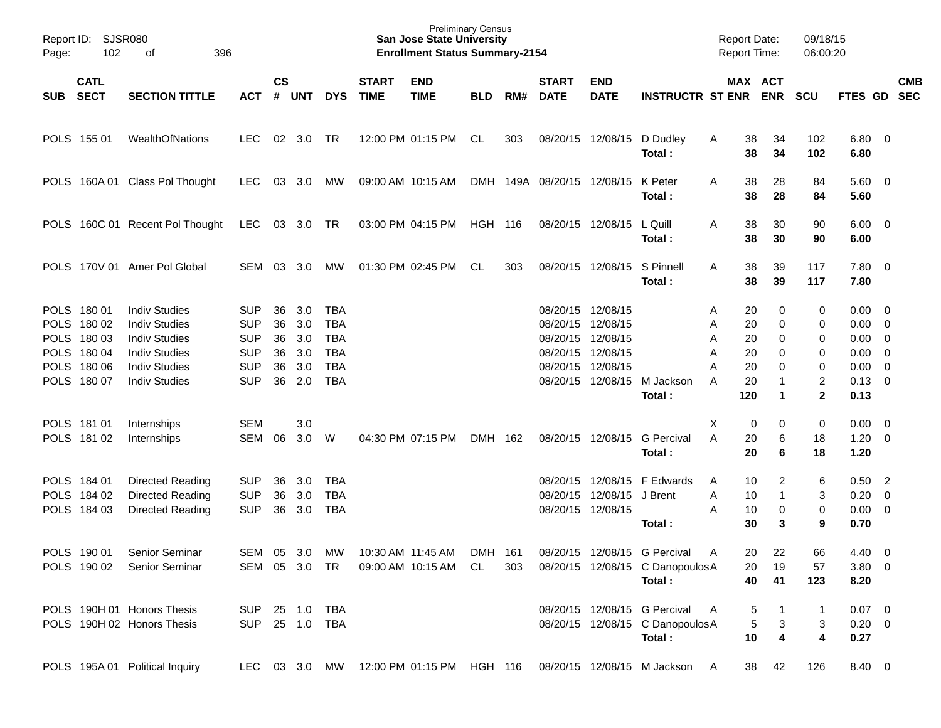| Page:    | Report ID: SJSR080<br>102 | 396<br>оf                       |                |                    |            |            |                             | <b>Preliminary Census</b><br><b>San Jose State University</b><br><b>Enrollment Status Summary-2154</b> |                |     |                             |                           |                                                                       |   | <b>Report Date:</b><br><b>Report Time:</b> |              | 09/18/15<br>06:00:20 |                        |            |
|----------|---------------------------|---------------------------------|----------------|--------------------|------------|------------|-----------------------------|--------------------------------------------------------------------------------------------------------|----------------|-----|-----------------------------|---------------------------|-----------------------------------------------------------------------|---|--------------------------------------------|--------------|----------------------|------------------------|------------|
| SUB SECT | <b>CATL</b>               | <b>SECTION TITTLE</b>           | <b>ACT</b>     | $\mathsf{cs}$<br># | <b>UNT</b> | <b>DYS</b> | <b>START</b><br><b>TIME</b> | <b>END</b><br><b>TIME</b>                                                                              | <b>BLD</b>     | RM# | <b>START</b><br><b>DATE</b> | <b>END</b><br><b>DATE</b> | <b>INSTRUCTR ST ENR</b>                                               |   | MAX ACT                                    | <b>ENR</b>   | <b>SCU</b>           | FTES GD SEC            | <b>CMB</b> |
|          | POLS 155 01               | WealthOfNations                 | <b>LEC</b>     | 02                 | 3.0        | TR         |                             | 12:00 PM 01:15 PM                                                                                      | CL             | 303 |                             | 08/20/15 12/08/15         | D Dudley<br>Total:                                                    | A | 38<br>38                                   | 34<br>34     | 102<br>102           | $6.80$ 0<br>6.80       |            |
|          |                           | POLS 160A 01 Class Pol Thought  | <b>LEC</b>     | 03                 | 3.0        | MW         |                             | 09:00 AM 10:15 AM                                                                                      |                |     | DMH 149A 08/20/15 12/08/15  |                           | K Peter<br>Total:                                                     | A | 38<br>38                                   | 28<br>28     | 84<br>84             | $5.60 \quad 0$<br>5.60 |            |
|          |                           | POLS 160C 01 Recent Pol Thought | LEC            |                    | 03 3.0 TR  |            |                             | 03:00 PM 04:15 PM                                                                                      | <b>HGH 116</b> |     |                             | 08/20/15 12/08/15         | L Quill<br>Total:                                                     | A | 38<br>38                                   | 30<br>30     | 90<br>90             | $6.00 \quad 0$<br>6.00 |            |
|          |                           | POLS 170V 01 Amer Pol Global    | SEM            | 03                 | 3.0        | MW         |                             | 01:30 PM 02:45 PM                                                                                      | CL             | 303 |                             | 08/20/15 12/08/15         | S Pinnell<br>Total:                                                   | A | 38<br>38                                   | 39<br>39     | 117<br>117           | 7.80 0<br>7.80         |            |
|          | POLS 180 01               | <b>Indiv Studies</b>            | <b>SUP</b>     | 36                 | 3.0        | TBA        |                             |                                                                                                        |                |     | 08/20/15                    | 12/08/15                  |                                                                       | Α | 20                                         | 0            | 0                    | $0.00 \quad 0$         |            |
|          | POLS 180 02               | <b>Indiv Studies</b>            | <b>SUP</b>     | 36                 | 3.0        | <b>TBA</b> |                             |                                                                                                        |                |     | 08/20/15                    | 12/08/15                  |                                                                       | Α | 20                                         | 0            | 0                    | $0.00 \t 0$            |            |
|          | POLS 180 03               | <b>Indiv Studies</b>            | <b>SUP</b>     | 36                 | 3.0        | <b>TBA</b> |                             |                                                                                                        |                |     | 08/20/15                    | 12/08/15                  |                                                                       | Α | 20                                         | 0            | 0                    | $0.00 \t 0$            |            |
|          | POLS 180 04               | <b>Indiv Studies</b>            | <b>SUP</b>     | 36                 | 3.0        | <b>TBA</b> |                             |                                                                                                        |                |     | 08/20/15                    | 12/08/15                  |                                                                       | Α | 20                                         | 0            | 0                    | $0.00 \t 0$            |            |
|          | POLS 180 06               | <b>Indiv Studies</b>            | <b>SUP</b>     | 36                 | 3.0        | <b>TBA</b> |                             |                                                                                                        |                |     | 08/20/15                    | 12/08/15                  |                                                                       | А | 20                                         | 0            | 0                    | $0.00 \t 0$            |            |
|          | POLS 180 07               | <b>Indiv Studies</b>            | <b>SUP</b>     | 36                 | 2.0        | <b>TBA</b> |                             |                                                                                                        |                |     | 08/20/15                    | 12/08/15                  | M Jackson                                                             | A | 20                                         | 1            | 2                    | $0.13 \quad 0$         |            |
|          |                           |                                 |                |                    |            |            |                             |                                                                                                        |                |     |                             |                           | Total:                                                                |   | 120                                        | 1            | $\mathbf 2$          | 0.13                   |            |
|          | POLS 181 01               | Internships                     | <b>SEM</b>     |                    | 3.0        |            |                             |                                                                                                        |                |     |                             |                           |                                                                       | X | 0                                          | 0            | 0                    | $0.00 \quad 0$         |            |
|          | POLS 181 02               | Internships                     | <b>SEM</b>     | 06                 | 3.0        | W          |                             | 04:30 PM 07:15 PM                                                                                      | DMH 162        |     |                             | 08/20/15 12/08/15         | <b>G</b> Percival                                                     | A | 20                                         | 6            | 18                   | $1.20 \t 0$            |            |
|          |                           |                                 |                |                    |            |            |                             |                                                                                                        |                |     |                             |                           | Total:                                                                |   | 20                                         | 6            | 18                   | 1.20                   |            |
|          | POLS 184 01               | Directed Reading                | <b>SUP</b>     | 36                 | 3.0        | TBA        |                             |                                                                                                        |                |     | 08/20/15                    | 12/08/15                  | F Edwards                                                             | A | 10                                         | 2            | 6                    | $0.50$ 2               |            |
|          | POLS 184 02               | Directed Reading                | <b>SUP</b>     | 36                 | 3.0        | <b>TBA</b> |                             |                                                                                                        |                |     | 08/20/15                    | 12/08/15                  | J Brent                                                               | Α | 10                                         | $\mathbf{1}$ | 3                    | $0.20 \ 0$             |            |
|          | POLS 184 03               | Directed Reading                | <b>SUP</b>     | 36                 | 3.0        | <b>TBA</b> |                             |                                                                                                        |                |     |                             | 08/20/15 12/08/15         |                                                                       | Α | 10                                         | 0            | 0                    | $0.00 \t 0$            |            |
|          |                           |                                 |                |                    |            |            |                             |                                                                                                        |                |     |                             |                           | Total:                                                                |   | 30                                         | 3            | 9                    | 0.70                   |            |
|          | POLS 190 01               | Senior Seminar                  | SEM            | 05                 | 3.0        | MW         |                             | 10:30 AM 11:45 AM                                                                                      | DMH 161        |     |                             |                           | 08/20/15 12/08/15 G Percival                                          | A | 20                                         | 22           | 66                   | $4.40 \quad 0$         |            |
|          | POLS 190 02               | Senior Seminar                  | SEM 05 3.0 TR  |                    |            |            |                             | 09:00 AM 10:15 AM CL                                                                                   |                | 303 |                             |                           | 08/20/15 12/08/15 C DanopoulosA                                       |   | 20                                         | 19           | 57                   | 3.80 0                 |            |
|          |                           |                                 |                |                    |            |            |                             |                                                                                                        |                |     |                             |                           | Total:                                                                |   | 40                                         | 41           | 123                  | 8.20                   |            |
|          |                           | POLS 190H 01 Honors Thesis      | SUP 25 1.0 TBA |                    |            |            |                             |                                                                                                        |                |     |                             |                           | 08/20/15 12/08/15 G Percival                                          | A | 5                                          | 1            | $\mathbf{1}$         | $0.07$ 0               |            |
|          |                           | POLS 190H 02 Honors Thesis      | SUP 25 1.0 TBA |                    |            |            |                             |                                                                                                        |                |     |                             |                           | 08/20/15 12/08/15 C DanopoulosA                                       |   | 5                                          | 3            | 3                    | $0.20 \ 0$             |            |
|          |                           |                                 |                |                    |            |            |                             |                                                                                                        |                |     |                             |                           | Total:                                                                |   | 10                                         | 4            | 4                    | 0.27                   |            |
|          |                           | POLS 195A 01 Political Inquiry  |                |                    |            |            |                             |                                                                                                        |                |     |                             |                           | LEC 03 3.0 MW 12:00 PM 01:15 PM HGH 116 08/20/15 12/08/15 M Jackson A |   | 38                                         | 42           | 126                  | 8.40 0                 |            |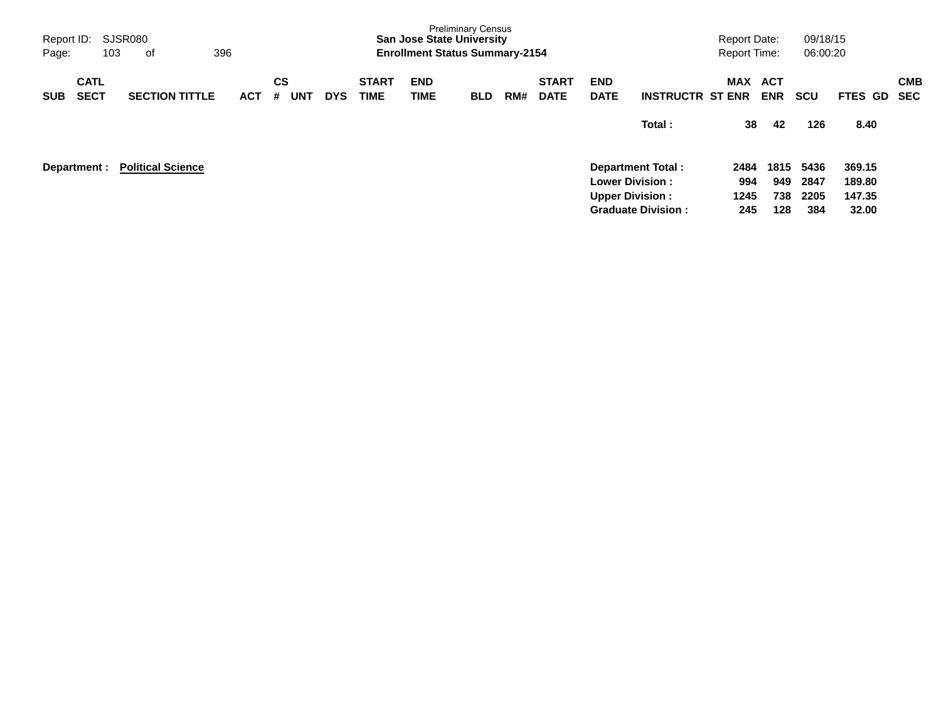| Report ID:<br>Page:<br>103               | SJSR080<br>οf            | 396        |                       |            |                             | <b>San Jose State University</b><br><b>Enrollment Status Summary-2154</b> | <b>Preliminary Census</b> |     |                             |                                                   |                                                       | <b>Report Date:</b><br><b>Report Time:</b> |                           | 09/18/15<br>06:00:20        |                                     |                          |
|------------------------------------------|--------------------------|------------|-----------------------|------------|-----------------------------|---------------------------------------------------------------------------|---------------------------|-----|-----------------------------|---------------------------------------------------|-------------------------------------------------------|--------------------------------------------|---------------------------|-----------------------------|-------------------------------------|--------------------------|
| <b>CATL</b><br><b>SECT</b><br><b>SUB</b> | <b>SECTION TITTLE</b>    | <b>ACT</b> | CS<br><b>UNT</b><br># | <b>DYS</b> | <b>START</b><br><b>TIME</b> | <b>END</b><br>TIME                                                        | <b>BLD</b>                | RM# | <b>START</b><br><b>DATE</b> | <b>END</b><br><b>DATE</b>                         | <b>INSTRUCTR ST ENR</b>                               | MAX                                        | ACT<br><b>ENR</b>         | <b>SCU</b>                  | FTES GD                             | <b>CMB</b><br><b>SEC</b> |
|                                          |                          |            |                       |            |                             |                                                                           |                           |     |                             |                                                   | Total:                                                | 38                                         | 42                        | 126                         | 8.40                                |                          |
| Department :                             | <b>Political Science</b> |            |                       |            |                             |                                                                           |                           |     |                             | <b>Lower Division :</b><br><b>Upper Division:</b> | <b>Department Total:</b><br><b>Graduate Division:</b> | 2484<br>994<br>1245<br>245                 | 1815<br>949<br>738<br>128 | 5436<br>2847<br>2205<br>384 | 369.15<br>189.80<br>147.35<br>32.00 |                          |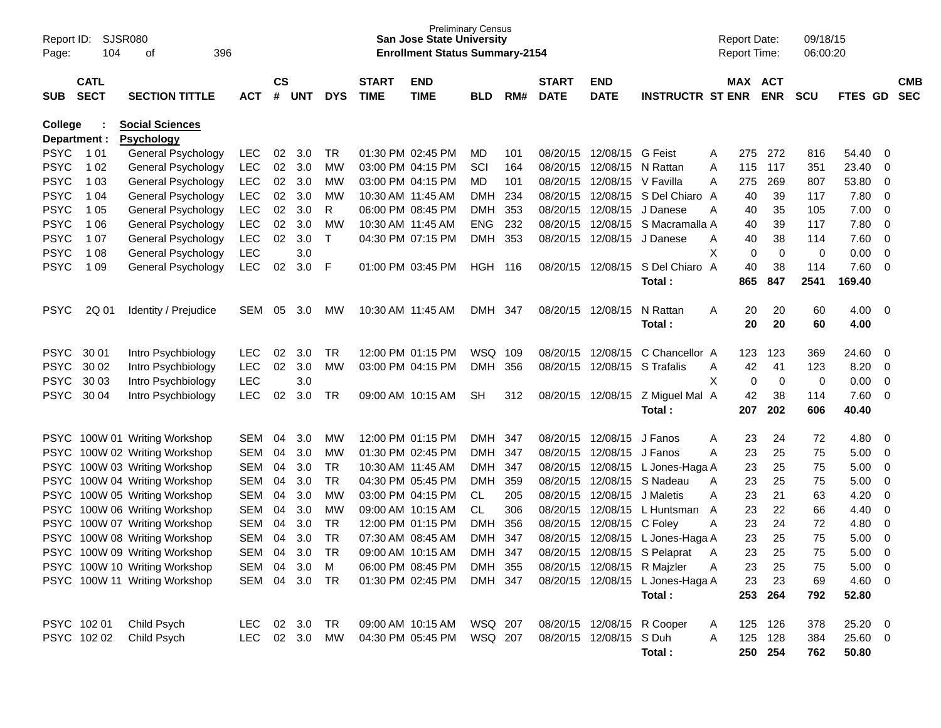| Report ID:<br>Page: | 104                        | SJSR080<br>396<br>οf                        |            |                    |            |            |                             | <b>Preliminary Census</b><br><b>San Jose State University</b><br><b>Enrollment Status Summary-2154</b> |            |       |                             |                           |                                  |   |     | <b>Report Date:</b><br><b>Report Time:</b> | 09/18/15<br>06:00:20 |         |                         |                          |
|---------------------|----------------------------|---------------------------------------------|------------|--------------------|------------|------------|-----------------------------|--------------------------------------------------------------------------------------------------------|------------|-------|-----------------------------|---------------------------|----------------------------------|---|-----|--------------------------------------------|----------------------|---------|-------------------------|--------------------------|
| <b>SUB</b>          | <b>CATL</b><br><b>SECT</b> | <b>SECTION TITTLE</b>                       | <b>ACT</b> | $\mathsf{cs}$<br># | <b>UNT</b> | <b>DYS</b> | <b>START</b><br><b>TIME</b> | <b>END</b><br><b>TIME</b>                                                                              | <b>BLD</b> | RM#   | <b>START</b><br><b>DATE</b> | <b>END</b><br><b>DATE</b> | <b>INSTRUCTR ST ENR</b>          |   |     | MAX ACT<br><b>ENR</b>                      | <b>SCU</b>           | FTES GD |                         | <b>CMB</b><br><b>SEC</b> |
| <b>College</b>      | Department :               | <b>Social Sciences</b><br><b>Psychology</b> |            |                    |            |            |                             |                                                                                                        |            |       |                             |                           |                                  |   |     |                                            |                      |         |                         |                          |
| <b>PSYC</b>         | 1 0 1                      | General Psychology                          | <b>LEC</b> | 02                 | 3.0        | TR         |                             | 01:30 PM 02:45 PM                                                                                      | MD         | 101   | 08/20/15                    | 12/08/15 G Feist          |                                  | A | 275 | 272                                        | 816                  | 54.40   | -0                      |                          |
| <b>PSYC</b>         | 1 0 2                      | General Psychology                          | <b>LEC</b> | 02                 | 3.0        | MW         |                             | 03:00 PM 04:15 PM                                                                                      | SCI        | 164   | 08/20/15                    | 12/08/15                  | N Rattan                         | A | 115 | 117                                        | 351                  | 23.40   | 0                       |                          |
| <b>PSYC</b>         | 1 0 3                      | General Psychology                          | <b>LEC</b> | 02                 | 3.0        | MW         |                             | 03:00 PM 04:15 PM                                                                                      | MD         | 101   | 08/20/15                    | 12/08/15                  | V Favilla                        | A | 275 | 269                                        | 807                  | 53.80   | 0                       |                          |
| <b>PSYC</b>         | 1 04                       | General Psychology                          | LEC        | 02                 | 3.0        | MW         | 10:30 AM 11:45 AM           |                                                                                                        | <b>DMH</b> | 234   | 08/20/15                    | 12/08/15                  | S Del Chiaro A                   |   | 40  | 39                                         | 117                  | 7.80    | 0                       |                          |
| <b>PSYC</b>         | 1 0 5                      | General Psychology                          | <b>LEC</b> | 02                 | 3.0        | R          |                             | 06:00 PM 08:45 PM                                                                                      | <b>DMH</b> | 353   | 08/20/15                    | 12/08/15                  | J Danese                         | A | 40  | 35                                         | 105                  | 7.00    | 0                       |                          |
| <b>PSYC</b>         | 1 0 6                      | General Psychology                          | <b>LEC</b> | 02                 | 3.0        | MW         | 10:30 AM 11:45 AM           |                                                                                                        | <b>ENG</b> | 232   | 08/20/15                    | 12/08/15                  | S Macramalla A                   |   | 40  | 39                                         | 117                  | 7.80    | $\mathbf 0$             |                          |
| <b>PSYC</b>         | 1 0 7                      | General Psychology                          | <b>LEC</b> | 02                 | 3.0        | T          |                             | 04:30 PM 07:15 PM                                                                                      | <b>DMH</b> | 353   | 08/20/15                    | 12/08/15                  | J Danese                         | Α | 40  | 38                                         | 114                  | 7.60    | $\mathbf 0$             |                          |
| <b>PSYC</b>         | 1 0 8                      | General Psychology                          | <b>LEC</b> |                    | 3.0        |            |                             |                                                                                                        |            |       |                             |                           |                                  | X | 0   | 0                                          | 0                    | 0.00    | $\mathbf 0$             |                          |
| <b>PSYC</b>         | 1 0 9                      | General Psychology                          | <b>LEC</b> | 02                 | 3.0        | F          |                             | 01:00 PM 03:45 PM                                                                                      | HGH        | - 116 | 08/20/15                    | 12/08/15                  | S Del Chiaro A                   |   | 40  | 38                                         | 114                  | 7.60    | 0                       |                          |
|                     |                            |                                             |            |                    |            |            |                             |                                                                                                        |            |       |                             |                           | Total:                           |   | 865 | 847                                        | 2541                 | 169.40  |                         |                          |
| <b>PSYC</b>         | 2Q 01                      | Identity / Prejudice                        | SEM        | 05                 | 3.0        | МW         | 10:30 AM 11:45 AM           |                                                                                                        | DMH        | -347  | 08/20/15                    | 12/08/15                  | N Rattan                         | Α | 20  | 20                                         | 60                   | 4.00    | $\overline{\mathbf{0}}$ |                          |
|                     |                            |                                             |            |                    |            |            |                             |                                                                                                        |            |       |                             |                           | Total:                           |   | 20  | 20                                         | 60                   | 4.00    |                         |                          |
|                     |                            |                                             |            |                    |            |            |                             |                                                                                                        |            |       |                             |                           |                                  |   |     |                                            |                      |         |                         |                          |
| <b>PSYC</b>         | 30 01                      | Intro Psychbiology                          | <b>LEC</b> | 02                 | 3.0        | <b>TR</b>  |                             | 12:00 PM 01:15 PM                                                                                      | WSQ        | 109   | 08/20/15                    | 12/08/15                  | C Chancellor A                   |   | 123 | 123                                        | 369                  | 24.60   | -0                      |                          |
| <b>PSYC</b>         | 30 02                      | Intro Psychbiology                          | <b>LEC</b> | 02                 | 3.0        | MW         |                             | 03:00 PM 04:15 PM                                                                                      | <b>DMH</b> | 356   | 08/20/15                    | 12/08/15                  | S Trafalis                       | Α | 42  | 41                                         | 123                  | 8.20    | 0                       |                          |
| <b>PSYC</b>         | 30 03                      | Intro Psychbiology                          | <b>LEC</b> |                    | 3.0        |            |                             |                                                                                                        |            |       |                             |                           |                                  | X | 0   | 0                                          | 0                    | 0.00    | $\mathbf 0$             |                          |
| <b>PSYC</b>         | 30 04                      | Intro Psychbiology                          | LEC        | 02                 | 3.0        | TR         |                             | 09:00 AM 10:15 AM                                                                                      | SН         | 312   | 08/20/15                    | 12/08/15                  | Z Miguel Mal A                   |   | 42  | 38                                         | 114                  | 7.60    | 0                       |                          |
|                     |                            |                                             |            |                    |            |            |                             |                                                                                                        |            |       |                             |                           | Total:                           |   | 207 | 202                                        | 606                  | 40.40   |                         |                          |
|                     |                            | PSYC 100W 01 Writing Workshop               | <b>SEM</b> | 04                 | 3.0        | МW         |                             | 12:00 PM 01:15 PM                                                                                      | <b>DMH</b> | 347   | 08/20/15                    | 12/08/15                  | J Fanos                          | Α | 23  | 24                                         | 72                   | 4.80    | - 0                     |                          |
|                     |                            | PSYC 100W 02 Writing Workshop               | <b>SEM</b> | 04                 | 3.0        | MW         |                             | 01:30 PM 02:45 PM                                                                                      | <b>DMH</b> | 347   | 08/20/15                    | 12/08/15                  | J Fanos                          | A | 23  | 25                                         | 75                   | 5.00    | 0                       |                          |
|                     |                            | PSYC 100W 03 Writing Workshop               | <b>SEM</b> | 04                 | 3.0        | TR         |                             | 10:30 AM 11:45 AM                                                                                      | <b>DMH</b> | 347   | 08/20/15                    | 12/08/15                  | L Jones-Haga A                   |   | 23  | 25                                         | 75                   | 5.00    | 0                       |                          |
| <b>PSYC</b>         |                            | 100W 04 Writing Workshop                    | <b>SEM</b> | 04                 | 3.0        | <b>TR</b>  |                             | 04:30 PM 05:45 PM                                                                                      | <b>DMH</b> | 359   | 08/20/15                    | 12/08/15                  | S Nadeau                         | A | 23  | 25                                         | 75                   | 5.00    | 0                       |                          |
| <b>PSYC</b>         |                            | 100W 05 Writing Workshop                    | <b>SEM</b> | 04                 | 3.0        | MW         |                             | 03:00 PM 04:15 PM                                                                                      | CL         | 205   | 08/20/15                    | 12/08/15                  | J Maletis                        | A | 23  | 21                                         | 63                   | 4.20    | 0                       |                          |
| <b>PSYC</b>         |                            | 100W 06 Writing Workshop                    | <b>SEM</b> | 04                 | 3.0        | MW         |                             | 09:00 AM 10:15 AM                                                                                      | CL         | 306   | 08/20/15                    | 12/08/15                  | L Huntsman                       | A | 23  | 22                                         | 66                   | 4.40    | 0                       |                          |
| <b>PSYC</b>         |                            | 100W 07 Writing Workshop                    | <b>SEM</b> | 04                 | 3.0        | TR         |                             | 12:00 PM 01:15 PM                                                                                      | <b>DMH</b> | 356   | 08/20/15                    | 12/08/15                  | C Foley                          | Α | 23  | 24                                         | 72                   | 4.80    | 0                       |                          |
| <b>PSYC</b>         |                            | 100W 08 Writing Workshop                    | <b>SEM</b> | 04                 | 3.0        | <b>TR</b>  |                             | 07:30 AM 08:45 AM                                                                                      | <b>DMH</b> | 347   | 08/20/15                    | 12/08/15                  | L Jones-Haga A                   |   | 23  | 25                                         | 75                   | 5.00    | 0                       |                          |
| <b>PSYC</b>         |                            | 100W 09 Writing Workshop                    | <b>SEM</b> | 04                 | 3.0        | <b>TR</b>  |                             | 09:00 AM 10:15 AM                                                                                      | <b>DMH</b> | 347   | 08/20/15                    | 12/08/15                  | S Pelaprat                       | A | 23  | 25                                         | 75                   | 5.00    | 0                       |                          |
|                     |                            | PSYC 100W 10 Writing Workshop               | SEM        | 04                 | 3.0        | M          |                             | 06:00 PM 08:45 PM                                                                                      | DMH 355    |       |                             | 08/20/15 12/08/15         | R Majzler                        | Α | 23  | 25                                         | 75                   | 5.00    | $\overline{\mathbf{0}}$ |                          |
|                     |                            | PSYC 100W 11 Writing Workshop               | SEM        |                    | 04 3.0     | TR         |                             | 01:30 PM 02:45 PM                                                                                      | DMH 347    |       |                             |                           | 08/20/15 12/08/15 L Jones-Haga A |   | 23  | 23                                         | 69                   | 4.60 0  |                         |                          |
|                     |                            |                                             |            |                    |            |            |                             |                                                                                                        |            |       |                             |                           | Total:                           |   | 253 | 264                                        | 792                  | 52.80   |                         |                          |
|                     | PSYC 102 01                | Child Psych                                 | LEC.       |                    | 02 3.0     | TR         |                             | 09:00 AM 10:15 AM                                                                                      | WSQ 207    |       |                             |                           | 08/20/15 12/08/15 R Cooper       | A | 125 | 126                                        | 378                  | 25.20 0 |                         |                          |
|                     | PSYC 102 02                | Child Psych                                 | LEC.       |                    | 02 3.0     | МW         |                             | 04:30 PM 05:45 PM                                                                                      | WSQ 207    |       |                             | 08/20/15 12/08/15 S Duh   |                                  | A | 125 | 128                                        | 384                  | 25.60 0 |                         |                          |
|                     |                            |                                             |            |                    |            |            |                             |                                                                                                        |            |       |                             |                           | Total:                           |   |     | 250 254                                    | 762                  | 50.80   |                         |                          |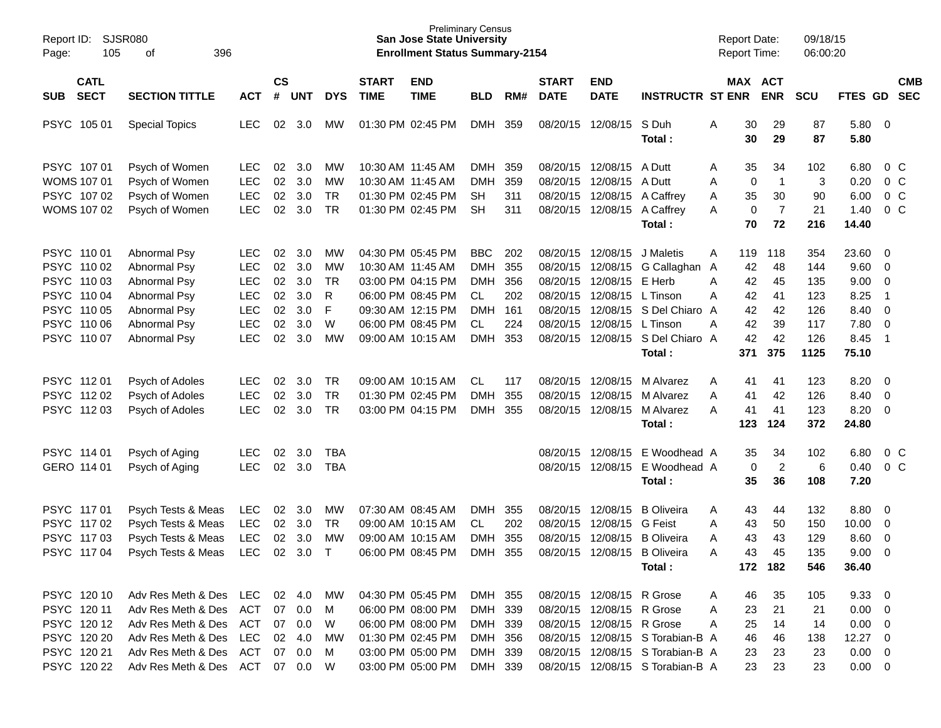| Report ID:<br>Page:                | <b>SJSR080</b><br>105<br>396<br>of |            |                    |            |              |                             | <b>San Jose State University</b><br><b>Enrollment Status Summary-2154</b> | <b>Preliminary Census</b> |     |                             |                           |                                  | <b>Report Date:</b><br><b>Report Time:</b> |          |                | 09/18/15<br>06:00:20 |                |                          |                |
|------------------------------------|------------------------------------|------------|--------------------|------------|--------------|-----------------------------|---------------------------------------------------------------------------|---------------------------|-----|-----------------------------|---------------------------|----------------------------------|--------------------------------------------|----------|----------------|----------------------|----------------|--------------------------|----------------|
| <b>CATL</b><br><b>SECT</b><br>SUB. | <b>SECTION TITTLE</b>              | <b>ACT</b> | $\mathsf{cs}$<br># | <b>UNT</b> | <b>DYS</b>   | <b>START</b><br><b>TIME</b> | <b>END</b><br><b>TIME</b>                                                 | <b>BLD</b>                | RM# | <b>START</b><br><b>DATE</b> | <b>END</b><br><b>DATE</b> | <b>INSTRUCTR ST ENR</b>          | MAX ACT                                    |          | <b>ENR</b>     | <b>SCU</b>           | FTES GD SEC    |                          | <b>CMB</b>     |
| PSYC 105 01                        | <b>Special Topics</b>              | <b>LEC</b> | 02                 | 3.0        | MW.          |                             | 01:30 PM 02:45 PM                                                         | DMH                       | 359 |                             | 08/20/15 12/08/15         | S Duh<br>Total :                 | Α                                          | 30<br>30 | 29<br>29       | 87<br>87             | 5.80<br>5.80   | $\overline{\phantom{0}}$ |                |
| PSYC 107 01                        | Psych of Women                     | LEC.       | 02                 | 3.0        | <b>MW</b>    |                             | 10:30 AM 11:45 AM                                                         | DMH                       | 359 |                             | 08/20/15 12/08/15         | A Dutt                           | A                                          | 35       | 34             | 102                  | 6.80           |                          | $0\,$ C        |
| WOMS 107 01                        | Psych of Women                     | <b>LEC</b> | 02                 | 3.0        | MW           |                             | 10:30 AM 11:45 AM                                                         | <b>DMH</b>                | 359 |                             | 08/20/15 12/08/15         | A Dutt                           | Α                                          | 0        | $\overline{1}$ | 3                    | 0.20           |                          | 0 <sup>o</sup> |
| PSYC 107 02                        | Psych of Women                     | <b>LEC</b> | 02                 | 3.0        | <b>TR</b>    |                             | 01:30 PM 02:45 PM                                                         | <b>SH</b>                 | 311 |                             | 08/20/15 12/08/15         | A Caffrey                        | Α                                          | 35       | 30             | 90                   | 6.00           |                          | 0 <sup>o</sup> |
| WOMS 107 02                        | Psych of Women                     | <b>LEC</b> | 02                 | 3.0        | <b>TR</b>    |                             | 01:30 PM 02:45 PM                                                         | <b>SH</b>                 | 311 |                             | 08/20/15 12/08/15         | A Caffrey                        | A                                          | 0        | $\overline{7}$ | 21                   | 1.40           |                          | 0 <sup>o</sup> |
|                                    |                                    |            |                    |            |              |                             |                                                                           |                           |     |                             |                           | Total:                           |                                            | 70       | 72             | 216                  | 14.40          |                          |                |
| PSYC 110 01                        | Abnormal Psy                       | LEC.       | 02                 | 3.0        | МW           |                             | 04:30 PM 05:45 PM                                                         | <b>BBC</b>                | 202 |                             | 08/20/15 12/08/15         | J Maletis                        | A                                          | 119      | 118            | 354                  | 23.60          | $\overline{\mathbf{0}}$  |                |
| PSYC 110 02                        | Abnormal Psy                       | <b>LEC</b> | 02                 | 3.0        | MW           |                             | 10:30 AM 11:45 AM                                                         | <b>DMH</b>                | 355 |                             | 08/20/15 12/08/15         | G Callaghan A                    |                                            | 42       | 48             | 144                  | 9.60           | $\overline{\mathbf{0}}$  |                |
| PSYC 110 03                        | Abnormal Psy                       | <b>LEC</b> | 02                 | 3.0        | <b>TR</b>    |                             | 03:00 PM 04:15 PM                                                         | DMH                       | 356 |                             | 08/20/15 12/08/15         | E Herb                           | A                                          | 42       | 45             | 135                  | 9.00           | $\mathbf 0$              |                |
| PSYC 110 04                        | Abnormal Psy                       | <b>LEC</b> | 02                 | 3.0        | R            |                             | 06:00 PM 08:45 PM                                                         | CL                        | 202 |                             | 08/20/15 12/08/15         | L Tinson                         | A                                          | 42       | 41             | 123                  | 8.25           | - 1                      |                |
| PSYC 110 05                        | Abnormal Psy                       | <b>LEC</b> | 02                 | 3.0        | F            |                             | 09:30 AM 12:15 PM                                                         | <b>DMH</b>                | 161 |                             | 08/20/15 12/08/15         | S Del Chiaro A                   |                                            | 42       | 42             | 126                  | 8.40           | $\overline{0}$           |                |
| PSYC 110 06                        | Abnormal Psy                       | <b>LEC</b> | 02                 | 3.0        | W            |                             | 06:00 PM 08:45 PM                                                         | CL.                       | 224 |                             | 08/20/15 12/08/15         | L Tinson                         | A                                          | 42       | 39             | 117                  | 7.80           | $\overline{0}$           |                |
| PSYC 110 07                        | <b>Abnormal Psy</b>                | <b>LEC</b> | 02                 | 3.0        | MW           |                             | 09:00 AM 10:15 AM                                                         | <b>DMH</b>                | 353 |                             |                           | 08/20/15 12/08/15 S Del Chiaro A |                                            | 42       | 42             | 126                  | 8.45           | - 1                      |                |
|                                    |                                    |            |                    |            |              |                             |                                                                           |                           |     |                             |                           | Total:                           |                                            | 371      | 375            | 1125                 | 75.10          |                          |                |
| PSYC 11201                         | Psych of Adoles                    | LEC.       | 02                 | 3.0        | TR           |                             | 09:00 AM 10:15 AM                                                         | CL                        | 117 |                             | 08/20/15 12/08/15         | M Alvarez                        | Α                                          | 41       | 41             | 123                  | 8.20           | $\overline{\mathbf{0}}$  |                |
| PSYC 112 02                        | Psych of Adoles                    | <b>LEC</b> | 02                 | 3.0        | <b>TR</b>    |                             | 01:30 PM 02:45 PM                                                         | <b>DMH</b>                | 355 |                             | 08/20/15 12/08/15         | M Alvarez                        | A                                          | 41       | 42             | 126                  | 8.40           | $\overline{\mathbf{0}}$  |                |
| PSYC 11203                         | Psych of Adoles                    | <b>LEC</b> | 02                 | 3.0        | <b>TR</b>    |                             | 03:00 PM 04:15 PM                                                         | <b>DMH</b>                | 355 |                             | 08/20/15 12/08/15         | M Alvarez                        | A                                          | 41       | 41             | 123                  | 8.20           | $\overline{\mathbf{0}}$  |                |
|                                    |                                    |            |                    |            |              |                             |                                                                           |                           |     |                             |                           | Total:                           |                                            | 123      | 124            | 372                  | 24.80          |                          |                |
| PSYC 114 01                        | Psych of Aging                     | <b>LEC</b> | 02                 | 3.0        | TBA          |                             |                                                                           |                           |     |                             | 08/20/15 12/08/15         | E Woodhead A                     |                                            | 35       | 34             | 102                  | 6.80           |                          | 0 <sup>o</sup> |
| GERO 114 01                        | Psych of Aging                     | <b>LEC</b> | 02                 | 3.0        | <b>TBA</b>   |                             |                                                                           |                           |     |                             | 08/20/15 12/08/15         | E Woodhead A                     |                                            | 0        | $\overline{c}$ | 6                    | 0.40           |                          | 0 <sup>o</sup> |
|                                    |                                    |            |                    |            |              |                             |                                                                           |                           |     |                             |                           | Total:                           |                                            | 35       | 36             | 108                  | 7.20           |                          |                |
| PSYC 11701                         | Psych Tests & Meas                 | <b>LEC</b> | 02                 | 3.0        | МW           |                             | 07:30 AM 08:45 AM                                                         | DMH                       | 355 |                             | 08/20/15 12/08/15         | <b>B</b> Oliveira                | A                                          | 43       | 44             | 132                  | 8.80           | $\overline{\mathbf{0}}$  |                |
| PSYC 117 02                        | Psych Tests & Meas                 | <b>LEC</b> | 02                 | 3.0        | <b>TR</b>    |                             | 09:00 AM 10:15 AM                                                         | CL                        | 202 | 08/20/15                    | 12/08/15                  | G Feist                          | Α                                          | 43       | 50             | 150                  | 10.00          | $\mathbf 0$              |                |
| PSYC 117 03                        | Psych Tests & Meas                 | <b>LEC</b> | 02                 | 3.0        | MW           |                             | 09:00 AM 10:15 AM                                                         | <b>DMH</b>                | 355 | 08/20/15                    | 12/08/15                  | <b>B</b> Oliveira                | Α                                          | 43       | 43             | 129                  | 8.60           | $\mathbf 0$              |                |
| PSYC 117 04                        | Psych Tests & Meas                 | <b>LEC</b> | 02                 | 3.0        | $\mathsf{T}$ |                             | 06:00 PM 08:45 PM                                                         | <b>DMH</b>                | 355 |                             | 08/20/15 12/08/15         | <b>B</b> Oliveira                | Α                                          | 43       | 45             | 135                  | 9.00           | 0                        |                |
|                                    |                                    |            |                    |            |              |                             |                                                                           |                           |     |                             |                           | Total:                           |                                            |          | 172 182        | 546                  | 36.40          |                          |                |
| PSYC 120 10                        | Adv Res Meth & Des LEC 02 4.0      |            |                    |            | МW           |                             | 04:30 PM 05:45 PM                                                         | DMH 355                   |     |                             | 08/20/15 12/08/15 R Grose |                                  | A                                          | 46       | 35             | 105                  | $9.33 \quad 0$ |                          |                |
| PSYC 120 11                        | Adv Res Meth & Des                 | ACT        |                    | 07 0.0     | M            |                             | 06:00 PM 08:00 PM                                                         | DMH 339                   |     |                             | 08/20/15 12/08/15 R Grose |                                  | A                                          | 23       | 21             | 21                   | $0.00 \t 0$    |                          |                |
| PSYC 12012                         | Adv Res Meth & Des ACT             |            |                    | 07 0.0     | W            |                             | 06:00 PM 08:00 PM                                                         | DMH 339                   |     |                             | 08/20/15 12/08/15 R Grose |                                  | Α                                          | 25       | 14             | 14                   | $0.00 \t 0$    |                          |                |
| PSYC 120 20                        | Adv Res Meth & Des LEC             |            |                    | 02 4.0     | <b>MW</b>    |                             | 01:30 PM 02:45 PM                                                         | DMH 356                   |     |                             |                           | 08/20/15 12/08/15 S Torabian-B A |                                            | 46       | 46             | 138                  | 12.27 0        |                          |                |
| PSYC 120 21                        | Adv Res Meth & Des                 | ACT        | 07                 | 0.0        | M            |                             | 03:00 PM 05:00 PM                                                         | DMH 339                   |     |                             |                           | 08/20/15 12/08/15 S Torabian-B A |                                            | 23       | 23             | 23                   | $0.00 \t 0$    |                          |                |
| PSYC 120 22                        | Adv Res Meth & Des ACT 07 0.0      |            |                    |            | W            |                             | 03:00 PM 05:00 PM                                                         | DMH 339                   |     |                             |                           | 08/20/15 12/08/15 S Torabian-B A |                                            | 23       | 23             | 23                   | $0.00 \t 0$    |                          |                |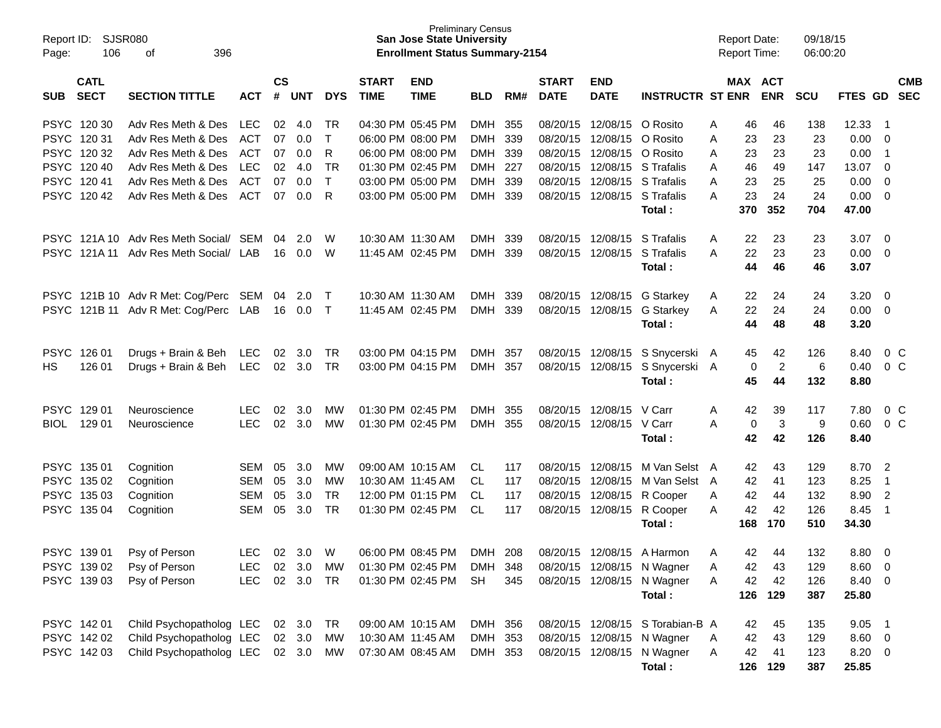| Report ID:<br>Page: | SJSR080<br>106             | 396<br>οf                             |            |               |                |            |                             | <b>Preliminary Census</b><br><b>San Jose State University</b><br><b>Enrollment Status Summary-2154</b> |            |     |                             |                           |                                  |   | <b>Report Date:</b><br><b>Report Time:</b> |                | 09/18/15<br>06:00:20 |         |                          |                          |
|---------------------|----------------------------|---------------------------------------|------------|---------------|----------------|------------|-----------------------------|--------------------------------------------------------------------------------------------------------|------------|-----|-----------------------------|---------------------------|----------------------------------|---|--------------------------------------------|----------------|----------------------|---------|--------------------------|--------------------------|
| <b>SUB</b>          | <b>CATL</b><br><b>SECT</b> | <b>SECTION TITTLE</b>                 | <b>ACT</b> | $\mathsf{cs}$ | # UNT          | <b>DYS</b> | <b>START</b><br><b>TIME</b> | <b>END</b><br><b>TIME</b>                                                                              | <b>BLD</b> | RM# | <b>START</b><br><b>DATE</b> | <b>END</b><br><b>DATE</b> | <b>INSTRUCTR ST ENR</b>          |   | MAX ACT                                    | <b>ENR</b>     | <b>SCU</b>           | FTES GD |                          | <b>CMB</b><br><b>SEC</b> |
|                     | PSYC 120 30                | Adv Res Meth & Des                    | <b>LEC</b> | 02            | 4.0            | TR         | 04:30 PM 05:45 PM           |                                                                                                        | <b>DMH</b> | 355 | 08/20/15                    | 12/08/15                  | O Rosito                         | A | 46                                         | 46             | 138                  | 12.33   | -1                       |                          |
|                     | PSYC 12031                 | Adv Res Meth & Des                    | <b>ACT</b> | 07            | 0.0            | T          | 06:00 PM 08:00 PM           |                                                                                                        | DMH        | 339 | 08/20/15                    | 12/08/15                  | O Rosito                         | A | 23                                         | 23             | 23                   | 0.00    | 0                        |                          |
|                     | PSYC 120 32                | Adv Res Meth & Des                    | ACT        | 07            | 0.0            | R          | 06:00 PM 08:00 PM           |                                                                                                        | DMH 339    |     | 08/20/15                    | 12/08/15                  | O Rosito                         | A | 23                                         | 23             | 23                   | 0.00    | $\overline{1}$           |                          |
|                     | PSYC 120 40                | Adv Res Meth & Des                    | <b>LEC</b> | 02            | 4.0            | <b>TR</b>  | 01:30 PM 02:45 PM           |                                                                                                        | DMH 227    |     | 08/20/15                    |                           | 12/08/15 S Trafalis              | A | 46                                         | 49             | 147                  | 13.07   | 0                        |                          |
|                     | PSYC 12041                 | Adv Res Meth & Des                    | <b>ACT</b> | 07            | 0.0            | T          |                             | 03:00 PM 05:00 PM                                                                                      | DMH 339    |     | 08/20/15                    |                           | 12/08/15 S Trafalis              | A | 23                                         | 25             | 25                   | 0.00    | 0                        |                          |
|                     | PSYC 12042                 | Adv Res Meth & Des                    | <b>ACT</b> | 07            | 0.0            | R          |                             | 03:00 PM 05:00 PM                                                                                      | DMH 339    |     | 08/20/15                    | 12/08/15                  | S Trafalis                       | A | 23                                         | 24             | 24                   | 0.00    | 0                        |                          |
|                     |                            |                                       |            |               |                |            |                             |                                                                                                        |            |     |                             |                           | Total:                           |   | 370                                        | 352            | 704                  | 47.00   |                          |                          |
|                     |                            | PSYC 121A 10 Adv Res Meth Social/ SEM |            | 04            | 2.0            | W          | 10:30 AM 11:30 AM           |                                                                                                        | DMH        | 339 | 08/20/15                    | 12/08/15                  | S Trafalis                       | A | 22                                         | 23             | 23                   | 3.07    | 0                        |                          |
|                     | PSYC 121A 11               | Adv Res Meth Social/ LAB              |            | 16            | 0.0            | W          | 11:45 AM 02:45 PM           |                                                                                                        | DMH        | 339 | 08/20/15                    | 12/08/15                  | S Trafalis                       | A | 22                                         | 23             | 23                   | 0.00    | 0                        |                          |
|                     |                            |                                       |            |               |                |            |                             |                                                                                                        |            |     |                             |                           | Total :                          |   | 44                                         | 46             | 46                   | 3.07    |                          |                          |
|                     |                            | PSYC 121B 10 Adv R Met: Cog/Perc      | SEM        | 04            | 2.0            | $\top$     | 10:30 AM 11:30 AM           |                                                                                                        | DMH        | 339 | 08/20/15                    | 12/08/15                  | G Starkey                        | A | 22                                         | 24             | 24                   | 3.20    | 0                        |                          |
|                     |                            | PSYC 121B 11 Adv R Met: Cog/Perc      | LAB        |               | 16  0.0        | $\top$     |                             | 11:45 AM 02:45 PM                                                                                      | DMH        | 339 | 08/20/15                    | 12/08/15                  | G Starkey                        | A | 22                                         | 24             | 24                   | 0.00    | 0                        |                          |
|                     |                            |                                       |            |               |                |            |                             |                                                                                                        |            |     |                             |                           | Total:                           |   | 44                                         | 48             | 48                   | 3.20    |                          |                          |
| <b>PSYC</b>         | 126 01                     | Drugs + Brain & Beh                   | LEC        | 02            | 3.0            | TR         | 03:00 PM 04:15 PM           |                                                                                                        | DMH        | 357 | 08/20/15                    | 12/08/15                  | S Snycerski A                    |   | 45                                         | 42             | 126                  | 8.40    | $0\,$ C                  |                          |
| HS.                 | 126 01                     | Drugs + Brain & Beh                   | <b>LEC</b> |               | $02 \quad 3.0$ | TR         |                             | 03:00 PM 04:15 PM                                                                                      | DMH 357    |     | 08/20/15                    | 12/08/15                  | S Snycerski A                    |   | 0                                          | $\overline{2}$ | 6                    | 0.40    | 0 <sup>o</sup>           |                          |
|                     |                            |                                       |            |               |                |            |                             |                                                                                                        |            |     |                             |                           | Total:                           |   | 45                                         | 44             | 132                  | 8.80    |                          |                          |
| <b>PSYC</b>         | 129 01                     | Neuroscience                          | LEC        | 02            | 3.0            | МW         | 01:30 PM 02:45 PM           |                                                                                                        | DMH        | 355 | 08/20/15                    | 12/08/15 V Carr           |                                  | A | 42                                         | 39             | 117                  | 7.80    | 0 <sup>C</sup>           |                          |
| BIOL                | 129 01                     | Neuroscience                          | <b>LEC</b> | 02            | 3.0            | МW         | 01:30 PM 02:45 PM           |                                                                                                        | DMH 355    |     | 08/20/15                    | 12/08/15 V Carr           |                                  | A | 0                                          | 3              | 9                    | 0.60    | 0 <sup>o</sup>           |                          |
|                     |                            |                                       |            |               |                |            |                             |                                                                                                        |            |     |                             |                           | Total :                          |   | 42                                         | 42             | 126                  | 8.40    |                          |                          |
|                     | PSYC 135 01                | Cognition                             | SEM        | 05            | 3.0            | МW         |                             | 09:00 AM 10:15 AM                                                                                      | CL.        | 117 | 08/20/15                    | 12/08/15                  | M Van Selst A                    |   | 42                                         | 43             | 129                  | 8.70    | $\overline{2}$           |                          |
|                     | PSYC 135 02                | Cognition                             | SEM        | 05            | 3.0            | МW         | 10:30 AM 11:45 AM           |                                                                                                        | CL.        | 117 | 08/20/15                    | 12/08/15                  | M Van Selst A                    |   | 42                                         | 41             | 123                  | 8.25    | $\overline{1}$           |                          |
|                     | PSYC 135 03                | Cognition                             | SEM        | 05            | 3.0            | TR         |                             | 12:00 PM 01:15 PM                                                                                      | <b>CL</b>  | 117 | 08/20/15                    | 12/08/15                  | R Cooper                         | A | 42                                         | 44             | 132                  | 8.90    | $\overline{c}$           |                          |
|                     | PSYC 135 04                | Cognition                             | <b>SEM</b> | 05            | 3.0            | TR         |                             | 01:30 PM 02:45 PM                                                                                      | <b>CL</b>  | 117 | 08/20/15                    | 12/08/15                  | R Cooper                         | A | 42                                         | 42             | 126                  | 8.45    | $\overline{1}$           |                          |
|                     |                            |                                       |            |               |                |            |                             |                                                                                                        |            |     |                             |                           | Total :                          |   | 168                                        | 170            | 510                  | 34.30   |                          |                          |
|                     | PSYC 139 01                | Psy of Person                         | <b>LEC</b> | 02            | 3.0            | W          |                             | 06:00 PM 08:45 PM                                                                                      | DMH        | 208 |                             | 08/20/15 12/08/15         | A Harmon                         | A | 42                                         | 44             | 132                  | 8.80    | 0                        |                          |
|                     | PSYC 139 02                | Psy of Person                         | LEC.       |               | 02 3.0         | МW         |                             | 01:30 PM 02:45 PM                                                                                      | DMH 348    |     |                             |                           | 08/20/15 12/08/15 N Wagner       | A | 42                                         | 43             | 129                  | 8.60    | - 0                      |                          |
|                     | PSYC 139 03                | Psy of Person                         | LEC.       |               | 02 3.0 TR      |            |                             | 01:30 PM 02:45 PM SH                                                                                   |            | 345 |                             |                           | 08/20/15 12/08/15 N Wagner       | Α | 42                                         | 42             | 126                  | 8.40    | $\overline{\mathbf{0}}$  |                          |
|                     |                            |                                       |            |               |                |            |                             |                                                                                                        |            |     |                             |                           | Total:                           |   | 126                                        | 129            | 387                  | 25.80   |                          |                          |
|                     | PSYC 142 01                | Child Psychopatholog LEC              |            |               | 02 3.0         | TR         |                             | 09:00 AM 10:15 AM                                                                                      | DMH 356    |     |                             |                           | 08/20/15 12/08/15 S Torabian-B A |   | 42                                         | 45             | 135                  | 9.05    | $\overline{\phantom{1}}$ |                          |
|                     | PSYC 142 02                | Child Psychopatholog LEC              |            |               | 02 3.0         | МW         | 10:30 AM 11:45 AM           |                                                                                                        | DMH 353    |     |                             |                           | 08/20/15 12/08/15 N Wagner       | A | 42                                         | 43             | 129                  | 8.60 0  |                          |                          |
|                     | PSYC 142 03                | Child Psychopatholog LEC              |            |               | 02 3.0         | MW         |                             | 07:30 AM 08:45 AM                                                                                      | DMH 353    |     |                             |                           | 08/20/15 12/08/15 N Wagner       | A | 42                                         | 41             | 123                  | 8.20 0  |                          |                          |
|                     |                            |                                       |            |               |                |            |                             |                                                                                                        |            |     |                             |                           | Total:                           |   |                                            | 126 129        | 387                  | 25.85   |                          |                          |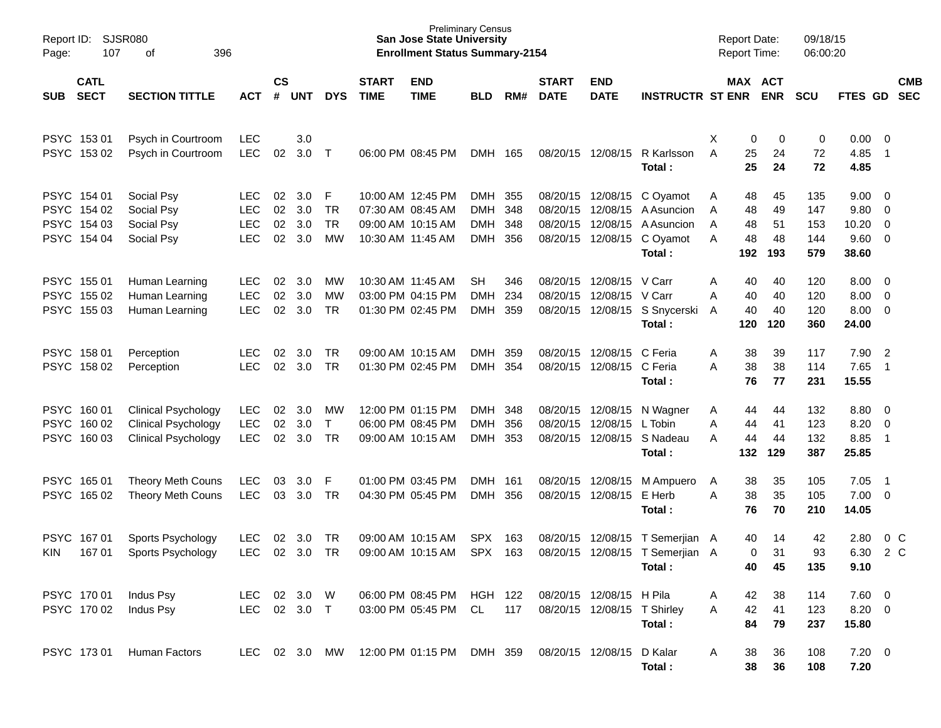| Page:               | <b>SJSR080</b><br>Report ID:<br>107<br>396<br>оf<br><b>CATL</b> |                                                                                        |                                                |                      |                          |                                        |                             | <b>Preliminary Census</b><br><b>San Jose State University</b><br><b>Enrollment Status Summary-2154</b> |                                       |                   |                             |                                                                                  |                                                             | <b>Report Date:</b><br><b>Report Time:</b>      |                             | 09/18/15<br>06:00:20            |                                        |                                                                               |            |
|---------------------|-----------------------------------------------------------------|----------------------------------------------------------------------------------------|------------------------------------------------|----------------------|--------------------------|----------------------------------------|-----------------------------|--------------------------------------------------------------------------------------------------------|---------------------------------------|-------------------|-----------------------------|----------------------------------------------------------------------------------|-------------------------------------------------------------|-------------------------------------------------|-----------------------------|---------------------------------|----------------------------------------|-------------------------------------------------------------------------------|------------|
| SUB                 | <b>SECT</b>                                                     | <b>SECTION TITTLE</b>                                                                  | <b>ACT</b>                                     | <b>CS</b><br>$\#$    | <b>UNT</b>               | <b>DYS</b>                             | <b>START</b><br><b>TIME</b> | <b>END</b><br><b>TIME</b>                                                                              | <b>BLD</b>                            | RM#               | <b>START</b><br><b>DATE</b> | <b>END</b><br><b>DATE</b>                                                        | <b>INSTRUCTR ST ENR</b>                                     |                                                 | MAX ACT<br><b>ENR</b>       | <b>SCU</b>                      | FTES GD SEC                            |                                                                               | <b>CMB</b> |
|                     | PSYC 153 01<br>PSYC 153 02                                      | Psych in Courtroom<br>Psych in Courtroom                                               | <b>LEC</b><br><b>LEC</b>                       | 02                   | 3.0<br>3.0               | $\top$                                 |                             | 06:00 PM 08:45 PM                                                                                      | DMH 165                               |                   |                             | 08/20/15 12/08/15                                                                | R Karlsson<br>Total:                                        | Χ<br>A<br>25<br>25                              | 0<br>0<br>24<br>24          | 0<br>72<br>72                   | 0.00<br>4.85<br>4.85                   | $\overline{\phantom{0}}$<br>$\overline{1}$                                    |            |
|                     | PSYC 154 01<br>PSYC 154 02<br>PSYC 154 03<br>PSYC 154 04        | Social Psy<br>Social Psy<br>Social Psy<br>Social Psy                                   | LEC.<br><b>LEC</b><br><b>LEC</b><br><b>LEC</b> | 02<br>02<br>02<br>02 | 3.0<br>3.0<br>3.0<br>3.0 | -F<br><b>TR</b><br><b>TR</b><br>MW     |                             | 10:00 AM 12:45 PM<br>07:30 AM 08:45 AM<br>09:00 AM 10:15 AM<br>10:30 AM 11:45 AM                       | DMH 355<br><b>DMH</b><br>DMH<br>DMH   | 348<br>348<br>356 |                             | 08/20/15 12/08/15<br>08/20/15 12/08/15<br>08/20/15 12/08/15<br>08/20/15 12/08/15 | C Ovamot<br>A Asuncion<br>A Asuncion<br>C Oyamot<br>Total:  | 48<br>A<br>48<br>A<br>48<br>A<br>48<br>A<br>192 | 45<br>49<br>51<br>48<br>193 | 135<br>147<br>153<br>144<br>579 | 9.00<br>9.80<br>10.20<br>9.60<br>38.60 | $\overline{\mathbf{0}}$<br>$\overline{0}$<br>$\overline{0}$<br>$\overline{0}$ |            |
|                     | PSYC 155 01<br>PSYC 155 02<br>PSYC 155 03                       | Human Learning<br>Human Learning<br>Human Learning                                     | <b>LEC</b><br><b>LEC</b><br><b>LEC</b>         | 02<br>02<br>02       | 3.0<br>3.0<br>3.0        | MW<br>MW<br><b>TR</b>                  |                             | 10:30 AM 11:45 AM<br>03:00 PM 04:15 PM<br>01:30 PM 02:45 PM                                            | <b>SH</b><br><b>DMH</b><br><b>DMH</b> | 346<br>234<br>359 |                             | 08/20/15 12/08/15<br>08/20/15 12/08/15                                           | V Carr<br>V Carr<br>08/20/15 12/08/15 S Snycerski<br>Total: | 40<br>A<br>40<br>A<br>40<br>A<br>120            | 40<br>40<br>40<br>120       | 120<br>120<br>120<br>360        | 8.00<br>8.00<br>8.00<br>24.00          | $\overline{\mathbf{0}}$<br>$\overline{0}$<br>$\overline{0}$                   |            |
|                     | PSYC 158 01<br>PSYC 158 02                                      | Perception<br>Perception                                                               | LEC.<br><b>LEC</b>                             | 02<br>02             | 3.0<br>3.0               | TR<br><b>TR</b>                        |                             | 09:00 AM 10:15 AM<br>01:30 PM 02:45 PM                                                                 | <b>DMH</b><br>DMH                     | 359<br>354        |                             | 08/20/15 12/08/15<br>08/20/15 12/08/15 C Feria                                   | C Feria<br>Total:                                           | 38<br>A<br>38<br>A<br>76                        | 39<br>38<br>77              | 117<br>114<br>231               | 7.90<br>7.65<br>15.55                  | $\overline{2}$<br>$\overline{\phantom{0}}$ 1                                  |            |
|                     | PSYC 160 01<br>PSYC 160 02<br>PSYC 160 03                       | <b>Clinical Psychology</b><br><b>Clinical Psychology</b><br><b>Clinical Psychology</b> | <b>LEC</b><br><b>LEC</b><br><b>LEC</b>         | 02<br>02<br>02       | 3.0<br>3.0<br>3.0        | <b>MW</b><br>$\mathsf{T}$<br><b>TR</b> |                             | 12:00 PM 01:15 PM<br>06:00 PM 08:45 PM<br>09:00 AM 10:15 AM                                            | DMH 348<br><b>DMH</b><br><b>DMH</b>   | 356<br>353        |                             | 08/20/15 12/08/15<br>08/20/15 12/08/15                                           | N Wagner<br>L Tobin<br>08/20/15 12/08/15 S Nadeau<br>Total: | 44<br>A<br>Α<br>44<br>44<br>A<br>132            | 44<br>41<br>44<br>129       | 132<br>123<br>132<br>387        | 8.80<br>8.20<br>8.85<br>25.85          | $\overline{\mathbf{0}}$<br>$\overline{0}$<br>$\overline{1}$                   |            |
|                     | PSYC 165 01<br>PSYC 165 02                                      | <b>Theory Meth Couns</b><br><b>Theory Meth Couns</b>                                   | <b>LEC</b><br><b>LEC</b>                       | 03<br>03             | 3.0<br>3.0               | F<br>TR                                |                             | 01:00 PM 03:45 PM<br>04:30 PM 05:45 PM                                                                 | <b>DMH</b><br><b>DMH</b>              | 161<br>356        |                             | 08/20/15 12/08/15<br>08/20/15 12/08/15                                           | M Ampuero<br>E Herb<br>Total:                               | 38<br>A<br>38<br>A<br>76                        | 35<br>35<br>70              | 105<br>105<br>210               | 7.05<br>7.00<br>14.05                  | - 1<br>$\overline{\mathbf{0}}$                                                |            |
| <b>PSYC</b><br>KIN. | 16701<br>167 01                                                 | Sports Psychology<br>Sports Psychology                                                 | <b>LEC</b><br><b>LEC</b>                       | 02<br>02             | 3.0<br>3.0               | TR<br><b>TR</b>                        |                             | 09:00 AM 10:15 AM<br>09:00 AM 10:15 AM                                                                 | <b>SPX</b><br><b>SPX</b>              | 163<br>163        |                             | 08/20/15 12/08/15<br>08/20/15 12/08/15                                           | T Semerjian A<br>T Semeriian A<br>Total:                    | 40<br>40                                        | 14<br>31<br>0<br>45         | 42<br>93<br>135                 | 2.80<br>6.30<br>9.10                   | 0 <sup>o</sup><br>2 C                                                         |            |
|                     | PSYC 170 01<br>PSYC 170 02                                      | Indus Psy<br>Indus Psy                                                                 | LEC 02 3.0 W<br>LEC 02 3.0 T                   |                      |                          |                                        |                             | 06:00 PM 08:45 PM<br>03:00 PM 05:45 PM                                                                 | HGH 122<br>CL                         | 117               |                             | 08/20/15 12/08/15 H Pila<br>08/20/15 12/08/15 T Shirley                          | Total:                                                      | 42<br>A<br>42<br>A<br>84                        | 38<br>41<br>79              | 114<br>123<br>237               | $7.60 \t 0$<br>$8.20 \ 0$<br>15.80     |                                                                               |            |
|                     | PSYC 173 01                                                     | Human Factors                                                                          | LEC 02 3.0 MW                                  |                      |                          |                                        |                             | 12:00 PM 01:15 PM DMH 359                                                                              |                                       |                   |                             | 08/20/15 12/08/15                                                                | D Kalar<br>Total:                                           | 38<br>A<br>38                                   | 36<br>36                    | 108<br>108                      | $7.20 \t 0$<br>7.20                    |                                                                               |            |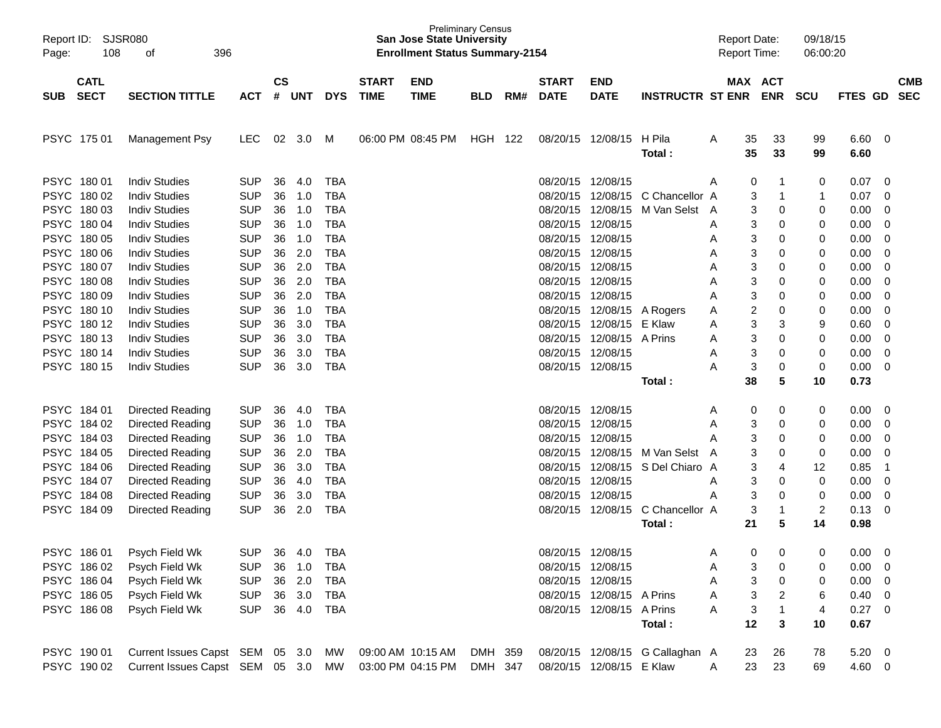| Report ID:<br>Page: | SJSR080<br>108 | 396<br>οf                          |            |               |            |            |              | <b>Preliminary Census</b><br><b>San Jose State University</b><br><b>Enrollment Status Summary-2154</b> |            |     |                   |                           |                                 |              | <b>Report Date:</b><br><b>Report Time:</b> |                | 09/18/15<br>06:00:20 |                |                          |            |
|---------------------|----------------|------------------------------------|------------|---------------|------------|------------|--------------|--------------------------------------------------------------------------------------------------------|------------|-----|-------------------|---------------------------|---------------------------------|--------------|--------------------------------------------|----------------|----------------------|----------------|--------------------------|------------|
|                     | <b>CATL</b>    |                                    |            | $\mathsf{cs}$ |            |            | <b>START</b> | <b>END</b>                                                                                             |            |     | <b>START</b>      | <b>END</b>                |                                 |              | MAX ACT                                    |                |                      |                |                          | <b>CMB</b> |
| <b>SUB</b>          | <b>SECT</b>    | <b>SECTION TITTLE</b>              | <b>ACT</b> | #             | <b>UNT</b> | <b>DYS</b> | <b>TIME</b>  | <b>TIME</b>                                                                                            | <b>BLD</b> | RM# | <b>DATE</b>       | <b>DATE</b>               | <b>INSTRUCTR ST ENR</b>         |              |                                            | <b>ENR</b>     | <b>SCU</b>           | FTES GD        |                          | <b>SEC</b> |
| <b>PSYC</b>         | 175 01         | Management Psy                     | <b>LEC</b> | 02            | 3.0        | M          |              | 06:00 PM 08:45 PM                                                                                      | <b>HGH</b> | 122 | 08/20/15          | 12/08/15                  | H Pila<br>Total:                | A            | 35<br>35                                   | 33<br>33       | 99<br>99             | 6.60<br>6.60   | - 0                      |            |
| <b>PSYC</b>         | 180 01         | <b>Indiv Studies</b>               | <b>SUP</b> | 36            | 4.0        | <b>TBA</b> |              |                                                                                                        |            |     | 08/20/15          | 12/08/15                  |                                 | A            | 0                                          | -1             | 0                    | 0.07           | 0                        |            |
| <b>PSYC</b>         | 180 02         | <b>Indiv Studies</b>               | <b>SUP</b> | 36            | 1.0        | <b>TBA</b> |              |                                                                                                        |            |     | 08/20/15          | 12/08/15                  | C Chancellor A                  |              | 3                                          | -1             | 1                    | 0.07           | 0                        |            |
| <b>PSYC</b>         | 180 03         | <b>Indiv Studies</b>               | <b>SUP</b> | 36            | 1.0        | <b>TBA</b> |              |                                                                                                        |            |     | 08/20/15          | 12/08/15                  | M Van Selst                     | A            | 3                                          | 0              | 0                    | 0.00           | 0                        |            |
| <b>PSYC</b>         | 180 04         | <b>Indiv Studies</b>               | <b>SUP</b> | 36            | 1.0        | <b>TBA</b> |              |                                                                                                        |            |     | 08/20/15          | 12/08/15                  |                                 | A            | 3                                          | 0              | 0                    | 0.00           | 0                        |            |
| <b>PSYC</b>         | 180 05         | <b>Indiv Studies</b>               | <b>SUP</b> | 36            | 1.0        | <b>TBA</b> |              |                                                                                                        |            |     | 08/20/15          | 12/08/15                  |                                 | A            | 3                                          | 0              | 0                    | 0.00           | 0                        |            |
| <b>PSYC</b>         | 180 06         | <b>Indiv Studies</b>               | <b>SUP</b> | 36            | 2.0        | <b>TBA</b> |              |                                                                                                        |            |     | 08/20/15          | 12/08/15                  |                                 | A            | 3                                          | 0              | 0                    | 0.00           | 0                        |            |
| <b>PSYC</b>         | 180 07         | <b>Indiv Studies</b>               | <b>SUP</b> | 36            | 2.0        | <b>TBA</b> |              |                                                                                                        |            |     | 08/20/15          | 12/08/15                  |                                 | A            | 3                                          | 0              | 0                    | 0.00           | 0                        |            |
| <b>PSYC</b>         | 18008          | <b>Indiv Studies</b>               | <b>SUP</b> | 36            | 2.0        | <b>TBA</b> |              |                                                                                                        |            |     | 08/20/15          | 12/08/15                  |                                 | A            | 3                                          | 0              | 0                    | 0.00           | 0                        |            |
| <b>PSYC</b>         | 180 09         | <b>Indiv Studies</b>               | <b>SUP</b> | 36            | 2.0        | <b>TBA</b> |              |                                                                                                        |            |     | 08/20/15          | 12/08/15                  |                                 | A            | 3                                          | 0              | 0                    | 0.00           | 0                        |            |
| <b>PSYC</b>         | 180 10         | <b>Indiv Studies</b>               | <b>SUP</b> | 36            | 1.0        | <b>TBA</b> |              |                                                                                                        |            |     | 08/20/15          | 12/08/15                  | A Rogers                        | A            | 2                                          | 0              | 0                    | 0.00           | 0                        |            |
| <b>PSYC</b>         | 180 12         | <b>Indiv Studies</b>               | <b>SUP</b> | 36            | 3.0        | <b>TBA</b> |              |                                                                                                        |            |     | 08/20/15          | 12/08/15                  | E Klaw                          | A            | 3                                          | 3              | 9                    | 0.60           | 0                        |            |
| <b>PSYC</b>         | 180 13         | <b>Indiv Studies</b>               | <b>SUP</b> | 36            | 3.0        | <b>TBA</b> |              |                                                                                                        |            |     | 08/20/15          | 12/08/15                  | A Prins                         | A            | 3                                          | 0              | 0                    | 0.00           | 0                        |            |
| <b>PSYC</b>         | 180 14         | <b>Indiv Studies</b>               | <b>SUP</b> | 36            | 3.0        | <b>TBA</b> |              |                                                                                                        |            |     | 08/20/15          | 12/08/15                  |                                 | A            | 3                                          | 0              | $\mathbf 0$          | 0.00           | $\overline{0}$           |            |
| <b>PSYC</b>         | 180 15         | <b>Indiv Studies</b>               | <b>SUP</b> | 36            | 3.0        | <b>TBA</b> |              |                                                                                                        |            |     |                   | 08/20/15 12/08/15         |                                 | A            | 3                                          | 0              | 0                    | 0.00           | 0                        |            |
|                     |                |                                    |            |               |            |            |              |                                                                                                        |            |     |                   |                           | Total:                          |              | 38                                         | 5              | 10                   | 0.73           |                          |            |
| <b>PSYC</b>         | 184 01         | Directed Reading                   | <b>SUP</b> | 36            | 4.0        | <b>TBA</b> |              |                                                                                                        |            |     | 08/20/15          | 12/08/15                  |                                 | A            | 0                                          | 0              | 0                    | 0.00           | 0                        |            |
| <b>PSYC</b>         | 184 02         | Directed Reading                   | <b>SUP</b> | 36            | 1.0        | <b>TBA</b> |              |                                                                                                        |            |     | 08/20/15          | 12/08/15                  |                                 | A            | 3                                          | 0              | 0                    | 0.00           | 0                        |            |
| <b>PSYC</b>         | 184 03         | Directed Reading                   | <b>SUP</b> | 36            | 1.0        | <b>TBA</b> |              |                                                                                                        |            |     | 08/20/15          | 12/08/15                  |                                 | Α            | 3                                          | 0              | 0                    | 0.00           | 0                        |            |
| <b>PSYC</b>         | 184 05         | Directed Reading                   | <b>SUP</b> | 36            | 2.0        | <b>TBA</b> |              |                                                                                                        |            |     | 08/20/15          | 12/08/15                  | M Van Selst                     | $\mathsf{A}$ | 3                                          | 0              | $\mathbf 0$          | 0.00           | 0                        |            |
| <b>PSYC</b>         | 184 06         | Directed Reading                   | <b>SUP</b> | 36            | 3.0        | <b>TBA</b> |              |                                                                                                        |            |     | 08/20/15          | 12/08/15                  | S Del Chiaro A                  |              | 3                                          | 4              | 12                   | 0.85           | $\overline{\mathbf{1}}$  |            |
| <b>PSYC</b>         | 184 07         | <b>Directed Reading</b>            | <b>SUP</b> | 36            | 4.0        | <b>TBA</b> |              |                                                                                                        |            |     | 08/20/15          | 12/08/15                  |                                 | A            | 3                                          | 0              | $\mathbf 0$          | 0.00           | - 0                      |            |
| <b>PSYC</b>         | 184 08         | <b>Directed Reading</b>            | <b>SUP</b> | 36            | 3.0        | <b>TBA</b> |              |                                                                                                        |            |     | 08/20/15          | 12/08/15                  |                                 | A            | 3                                          | 0              | $\mathbf 0$          | 0.00           | 0                        |            |
|                     | PSYC 184 09    | <b>Directed Reading</b>            | <b>SUP</b> | 36            | 2.0        | <b>TBA</b> |              |                                                                                                        |            |     |                   | 08/20/15 12/08/15         | C Chancellor A                  |              | 3                                          | -1             | 2                    | 0.13           | 0                        |            |
|                     |                |                                    |            |               |            |            |              |                                                                                                        |            |     |                   |                           | Total:                          |              | 21                                         | 5              | 14                   | 0.98           |                          |            |
|                     | PSYC 186 01    | Psych Field Wk                     | <b>SUP</b> |               | 36 4.0     | <b>TBA</b> |              |                                                                                                        |            |     | 08/20/15 12/08/15 |                           |                                 | A            | $\Omega$                                   | 0              | 0                    | $0.00 \t 0$    |                          |            |
|                     | PSYC 186 02    | Psych Field Wk                     | <b>SUP</b> |               | 36 1.0     | TBA        |              |                                                                                                        |            |     |                   | 08/20/15 12/08/15         |                                 | A            | 3                                          | 0              | 0                    | $0.00 \quad 0$ |                          |            |
|                     | PSYC 18604     | Psych Field Wk                     | <b>SUP</b> |               | 36 2.0     | <b>TBA</b> |              |                                                                                                        |            |     | 08/20/15 12/08/15 |                           |                                 | A            | 3                                          | 0              | 0                    | 0.00           | $\overline{\phantom{0}}$ |            |
|                     | PSYC 186 05    | Psych Field Wk                     | <b>SUP</b> |               | 36 3.0     | TBA        |              |                                                                                                        |            |     |                   | 08/20/15 12/08/15 A Prins |                                 | A            | 3                                          | 2              | 6                    | $0.40 \quad 0$ |                          |            |
|                     | PSYC 18608     | Psych Field Wk                     | <b>SUP</b> |               | 36 4.0     | TBA        |              |                                                                                                        |            |     |                   | 08/20/15 12/08/15 A Prins |                                 | Α            | 3                                          | $\overline{1}$ | 4                    | $0.27$ 0       |                          |            |
|                     |                |                                    |            |               |            |            |              |                                                                                                        |            |     |                   |                           | Total:                          |              | 12                                         | 3              | 10                   | 0.67           |                          |            |
|                     | PSYC 190 01    | Current Issues Capst SEM 05 3.0    |            |               |            | MW         |              | 09:00 AM 10:15 AM                                                                                      | DMH 359    |     |                   |                           | 08/20/15 12/08/15 G Callaghan A |              | 23                                         | 26             | 78                   | $5.20 \ 0$     |                          |            |
|                     | PSYC 190 02    | Current Issues Capst SEM 05 3.0 MW |            |               |            |            |              | 03:00 PM 04:15 PM                                                                                      | DMH 347    |     |                   | 08/20/15 12/08/15 E Klaw  |                                 | A            | 23                                         | 23             | 69                   | 4.60 0         |                          |            |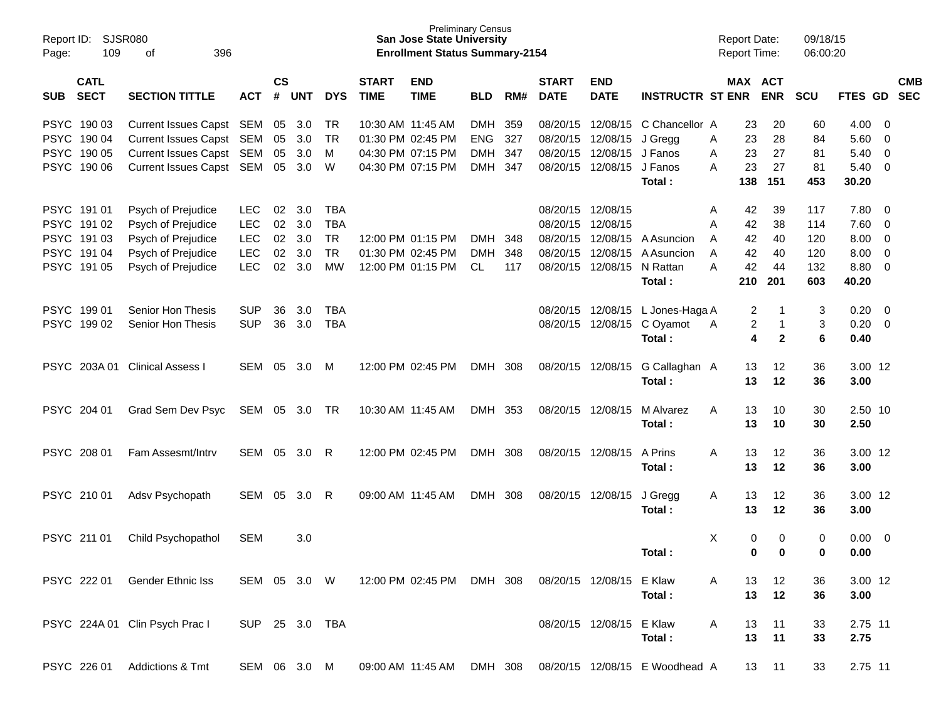| Report ID:<br>109<br>Page:               | <b>SJSR080</b><br>396<br>οf    |                |                |            |            |                             | <b>Preliminary Census</b><br><b>San Jose State University</b><br><b>Enrollment Status Summary-2154</b> |            |     |                             |                           |                                | <b>Report Date:</b><br><b>Report Time:</b> |     |                       | 09/18/15<br>06:00:20 |                |                         |                          |
|------------------------------------------|--------------------------------|----------------|----------------|------------|------------|-----------------------------|--------------------------------------------------------------------------------------------------------|------------|-----|-----------------------------|---------------------------|--------------------------------|--------------------------------------------|-----|-----------------------|----------------------|----------------|-------------------------|--------------------------|
| <b>CATL</b><br><b>SECT</b><br><b>SUB</b> | <b>SECTION TITTLE</b>          | <b>ACT</b>     | <b>CS</b><br># | <b>UNT</b> | <b>DYS</b> | <b>START</b><br><b>TIME</b> | <b>END</b><br><b>TIME</b>                                                                              | <b>BLD</b> | RM# | <b>START</b><br><b>DATE</b> | <b>END</b><br><b>DATE</b> | <b>INSTRUCTR ST ENR</b>        |                                            |     | MAX ACT<br><b>ENR</b> | <b>SCU</b>           | <b>FTES GD</b> |                         | <b>CMB</b><br><b>SEC</b> |
| PSYC 190 03                              | Current Issues Capst SEM       |                | 05             | 3.0        | TR         |                             | 10:30 AM 11:45 AM                                                                                      | DMH 359    |     | 08/20/15                    | 12/08/15                  | C Chancellor A                 |                                            | 23  | 20                    | 60                   | 4.00           | - 0                     |                          |
| PSYC 190 04                              | Current Issues Capst SEM       |                | 05             | 3.0        | <b>TR</b>  |                             | 01:30 PM 02:45 PM                                                                                      | <b>ENG</b> | 327 | 08/20/15                    | 12/08/15                  | J Gregg                        | A                                          | 23  | 28                    | 84                   | 5.60           | - 0                     |                          |
| PSYC 190 05                              | Current Issues Capst SEM       |                | 05             | 3.0        | M          |                             | 04:30 PM 07:15 PM                                                                                      | DMH 347    |     | 08/20/15                    | 12/08/15                  | J Fanos                        | A                                          | 23  | 27                    | 81                   | 5.40           | - 0                     |                          |
| PSYC 190 06                              | Current Issues Capst SEM       |                |                | 05 3.0     | W          |                             | 04:30 PM 07:15 PM                                                                                      | DMH 347    |     |                             | 08/20/15 12/08/15         | J Fanos                        | A                                          | 23  | 27                    | 81                   | 5.40           | $\overline{\mathbf{0}}$ |                          |
|                                          |                                |                |                |            |            |                             |                                                                                                        |            |     |                             |                           | Total:                         |                                            | 138 | 151                   | 453                  | 30.20          |                         |                          |
| PSYC 191 01                              | Psych of Prejudice             | <b>LEC</b>     | 02             | 3.0        | <b>TBA</b> |                             |                                                                                                        |            |     |                             | 08/20/15 12/08/15         |                                | A                                          | 42  | 39                    | 117                  | 7.80           | - 0                     |                          |
| PSYC 191 02                              | Psych of Prejudice             | <b>LEC</b>     | 02             | 3.0        | <b>TBA</b> |                             |                                                                                                        |            |     | 08/20/15                    | 12/08/15                  |                                | A                                          | 42  | 38                    | 114                  | 7.60           | - 0                     |                          |
| PSYC 191 03                              | Psych of Prejudice             | <b>LEC</b>     | 02             | 3.0        | <b>TR</b>  |                             | 12:00 PM 01:15 PM                                                                                      | <b>DMH</b> | 348 | 08/20/15                    | 12/08/15                  | A Asuncion                     | A                                          | 42  | 40                    | 120                  | 8.00           | $\overline{0}$          |                          |
| PSYC 191 04                              | Psych of Prejudice             | LEC            | 02             | 3.0        | <b>TR</b>  |                             | 01:30 PM 02:45 PM                                                                                      | <b>DMH</b> | 348 | 08/20/15                    | 12/08/15                  | A Asuncion                     | A                                          | 42  | 40                    | 120                  | 8.00           | $\overline{0}$          |                          |
| PSYC 191 05                              | Psych of Prejudice             | <b>LEC</b>     | 02             | 3.0        | <b>MW</b>  |                             | 12:00 PM 01:15 PM                                                                                      | CL.        | 117 |                             | 08/20/15 12/08/15         | N Rattan                       | A                                          | 42  | 44                    | 132                  | 8.80           | - 0                     |                          |
|                                          |                                |                |                |            |            |                             |                                                                                                        |            |     |                             |                           | Total:                         |                                            | 210 | 201                   | 603                  | 40.20          |                         |                          |
| PSYC 19901                               | Senior Hon Thesis              | <b>SUP</b>     | 36             | 3.0        | <b>TBA</b> |                             |                                                                                                        |            |     |                             | 08/20/15 12/08/15         | L Jones-Haga A                 |                                            | 2   | -1                    | 3                    | 0.20           | - 0                     |                          |
| PSYC 199 02                              | Senior Hon Thesis              | <b>SUP</b>     | 36             | 3.0        | <b>TBA</b> |                             |                                                                                                        |            |     |                             | 08/20/15 12/08/15         | C Oyamot                       | A                                          | 2   | 1                     | 3                    | 0.20           | - 0                     |                          |
|                                          |                                |                |                |            |            |                             |                                                                                                        |            |     |                             |                           | Total:                         |                                            | 4   | $\mathbf{2}$          | 6                    | 0.40           |                         |                          |
| PSYC 203A01                              | <b>Clinical Assess I</b>       | SEM            | 05             | 3.0        | М          |                             | 12:00 PM 02:45 PM                                                                                      | DMH 308    |     |                             | 08/20/15 12/08/15         | G Callaghan A                  |                                            | 13  | 12                    | 36                   | 3.00 12        |                         |                          |
|                                          |                                |                |                |            |            |                             |                                                                                                        |            |     |                             |                           | Total:                         |                                            | 13  | 12                    | 36                   | 3.00           |                         |                          |
| PSYC 204 01                              | Grad Sem Dev Psyc              | SEM 05 3.0     |                |            | TR         |                             | 10:30 AM 11:45 AM                                                                                      | DMH 353    |     |                             | 08/20/15 12/08/15         | M Alvarez                      | Α                                          | 13  | 10                    | 30                   | 2.50 10        |                         |                          |
|                                          |                                |                |                |            |            |                             |                                                                                                        |            |     |                             |                           | Total:                         |                                            | 13  | 10                    | 30                   | 2.50           |                         |                          |
| PSYC 208 01                              | Fam Assesmt/Intrv              | SEM            |                | 05 3.0     | R          |                             | 12:00 PM 02:45 PM                                                                                      | DMH 308    |     |                             | 08/20/15 12/08/15         | A Prins                        | A                                          | 13  | 12                    | 36                   | 3.00 12        |                         |                          |
|                                          |                                |                |                |            |            |                             |                                                                                                        |            |     |                             |                           | Total:                         |                                            | 13  | 12                    | 36                   | 3.00           |                         |                          |
| PSYC 210 01                              | Adsv Psychopath                | SEM            | 05             | 3.0        | R          |                             | 09:00 AM 11:45 AM                                                                                      | DMH 308    |     |                             | 08/20/15 12/08/15         | J Gregg                        | A                                          | 13  | 12                    | 36                   | 3.00 12        |                         |                          |
|                                          |                                |                |                |            |            |                             |                                                                                                        |            |     |                             |                           | Total:                         |                                            | 13  | 12                    | 36                   | 3.00           |                         |                          |
| PSYC 211 01                              | Child Psychopathol             | <b>SEM</b>     |                | 3.0        |            |                             |                                                                                                        |            |     |                             |                           |                                | X                                          | 0   | 0                     | 0                    | 0.00           | $\overline{\mathbf{0}}$ |                          |
|                                          |                                |                |                |            |            |                             |                                                                                                        |            |     |                             |                           | Total:                         |                                            | 0   | 0                     | 0                    | 0.00           |                         |                          |
| PSYC 222 01                              | Gender Ethnic Iss              | SEM 05 3.0 W   |                |            |            |                             | 12:00 PM 02:45 PM DMH 308                                                                              |            |     |                             | 08/20/15 12/08/15 E Klaw  |                                | A                                          | 13  | 12                    | 36                   | 3.00 12        |                         |                          |
|                                          |                                |                |                |            |            |                             |                                                                                                        |            |     |                             |                           | Total:                         |                                            | 13  | 12                    | 36                   | 3.00           |                         |                          |
|                                          |                                |                |                |            |            |                             |                                                                                                        |            |     |                             |                           |                                |                                            |     |                       |                      |                |                         |                          |
|                                          | PSYC 224A 01 Clin Psych Prac I | SUP 25 3.0 TBA |                |            |            |                             |                                                                                                        |            |     |                             | 08/20/15 12/08/15 E Klaw  |                                | A                                          | 13  | 11                    | 33                   | 2.75 11        |                         |                          |
|                                          |                                |                |                |            |            |                             |                                                                                                        |            |     |                             |                           | Total:                         |                                            | 13  | 11                    | 33                   | 2.75           |                         |                          |
| PSYC 226 01                              | Addictions & Tmt               | SEM 06 3.0 M   |                |            |            |                             | 09:00 AM 11:45 AM DMH 308                                                                              |            |     |                             |                           | 08/20/15 12/08/15 E Woodhead A |                                            |     | 13 11                 | 33                   | 2.75 11        |                         |                          |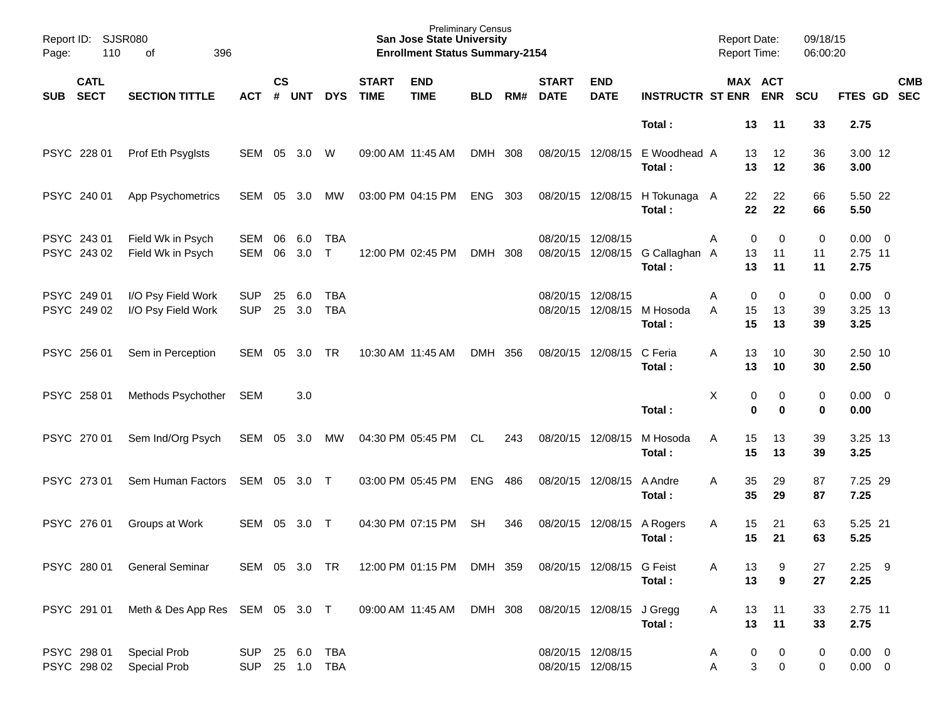| Page: | Report ID: SJSR080<br>110<br>396<br>of<br><b>CATL</b> |                                                                       |                                  |                    |            |                          |                             | <b>Preliminary Census</b><br><b>San Jose State University</b><br><b>Enrollment Status Summary-2154</b> |            |       |                             |                               |                             | <b>Report Date:</b><br><b>Report Time:</b> |                                 | 09/18/15<br>06:00:20    |                                |            |
|-------|-------------------------------------------------------|-----------------------------------------------------------------------|----------------------------------|--------------------|------------|--------------------------|-----------------------------|--------------------------------------------------------------------------------------------------------|------------|-------|-----------------------------|-------------------------------|-----------------------------|--------------------------------------------|---------------------------------|-------------------------|--------------------------------|------------|
| SUB   | <b>SECT</b>                                           | <b>SECTION TITTLE</b>                                                 | <b>ACT</b>                       | $\mathsf{cs}$<br># | <b>UNT</b> | <b>DYS</b>               | <b>START</b><br><b>TIME</b> | <b>END</b><br><b>TIME</b>                                                                              | <b>BLD</b> | RM#   | <b>START</b><br><b>DATE</b> | <b>END</b><br><b>DATE</b>     | <b>INSTRUCTR ST ENR ENR</b> |                                            | MAX ACT                         | <b>SCU</b>              | FTES GD SEC                    | <b>CMB</b> |
|       |                                                       |                                                                       |                                  |                    |            |                          |                             |                                                                                                        |            |       |                             |                               | Total:                      | 13                                         | 11                              | 33                      | 2.75                           |            |
|       | PSYC 228 01                                           | Prof Eth Psyglsts                                                     | SEM                              | 05                 | 3.0        | W                        |                             | 09:00 AM 11:45 AM                                                                                      | DMH 308    |       |                             | 08/20/15 12/08/15             | E Woodhead A<br>Total:      | 13<br>13                                   | 12<br>12                        | 36<br>36                | 3.00 12<br>3.00                |            |
|       | PSYC 240 01                                           | <b>App Psychometrics</b>                                              | SEM                              | 05                 | 3.0        | МW                       |                             | 03:00 PM 04:15 PM                                                                                      | ENG        | - 303 |                             | 08/20/15 12/08/15             | H Tokunaga A<br>Total:      | 22<br>22                                   | 22<br>22                        | 66<br>66                | 5.50 22<br>5.50                |            |
|       | PSYC 243 01<br>PSYC 243 02                            | Field Wk in Psych<br>Field Wk in Psych                                | SEM<br><b>SEM</b>                | 06<br>06           | 6.0<br>3.0 | <b>TBA</b><br>$\top$     |                             | 12:00 PM 02:45 PM                                                                                      | DMH 308    |       | 08/20/15                    | 12/08/15<br>08/20/15 12/08/15 | G Callaghan A<br>Total:     | Α<br>13<br>13                              | 0<br>$\Omega$<br>11<br>11       | $\mathbf 0$<br>11<br>11 | $0.00 \t 0$<br>2.75 11<br>2.75 |            |
|       | PSYC 249 01<br>PSYC 249 02                            | I/O Psy Field Work<br>I/O Psy Field Work                              | <b>SUP</b><br><b>SUP</b>         | 25<br>25           | 6.0<br>3.0 | <b>TBA</b><br><b>TBA</b> |                             |                                                                                                        |            |       | 08/20/15<br>08/20/15        | 12/08/15<br>12/08/15          | M Hosoda<br>Total:          | Α<br>A<br>15<br>15                         | $\mathbf 0$<br>0<br>13<br>13    | 0<br>39<br>39           | $0.00 \t 0$<br>3.25 13<br>3.25 |            |
|       | PSYC 256 01                                           | Sem in Perception                                                     | SEM                              | 05                 | 3.0        | <b>TR</b>                |                             | 10:30 AM 11:45 AM                                                                                      | DMH 356    |       |                             | 08/20/15 12/08/15             | C Feria<br>Total:           | A<br>13<br>13                              | 10<br>10                        | 30<br>30                | 2.50 10<br>2.50                |            |
|       | PSYC 258 01                                           | Methods Psychother                                                    | SEM                              |                    | 3.0        |                          |                             |                                                                                                        |            |       |                             |                               | Total:                      | X                                          | 0<br>0<br>$\bf{0}$<br>$\bf{0}$  | 0<br>$\bf{0}$           | $0.00 \t 0$<br>0.00            |            |
|       | PSYC 270 01                                           | Sem Ind/Org Psych                                                     | SEM                              | 05                 | 3.0        | МW                       |                             | 04:30 PM 05:45 PM                                                                                      | CL         | 243   | 08/20/15 12/08/15           |                               | M Hosoda<br>Total:          | A<br>15<br>15                              | 13<br>13                        | 39<br>39                | 3.25 13<br>3.25                |            |
|       | PSYC 273 01                                           | Sem Human Factors                                                     | SEM                              | 05                 | 3.0 T      |                          |                             | 03:00 PM 05:45 PM                                                                                      | <b>ENG</b> | 486   |                             | 08/20/15 12/08/15             | A Andre<br>Total:           | 35<br>A<br>35                              | 29<br>29                        | 87<br>87                | 7.25 29<br>7.25                |            |
|       | PSYC 276 01                                           | Groups at Work                                                        | <b>SEM</b>                       | 05                 | 3.0        | $\top$                   |                             | 04:30 PM 07:15 PM                                                                                      | <b>SH</b>  | 346   |                             | 08/20/15 12/08/15             | A Rogers<br>Total:          | 15<br>Α<br>15                              | 21<br>21                        | 63<br>63                | 5.25 21<br>5.25                |            |
|       |                                                       | PSYC 280 01 General Seminar                                           |                                  |                    |            |                          |                             | SEM 05 3.0 TR 12:00 PM 01:15 PM DMH 359                                                                |            |       |                             | 08/20/15 12/08/15 G Feist     | Total:                      | 13<br>Α<br>13                              | 9<br>9                          | 27<br>27                | $2.25$ 9<br>2.25               |            |
|       |                                                       | PSYC 291 01 Meth & Des App Res SEM 05 3.0 T 09:00 AM 11:45 AM DMH 308 |                                  |                    |            |                          |                             |                                                                                                        |            |       |                             | 08/20/15 12/08/15 J Gregg     | Total:                      | 13<br>A<br>13                              | 11<br>11                        | 33<br>33                | 2.75 11<br>2.75                |            |
|       | PSYC 298 01                                           | <b>Special Prob</b><br>PSYC 298 02 Special Prob                       | SUP 25 6.0 TBA<br>SUP 25 1.0 TBA |                    |            |                          |                             |                                                                                                        |            |       | 08/20/15 12/08/15           | 08/20/15 12/08/15             |                             | A<br>Α                                     | $\boldsymbol{0}$<br>0<br>3<br>0 | 0<br>0                  | $0.00 \t 0$<br>$0.00 \t 0$     |            |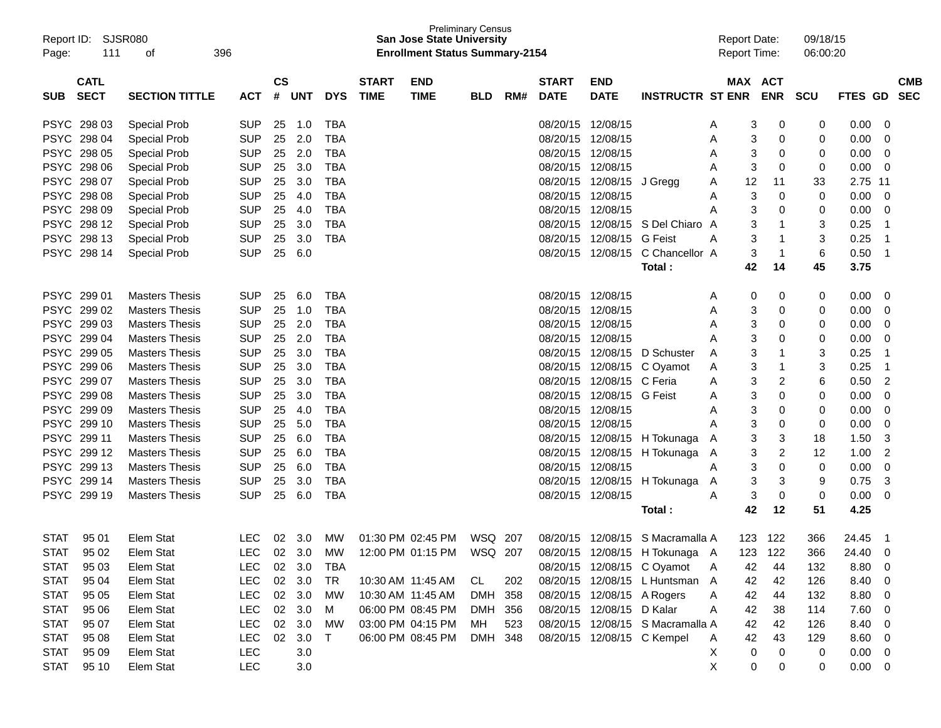| Page:       | Report ID: SJSR080<br>111  | 396<br>οf             |            |                    |            |            |                             | <b>San Jose State University</b><br><b>Enrollment Status Summary-2154</b> | <b>Preliminary Census</b> |     |                             |                            |                                                                        |        | <b>Report Date:</b><br><b>Report Time:</b> |             | 09/18/15<br>06:00:20 |             |                         |
|-------------|----------------------------|-----------------------|------------|--------------------|------------|------------|-----------------------------|---------------------------------------------------------------------------|---------------------------|-----|-----------------------------|----------------------------|------------------------------------------------------------------------|--------|--------------------------------------------|-------------|----------------------|-------------|-------------------------|
| <b>SUB</b>  | <b>CATL</b><br><b>SECT</b> | <b>SECTION TITTLE</b> | <b>ACT</b> | $\mathsf{cs}$<br># | <b>UNT</b> | <b>DYS</b> | <b>START</b><br><b>TIME</b> | <b>END</b><br><b>TIME</b>                                                 | <b>BLD</b>                | RM# | <b>START</b><br><b>DATE</b> | <b>END</b><br><b>DATE</b>  | <b>INSTRUCTR ST ENR</b>                                                |        | MAX ACT                                    | <b>ENR</b>  | SCU                  | FTES GD SEC | <b>CMB</b>              |
|             | PSYC 298 03                | <b>Special Prob</b>   | <b>SUP</b> | 25                 | 1.0        | TBA        |                             |                                                                           |                           |     | 08/20/15                    | 12/08/15                   |                                                                        | A      | 3                                          | 0           | 0                    | 0.00        | 0                       |
|             | PSYC 298 04                | <b>Special Prob</b>   | <b>SUP</b> | 25                 | 2.0        | TBA        |                             |                                                                           |                           |     | 08/20/15                    | 12/08/15                   |                                                                        | Α      | 3                                          | 0           | 0                    | 0.00        | 0                       |
|             | PSYC 298 05                | <b>Special Prob</b>   | <b>SUP</b> | 25                 | 2.0        | TBA        |                             |                                                                           |                           |     | 08/20/15                    | 12/08/15                   |                                                                        | A      | 3                                          | 0           | 0                    | 0.00        | 0                       |
| <b>PSYC</b> | 298 06                     | <b>Special Prob</b>   | <b>SUP</b> | 25                 | 3.0        | TBA        |                             |                                                                           |                           |     | 08/20/15                    | 12/08/15                   |                                                                        | A      | 3                                          | 0           | 0                    | 0.00        | 0                       |
| <b>PSYC</b> | 298 07                     | <b>Special Prob</b>   | <b>SUP</b> | 25                 | 3.0        | TBA        |                             |                                                                           |                           |     | 08/20/15                    | 12/08/15                   | J Gregg                                                                | A      | 12                                         | 11          | 33                   | 2.75 11     |                         |
|             | PSYC 298 08                | <b>Special Prob</b>   | <b>SUP</b> | 25                 | 4.0        | TBA        |                             |                                                                           |                           |     | 08/20/15                    | 12/08/15                   |                                                                        | A      | 3                                          | 0           | 0                    | 0.00        | 0                       |
|             | PSYC 298 09                | <b>Special Prob</b>   | <b>SUP</b> | 25                 | 4.0        | TBA        |                             |                                                                           |                           |     | 08/20/15 12/08/15           |                            |                                                                        | Α      | 3                                          | 0           | 0                    | 0.00        | 0                       |
|             | PSYC 298 12                | <b>Special Prob</b>   | <b>SUP</b> | 25                 | 3.0        | TBA        |                             |                                                                           |                           |     | 08/20/15                    |                            | 12/08/15 S Del Chiaro A                                                |        | 3                                          | 1           | 3                    | 0.25        | -1                      |
| <b>PSYC</b> | 298 13                     | <b>Special Prob</b>   | <b>SUP</b> | 25                 | 3.0        | TBA        |                             |                                                                           |                           |     | 08/20/15                    | 12/08/15 G Feist           |                                                                        | Α      | 3                                          | -1          | 3                    | 0.25        | -1                      |
|             | PSYC 298 14                | <b>Special Prob</b>   | <b>SUP</b> | 25                 | 6.0        |            |                             |                                                                           |                           |     |                             | 08/20/15 12/08/15          | C Chancellor A                                                         |        | 3                                          | $\mathbf 1$ | 6                    | 0.50        | -1                      |
|             |                            |                       |            |                    |            |            |                             |                                                                           |                           |     |                             |                            | Total:                                                                 |        | 42                                         | 14          | 45                   | 3.75        |                         |
|             | PSYC 299 01                | <b>Masters Thesis</b> | <b>SUP</b> | 25                 | 6.0        | TBA        |                             |                                                                           |                           |     | 08/20/15 12/08/15           |                            |                                                                        |        |                                            |             | 0                    | 0.00        | 0                       |
|             | PSYC 299 02                | <b>Masters Thesis</b> | <b>SUP</b> | 25                 | 1.0        | TBA        |                             |                                                                           |                           |     | 08/20/15                    | 12/08/15                   |                                                                        | A      | 0<br>3                                     | 0<br>0      | 0                    | 0.00        | 0                       |
|             | PSYC 299 03                | <b>Masters Thesis</b> | <b>SUP</b> | 25                 | 2.0        | TBA        |                             |                                                                           |                           |     | 08/20/15 12/08/15           |                            |                                                                        | Α      | 3                                          | 0           | 0                    | 0.00        | 0                       |
|             | PSYC 299 04                | <b>Masters Thesis</b> | <b>SUP</b> | 25                 | 2.0        | TBA        |                             |                                                                           |                           |     | 08/20/15 12/08/15           |                            |                                                                        | A      | 3                                          | 0           | 0                    | 0.00        | 0                       |
|             | PSYC 299 05                | <b>Masters Thesis</b> | <b>SUP</b> | 25                 | 3.0        | TBA        |                             |                                                                           |                           |     |                             | 08/20/15 12/08/15          | D Schuster                                                             | Α<br>A | 3                                          | 1           | 3                    | 0.25        | -1                      |
|             | PSYC 299 06                | <b>Masters Thesis</b> | <b>SUP</b> | 25                 | 3.0        | TBA        |                             |                                                                           |                           |     |                             | 08/20/15 12/08/15          | C Oyamot                                                               | Α      | 3                                          | 1           | 3                    | 0.25        | -1                      |
|             | PSYC 299 07                | <b>Masters Thesis</b> | <b>SUP</b> | 25                 | 3.0        | TBA        |                             |                                                                           |                           |     |                             | 08/20/15 12/08/15 C Feria  |                                                                        | A      | 3                                          | 2           | 6                    | 0.50        | $\overline{2}$          |
|             | PSYC 299 08                | <b>Masters Thesis</b> | <b>SUP</b> | 25                 | 3.0        | TBA        |                             |                                                                           |                           |     | 08/20/15                    | 12/08/15 G Feist           |                                                                        | A      | 3                                          | 0           | 0                    | 0.00        | 0                       |
|             | PSYC 299 09                | <b>Masters Thesis</b> | <b>SUP</b> | 25                 | 4.0        | TBA        |                             |                                                                           |                           |     | 08/20/15                    | 12/08/15                   |                                                                        | A      | 3                                          | 0           | 0                    | 0.00        | 0                       |
|             | PSYC 299 10                | <b>Masters Thesis</b> | <b>SUP</b> | 25                 | 5.0        | TBA        |                             |                                                                           |                           |     | 08/20/15 12/08/15           |                            |                                                                        |        | 3                                          | 0           | 0                    | 0.00        | 0                       |
|             | PSYC 299 11                | <b>Masters Thesis</b> | <b>SUP</b> | 25                 | 6.0        | TBA        |                             |                                                                           |                           |     |                             |                            | 08/20/15 12/08/15 H Tokunaga                                           |        | 3                                          | 3           | 18                   | 1.50        | 3                       |
|             | PSYC 299 12                | <b>Masters Thesis</b> | <b>SUP</b> | 25                 | 6.0        | TBA        |                             |                                                                           |                           |     |                             |                            | 08/20/15 12/08/15 H Tokunaga                                           | A      | 3                                          | 2           | 12                   | 1.00        | $\overline{2}$          |
| <b>PSYC</b> | 299 13                     | <b>Masters Thesis</b> | <b>SUP</b> | 25                 | 6.0        | TBA        |                             |                                                                           |                           |     | 08/20/15 12/08/15           |                            |                                                                        | Α      | 3                                          | 0           | 0                    | 0.00        | 0                       |
| <b>PSYC</b> | 299 14                     | <b>Masters Thesis</b> | <b>SUP</b> | 25                 | 3.0        | TBA        |                             |                                                                           |                           |     | 08/20/15                    | 12/08/15                   | H Tokunaga                                                             | Α      | 3                                          | 3           | 9                    | 0.75        | 3                       |
|             | PSYC 299 19                | <b>Masters Thesis</b> | <b>SUP</b> | 25                 | 6.0        | TBA        |                             |                                                                           |                           |     | 08/20/15 12/08/15           |                            |                                                                        | Α      | 3                                          | 0           | 0                    | 0.00        | 0                       |
|             |                            |                       |            |                    |            |            |                             |                                                                           |                           |     |                             |                            | Total :                                                                |        | 42                                         | 12          | 51                   | 4.25        |                         |
|             |                            |                       |            |                    |            |            |                             |                                                                           |                           |     |                             |                            |                                                                        |        |                                            |             |                      |             |                         |
| STAT        | 95 01                      | Elem Stat             | <b>LEC</b> |                    | 02 3.0     | MW.        |                             | 01:30 PM 02:45 PM                                                         | WSQ 207                   |     |                             |                            | 08/20/15 12/08/15 S Macramalla A                                       |        |                                            | 123 122     | 366                  | 24.45       | - 1                     |
|             | STAT 95 02                 | Elem Stat             |            |                    |            |            |                             |                                                                           |                           |     |                             |                            | LEC 02 3.0 MW 12:00 PM 01:15 PM WSQ 207 08/20/15 12/08/15 H Tokunaga A |        |                                            | 123 122     | 366                  | 24.40 0     |                         |
| <b>STAT</b> | 95 03                      | Elem Stat             | LEC.       |                    | 02 3.0     | TBA        |                             |                                                                           |                           |     |                             |                            | 08/20/15 12/08/15 C Oyamot                                             | A      | 42                                         | 44          | 132                  | 8.80        | 0                       |
| <b>STAT</b> | 95 04                      | Elem Stat             | <b>LEC</b> |                    | 02 3.0     | TR         |                             | 10:30 AM 11:45 AM                                                         | CL                        | 202 |                             |                            | 08/20/15 12/08/15 L Huntsman A                                         |        | 42                                         | 42          | 126                  | 8.40        | $\mathbf 0$             |
| <b>STAT</b> | 95 05                      | Elem Stat             | <b>LEC</b> |                    | 02 3.0     | МW         |                             | 10:30 AM 11:45 AM                                                         | DMH 358                   |     |                             | 08/20/15 12/08/15 A Rogers |                                                                        | A      | 42                                         | 44          | 132                  | 8.80        | $\mathbf 0$             |
| <b>STAT</b> | 95 06                      | Elem Stat             | <b>LEC</b> |                    | 02 3.0     | M          |                             | 06:00 PM 08:45 PM                                                         | DMH 356                   |     |                             | 08/20/15 12/08/15 D Kalar  |                                                                        | Α      | 42                                         | 38          | 114                  | 7.60        | $\mathbf 0$             |
| <b>STAT</b> | 95 07                      | Elem Stat             | <b>LEC</b> |                    | 02 3.0     | MW         |                             | 03:00 PM 04:15 PM                                                         | MН                        | 523 |                             |                            | 08/20/15 12/08/15 S Macramalla A                                       |        | 42                                         | 42          | 126                  | 8.40        | $\mathbf 0$             |
| <b>STAT</b> | 95 08                      | Elem Stat             | <b>LEC</b> |                    | 02 3.0     | $\top$     |                             | 06:00 PM 08:45 PM                                                         | DMH 348                   |     |                             |                            | 08/20/15 12/08/15 C Kempel                                             | A      | 42                                         | 43          | 129                  | 8.60        | $\mathbf 0$             |
| <b>STAT</b> | 95 09                      | Elem Stat             | LEC        |                    | 3.0        |            |                             |                                                                           |                           |     |                             |                            |                                                                        | X      | 0                                          | 0           | 0                    | 0.00        | $\overline{\mathbf{0}}$ |
| <b>STAT</b> | 95 10                      | Elem Stat             | LEC        |                    | 3.0        |            |                             |                                                                           |                           |     |                             |                            |                                                                        | X      | 0                                          | 0           | 0                    | $0.00 \t 0$ |                         |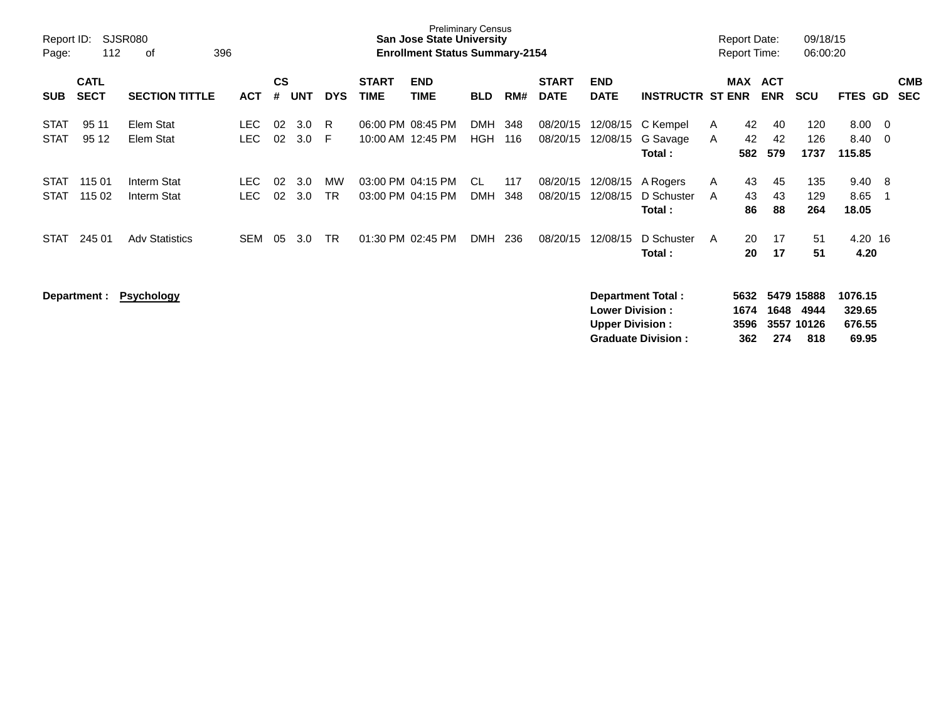| Page:                      | Report ID:<br>SJSR080<br>112<br>396<br>оf<br><b>CATL</b> |                            |                    |                |            |                        |                             | <b>Preliminary Census</b><br>San Jose State University<br><b>Enrollment Status Summary-2154</b> |                          |            |                             |                                                  |                                                       | <b>Report Date:</b><br><b>Report Time:</b> |                          | 09/18/15<br>06:00:20                    |                                      |                                       |
|----------------------------|----------------------------------------------------------|----------------------------|--------------------|----------------|------------|------------------------|-----------------------------|-------------------------------------------------------------------------------------------------|--------------------------|------------|-----------------------------|--------------------------------------------------|-------------------------------------------------------|--------------------------------------------|--------------------------|-----------------------------------------|--------------------------------------|---------------------------------------|
| <b>SUB</b>                 | <b>SECT</b>                                              | <b>SECTION TITTLE</b>      | <b>ACT</b>         | <b>CS</b><br># | <b>UNT</b> | <b>DYS</b>             | <b>START</b><br><b>TIME</b> | <b>END</b><br><b>TIME</b>                                                                       | <b>BLD</b>               | RM#        | <b>START</b><br><b>DATE</b> | <b>END</b><br><b>DATE</b>                        | <b>INSTRUCTR ST ENR</b>                               | MAX                                        | <b>ACT</b><br><b>ENR</b> | <b>SCU</b>                              | <b>FTES</b>                          | <b>CMB</b><br><b>SEC</b><br><b>GD</b> |
| <b>STAT</b><br><b>STAT</b> | 95 11<br>95 12                                           | Elem Stat<br>Elem Stat     | <b>LEC</b><br>LEC. | 02<br>02       | 3.0<br>3.0 | R<br>F                 |                             | 06:00 PM 08:45 PM<br>10:00 AM 12:45 PM                                                          | <b>DMH</b><br><b>HGH</b> | 348<br>116 | 08/20/15<br>08/20/15        | 12/08/15<br>12/08/15                             | C Kempel<br>G Savage<br>Total:                        | 42<br>A<br>42<br>A<br>582                  | 40<br>42<br>579          | 120<br>126<br>1737                      | 8.00<br>8.40<br>115.85               | $\overline{0}$<br>$\mathbf 0$         |
| <b>STAT</b><br><b>STAT</b> | 115 01<br>115 02                                         | Interm Stat<br>Interm Stat | LEC.<br>LEC.       | 02<br>02       | 3.0<br>3.0 | <b>MW</b><br><b>TR</b> |                             | 03:00 PM 04:15 PM<br>03:00 PM 04:15 PM                                                          | CL<br><b>DMH</b>         | 117<br>348 | 08/20/15<br>08/20/15        | 12/08/15<br>12/08/15                             | A Rogers<br>D Schuster<br>Total:                      | 43<br>A<br>43<br>A<br>86                   | 45<br>43<br>88           | 135<br>129<br>264                       | 9.40<br>8.65<br>18.05                | 8<br>-1                               |
| <b>STAT</b>                | 245 01                                                   | <b>Adv Statistics</b>      | <b>SEM</b>         | 05             | 3.0        | <b>TR</b>              |                             | 01:30 PM 02:45 PM                                                                               | <b>DMH</b>               | 236        | 08/20/15                    | 12/08/15                                         | D Schuster<br>Total:                                  | 20<br>A<br>20                              | 17<br>17                 | 51<br>51                                | 4.20 16<br>4.20                      |                                       |
|                            | Department :                                             | <b>Psychology</b>          |                    |                |            |                        |                             |                                                                                                 |                          |            |                             | <b>Lower Division:</b><br><b>Upper Division:</b> | <b>Department Total:</b><br><b>Graduate Division:</b> | 5632<br>1674<br>3596<br>362                | 1648<br>274              | 5479 15888<br>4944<br>3557 10126<br>818 | 1076.15<br>329.65<br>676.55<br>69.95 |                                       |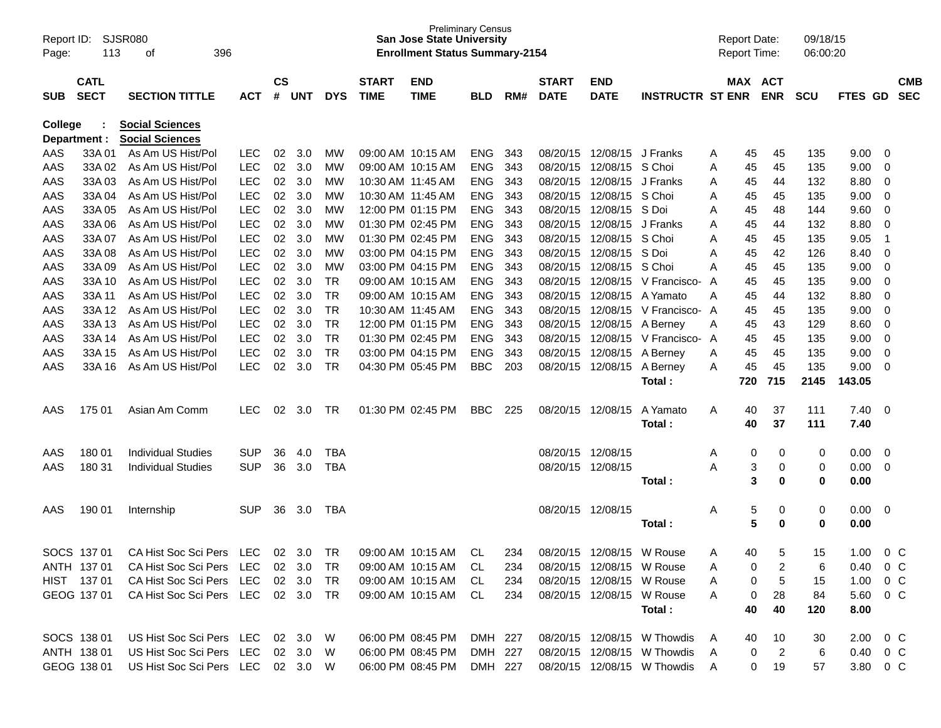| $\mathsf{cs}$<br><b>CATL</b><br><b>START</b><br><b>START</b><br><b>END</b><br>MAX ACT<br><b>END</b><br><b>CMB</b><br><b>SECT</b><br><b>SECTION TITTLE</b><br>#<br><b>DYS</b><br><b>TIME</b><br><b>TIME</b><br>RM#<br><b>DATE</b><br><b>DATE</b><br><b>INSTRUCTR ST ENR</b><br><b>ENR</b><br>FTES GD<br><b>SEC</b><br><b>ACT</b><br><b>UNT</b><br><b>SCU</b><br>SUB<br><b>BLD</b><br><b>Social Sciences</b><br><b>College</b><br><b>Social Sciences</b><br>Department :<br>As Am US Hist/Pol<br>AAS<br>33A01<br><b>LEC</b><br>02<br>3.0<br>09:00 AM 10:15 AM<br><b>ENG</b><br>343<br>08/20/15<br>12/08/15 J Franks<br>45<br>135<br>9.00<br>МW<br>45<br>0<br>A<br>As Am US Hist/Pol<br><b>LEC</b><br>02<br>3.0<br><b>ENG</b><br>08/20/15<br>12/08/15 S Choi<br>45<br>135<br>9.00<br>AAS<br>33A 02<br><b>MW</b><br>09:00 AM 10:15 AM<br>343<br>45<br>0<br>Α<br>AAS<br>As Am US Hist/Pol<br><b>LEC</b><br>02<br><b>ENG</b><br>08/20/15<br>12/08/15<br>8.80<br>33A03<br>3.0<br>10:30 AM 11:45 AM<br>343<br>J Franks<br>132<br>0<br>МW<br>45<br>44<br>Α<br>AAS<br>As Am US Hist/Pol<br><b>LEC</b><br>02<br><b>ENG</b><br>08/20/15<br>12/08/15 S Choi<br>9.00<br>33A 04<br>3.0<br>10:30 AM 11:45 AM<br>343<br>45<br>135<br>0<br>МW<br>45<br>Α<br>As Am US Hist/Pol<br>LEC<br>02<br>3.0<br>12:00 PM 01:15 PM<br><b>ENG</b><br>08/20/15<br>12/08/15 S Doi<br>9.60<br>AAS<br>33A 05<br>343<br>48<br>144<br>0<br>МW<br>45<br>Α<br>As Am US Hist/Pol<br><b>LEC</b><br>02<br>3.0<br>01:30 PM 02:45 PM<br><b>ENG</b><br>08/20/15<br>12/08/15<br>132<br>8.80<br>AAS<br>33A 06<br><b>MW</b><br>343<br>J Franks<br>0<br>45<br>44<br>Α<br>AAS<br>As Am US Hist/Pol<br><b>LEC</b><br>02<br>3.0<br>01:30 PM 02:45 PM<br><b>ENG</b><br>08/20/15<br>12/08/15 S Choi<br>135<br>9.05<br>33A 07<br><b>MW</b><br>343<br>45<br>$\mathbf 1$<br>45<br>Α<br>AAS<br>As Am US Hist/Pol<br>LEC<br>02<br>3.0<br>03:00 PM 04:15 PM<br><b>ENG</b><br>08/20/15<br>12/08/15 S Doi<br>126<br>8.40<br>33A08<br>MW<br>343<br>42<br>0<br>45<br>Α<br>As Am US Hist/Pol<br><b>LEC</b><br>02<br>3.0<br>03:00 PM 04:15 PM<br><b>ENG</b><br>08/20/15<br>12/08/15 S Choi<br>45<br>135<br>9.00<br>$\mathbf 0$<br>AAS<br>33A 09<br>MW<br>343<br>Α<br>45<br>AAS<br>As Am US Hist/Pol<br><b>LEC</b><br>02<br>3.0<br><b>TR</b><br><b>ENG</b><br>08/20/15<br>12/08/15 V Francisco-<br>135<br>9.00<br>33A 10<br>09:00 AM 10:15 AM<br>343<br>45<br>0<br>45<br>A<br>AAS<br>As Am US Hist/Pol<br><b>LEC</b><br>02<br>3.0<br><b>TR</b><br><b>ENG</b><br>08/20/15<br>12/08/15 A Yamato<br>8.80<br>33A 11<br>09:00 AM 10:15 AM<br>343<br>132<br>0<br>Α<br>45<br>44<br>As Am US Hist/Pol<br>LEC<br>02<br>3.0<br><b>TR</b><br><b>ENG</b><br>08/20/15<br>12/08/15 V Francisco- A<br>135<br>9.00<br>AAS<br>33A 12<br>10:30 AM 11:45 AM<br>343<br>45<br>0<br>45<br><b>TR</b><br>As Am US Hist/Pol<br><b>LEC</b><br>02<br>3.0<br>12:00 PM 01:15 PM<br><b>ENG</b><br>08/20/15<br>129<br>8.60<br>AAS<br>33A 13<br>343<br>12/08/15<br>A Berney<br>43<br>0<br>45<br>Α<br><b>TR</b><br>As Am US Hist/Pol<br><b>LEC</b><br>02<br>3.0<br>01:30 PM 02:45 PM<br><b>ENG</b><br>08/20/15<br>12/08/15 V Francisco-<br>135<br>9.00<br>AAS<br>33A 14<br>343<br>45<br>0<br>45<br>A |
|--------------------------------------------------------------------------------------------------------------------------------------------------------------------------------------------------------------------------------------------------------------------------------------------------------------------------------------------------------------------------------------------------------------------------------------------------------------------------------------------------------------------------------------------------------------------------------------------------------------------------------------------------------------------------------------------------------------------------------------------------------------------------------------------------------------------------------------------------------------------------------------------------------------------------------------------------------------------------------------------------------------------------------------------------------------------------------------------------------------------------------------------------------------------------------------------------------------------------------------------------------------------------------------------------------------------------------------------------------------------------------------------------------------------------------------------------------------------------------------------------------------------------------------------------------------------------------------------------------------------------------------------------------------------------------------------------------------------------------------------------------------------------------------------------------------------------------------------------------------------------------------------------------------------------------------------------------------------------------------------------------------------------------------------------------------------------------------------------------------------------------------------------------------------------------------------------------------------------------------------------------------------------------------------------------------------------------------------------------------------------------------------------------------------------------------------------------------------------------------------------------------------------------------------------------------------------------------------------------------------------------------------------------------------------------------------------------------------------------------------------------------------------------------------------------------------------------------------------------------------------------------------------------------------------------------------------------------------------------------------------------------------------------------------------------------------------------------------------------------------------------------------------------------------------------------------------|
|                                                                                                                                                                                                                                                                                                                                                                                                                                                                                                                                                                                                                                                                                                                                                                                                                                                                                                                                                                                                                                                                                                                                                                                                                                                                                                                                                                                                                                                                                                                                                                                                                                                                                                                                                                                                                                                                                                                                                                                                                                                                                                                                                                                                                                                                                                                                                                                                                                                                                                                                                                                                                                                                                                                                                                                                                                                                                                                                                                                                                                                                                                                                                                                                  |
|                                                                                                                                                                                                                                                                                                                                                                                                                                                                                                                                                                                                                                                                                                                                                                                                                                                                                                                                                                                                                                                                                                                                                                                                                                                                                                                                                                                                                                                                                                                                                                                                                                                                                                                                                                                                                                                                                                                                                                                                                                                                                                                                                                                                                                                                                                                                                                                                                                                                                                                                                                                                                                                                                                                                                                                                                                                                                                                                                                                                                                                                                                                                                                                                  |
|                                                                                                                                                                                                                                                                                                                                                                                                                                                                                                                                                                                                                                                                                                                                                                                                                                                                                                                                                                                                                                                                                                                                                                                                                                                                                                                                                                                                                                                                                                                                                                                                                                                                                                                                                                                                                                                                                                                                                                                                                                                                                                                                                                                                                                                                                                                                                                                                                                                                                                                                                                                                                                                                                                                                                                                                                                                                                                                                                                                                                                                                                                                                                                                                  |
|                                                                                                                                                                                                                                                                                                                                                                                                                                                                                                                                                                                                                                                                                                                                                                                                                                                                                                                                                                                                                                                                                                                                                                                                                                                                                                                                                                                                                                                                                                                                                                                                                                                                                                                                                                                                                                                                                                                                                                                                                                                                                                                                                                                                                                                                                                                                                                                                                                                                                                                                                                                                                                                                                                                                                                                                                                                                                                                                                                                                                                                                                                                                                                                                  |
|                                                                                                                                                                                                                                                                                                                                                                                                                                                                                                                                                                                                                                                                                                                                                                                                                                                                                                                                                                                                                                                                                                                                                                                                                                                                                                                                                                                                                                                                                                                                                                                                                                                                                                                                                                                                                                                                                                                                                                                                                                                                                                                                                                                                                                                                                                                                                                                                                                                                                                                                                                                                                                                                                                                                                                                                                                                                                                                                                                                                                                                                                                                                                                                                  |
|                                                                                                                                                                                                                                                                                                                                                                                                                                                                                                                                                                                                                                                                                                                                                                                                                                                                                                                                                                                                                                                                                                                                                                                                                                                                                                                                                                                                                                                                                                                                                                                                                                                                                                                                                                                                                                                                                                                                                                                                                                                                                                                                                                                                                                                                                                                                                                                                                                                                                                                                                                                                                                                                                                                                                                                                                                                                                                                                                                                                                                                                                                                                                                                                  |
|                                                                                                                                                                                                                                                                                                                                                                                                                                                                                                                                                                                                                                                                                                                                                                                                                                                                                                                                                                                                                                                                                                                                                                                                                                                                                                                                                                                                                                                                                                                                                                                                                                                                                                                                                                                                                                                                                                                                                                                                                                                                                                                                                                                                                                                                                                                                                                                                                                                                                                                                                                                                                                                                                                                                                                                                                                                                                                                                                                                                                                                                                                                                                                                                  |
|                                                                                                                                                                                                                                                                                                                                                                                                                                                                                                                                                                                                                                                                                                                                                                                                                                                                                                                                                                                                                                                                                                                                                                                                                                                                                                                                                                                                                                                                                                                                                                                                                                                                                                                                                                                                                                                                                                                                                                                                                                                                                                                                                                                                                                                                                                                                                                                                                                                                                                                                                                                                                                                                                                                                                                                                                                                                                                                                                                                                                                                                                                                                                                                                  |
|                                                                                                                                                                                                                                                                                                                                                                                                                                                                                                                                                                                                                                                                                                                                                                                                                                                                                                                                                                                                                                                                                                                                                                                                                                                                                                                                                                                                                                                                                                                                                                                                                                                                                                                                                                                                                                                                                                                                                                                                                                                                                                                                                                                                                                                                                                                                                                                                                                                                                                                                                                                                                                                                                                                                                                                                                                                                                                                                                                                                                                                                                                                                                                                                  |
|                                                                                                                                                                                                                                                                                                                                                                                                                                                                                                                                                                                                                                                                                                                                                                                                                                                                                                                                                                                                                                                                                                                                                                                                                                                                                                                                                                                                                                                                                                                                                                                                                                                                                                                                                                                                                                                                                                                                                                                                                                                                                                                                                                                                                                                                                                                                                                                                                                                                                                                                                                                                                                                                                                                                                                                                                                                                                                                                                                                                                                                                                                                                                                                                  |
|                                                                                                                                                                                                                                                                                                                                                                                                                                                                                                                                                                                                                                                                                                                                                                                                                                                                                                                                                                                                                                                                                                                                                                                                                                                                                                                                                                                                                                                                                                                                                                                                                                                                                                                                                                                                                                                                                                                                                                                                                                                                                                                                                                                                                                                                                                                                                                                                                                                                                                                                                                                                                                                                                                                                                                                                                                                                                                                                                                                                                                                                                                                                                                                                  |
|                                                                                                                                                                                                                                                                                                                                                                                                                                                                                                                                                                                                                                                                                                                                                                                                                                                                                                                                                                                                                                                                                                                                                                                                                                                                                                                                                                                                                                                                                                                                                                                                                                                                                                                                                                                                                                                                                                                                                                                                                                                                                                                                                                                                                                                                                                                                                                                                                                                                                                                                                                                                                                                                                                                                                                                                                                                                                                                                                                                                                                                                                                                                                                                                  |
|                                                                                                                                                                                                                                                                                                                                                                                                                                                                                                                                                                                                                                                                                                                                                                                                                                                                                                                                                                                                                                                                                                                                                                                                                                                                                                                                                                                                                                                                                                                                                                                                                                                                                                                                                                                                                                                                                                                                                                                                                                                                                                                                                                                                                                                                                                                                                                                                                                                                                                                                                                                                                                                                                                                                                                                                                                                                                                                                                                                                                                                                                                                                                                                                  |
|                                                                                                                                                                                                                                                                                                                                                                                                                                                                                                                                                                                                                                                                                                                                                                                                                                                                                                                                                                                                                                                                                                                                                                                                                                                                                                                                                                                                                                                                                                                                                                                                                                                                                                                                                                                                                                                                                                                                                                                                                                                                                                                                                                                                                                                                                                                                                                                                                                                                                                                                                                                                                                                                                                                                                                                                                                                                                                                                                                                                                                                                                                                                                                                                  |
|                                                                                                                                                                                                                                                                                                                                                                                                                                                                                                                                                                                                                                                                                                                                                                                                                                                                                                                                                                                                                                                                                                                                                                                                                                                                                                                                                                                                                                                                                                                                                                                                                                                                                                                                                                                                                                                                                                                                                                                                                                                                                                                                                                                                                                                                                                                                                                                                                                                                                                                                                                                                                                                                                                                                                                                                                                                                                                                                                                                                                                                                                                                                                                                                  |
|                                                                                                                                                                                                                                                                                                                                                                                                                                                                                                                                                                                                                                                                                                                                                                                                                                                                                                                                                                                                                                                                                                                                                                                                                                                                                                                                                                                                                                                                                                                                                                                                                                                                                                                                                                                                                                                                                                                                                                                                                                                                                                                                                                                                                                                                                                                                                                                                                                                                                                                                                                                                                                                                                                                                                                                                                                                                                                                                                                                                                                                                                                                                                                                                  |
|                                                                                                                                                                                                                                                                                                                                                                                                                                                                                                                                                                                                                                                                                                                                                                                                                                                                                                                                                                                                                                                                                                                                                                                                                                                                                                                                                                                                                                                                                                                                                                                                                                                                                                                                                                                                                                                                                                                                                                                                                                                                                                                                                                                                                                                                                                                                                                                                                                                                                                                                                                                                                                                                                                                                                                                                                                                                                                                                                                                                                                                                                                                                                                                                  |
| As Am US Hist/Pol<br>LEC<br>02<br>3.0<br><b>TR</b><br>03:00 PM 04:15 PM<br>08/20/15<br>12/08/15<br>135<br>9.00<br>AAS<br>33A 15<br><b>ENG</b><br>343<br>A Berney<br>45<br>45<br>0<br>A                                                                                                                                                                                                                                                                                                                                                                                                                                                                                                                                                                                                                                                                                                                                                                                                                                                                                                                                                                                                                                                                                                                                                                                                                                                                                                                                                                                                                                                                                                                                                                                                                                                                                                                                                                                                                                                                                                                                                                                                                                                                                                                                                                                                                                                                                                                                                                                                                                                                                                                                                                                                                                                                                                                                                                                                                                                                                                                                                                                                           |
| As Am US Hist/Pol<br><b>LEC</b><br>02<br>3.0<br><b>TR</b><br>04:30 PM 05:45 PM<br><b>BBC</b><br>203<br>08/20/15<br>45<br>135<br>9.00<br>AAS<br>33A 16<br>12/08/15<br>A Berney<br>45<br>0<br>A                                                                                                                                                                                                                                                                                                                                                                                                                                                                                                                                                                                                                                                                                                                                                                                                                                                                                                                                                                                                                                                                                                                                                                                                                                                                                                                                                                                                                                                                                                                                                                                                                                                                                                                                                                                                                                                                                                                                                                                                                                                                                                                                                                                                                                                                                                                                                                                                                                                                                                                                                                                                                                                                                                                                                                                                                                                                                                                                                                                                    |
| 715<br>2145<br>143.05<br>720<br>Total :                                                                                                                                                                                                                                                                                                                                                                                                                                                                                                                                                                                                                                                                                                                                                                                                                                                                                                                                                                                                                                                                                                                                                                                                                                                                                                                                                                                                                                                                                                                                                                                                                                                                                                                                                                                                                                                                                                                                                                                                                                                                                                                                                                                                                                                                                                                                                                                                                                                                                                                                                                                                                                                                                                                                                                                                                                                                                                                                                                                                                                                                                                                                                          |
|                                                                                                                                                                                                                                                                                                                                                                                                                                                                                                                                                                                                                                                                                                                                                                                                                                                                                                                                                                                                                                                                                                                                                                                                                                                                                                                                                                                                                                                                                                                                                                                                                                                                                                                                                                                                                                                                                                                                                                                                                                                                                                                                                                                                                                                                                                                                                                                                                                                                                                                                                                                                                                                                                                                                                                                                                                                                                                                                                                                                                                                                                                                                                                                                  |
| 175 01<br>3.0<br><b>TR</b><br>01:30 PM 02:45 PM<br>08/20/15<br>37<br>AAS<br>Asian Am Comm<br><b>LEC</b><br>02<br><b>BBC</b><br>225<br>12/08/15<br>A Yamato<br>111<br>7.40<br>A<br>40<br>- 0                                                                                                                                                                                                                                                                                                                                                                                                                                                                                                                                                                                                                                                                                                                                                                                                                                                                                                                                                                                                                                                                                                                                                                                                                                                                                                                                                                                                                                                                                                                                                                                                                                                                                                                                                                                                                                                                                                                                                                                                                                                                                                                                                                                                                                                                                                                                                                                                                                                                                                                                                                                                                                                                                                                                                                                                                                                                                                                                                                                                      |
| 37<br>40<br>111<br>7.40<br>Total:                                                                                                                                                                                                                                                                                                                                                                                                                                                                                                                                                                                                                                                                                                                                                                                                                                                                                                                                                                                                                                                                                                                                                                                                                                                                                                                                                                                                                                                                                                                                                                                                                                                                                                                                                                                                                                                                                                                                                                                                                                                                                                                                                                                                                                                                                                                                                                                                                                                                                                                                                                                                                                                                                                                                                                                                                                                                                                                                                                                                                                                                                                                                                                |
| 180 01<br>12/08/15<br><b>Individual Studies</b><br><b>SUP</b><br>36<br><b>TBA</b><br>08/20/15<br>0<br>0.00<br>AAS<br>4.0<br>0<br>0<br>0<br>A                                                                                                                                                                                                                                                                                                                                                                                                                                                                                                                                                                                                                                                                                                                                                                                                                                                                                                                                                                                                                                                                                                                                                                                                                                                                                                                                                                                                                                                                                                                                                                                                                                                                                                                                                                                                                                                                                                                                                                                                                                                                                                                                                                                                                                                                                                                                                                                                                                                                                                                                                                                                                                                                                                                                                                                                                                                                                                                                                                                                                                                     |
| 180 31<br><b>SUP</b><br>36<br>3.0<br><b>TBA</b><br>08/20/15<br>12/08/15<br>0.00<br>AAS<br><b>Individual Studies</b><br>3<br>0<br>0<br>0<br>Α                                                                                                                                                                                                                                                                                                                                                                                                                                                                                                                                                                                                                                                                                                                                                                                                                                                                                                                                                                                                                                                                                                                                                                                                                                                                                                                                                                                                                                                                                                                                                                                                                                                                                                                                                                                                                                                                                                                                                                                                                                                                                                                                                                                                                                                                                                                                                                                                                                                                                                                                                                                                                                                                                                                                                                                                                                                                                                                                                                                                                                                     |
| 3<br>$\mathbf 0$<br>0.00<br>0<br>Total:                                                                                                                                                                                                                                                                                                                                                                                                                                                                                                                                                                                                                                                                                                                                                                                                                                                                                                                                                                                                                                                                                                                                                                                                                                                                                                                                                                                                                                                                                                                                                                                                                                                                                                                                                                                                                                                                                                                                                                                                                                                                                                                                                                                                                                                                                                                                                                                                                                                                                                                                                                                                                                                                                                                                                                                                                                                                                                                                                                                                                                                                                                                                                          |
|                                                                                                                                                                                                                                                                                                                                                                                                                                                                                                                                                                                                                                                                                                                                                                                                                                                                                                                                                                                                                                                                                                                                                                                                                                                                                                                                                                                                                                                                                                                                                                                                                                                                                                                                                                                                                                                                                                                                                                                                                                                                                                                                                                                                                                                                                                                                                                                                                                                                                                                                                                                                                                                                                                                                                                                                                                                                                                                                                                                                                                                                                                                                                                                                  |
| 36<br>3.0<br>AAS<br>190 01<br><b>TBA</b><br>08/20/15 12/08/15<br>5<br>0<br>0<br>0.00<br><b>SUP</b><br>A<br>- 0<br>Internship                                                                                                                                                                                                                                                                                                                                                                                                                                                                                                                                                                                                                                                                                                                                                                                                                                                                                                                                                                                                                                                                                                                                                                                                                                                                                                                                                                                                                                                                                                                                                                                                                                                                                                                                                                                                                                                                                                                                                                                                                                                                                                                                                                                                                                                                                                                                                                                                                                                                                                                                                                                                                                                                                                                                                                                                                                                                                                                                                                                                                                                                     |
| 5<br>$\mathbf 0$<br>0.00<br>0<br>Total:                                                                                                                                                                                                                                                                                                                                                                                                                                                                                                                                                                                                                                                                                                                                                                                                                                                                                                                                                                                                                                                                                                                                                                                                                                                                                                                                                                                                                                                                                                                                                                                                                                                                                                                                                                                                                                                                                                                                                                                                                                                                                                                                                                                                                                                                                                                                                                                                                                                                                                                                                                                                                                                                                                                                                                                                                                                                                                                                                                                                                                                                                                                                                          |
| <b>SOCS</b><br>LEC<br><b>TR</b><br>13701<br>CA Hist Soc Sci Pers<br>02<br>3.0<br>09:00 AM 10:15 AM<br>CL<br>234<br>08/20/15<br>12/08/15<br>W Rouse<br>40<br>5<br>15<br>1.00<br>$0\,C$<br>A                                                                                                                                                                                                                                                                                                                                                                                                                                                                                                                                                                                                                                                                                                                                                                                                                                                                                                                                                                                                                                                                                                                                                                                                                                                                                                                                                                                                                                                                                                                                                                                                                                                                                                                                                                                                                                                                                                                                                                                                                                                                                                                                                                                                                                                                                                                                                                                                                                                                                                                                                                                                                                                                                                                                                                                                                                                                                                                                                                                                       |
| ANTH 137 01<br>CA Hist Soc Sci Pers LEC<br>02 3.0<br>09:00 AM 10:15 AM<br>08/20/15 12/08/15 W Rouse<br>2<br>$0.40 \quad 0 \quad C$<br>TR.<br>- CL<br>234<br>0<br>6                                                                                                                                                                                                                                                                                                                                                                                                                                                                                                                                                                                                                                                                                                                                                                                                                                                                                                                                                                                                                                                                                                                                                                                                                                                                                                                                                                                                                                                                                                                                                                                                                                                                                                                                                                                                                                                                                                                                                                                                                                                                                                                                                                                                                                                                                                                                                                                                                                                                                                                                                                                                                                                                                                                                                                                                                                                                                                                                                                                                                               |
| HIST 137 01<br>CA Hist Soc Sci Pers LEC<br>02 3.0<br>09:00 AM 10:15 AM<br>08/20/15 12/08/15 W Rouse<br>5<br>1.00<br>TR.<br>234<br>$0\,$ C<br>-CL<br>0<br>15<br>A                                                                                                                                                                                                                                                                                                                                                                                                                                                                                                                                                                                                                                                                                                                                                                                                                                                                                                                                                                                                                                                                                                                                                                                                                                                                                                                                                                                                                                                                                                                                                                                                                                                                                                                                                                                                                                                                                                                                                                                                                                                                                                                                                                                                                                                                                                                                                                                                                                                                                                                                                                                                                                                                                                                                                                                                                                                                                                                                                                                                                                 |
| 28<br>GEOG 137 01<br>CA Hist Soc Sci Pers LEC 02 3.0<br>TR<br>09:00 AM 10:15 AM CL<br>234<br>08/20/15 12/08/15 W Rouse<br>84<br>5.60 0 C<br>0<br>A                                                                                                                                                                                                                                                                                                                                                                                                                                                                                                                                                                                                                                                                                                                                                                                                                                                                                                                                                                                                                                                                                                                                                                                                                                                                                                                                                                                                                                                                                                                                                                                                                                                                                                                                                                                                                                                                                                                                                                                                                                                                                                                                                                                                                                                                                                                                                                                                                                                                                                                                                                                                                                                                                                                                                                                                                                                                                                                                                                                                                                               |
| Total:<br>40<br>8.00<br>120<br>40                                                                                                                                                                                                                                                                                                                                                                                                                                                                                                                                                                                                                                                                                                                                                                                                                                                                                                                                                                                                                                                                                                                                                                                                                                                                                                                                                                                                                                                                                                                                                                                                                                                                                                                                                                                                                                                                                                                                                                                                                                                                                                                                                                                                                                                                                                                                                                                                                                                                                                                                                                                                                                                                                                                                                                                                                                                                                                                                                                                                                                                                                                                                                                |
| SOCS 138 01<br>US Hist Soc Sci Pers LEC<br>02 3.0<br>06:00 PM 08:45 PM<br>DMH 227<br>08/20/15 12/08/15 W Thowdis<br>$2.00 \t 0 \t C$<br>W<br>40<br>10<br>30<br>A                                                                                                                                                                                                                                                                                                                                                                                                                                                                                                                                                                                                                                                                                                                                                                                                                                                                                                                                                                                                                                                                                                                                                                                                                                                                                                                                                                                                                                                                                                                                                                                                                                                                                                                                                                                                                                                                                                                                                                                                                                                                                                                                                                                                                                                                                                                                                                                                                                                                                                                                                                                                                                                                                                                                                                                                                                                                                                                                                                                                                                 |
| ANTH 138 01<br>US Hist Soc Sci Pers LEC<br>02 3.0<br>DMH 227<br>08/20/15 12/08/15 W Thowdis<br>$\overline{2}$<br>0.40 0 C<br>06:00 PM 08:45 PM<br>0<br>6<br>W<br>A                                                                                                                                                                                                                                                                                                                                                                                                                                                                                                                                                                                                                                                                                                                                                                                                                                                                                                                                                                                                                                                                                                                                                                                                                                                                                                                                                                                                                                                                                                                                                                                                                                                                                                                                                                                                                                                                                                                                                                                                                                                                                                                                                                                                                                                                                                                                                                                                                                                                                                                                                                                                                                                                                                                                                                                                                                                                                                                                                                                                                               |
| GEOG 138 01<br>US Hist Soc Sci Pers LEC 02 3.0 W<br>06:00 PM 08:45 PM<br>DMH 227<br>08/20/15 12/08/15 W Thowdis<br>19<br>3.80 0 C<br>0<br>57<br>A                                                                                                                                                                                                                                                                                                                                                                                                                                                                                                                                                                                                                                                                                                                                                                                                                                                                                                                                                                                                                                                                                                                                                                                                                                                                                                                                                                                                                                                                                                                                                                                                                                                                                                                                                                                                                                                                                                                                                                                                                                                                                                                                                                                                                                                                                                                                                                                                                                                                                                                                                                                                                                                                                                                                                                                                                                                                                                                                                                                                                                                |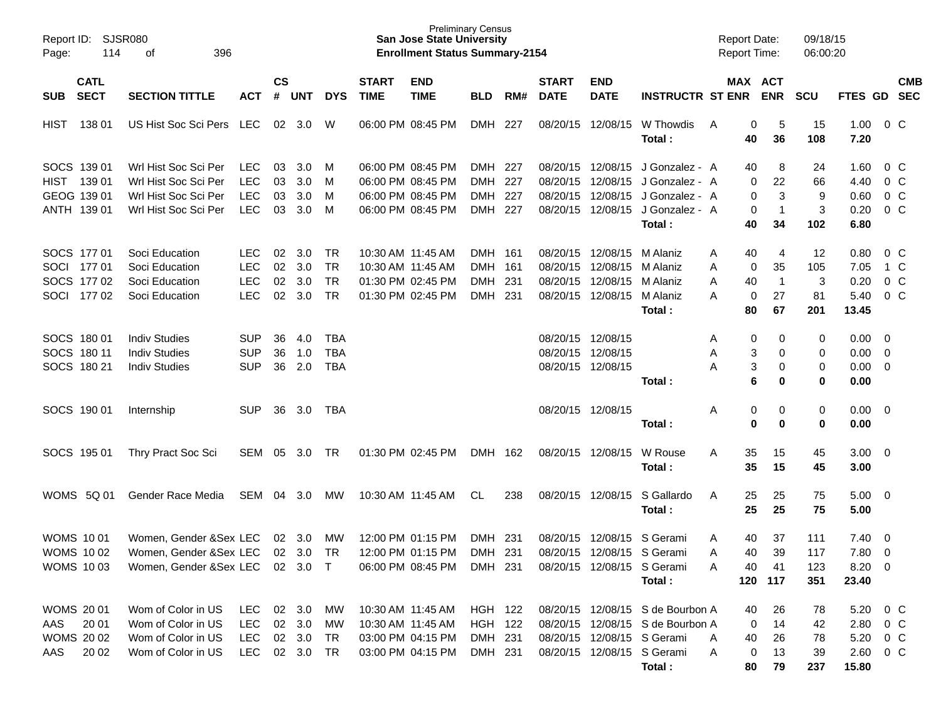| 114<br>Page:                             | Report ID: SJSR080<br>396<br>of |            |                |            |            |                             | <b>Preliminary Census</b><br><b>San Jose State University</b><br><b>Enrollment Status Summary-2154</b> |            |     |                             |                           |                                  | <b>Report Date:</b><br><b>Report Time:</b> |                       | 09/18/15<br>06:00:20 |                     |                |            |
|------------------------------------------|---------------------------------|------------|----------------|------------|------------|-----------------------------|--------------------------------------------------------------------------------------------------------|------------|-----|-----------------------------|---------------------------|----------------------------------|--------------------------------------------|-----------------------|----------------------|---------------------|----------------|------------|
| <b>CATL</b><br><b>SECT</b><br><b>SUB</b> | <b>SECTION TITTLE</b>           | <b>ACT</b> | <b>CS</b><br># | <b>UNT</b> | <b>DYS</b> | <b>START</b><br><b>TIME</b> | <b>END</b><br><b>TIME</b>                                                                              | <b>BLD</b> | RM# | <b>START</b><br><b>DATE</b> | <b>END</b><br><b>DATE</b> | <b>INSTRUCTR ST ENR</b>          |                                            | MAX ACT<br><b>ENR</b> | <b>SCU</b>           | FTES GD SEC         |                | <b>CMB</b> |
| 138 01<br><b>HIST</b>                    | US Hist Soc Sci Pers LEC        |            |                | 02 3.0     | W          | 06:00 PM 08:45 PM           |                                                                                                        | DMH 227    |     |                             | 08/20/15 12/08/15         | W Thowdis<br>Total:              | A                                          | 0<br>5<br>36<br>40    | 15<br>108            | 1.00<br>7.20        | $0\,$ C        |            |
| SOCS 139 01                              | Wrl Hist Soc Sci Per            | <b>LEC</b> | 03             | 3.0        | M          | 06:00 PM 08:45 PM           |                                                                                                        | DMH 227    |     | 08/20/15                    | 12/08/15                  | J Gonzalez - A                   |                                            | 8<br>40               | 24                   | 1.60                | 0 C            |            |
| HIST 139 01                              | Wrl Hist Soc Sci Per            | <b>LEC</b> | 03             | 3.0        | M          | 06:00 PM 08:45 PM           |                                                                                                        | <b>DMH</b> | 227 | 08/20/15                    | 12/08/15                  | J Gonzalez - A                   |                                            | 22<br>0               | 66                   | 4.40                | 0 <sup>o</sup> |            |
| GEOG 139 01                              | Wrl Hist Soc Sci Per            | <b>LEC</b> | 03             | 3.0        | M          | 06:00 PM 08:45 PM           |                                                                                                        | DMH 227    |     | 08/20/15                    | 12/08/15                  | J Gonzalez - A                   |                                            | 0<br>3                | 9                    | 0.60                | 0 <sup>o</sup> |            |
| ANTH 139 01                              | Wrl Hist Soc Sci Per            | <b>LEC</b> | 03             | 3.0        | M          |                             | 06:00 PM 08:45 PM                                                                                      | DMH 227    |     | 08/20/15                    | 12/08/15                  | J Gonzalez - A                   |                                            | 0<br>$\mathbf 1$      | $\sqrt{3}$           | 0.20                | $0\,C$         |            |
|                                          |                                 |            |                |            |            |                             |                                                                                                        |            |     |                             |                           | Total:                           |                                            | 40<br>34              | 102                  | 6.80                |                |            |
| SOCS 177 01                              | Soci Education                  | <b>LEC</b> | 02             | 3.0        | TR         | 10:30 AM 11:45 AM           |                                                                                                        | DMH 161    |     | 08/20/15                    | 12/08/15                  | M Alaniz                         | A                                          | 40<br>4               | 12                   | 0.80                | 0 C            |            |
| SOCI 177 01                              | Soci Education                  | <b>LEC</b> | 02             | 3.0        | <b>TR</b>  | 10:30 AM 11:45 AM           |                                                                                                        | <b>DMH</b> | 161 | 08/20/15                    | 12/08/15                  | M Alaniz                         | Α                                          | 35<br>0               | 105                  | 7.05                | 1 C            |            |
| SOCS 177 02                              | Soci Education                  | <b>LEC</b> | 02             | 3.0        | <b>TR</b>  | 01:30 PM 02:45 PM           |                                                                                                        | DMH 231    |     | 08/20/15                    | 12/08/15                  | M Alaniz                         | 40<br>A                                    | $\overline{1}$        | $\sqrt{3}$           | 0.20                | $0\,C$         |            |
| SOCI 177 02                              | Soci Education                  | <b>LEC</b> | 02             | 3.0        | <b>TR</b>  | 01:30 PM 02:45 PM           |                                                                                                        | DMH 231    |     |                             | 08/20/15 12/08/15         | M Alaniz                         | A                                          | 0<br>27               | 81                   | 5.40                | 0 <sup>o</sup> |            |
|                                          |                                 |            |                |            |            |                             |                                                                                                        |            |     |                             |                           | Total:                           |                                            | 80<br>67              | 201                  | 13.45               |                |            |
| SOCS 180 01                              | <b>Indiv Studies</b>            | <b>SUP</b> | 36             | 4.0        | <b>TBA</b> |                             |                                                                                                        |            |     | 08/20/15 12/08/15           |                           |                                  | A                                          | 0<br>0                | 0                    | $0.00 \quad 0$      |                |            |
| SOCS 180 11                              | <b>Indiv Studies</b>            | <b>SUP</b> | 36             | 1.0        | <b>TBA</b> |                             |                                                                                                        |            |     | 08/20/15                    | 12/08/15                  |                                  | Α                                          | 3<br>0                | 0                    | $0.00 \t 0$         |                |            |
| SOCS 180 21                              | <b>Indiv Studies</b>            | <b>SUP</b> | 36             | 2.0        | <b>TBA</b> |                             |                                                                                                        |            |     | 08/20/15 12/08/15           |                           |                                  | Α                                          | 3<br>0                | 0                    | $0.00 \t 0$         |                |            |
|                                          |                                 |            |                |            |            |                             |                                                                                                        |            |     |                             |                           | Total:                           |                                            | 6<br>0                | 0                    | 0.00                |                |            |
| SOCS 190 01                              | Internship                      | <b>SUP</b> | 36             | 3.0        | TBA        |                             |                                                                                                        |            |     | 08/20/15 12/08/15           |                           |                                  | Α                                          | 0<br>0                | 0                    | $0.00 \t 0$         |                |            |
|                                          |                                 |            |                |            |            |                             |                                                                                                        |            |     |                             |                           | Total:                           |                                            | $\bf{0}$<br>0         | 0                    | 0.00                |                |            |
| SOCS 195 01                              | Thry Pract Soc Sci              | SEM        | 05             | 3.0        | TR         | 01:30 PM 02:45 PM           |                                                                                                        | DMH 162    |     | 08/20/15 12/08/15           |                           | W Rouse<br>Total:                | A                                          | 35<br>15<br>35<br>15  | 45<br>45             | $3.00 \ 0$<br>3.00  |                |            |
| WOMS 5Q 01                               | Gender Race Media               | SEM        | 04             | 3.0        | МW         | 10:30 AM 11:45 AM           |                                                                                                        | CL         | 238 | 08/20/15 12/08/15           |                           | S Gallardo<br>Total:             | Α                                          | 25<br>25<br>25<br>25  | 75<br>75             | $5.00 \t 0$<br>5.00 |                |            |
| <b>WOMS 1001</b>                         | Women, Gender & Sex LEC         |            | 02             | 3.0        | МW         | 12:00 PM 01:15 PM           |                                                                                                        | <b>DMH</b> | 231 | 08/20/15                    | 12/08/15                  | S Gerami                         | 40<br>A                                    | 37                    | 111                  | $7.40 \quad 0$      |                |            |
| <b>WOMS 1002</b>                         | Women, Gender & Sex LEC         |            |                | 02 3.0     | TR         |                             | 12:00 PM 01:15 PM                                                                                      | DMH 231    |     | 08/20/15                    |                           | 12/08/15 S Gerami                | A                                          | 40<br>39              | 117                  | 7.80 0              |                |            |
| <b>WOMS 1003</b>                         | Women, Gender &Sex LEC 02 3.0 T |            |                |            |            |                             | 06:00 PM 08:45 PM DMH 231                                                                              |            |     | 08/20/15 12/08/15 S Gerami  |                           |                                  | Α                                          | 40<br>41              | 123                  | $8.20 \ 0$          |                |            |
|                                          |                                 |            |                |            |            |                             |                                                                                                        |            |     |                             |                           | Total:                           |                                            | 120 117               | 351                  | 23.40               |                |            |
| <b>WOMS 2001</b>                         | Wom of Color in US              | LEC        |                | 02 3.0 MW  |            |                             | 10:30 AM 11:45 AM                                                                                      | HGH 122    |     |                             |                           | 08/20/15 12/08/15 S de Bourbon A |                                            | 40<br>26              | 78                   | 5.20 0 C            |                |            |
| AAS<br>20 01                             | Wom of Color in US              | LEC        |                | 02 3.0     | MW         | 10:30 AM 11:45 AM           |                                                                                                        | HGH 122    |     |                             |                           | 08/20/15 12/08/15 S de Bourbon A |                                            | 14<br>0               | 42                   | 2.80 0 C            |                |            |
| <b>WOMS 2002</b>                         | Wom of Color in US              | LEC        |                | 02 3.0     | TR         |                             | 03:00 PM 04:15 PM                                                                                      | DMH 231    |     |                             |                           | 08/20/15 12/08/15 S Gerami       | A                                          | 40<br>26              | 78                   | 5.20 0 C            |                |            |
| AAS<br>20 02                             | Wom of Color in US              | LEC        |                | 02 3.0 TR  |            |                             | 03:00 PM 04:15 PM                                                                                      | DMH 231    |     |                             |                           | 08/20/15 12/08/15 S Gerami       | A                                          | 0<br>13               | 39                   | 2.60 0 C            |                |            |
|                                          |                                 |            |                |            |            |                             |                                                                                                        |            |     |                             |                           | Total:                           |                                            | 80<br>79              | 237                  | 15.80               |                |            |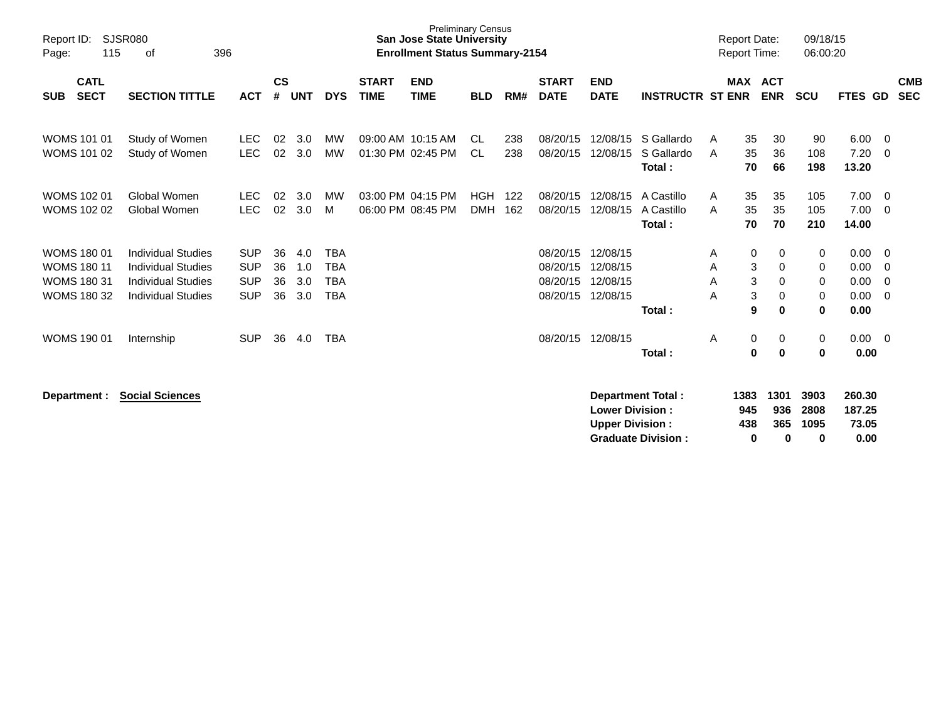| <b>SJSR080</b><br>Report ID:<br>115<br>Page:                                         | 396                                                                                                              |                                                      |                      |                          |                                                      | <b>Preliminary Census</b><br><b>San Jose State University</b><br><b>Enrollment Status Summary-2154</b> |                                        |                          |            |                                              |                                                  |                                    | <b>Report Date:</b><br><b>Report Time:</b> |                       | 09/18/15<br>06:00:20                   |                       |                                      |                          |
|--------------------------------------------------------------------------------------|------------------------------------------------------------------------------------------------------------------|------------------------------------------------------|----------------------|--------------------------|------------------------------------------------------|--------------------------------------------------------------------------------------------------------|----------------------------------------|--------------------------|------------|----------------------------------------------|--------------------------------------------------|------------------------------------|--------------------------------------------|-----------------------|----------------------------------------|-----------------------|--------------------------------------|--------------------------|
| <b>CATL</b><br><b>SECT</b><br><b>SUB</b>                                             | <b>SECTION TITTLE</b>                                                                                            | <b>ACT</b>                                           | $\mathsf{cs}$<br>#   | <b>UNT</b>               | <b>DYS</b>                                           | <b>START</b><br><b>TIME</b>                                                                            | <b>END</b><br><b>TIME</b>              | <b>BLD</b>               | RM#        | <b>START</b><br><b>DATE</b>                  | <b>END</b><br><b>DATE</b>                        | <b>INSTRUCTR ST ENR</b>            |                                            | <b>MAX</b>            | <b>ACT</b><br><b>ENR</b>               | <b>SCU</b>            | FTES GD                              | <b>CMB</b><br><b>SEC</b> |
| <b>WOMS 101 01</b><br><b>WOMS 101 02</b>                                             | Study of Women<br>Study of Women                                                                                 | <b>LEC</b><br><b>LEC</b>                             | 02<br>02             | 3.0<br>3.0               | <b>MW</b><br><b>MW</b>                               |                                                                                                        | 09:00 AM 10:15 AM<br>01:30 PM 02:45 PM | CL.<br><b>CL</b>         | 238<br>238 | 08/20/15<br>08/20/15                         | 12/08/15<br>12/08/15                             | S Gallardo<br>S Gallardo<br>Total: | A<br>A                                     | 35<br>35<br>70        | 30<br>36<br>66                         | 90<br>108<br>198      | 6.00<br>7.20<br>13.20                | - 0<br>- 0               |
| <b>WOMS 102 01</b><br><b>WOMS 102 02</b>                                             | Global Women<br>Global Women                                                                                     | <b>LEC</b><br><b>LEC</b>                             | 02<br>02             | 3.0<br>3.0               | MW<br>м                                              |                                                                                                        | 03:00 PM 04:15 PM<br>06:00 PM 08:45 PM | <b>HGH</b><br><b>DMH</b> | 122<br>162 | 08/20/15<br>08/20/15                         | 12/08/15<br>12/08/15                             | A Castillo<br>A Castillo<br>Total: | A<br>A                                     | 35<br>35<br>70        | 35<br>35<br>70                         | 105<br>105<br>210     | 7.00<br>7.00<br>14.00                | - 0<br>- 0               |
| <b>WOMS 180 01</b><br><b>WOMS 180 11</b><br><b>WOMS 180 31</b><br><b>WOMS 180 32</b> | <b>Individual Studies</b><br><b>Individual Studies</b><br><b>Individual Studies</b><br><b>Individual Studies</b> | <b>SUP</b><br><b>SUP</b><br><b>SUP</b><br><b>SUP</b> | 36<br>36<br>36<br>36 | 4.0<br>1.0<br>3.0<br>3.0 | <b>TBA</b><br><b>TBA</b><br><b>TBA</b><br><b>TBA</b> |                                                                                                        |                                        |                          |            | 08/20/15<br>08/20/15<br>08/20/15<br>08/20/15 | 12/08/15<br>12/08/15<br>12/08/15<br>12/08/15     | Total:                             | A<br>Α<br>A<br>A                           | 0<br>3<br>3<br>3<br>9 | 0<br>$\mathbf 0$<br>0<br>0<br>$\bf{0}$ | 0<br>0<br>0<br>0<br>0 | 0.00<br>0.00<br>0.00<br>0.00<br>0.00 | - 0<br>- 0<br>- 0<br>- 0 |
| <b>WOMS 190 01</b>                                                                   | Internship                                                                                                       | <b>SUP</b>                                           | 36                   | 4.0                      | <b>TBA</b>                                           |                                                                                                        |                                        |                          |            | 08/20/15                                     | 12/08/15                                         | Total:                             | Α                                          | 0<br>$\bf{0}$         | 0<br>$\bf{0}$                          | 0<br>0                | $0.00 \t 0$<br>0.00                  |                          |
| Department :                                                                         | <b>Social Sciences</b>                                                                                           |                                                      |                      |                          |                                                      |                                                                                                        |                                        |                          |            |                                              | <b>Lower Division:</b><br><b>Upper Division:</b> | Department Total:                  |                                            | 1383<br>945<br>438    | 1301<br>936<br>365                     | 3903<br>2808<br>1095  | 260.30<br>187.25<br>73.05            |                          |

**Graduate Division : 0 0 0 0.00**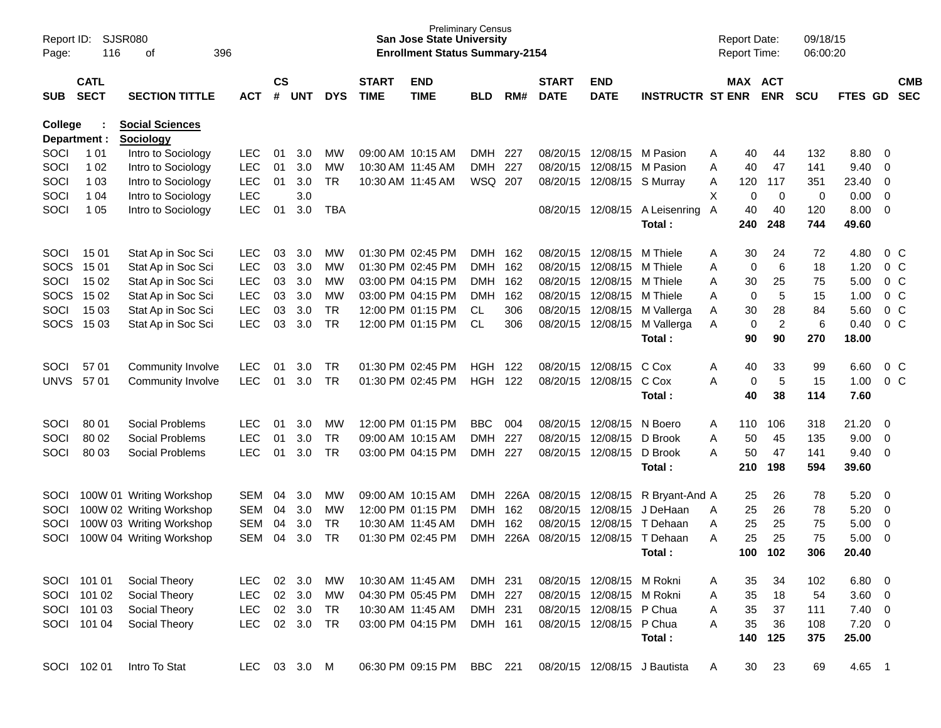| Page:               | SJSR080<br>Report ID:<br>116<br>396<br>οf<br><b>CATL</b> |                                                      |                          |                    |            |            |                             | <b>Preliminary Census</b><br><b>San Jose State University</b><br><b>Enrollment Status Summary-2154</b> |                          |             |                             |                           |                              | <b>Report Date:</b><br><b>Report Time:</b> |             |                       | 09/18/15<br>06:00:20 |               |                                        |                          |
|---------------------|----------------------------------------------------------|------------------------------------------------------|--------------------------|--------------------|------------|------------|-----------------------------|--------------------------------------------------------------------------------------------------------|--------------------------|-------------|-----------------------------|---------------------------|------------------------------|--------------------------------------------|-------------|-----------------------|----------------------|---------------|----------------------------------------|--------------------------|
| <b>SUB</b>          | <b>SECT</b>                                              | <b>SECTION TITTLE</b>                                | ACT                      | $\mathsf{cs}$<br># | <b>UNT</b> | <b>DYS</b> | <b>START</b><br><b>TIME</b> | <b>END</b><br><b>TIME</b>                                                                              | <b>BLD</b>               | RM#         | <b>START</b><br><b>DATE</b> | <b>END</b><br><b>DATE</b> | <b>INSTRUCTR ST ENR</b>      |                                            |             | MAX ACT<br><b>ENR</b> | <b>SCU</b>           | FTES GD       |                                        | <b>CMB</b><br><b>SEC</b> |
| College             |                                                          | <b>Social Sciences</b>                               |                          |                    |            |            |                             |                                                                                                        |                          |             |                             |                           |                              |                                            |             |                       |                      |               |                                        |                          |
| Department :        |                                                          | <b>Sociology</b>                                     |                          |                    |            |            |                             |                                                                                                        |                          |             |                             |                           |                              |                                            |             |                       |                      |               |                                        |                          |
| SOCI                | 1 0 1                                                    | Intro to Sociology                                   | <b>LEC</b>               | 01                 | 3.0        | МW         | 09:00 AM 10:15 AM           |                                                                                                        | <b>DMH</b>               | -227        | 08/20/15                    |                           | 12/08/15 M Pasion            | A                                          | 40          | 44                    | 132                  | 8.80          | - 0                                    |                          |
| SOCI                | 1 0 2                                                    | Intro to Sociology                                   | <b>LEC</b>               | 01                 | 3.0        | <b>MW</b>  | 10:30 AM 11:45 AM           |                                                                                                        | <b>DMH</b>               | 227         | 08/20/15                    | 12/08/15                  | M Pasion                     | A                                          | 40          | 47                    | 141                  | 9.40          | 0                                      |                          |
| SOCI                | 1 0 3                                                    | Intro to Sociology                                   | <b>LEC</b>               | 01                 | 3.0        | <b>TR</b>  |                             | 10:30 AM 11:45 AM                                                                                      | WSQ 207                  |             | 08/20/15                    | 12/08/15 S Murray         |                              | Α                                          | 120         | 117                   | 351                  | 23.40         | 0                                      |                          |
| SOCI                | 1 0 4                                                    | Intro to Sociology                                   | <b>LEC</b>               |                    | 3.0        |            |                             |                                                                                                        |                          |             |                             |                           |                              | Χ                                          | 0           | 0                     | 0                    | 0.00          | 0                                      |                          |
| SOCI                | 1 0 5                                                    | Intro to Sociology                                   | <b>LEC</b>               | 01                 | 3.0        | <b>TBA</b> |                             |                                                                                                        |                          |             | 08/20/15                    | 12/08/15                  | A Leisenring                 | A                                          | 40          | 40                    | 120                  | 8.00<br>49.60 | 0                                      |                          |
|                     |                                                          |                                                      |                          |                    |            |            |                             |                                                                                                        |                          |             |                             |                           | Total:                       |                                            | 240         | 248                   | 744                  |               |                                        |                          |
| SOCI                | 1501                                                     | Stat Ap in Soc Sci                                   | <b>LEC</b>               | 03                 | 3.0        | МW         |                             | 01:30 PM 02:45 PM                                                                                      | <b>DMH</b>               | 162         | 08/20/15                    | 12/08/15                  | M Thiele                     | Α                                          | 30          | 24                    | 72                   | 4.80          |                                        | $0\,$ C                  |
| <b>SOCS</b>         | 15 01                                                    | Stat Ap in Soc Sci                                   | <b>LEC</b>               | 03                 | 3.0        | MW         |                             | 01:30 PM 02:45 PM                                                                                      | <b>DMH</b>               | 162         | 08/20/15                    | 12/08/15                  | M Thiele                     | A                                          | 0           | 6                     | 18                   | 1.20          |                                        | $0\,C$                   |
| SOCI                | 15 02                                                    | Stat Ap in Soc Sci                                   | <b>LEC</b>               | 03                 | 3.0        | MW         |                             | 03:00 PM 04:15 PM                                                                                      | <b>DMH</b>               | 162         | 08/20/15                    | 12/08/15                  | M Thiele                     | A                                          | 30          | 25                    | 75                   | 5.00          |                                        | $0\,C$                   |
| <b>SOCS</b>         | 15 02                                                    | Stat Ap in Soc Sci                                   | <b>LEC</b>               | 03                 | 3.0        | MW         |                             | 03:00 PM 04:15 PM                                                                                      | <b>DMH</b>               | 162         | 08/20/15                    | 12/08/15                  | M Thiele                     | A                                          | $\mathbf 0$ | 5                     | 15                   | 1.00          |                                        | $0\,C$                   |
| SOCI                | 15 03                                                    | Stat Ap in Soc Sci                                   | <b>LEC</b>               | 03                 | 3.0        | <b>TR</b>  |                             | 12:00 PM 01:15 PM                                                                                      | CL                       | 306         | 08/20/15                    | 12/08/15                  | M Vallerga                   | A                                          | 30          | 28                    | 84                   | 5.60          |                                        | 0 <sup>C</sup>           |
| <b>SOCS</b>         | 15 03                                                    | Stat Ap in Soc Sci                                   | <b>LEC</b>               | 03                 | 3.0        | <b>TR</b>  |                             | 12:00 PM 01:15 PM                                                                                      | <b>CL</b>                | 306         | 08/20/15                    | 12/08/15                  | M Vallerga                   | A                                          | 0           | $\boldsymbol{2}$      | 6                    | 0.40          |                                        | $0\,C$                   |
|                     |                                                          |                                                      |                          |                    |            |            |                             |                                                                                                        |                          |             |                             |                           | Total:                       |                                            | 90          | 90                    | 270                  | 18.00         |                                        |                          |
|                     |                                                          |                                                      |                          |                    |            |            |                             |                                                                                                        |                          |             |                             |                           |                              |                                            |             |                       |                      |               |                                        |                          |
| SOCI                | 57 01                                                    | Community Involve                                    | <b>LEC</b>               | 01                 | 3.0        | TR         |                             | 01:30 PM 02:45 PM                                                                                      | HGH                      | 122         | 08/20/15                    | 12/08/15                  | C Cox                        | Α                                          | 40          | 33                    | 99                   | 6.60          |                                        | 0 C                      |
| <b>UNVS</b>         | 57 01                                                    | Community Involve                                    | <b>LEC</b>               | 01                 | 3.0        | TR         |                             | 01:30 PM 02:45 PM                                                                                      | <b>HGH</b>               | 122         | 08/20/15                    | 12/08/15                  | C Cox                        | A                                          | 0           | $\overline{5}$        | 15                   | 1.00          |                                        | 0 <sup>C</sup>           |
|                     |                                                          |                                                      |                          |                    |            |            |                             |                                                                                                        |                          |             |                             |                           | Total:                       |                                            | 40          | 38                    | 114                  | 7.60          |                                        |                          |
| SOCI                | 80 01                                                    | Social Problems                                      | LEC                      | 01                 | 3.0        | МW         |                             | 12:00 PM 01:15 PM                                                                                      | <b>BBC</b>               | 004         | 08/20/15                    | 12/08/15                  | N Boero                      | A                                          | 110         | 106                   | 318                  | 21.20         | - 0                                    |                          |
| SOCI                | 80 02                                                    | Social Problems                                      | <b>LEC</b>               | 01                 | 3.0        | <b>TR</b>  | 09:00 AM 10:15 AM           |                                                                                                        | <b>DMH</b>               | 227         | 08/20/15                    | 12/08/15                  | D Brook                      | A                                          | 50          | 45                    | 135                  | 9.00          | $\overline{0}$                         |                          |
| SOCI                | 80 03                                                    | Social Problems                                      | <b>LEC</b>               | 01                 | 3.0        | <b>TR</b>  |                             | 03:00 PM 04:15 PM                                                                                      | <b>DMH</b>               | 227         | 08/20/15                    | 12/08/15                  | D Brook                      | A                                          | 50          | 47                    | 141                  | 9.40          | - 0                                    |                          |
|                     |                                                          |                                                      |                          |                    |            |            |                             |                                                                                                        |                          |             |                             |                           | Total:                       |                                            | 210         | 198                   | 594                  | 39.60         |                                        |                          |
|                     |                                                          |                                                      |                          |                    |            |            |                             |                                                                                                        |                          |             | 08/20/15                    |                           |                              |                                            |             |                       |                      |               |                                        |                          |
| SOCI<br><b>SOCI</b> |                                                          | 100W 01 Writing Workshop<br>100W 02 Writing Workshop | <b>SEM</b><br><b>SEM</b> | 04<br>04           | 3.0<br>3.0 | МW<br>MW   | 09:00 AM 10:15 AM           | 12:00 PM 01:15 PM                                                                                      | <b>DMH</b><br><b>DMH</b> | 226A<br>162 | 08/20/15                    | 12/08/15<br>12/08/15      | R Bryant-And A<br>J DeHaan   | A                                          | 25<br>25    | 26<br>26              | 78<br>78             | 5.20<br>5.20  | $\overline{\mathbf{0}}$<br>$\mathbf 0$ |                          |
| SOCI                |                                                          | 100W 03 Writing Workshop                             | <b>SEM</b>               | 04                 | 3.0        | TR         | 10:30 AM 11:45 AM           |                                                                                                        | <b>DMH</b>               | 162         | 08/20/15                    | 12/08/15                  | T Dehaan                     | A                                          | 25          | 25                    | 75                   | 5.00          | $\mathbf 0$                            |                          |
| SOCI                |                                                          | 100W 04 Writing Workshop                             | <b>SEM</b>               | 04                 | 3.0        | <b>TR</b>  | 01:30 PM 02:45 PM           |                                                                                                        | <b>DMH</b>               | 226A        | 08/20/15                    | 12/08/15                  | T Dehaan                     | A                                          | 25          | 25                    | 75                   | 5.00          | $\overline{0}$                         |                          |
|                     |                                                          |                                                      |                          |                    |            |            |                             |                                                                                                        |                          |             |                             |                           | Total:                       |                                            | 100         | 102                   | 306                  | 20.40         |                                        |                          |
|                     |                                                          |                                                      |                          |                    |            |            |                             |                                                                                                        |                          |             |                             |                           |                              |                                            |             |                       |                      |               |                                        |                          |
|                     | SOCI 101 01                                              | Social Theory                                        | LEC.                     | 02                 | 3.0        | МW         | 10:30 AM 11:45 AM           |                                                                                                        | DMH 231                  |             |                             | 08/20/15 12/08/15 M Rokni |                              | A                                          | 35          | 34                    | 102                  | 6.80          | $\overline{\phantom{0}}$               |                          |
|                     | SOCI 101 02                                              | Social Theory                                        | LEC                      |                    | 02 3.0     | <b>MW</b>  | 04:30 PM 05:45 PM           |                                                                                                        | DMH 227                  |             |                             | 08/20/15 12/08/15 M Rokni |                              | A                                          | 35          | 18                    | 54                   | $3.60 \ 0$    |                                        |                          |
|                     | SOCI 101 03                                              | Social Theory                                        | <b>LEC</b>               |                    | 02 3.0     | <b>TR</b>  | 10:30 AM 11:45 AM           |                                                                                                        | DMH 231                  |             |                             | 08/20/15 12/08/15 P Chua  |                              | A                                          | 35          | 37                    | 111                  | $7.40 \ 0$    |                                        |                          |
|                     | SOCI 101 04                                              | Social Theory                                        | <b>LEC</b>               |                    | 02 3.0     | <b>TR</b>  |                             | 03:00 PM 04:15 PM                                                                                      | DMH 161                  |             |                             | 08/20/15 12/08/15 P Chua  |                              | A                                          | 35          | 36                    | 108                  | $7.20 \t 0$   |                                        |                          |
|                     |                                                          |                                                      |                          |                    |            |            |                             |                                                                                                        |                          |             |                             |                           | Total:                       |                                            | 140         | 125                   | 375                  | 25.00         |                                        |                          |
|                     | SOCI 102 01                                              | Intro To Stat                                        | LEC                      |                    | 03 3.0 M   |            |                             | 06:30 PM 09:15 PM                                                                                      | BBC 221                  |             |                             |                           | 08/20/15 12/08/15 J Bautista | A                                          | 30          | 23                    | 69                   | 4.65 1        |                                        |                          |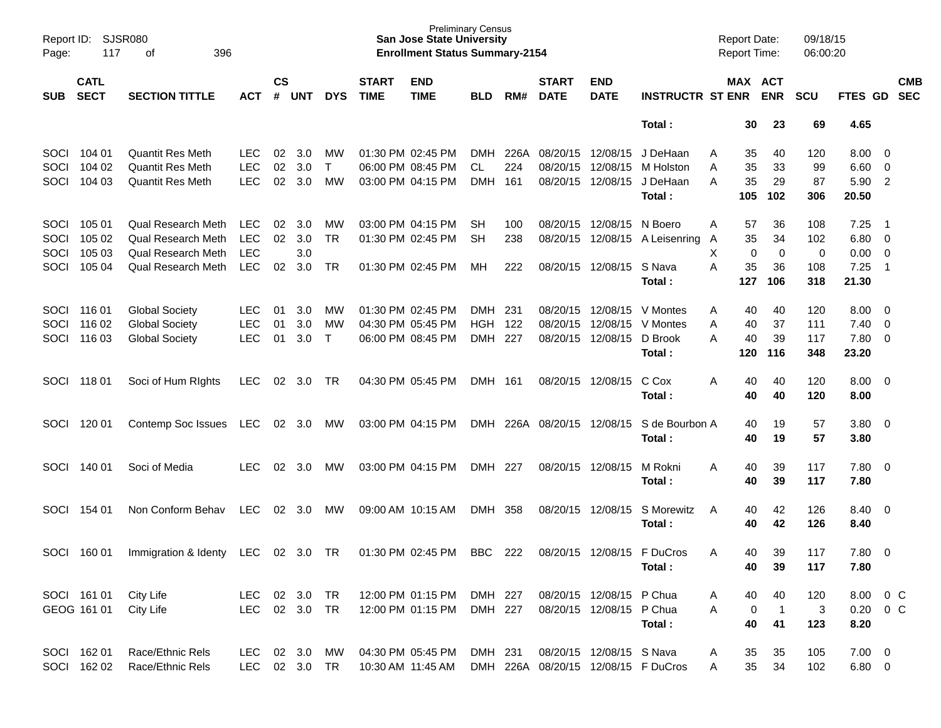| Page:       | <b>SJSR080</b><br>Report ID:<br>117<br>396<br>оf |                           |               |                    |                |              |                             | <b>Preliminary Census</b><br><b>San Jose State University</b><br><b>Enrollment Status Summary-2154</b> |            |       |                             |                           |                                     | <b>Report Date:</b><br>Report Time: |             |                       | 09/18/15<br>06:00:20 |               |                         |            |
|-------------|--------------------------------------------------|---------------------------|---------------|--------------------|----------------|--------------|-----------------------------|--------------------------------------------------------------------------------------------------------|------------|-------|-----------------------------|---------------------------|-------------------------------------|-------------------------------------|-------------|-----------------------|----------------------|---------------|-------------------------|------------|
| <b>SUB</b>  | <b>CATL</b><br><b>SECT</b>                       | <b>SECTION TITTLE</b>     | ACT           | $\mathsf{cs}$<br># | <b>UNT</b>     | <b>DYS</b>   | <b>START</b><br><b>TIME</b> | <b>END</b><br><b>TIME</b>                                                                              | <b>BLD</b> | RM#   | <b>START</b><br><b>DATE</b> | <b>END</b><br><b>DATE</b> | <b>INSTRUCTR ST ENR</b>             |                                     |             | MAX ACT<br><b>ENR</b> | <b>SCU</b>           | FTES GD SEC   |                         | <b>CMB</b> |
|             |                                                  |                           |               |                    |                |              |                             |                                                                                                        |            |       |                             |                           | Total:                              |                                     | 30          | 23                    | 69                   | 4.65          |                         |            |
| SOCI        | 104 01                                           | <b>Quantit Res Meth</b>   | <b>LEC</b>    | 02                 | 3.0            | <b>MW</b>    |                             | 01:30 PM 02:45 PM                                                                                      | DMH        | 226A  | 08/20/15 12/08/15           |                           | J DeHaan                            | A                                   | 35          | 40                    | 120                  | 8.00          | $\overline{\mathbf{0}}$ |            |
| SOCI        | 104 02                                           | <b>Quantit Res Meth</b>   | <b>LEC</b>    | 02                 | 3.0            | $\mathsf{T}$ |                             | 06:00 PM 08:45 PM                                                                                      | CL         | 224   | 08/20/15                    | 12/08/15                  | M Holston                           | A                                   | 35          | 33                    | 99                   | 6.60          | $\overline{\mathbf{0}}$ |            |
| SOCI        | 104 03                                           | Quantit Res Meth          | <b>LEC</b>    | 02                 | 3.0            | MW           |                             | 03:00 PM 04:15 PM                                                                                      | <b>DMH</b> | 161   |                             | 08/20/15 12/08/15         | J DeHaan<br>Total:                  | A                                   | 35<br>105   | 29<br>102             | 87<br>306            | 5.90<br>20.50 | $\overline{2}$          |            |
| <b>SOCI</b> | 105 01                                           | Qual Research Meth        | LEC.          | 02                 | 3.0            | <b>MW</b>    |                             | 03:00 PM 04:15 PM                                                                                      | SН         | 100   |                             | 08/20/15 12/08/15         | N Boero                             | A                                   | 57          | 36                    | 108                  | 7.25          | - 1                     |            |
| SOCI        | 105 02                                           | <b>Qual Research Meth</b> | <b>LEC</b>    | 02                 | 3.0            | <b>TR</b>    |                             | 01:30 PM 02:45 PM                                                                                      | <b>SH</b>  | 238   |                             |                           | 08/20/15 12/08/15 A Leisenring      | A                                   | 35          | 34                    | 102                  | 6.80          | $\overline{\mathbf{0}}$ |            |
| SOCI        | 105 03                                           | <b>Qual Research Meth</b> | <b>LEC</b>    |                    | 3.0            |              |                             |                                                                                                        |            |       |                             |                           |                                     | Χ                                   | 0           | $\mathbf 0$           | 0                    | 0.00          | $\overline{\mathbf{0}}$ |            |
| SOCI        | 105 04                                           | <b>Qual Research Meth</b> | <b>LEC</b>    | 02                 | 3.0            | TR           |                             | 01:30 PM 02:45 PM                                                                                      | мн         | 222   |                             | 08/20/15 12/08/15         | S Nava                              | A                                   | 35          | 36                    | 108                  | 7.25          | - 1                     |            |
|             |                                                  |                           |               |                    |                |              |                             |                                                                                                        |            |       |                             |                           | Total:                              |                                     | 127         | 106                   | 318                  | 21.30         |                         |            |
|             | SOCI 116 01                                      | <b>Global Society</b>     | <b>LEC</b>    | 01                 | 3.0            | <b>MW</b>    |                             | 01:30 PM 02:45 PM                                                                                      | <b>DMH</b> | 231   |                             | 08/20/15 12/08/15         | V Montes                            | Α                                   | 40          | 40                    | 120                  | 8.00          | $\overline{\mathbf{0}}$ |            |
| SOCI        | 116 02                                           | <b>Global Society</b>     | <b>LEC</b>    | 01                 | 3.0            | MW           |                             | 04:30 PM 05:45 PM                                                                                      | <b>HGH</b> | - 122 | 08/20/15                    | 12/08/15                  | V Montes                            | A                                   | 40          | 37                    | 111                  | 7.40          | $\overline{\mathbf{0}}$ |            |
| SOCI        | 116 03                                           | <b>Global Society</b>     | <b>LEC</b>    | 01                 | 3.0            | T            |                             | 06:00 PM 08:45 PM                                                                                      | <b>DMH</b> | 227   | 08/20/15 12/08/15           |                           | D Brook                             | A                                   | 40          | 39                    | 117                  | 7.80          | $\overline{\mathbf{0}}$ |            |
|             |                                                  |                           |               |                    |                |              |                             |                                                                                                        |            |       |                             |                           | Total:                              |                                     | 120         | 116                   | 348                  | 23.20         |                         |            |
| SOCI        | 11801                                            | Soci of Hum Rights        | <b>LEC</b>    | 02                 | 3.0            | TR           |                             | 04:30 PM 05:45 PM                                                                                      | DMH 161    |       | 08/20/15 12/08/15           |                           | C Cox                               | A                                   | 40          | 40                    | 120                  | 8.00          | $\overline{\mathbf{0}}$ |            |
|             |                                                  |                           |               |                    |                |              |                             |                                                                                                        |            |       |                             |                           | Total:                              |                                     | 40          | 40                    | 120                  | 8.00          |                         |            |
| SOCI        | 120 01                                           | Contemp Soc Issues        | LEC           |                    | 02 3.0         | <b>MW</b>    |                             | 03:00 PM 04:15 PM                                                                                      | DMH        |       | 226A 08/20/15 12/08/15      |                           | S de Bourbon A                      |                                     | 40          | 19                    | 57                   | 3.80          | $\overline{\mathbf{0}}$ |            |
|             |                                                  |                           |               |                    |                |              |                             |                                                                                                        |            |       |                             |                           | Total:                              |                                     | 40          | 19                    | 57                   | 3.80          |                         |            |
| SOCI        | 140 01                                           | Soci of Media             | LEC           | 02                 | 3.0            | MW           |                             | 03:00 PM 04:15 PM                                                                                      | DMH        | 227   | 08/20/15 12/08/15           |                           | M Rokni                             | A                                   | 40          | 39                    | 117                  | 7.80          | $\overline{\mathbf{0}}$ |            |
|             |                                                  |                           |               |                    |                |              |                             |                                                                                                        |            |       |                             |                           | Total :                             |                                     | 40          | 39                    | 117                  | 7.80          |                         |            |
| SOCI        | 154 01                                           | Non Conform Behav         | <b>LEC</b>    | 02                 | 3.0            | <b>MW</b>    |                             | 09:00 AM 10:15 AM                                                                                      | <b>DMH</b> | 358   | 08/20/15 12/08/15           |                           | <b>S</b> Morewitz                   | A                                   | 40          | 42                    | 126                  | 8.40          | - 0                     |            |
|             |                                                  |                           |               |                    |                |              |                             |                                                                                                        |            |       |                             |                           | Total:                              |                                     | 40          | 42                    | 126                  | 8.40          |                         |            |
| SOCI        | 160 01                                           | Immigration & Identy      | LEC.          |                    | $02 \quad 3.0$ | TR           |                             | 01:30 PM 02:45 PM                                                                                      | <b>BBC</b> | 222   |                             | 08/20/15 12/08/15         | F DuCros                            | A                                   | 40          | 39                    | 117                  | 7.80          | - 0                     |            |
|             |                                                  |                           |               |                    |                |              |                             |                                                                                                        |            |       |                             |                           | Total:                              |                                     | 40          | 39                    | 117                  | 7.80          |                         |            |
|             |                                                  |                           |               |                    |                |              |                             |                                                                                                        |            |       |                             |                           |                                     |                                     |             |                       |                      |               |                         |            |
|             | SOCI 161 01                                      | <b>City Life</b>          | LEC 02 3.0    |                    |                | TR           |                             | 12:00 PM 01:15 PM                                                                                      | DMH 227    |       |                             | 08/20/15 12/08/15 P Chua  |                                     | A                                   | 40          | 40                    | 120                  | 8.00 0 C      |                         |            |
|             | GEOG 161 01                                      | City Life                 | LEC 02 3.0    |                    |                | <b>TR</b>    |                             | 12:00 PM 01:15 PM                                                                                      | DMH 227    |       |                             | 08/20/15 12/08/15 P Chua  |                                     | A                                   | $\mathbf 0$ | $\overline{1}$        | 3                    | $0.20 \t 0 C$ |                         |            |
|             |                                                  |                           |               |                    |                |              |                             |                                                                                                        |            |       |                             |                           | Total:                              |                                     | 40          | 41                    | 123                  | 8.20          |                         |            |
|             | SOCI 162 01                                      | Race/Ethnic Rels          | <b>LEC</b>    |                    | 02 3.0         | MW           |                             | 04:30 PM 05:45 PM                                                                                      | DMH 231    |       |                             | 08/20/15 12/08/15 S Nava  |                                     | A                                   | 35          | 35                    | 105                  | $7.00 \t 0$   |                         |            |
|             | SOCI 162 02                                      | Race/Ethnic Rels          | LEC 02 3.0 TR |                    |                |              |                             | 10:30 AM 11:45 AM                                                                                      |            |       |                             |                           | DMH 226A 08/20/15 12/08/15 F DuCros | A                                   | 35          | 34                    | 102                  | $6.80\ 0$     |                         |            |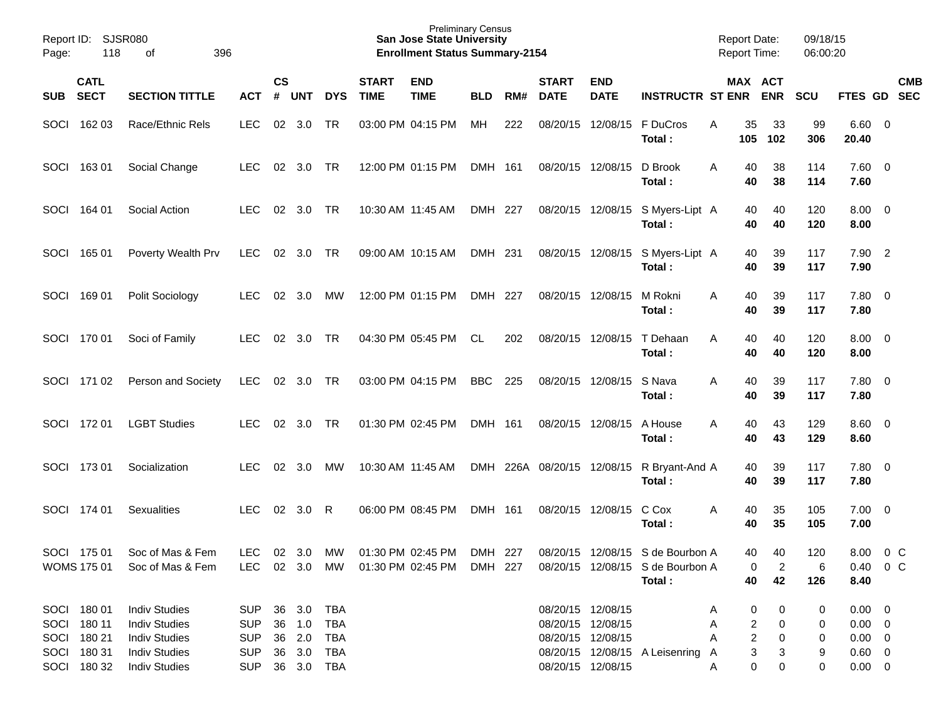| Page:      | Report ID: SJSR080<br>118  | 396                                  |            |                    |                |            | <b>Preliminary Census</b><br><b>San Jose State University</b><br><b>Enrollment Status Summary-2154</b> |                           |            |     |                             |                           | <b>Report Date:</b><br><b>Report Time:</b>                                                                             |   |                | 09/18/15<br>06:00:20 |                 |                                        |                |            |
|------------|----------------------------|--------------------------------------|------------|--------------------|----------------|------------|--------------------------------------------------------------------------------------------------------|---------------------------|------------|-----|-----------------------------|---------------------------|------------------------------------------------------------------------------------------------------------------------|---|----------------|----------------------|-----------------|----------------------------------------|----------------|------------|
| <b>SUB</b> | <b>CATL</b><br><b>SECT</b> | <b>SECTION TITTLE</b>                | <b>ACT</b> | $\mathsf{cs}$<br># | <b>UNT</b>     | <b>DYS</b> | <b>START</b><br><b>TIME</b>                                                                            | <b>END</b><br><b>TIME</b> | <b>BLD</b> | RM# | <b>START</b><br><b>DATE</b> | <b>END</b><br><b>DATE</b> | <b>INSTRUCTR ST ENR ENR</b>                                                                                            |   |                | MAX ACT              | <b>SCU</b>      | FTES GD SEC                            |                | <b>CMB</b> |
|            | SOCI 162 03                | Race/Ethnic Rels                     | <b>LEC</b> | 02                 | 3.0            | <b>TR</b>  |                                                                                                        | 03:00 PM 04:15 PM         | MH         | 222 | 08/20/15                    | 12/08/15                  | F DuCros<br>Total:                                                                                                     | Α | 35<br>105      | 33<br>102            | 99<br>306       | $6.60 \quad 0$<br>20.40                |                |            |
|            | SOCI 163 01                | Social Change                        | <b>LEC</b> | 02                 | 3.0            | TR         |                                                                                                        | 12:00 PM 01:15 PM         | DMH 161    |     |                             | 08/20/15 12/08/15         | D Brook<br>Total:                                                                                                      | A | 40<br>40       | 38<br>38             | 114<br>114      | $7.60 \t 0$<br>7.60                    |                |            |
|            | SOCI 164 01                | Social Action                        | <b>LEC</b> | 02                 | 3.0            | TR         |                                                                                                        | 10:30 AM 11:45 AM         | DMH 227    |     |                             | 08/20/15 12/08/15         | S Myers-Lipt A<br>Total:                                                                                               |   | 40<br>40       | 40<br>40             | 120<br>120      | $8.00 \t 0$<br>8.00                    |                |            |
|            | SOCI 165 01                | Poverty Wealth Prv                   | <b>LEC</b> | 02                 | 3.0            | TR         |                                                                                                        | 09:00 AM 10:15 AM         | DMH 231    |     |                             | 08/20/15 12/08/15         | S Myers-Lipt A<br>Total:                                                                                               |   | 40<br>40       | 39<br>39             | 117<br>117      | $7.90$ 2<br>7.90                       |                |            |
|            | SOCI 169 01                | Polit Sociology                      | <b>LEC</b> | 02                 | 3.0            | МW         |                                                                                                        | 12:00 PM 01:15 PM         | DMH 227    |     |                             | 08/20/15 12/08/15         | M Rokni<br>Total:                                                                                                      | A | 40<br>40       | 39<br>39             | 117<br>117      | $7.80\ 0$<br>7.80                      |                |            |
|            | SOCI 170 01                | Soci of Family                       | <b>LEC</b> | 02                 | 3.0            | <b>TR</b>  |                                                                                                        | 04:30 PM 05:45 PM         | CL         | 202 | 08/20/15 12/08/15           |                           | T Dehaan<br>Total:                                                                                                     | A | 40<br>40       | 40<br>40             | 120<br>120      | $8.00 \quad 0$<br>8.00                 |                |            |
|            | SOCI 171 02                | Person and Society                   | LEC        |                    | 02 3.0 TR      |            |                                                                                                        | 03:00 PM 04:15 PM         | BBC        | 225 |                             | 08/20/15 12/08/15         | S Nava<br>Total:                                                                                                       | A | 40<br>40       | 39<br>39             | 117<br>117      | $7.80\ 0$<br>7.80                      |                |            |
|            | SOCI 172 01                | <b>LGBT Studies</b>                  | LEC.       | 02                 | 3.0            | <b>TR</b>  |                                                                                                        | 01:30 PM 02:45 PM         | DMH 161    |     |                             | 08/20/15 12/08/15         | A House<br>Total:                                                                                                      | A | 40<br>40       | 43<br>43             | 129<br>129      | 8.60 0<br>8.60                         |                |            |
|            | SOCI 173 01                | Socialization                        | <b>LEC</b> | 02                 | 3.0            | МW         |                                                                                                        | 10:30 AM 11:45 AM         | DMH        |     | 226A 08/20/15 12/08/15      |                           | R Bryant-And A<br>Total:                                                                                               |   | 40<br>40       | 39<br>39             | 117<br>117      | $7.80\ 0$<br>7.80                      |                |            |
| SOCI       | 174 01                     | <b>Sexualities</b>                   | <b>LEC</b> | 02                 | 3.0            | R          |                                                                                                        | 06:00 PM 08:45 PM         | DMH 161    |     |                             | 08/20/15 12/08/15         | C Cox<br>Total:                                                                                                        | Α | 40<br>40       | 35<br>35             | 105<br>105      | $7.00 \t 0$<br>7.00                    |                |            |
|            | SOCI 175 01<br>WOMS 175 01 | Soc of Mas & Fem<br>Soc of Mas & Fem | <b>LEC</b> |                    | $02 \quad 3.0$ | MW         |                                                                                                        | 01:30 PM 02:45 PM         | DMH 227    |     |                             |                           | 08/20/15 12/08/15 S de Bourbon A<br>LEC 02 3.0 MW 01:30 PM 02:45 PM DMH 227 08/20/15 12/08/15 S de Bourbon A<br>Total: |   | 40<br>0<br>40  | 40<br>2<br>42        | 120<br>6<br>126 | 8.00<br>$0.40 \quad 0 \quad C$<br>8.40 | 0 <sup>o</sup> |            |
|            | SOCI 180 01                | <b>Indiv Studies</b>                 | <b>SUP</b> |                    | 36 3.0         | TBA        |                                                                                                        |                           |            |     |                             | 08/20/15 12/08/15         |                                                                                                                        | Α | 0              | 0                    | 0               | $0.00 \quad 0$                         |                |            |
|            | SOCI 180 11                | <b>Indiv Studies</b>                 | <b>SUP</b> |                    | 36 1.0         | <b>TBA</b> |                                                                                                        |                           |            |     |                             | 08/20/15 12/08/15         |                                                                                                                        | Α | 2              | 0                    | 0               | $0.00 \t 0$                            |                |            |
|            | SOCI 180 21                | <b>Indiv Studies</b>                 | <b>SUP</b> |                    | 36 2.0         | <b>TBA</b> |                                                                                                        |                           |            |     |                             | 08/20/15 12/08/15         |                                                                                                                        | A | $\overline{c}$ | 0                    | 0               | $0.00 \t 0$                            |                |            |
|            | SOCI 180 31                | <b>Indiv Studies</b>                 | <b>SUP</b> |                    | 36 3.0         | <b>TBA</b> |                                                                                                        |                           |            |     |                             |                           | 08/20/15 12/08/15 A Leisenring                                                                                         | A | 3              | 3                    | 9               | $0.60 \t 0$                            |                |            |
|            | SOCI 180 32                | <b>Indiv Studies</b>                 | <b>SUP</b> |                    |                |            |                                                                                                        |                           |            |     |                             | 08/20/15 12/08/15         |                                                                                                                        | Α | 0              | 0                    | 0               | $0.00 \t 0$                            |                |            |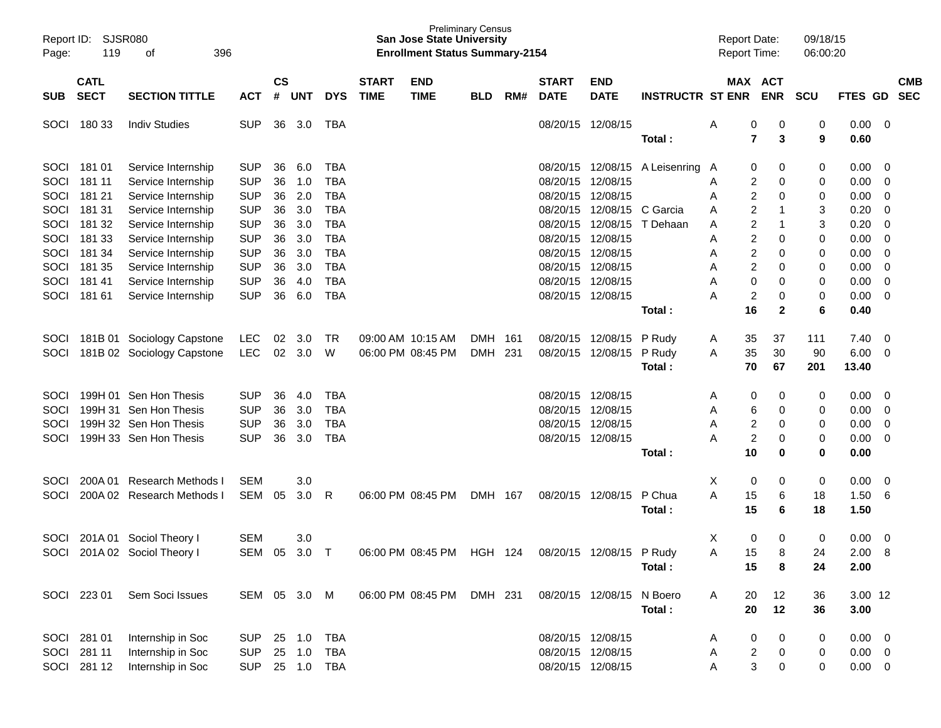| Report ID:<br>Page: | 119                        | <b>SJSR080</b><br>396<br>οf  |              |                |            |            |                             | <b>San Jose State University</b><br><b>Enrollment Status Summary-2154</b> | <b>Preliminary Census</b> |      |                             |                           |                         |   |                         | <b>Report Date:</b><br><b>Report Time:</b> | 09/18/15<br>06:00:20 |                |                         |                          |
|---------------------|----------------------------|------------------------------|--------------|----------------|------------|------------|-----------------------------|---------------------------------------------------------------------------|---------------------------|------|-----------------------------|---------------------------|-------------------------|---|-------------------------|--------------------------------------------|----------------------|----------------|-------------------------|--------------------------|
| <b>SUB</b>          | <b>CATL</b><br><b>SECT</b> | <b>SECTION TITTLE</b>        | <b>ACT</b>   | <b>CS</b><br># | <b>UNT</b> | <b>DYS</b> | <b>START</b><br><b>TIME</b> | <b>END</b><br><b>TIME</b>                                                 | <b>BLD</b>                | RM#  | <b>START</b><br><b>DATE</b> | <b>END</b><br><b>DATE</b> | <b>INSTRUCTR ST ENR</b> |   |                         | MAX ACT<br><b>ENR</b>                      | <b>SCU</b>           | <b>FTES</b>    | <b>GD</b>               | <b>CMB</b><br><b>SEC</b> |
| SOCI                | 180 33                     | <b>Indiv Studies</b>         | <b>SUP</b>   | 36             | 3.0        | <b>TBA</b> |                             |                                                                           |                           |      |                             | 08/20/15 12/08/15         |                         | Α | 0                       | 0                                          | 0                    | 0.00           | $\overline{\mathbf{0}}$ |                          |
|                     |                            |                              |              |                |            |            |                             |                                                                           |                           |      |                             |                           | Total:                  |   | $\overline{\mathbf{r}}$ | 3                                          | 9                    | 0.60           |                         |                          |
| SOCI                | 181 01                     | Service Internship           | <b>SUP</b>   | 36             | 6.0        | <b>TBA</b> |                             |                                                                           |                           |      | 08/20/15                    |                           | 12/08/15 A Leisenring   | A | 0                       | 0                                          | 0                    | 0.00           | -0                      |                          |
| SOCI                | 181 11                     | Service Internship           | <b>SUP</b>   | 36             | 1.0        | <b>TBA</b> |                             |                                                                           |                           |      | 08/20/15                    | 12/08/15                  |                         | Α | 2                       | 0                                          | 0                    | 0.00           | 0                       |                          |
| SOCI                | 181 21                     | Service Internship           | <b>SUP</b>   | 36             | 2.0        | <b>TBA</b> |                             |                                                                           |                           |      | 08/20/15                    | 12/08/15                  |                         | Α | 2                       | 0                                          | 0                    | 0.00           | 0                       |                          |
| SOCI                | 181 31                     | Service Internship           | <b>SUP</b>   | 36             | 3.0        | <b>TBA</b> |                             |                                                                           |                           |      | 08/20/15                    | 12/08/15                  | C Garcia                | Α | 2                       |                                            | 3                    | 0.20           | 0                       |                          |
| SOCI                | 181 32                     | Service Internship           | <b>SUP</b>   | 36             | 3.0        | <b>TBA</b> |                             |                                                                           |                           |      | 08/20/15                    | 12/08/15                  | T Dehaan                | Α | 2                       |                                            | 3                    | 0.20           | 0                       |                          |
| SOCI                | 181 33                     | Service Internship           | <b>SUP</b>   | 36             | 3.0        | <b>TBA</b> |                             |                                                                           |                           |      | 08/20/15                    | 12/08/15                  |                         | Α | 2                       | 0                                          | 0                    | 0.00           | 0                       |                          |
| SOCI                | 181 34                     | Service Internship           | <b>SUP</b>   | 36             | 3.0        | <b>TBA</b> |                             |                                                                           |                           |      | 08/20/15                    | 12/08/15                  |                         | Α | 2                       | 0                                          | 0                    | 0.00           | 0                       |                          |
| SOCI                | 181 35                     | Service Internship           | <b>SUP</b>   | 36             | 3.0        | <b>TBA</b> |                             |                                                                           |                           |      | 08/20/15                    | 12/08/15                  |                         | Α | 2                       | 0                                          | 0                    | 0.00           | 0                       |                          |
| SOCI                | 181 41                     | Service Internship           | <b>SUP</b>   | 36             | 4.0        | <b>TBA</b> |                             |                                                                           |                           |      | 08/20/15                    | 12/08/15                  |                         | Α | 0                       | 0                                          | 0                    | 0.00           | 0                       |                          |
| SOCI                | 181 61                     | Service Internship           | <b>SUP</b>   | 36             | 6.0        | <b>TBA</b> |                             |                                                                           |                           |      |                             | 08/20/15 12/08/15         |                         | А | 2                       | 0                                          | 0                    | 0.00           | 0                       |                          |
|                     |                            |                              |              |                |            |            |                             |                                                                           |                           |      |                             |                           | Total:                  |   | 16                      | $\mathbf{2}$                               | 6                    | 0.40           |                         |                          |
| SOCI                |                            | 181B 01 Sociology Capstone   | LEC          | 02             | 3.0        | <b>TR</b>  |                             | 09:00 AM 10:15 AM                                                         | <b>DMH</b>                | 161  | 08/20/15                    | 12/08/15                  | P Rudy                  | A | 35                      | 37                                         | 111                  | 7.40           | 0                       |                          |
| SOCI                |                            | 181B 02 Sociology Capstone   | <b>LEC</b>   | 02             | 3.0        | W          |                             | 06:00 PM 08:45 PM                                                         | <b>DMH</b>                | -231 | 08/20/15                    | 12/08/15                  | P Rudy                  | A | 35                      | 30                                         | 90                   | 6.00           | 0                       |                          |
|                     |                            |                              |              |                |            |            |                             |                                                                           |                           |      |                             |                           | Total:                  |   | 70                      | 67                                         | 201                  | 13.40          |                         |                          |
| SOCI                |                            | 199H 01 Sen Hon Thesis       | <b>SUP</b>   | 36             | 4.0        | <b>TBA</b> |                             |                                                                           |                           |      | 08/20/15                    | 12/08/15                  |                         | Α | 0                       | 0                                          | 0                    | 0.00           | 0                       |                          |
| SOCI                |                            | 199H 31 Sen Hon Thesis       | <b>SUP</b>   | 36             | 3.0        | <b>TBA</b> |                             |                                                                           |                           |      | 08/20/15                    | 12/08/15                  |                         | Α | 6                       | 0                                          | 0                    | 0.00           | 0                       |                          |
| SOCI                |                            | 199H 32 Sen Hon Thesis       | <b>SUP</b>   | 36             | 3.0        | <b>TBA</b> |                             |                                                                           |                           |      | 08/20/15                    | 12/08/15                  |                         | Α | 2                       | 0                                          | 0                    | 0.00           | 0                       |                          |
| SOCI                |                            | 199H 33 Sen Hon Thesis       | <b>SUP</b>   | 36             | 3.0        | <b>TBA</b> |                             |                                                                           |                           |      |                             | 08/20/15 12/08/15         |                         | А | $\overline{c}$          | 0                                          | 0                    | 0.00           | 0                       |                          |
|                     |                            |                              |              |                |            |            |                             |                                                                           |                           |      |                             |                           | Total:                  |   | 10                      | 0                                          | 0                    | 0.00           |                         |                          |
| SOCI                | 200A 01                    | <b>Research Methods I</b>    | <b>SEM</b>   |                | 3.0        |            |                             |                                                                           |                           |      |                             |                           |                         | X | 0                       | 0                                          | 0                    | 0.00           | 0                       |                          |
| SOCI                |                            | 200A 02 Research Methods I   | SEM          | 05             | 3.0        | R          |                             | 06:00 PM 08:45 PM                                                         | DMH 167                   |      |                             | 08/20/15 12/08/15         | P Chua                  | Α | 15                      | 6                                          | 18                   | 1.50           | 6                       |                          |
|                     |                            |                              |              |                |            |            |                             |                                                                           |                           |      |                             |                           | Total:                  |   | 15                      | 6                                          | 18                   | 1.50           |                         |                          |
| SOCI                |                            | 201A 01 Sociol Theory I      | <b>SEM</b>   |                | 3.0        |            |                             |                                                                           |                           |      |                             |                           |                         | Χ | 0                       | 0                                          | 0                    | 0.00           | 0                       |                          |
|                     |                            | SOCI 201A 02 Sociol Theory I | SEM 05 3.0 T |                |            |            |                             | 06:00 PM 08:45 PM HGH 124 08/20/15 12/08/15 P Rudy                        |                           |      |                             |                           |                         | A | 15                      | 8                                          | 24                   | $2.00\quad 8$  |                         |                          |
|                     |                            |                              |              |                |            |            |                             |                                                                           |                           |      |                             |                           | Total :                 |   | 15                      | 8                                          | 24                   | 2.00           |                         |                          |
|                     | SOCI 223 01                | Sem Soci Issues              | SEM 05 3.0 M |                |            |            |                             | 06:00 PM 08:45 PM                                                         | DMH 231                   |      |                             | 08/20/15 12/08/15 N Boero |                         | A | 20                      | 12                                         | 36                   | 3.00 12        |                         |                          |
|                     |                            |                              |              |                |            |            |                             |                                                                           |                           |      |                             |                           | Total:                  |   | 20                      | 12                                         | 36                   | 3.00           |                         |                          |
|                     | SOCI 281 01                | Internship in Soc            | SUP          |                | 25 1.0     | <b>TBA</b> |                             |                                                                           |                           |      |                             | 08/20/15 12/08/15         |                         | A | 0                       | 0                                          | 0                    | $0.00 \quad 0$ |                         |                          |
|                     | SOCI 281 11                | Internship in Soc            | <b>SUP</b>   |                | 25 1.0     | <b>TBA</b> |                             |                                                                           |                           |      |                             | 08/20/15 12/08/15         |                         | Α | $\overline{\mathbf{c}}$ | $\mathbf 0$                                | 0                    | $0.00 \t 0$    |                         |                          |
|                     | SOCI 281 12                | Internship in Soc            | <b>SUP</b>   |                |            | 25 1.0 TBA |                             |                                                                           |                           |      |                             | 08/20/15 12/08/15         |                         | Α | 3                       | $\mathbf 0$                                | 0                    | $0.00 \t 0$    |                         |                          |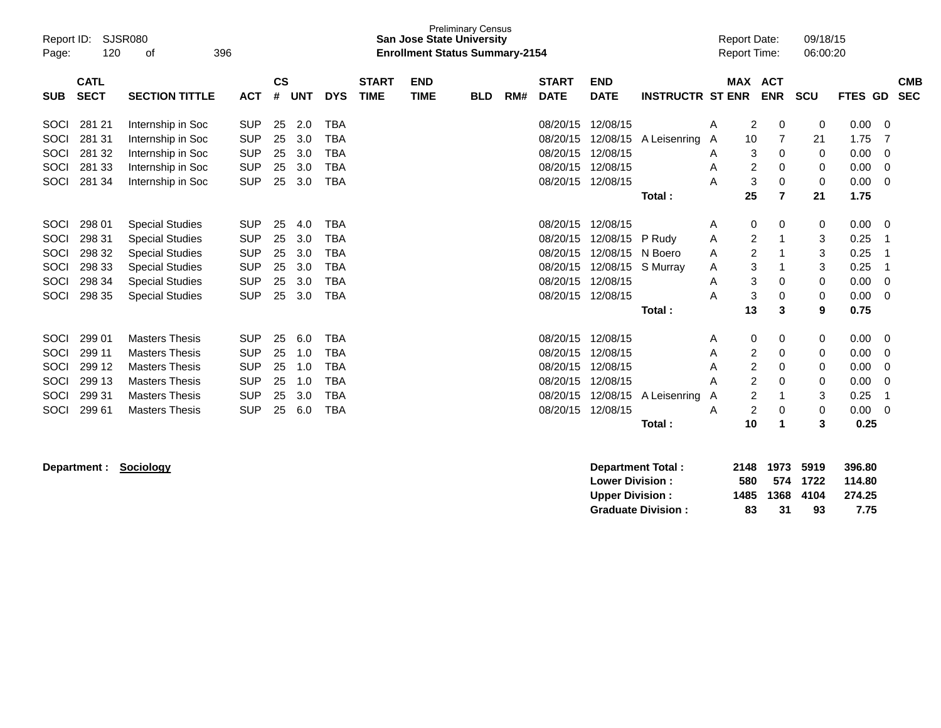| Report ID:<br>Page: | 120                        | SJSR080<br>396<br>οf   |            |                |            |            |                             | <b>San Jose State University</b><br><b>Enrollment Status Summary-2154</b> | <b>Preliminary Census</b> |     |                             |                           |                         |   | <b>Report Date:</b><br><b>Report Time:</b> |          | 09/18/15<br>06:00:20 |         |                          |
|---------------------|----------------------------|------------------------|------------|----------------|------------|------------|-----------------------------|---------------------------------------------------------------------------|---------------------------|-----|-----------------------------|---------------------------|-------------------------|---|--------------------------------------------|----------|----------------------|---------|--------------------------|
| <b>SUB</b>          | <b>CATL</b><br><b>SECT</b> | <b>SECTION TITTLE</b>  | <b>ACT</b> | <b>CS</b><br># | <b>UNT</b> | <b>DYS</b> | <b>START</b><br><b>TIME</b> | <b>END</b><br><b>TIME</b>                                                 | <b>BLD</b>                | RM# | <b>START</b><br><b>DATE</b> | <b>END</b><br><b>DATE</b> | <b>INSTRUCTR ST ENR</b> |   | <b>MAX ACT</b><br><b>ENR</b>               |          | <b>SCU</b>           | FTES GD | <b>CMB</b><br><b>SEC</b> |
| SOCI                | 281 21                     | Internship in Soc      | <b>SUP</b> | 25             | 2.0        | <b>TBA</b> |                             |                                                                           |                           |     | 08/20/15                    | 12/08/15                  |                         | Α | 2                                          | 0        | 0                    | 0.00    | 0                        |
| SOCI                | 281 31                     | Internship in Soc      | <b>SUP</b> | 25             | 3.0        | <b>TBA</b> |                             |                                                                           |                           |     | 08/20/15                    | 12/08/15                  | A Leisenring            | A | 10                                         | 7        | 21                   | 1.75    |                          |
| SOCI                | 281 32                     | Internship in Soc      | <b>SUP</b> | 25             | 3.0        | TBA        |                             |                                                                           |                           |     | 08/20/15                    | 12/08/15                  |                         | A | 3                                          | 0        | 0                    | 0.00    | 0                        |
| SOCI                | 281 33                     | Internship in Soc      | <b>SUP</b> | 25             | 3.0        | <b>TBA</b> |                             |                                                                           |                           |     | 08/20/15                    | 12/08/15                  |                         | A | 2                                          | 0        | 0                    | 0.00    | 0                        |
| SOCI                | 281 34                     | Internship in Soc      | <b>SUP</b> | 25             | 3.0        | <b>TBA</b> |                             |                                                                           |                           |     | 08/20/15                    | 12/08/15                  |                         | Α | 3                                          | 0        | 0                    | 0.00    | $\Omega$                 |
|                     |                            |                        |            |                |            |            |                             |                                                                           |                           |     |                             |                           | Total:                  |   | 25                                         | 7        | 21                   | 1.75    |                          |
|                     |                            |                        |            |                |            |            |                             |                                                                           |                           |     |                             |                           |                         |   |                                            |          |                      |         |                          |
| SOCI                | 298 01                     | <b>Special Studies</b> | <b>SUP</b> | 25             | 4.0        | <b>TBA</b> |                             |                                                                           |                           |     | 08/20/15                    | 12/08/15                  |                         | Α | 0                                          | 0        | 0                    | 0.00    | 0                        |
| SOCI                | 298 31                     | <b>Special Studies</b> | <b>SUP</b> | 25             | 3.0        | <b>TBA</b> |                             |                                                                           |                           |     | 08/20/15                    | 12/08/15                  | P Rudy                  | Α | 2                                          |          | 3                    | 0.25    |                          |
| SOCI                | 298 32                     | <b>Special Studies</b> | <b>SUP</b> | 25             | 3.0        | <b>TBA</b> |                             |                                                                           |                           |     | 08/20/15                    | 12/08/15                  | N Boero                 | A | $\overline{2}$                             |          | 3                    | 0.25    |                          |
| SOCI                | 298 33                     | <b>Special Studies</b> | <b>SUP</b> | 25             | 3.0        | <b>TBA</b> |                             |                                                                           |                           |     | 08/20/15                    | 12/08/15                  | S Murray                | A | 3                                          |          | 3                    | 0.25    |                          |
| SOCI                | 298 34                     | <b>Special Studies</b> | <b>SUP</b> | 25             | 3.0        | <b>TBA</b> |                             |                                                                           |                           |     | 08/20/15                    | 12/08/15                  |                         | Α | 3                                          | 0        | $\mathbf 0$          | 0.00    | $\Omega$                 |
| SOCI                | 298 35                     | <b>Special Studies</b> | <b>SUP</b> | 25             | 3.0        | <b>TBA</b> |                             |                                                                           |                           |     | 08/20/15                    | 12/08/15                  |                         | Α | 3                                          | 0        | 0                    | 0.00    | $\Omega$                 |
|                     |                            |                        |            |                |            |            |                             |                                                                           |                           |     |                             |                           | Total:                  |   | 13                                         | 3        | 9                    | 0.75    |                          |
| SOCI                | 299 01                     | <b>Masters Thesis</b>  | <b>SUP</b> | 25             | 6.0        | <b>TBA</b> |                             |                                                                           |                           |     | 08/20/15                    | 12/08/15                  |                         | A | 0                                          | 0        | 0                    | 0.00    | 0                        |
| SOCI                | 299 11                     | <b>Masters Thesis</b>  | <b>SUP</b> | 25             | 1.0        | <b>TBA</b> |                             |                                                                           |                           |     | 08/20/15                    | 12/08/15                  |                         | A | 2                                          | 0        | 0                    | 0.00    | 0                        |
| SOCI                | 299 12                     | <b>Masters Thesis</b>  | <b>SUP</b> | 25             | 1.0        | <b>TBA</b> |                             |                                                                           |                           |     | 08/20/15                    | 12/08/15                  |                         | Α | 2                                          | 0        | 0                    | 0.00    | 0                        |
| SOCI                | 299 13                     | <b>Masters Thesis</b>  | <b>SUP</b> | 25             | 1.0        | <b>TBA</b> |                             |                                                                           |                           |     | 08/20/15                    | 12/08/15                  |                         | Α | $\overline{c}$                             | 0        | 0                    | 0.00    | 0                        |
| SOCI                | 299 31                     | <b>Masters Thesis</b>  | <b>SUP</b> | 25             | 3.0        | <b>TBA</b> |                             |                                                                           |                           |     | 08/20/15                    | 12/08/15                  | A Leisenring            | A | 2                                          |          | 3                    | 0.25    |                          |
| SOCI                | 299 61                     | <b>Masters Thesis</b>  | <b>SUP</b> | 25             | 6.0        | <b>TBA</b> |                             |                                                                           |                           |     | 08/20/15                    | 12/08/15                  |                         | Α | 2                                          | $\Omega$ | 0                    | 0.00    | 0                        |
|                     |                            |                        |            |                |            |            |                             |                                                                           |                           |     |                             |                           | Total:                  |   | 10                                         |          | 3                    | 0.25    |                          |

**Department : Sociology Department Total : 2148 1973 5919 396.80 Lower Division : 580 574 1722 114.80 Upper Division : 1485 1368 4104 274.25<br>
Graduate Division : 83 31 93 7.75** Graduate Division : 83 31 93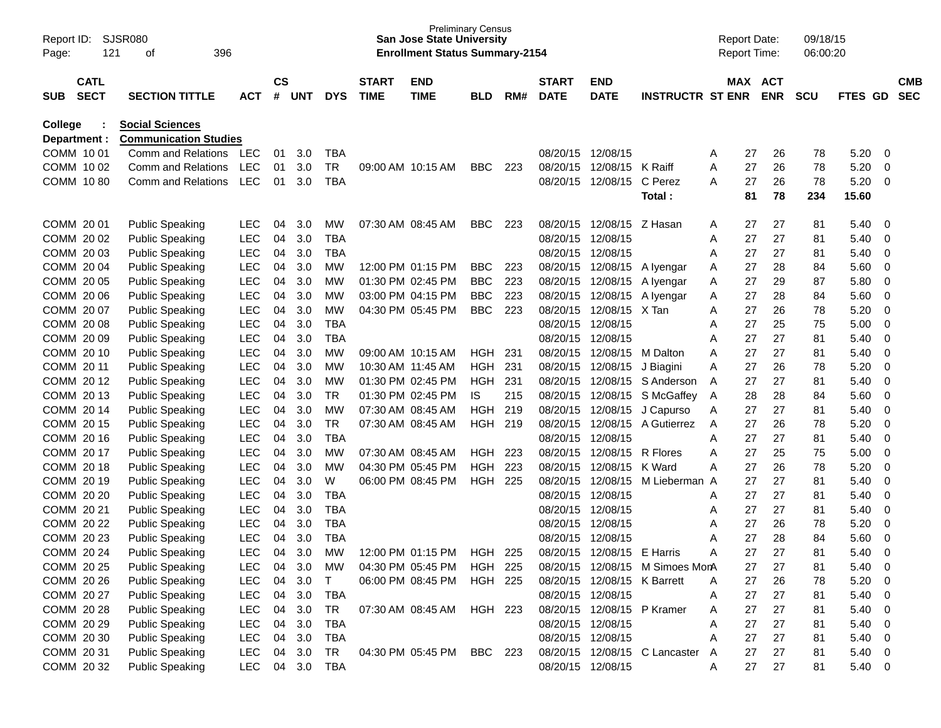| Report ID:<br>Page:     |                            | 121 | SJSR080<br>396<br>οf                                   |            |                    |        |            |                             | <b>San Jose State University</b><br><b>Enrollment Status Summary-2154</b> | <b>Preliminary Census</b> |     |                             |                             |                                 |     | <b>Report Date:</b><br><b>Report Time:</b> |                       | 09/18/15<br>06:00:20 |         |             |                          |
|-------------------------|----------------------------|-----|--------------------------------------------------------|------------|--------------------|--------|------------|-----------------------------|---------------------------------------------------------------------------|---------------------------|-----|-----------------------------|-----------------------------|---------------------------------|-----|--------------------------------------------|-----------------------|----------------------|---------|-------------|--------------------------|
| <b>SUB</b>              | <b>CATL</b><br><b>SECT</b> |     | <b>SECTION TITTLE</b>                                  | <b>ACT</b> | $\mathsf{cs}$<br># | UNT    | <b>DYS</b> | <b>START</b><br><b>TIME</b> | <b>END</b><br><b>TIME</b>                                                 | <b>BLD</b>                | RM# | <b>START</b><br><b>DATE</b> | <b>END</b><br><b>DATE</b>   | <b>INSTRUCTR ST ENR</b>         |     |                                            | MAX ACT<br><b>ENR</b> | <b>SCU</b>           | FTES GD |             | <b>CMB</b><br><b>SEC</b> |
| College<br>Department : |                            |     | <b>Social Sciences</b><br><b>Communication Studies</b> |            |                    |        |            |                             |                                                                           |                           |     |                             |                             |                                 |     |                                            |                       |                      |         |             |                          |
| COMM 10 01              |                            |     | Comm and Relations                                     | <b>LEC</b> | 01                 | 3.0    | <b>TBA</b> |                             |                                                                           |                           |     | 08/20/15                    | 12/08/15                    |                                 | A   | 27                                         | 26                    | 78                   | 5.20    | 0           |                          |
| COMM 10 02              |                            |     | Comm and Relations                                     | <b>LEC</b> | 01                 | 3.0    | <b>TR</b>  |                             | 09:00 AM 10:15 AM                                                         | <b>BBC</b>                | 223 | 08/20/15                    | 12/08/15                    | K Raiff                         | A   | 27                                         | 26                    | 78                   | 5.20    | 0           |                          |
| COMM 1080               |                            |     | Comm and Relations                                     | <b>LEC</b> | 01                 | 3.0    | <b>TBA</b> |                             |                                                                           |                           |     | 08/20/15                    | 12/08/15                    | C Perez                         | A   | 27                                         | 26                    | 78                   | 5.20    | 0           |                          |
|                         |                            |     |                                                        |            |                    |        |            |                             |                                                                           |                           |     |                             |                             | Total:                          |     | 81                                         | 78                    | 234                  | 15.60   |             |                          |
| COMM 2001               |                            |     | <b>Public Speaking</b>                                 | <b>LEC</b> | 04                 | 3.0    | MW         |                             | 07:30 AM 08:45 AM                                                         | BBC                       | 223 | 08/20/15                    | 12/08/15 Z Hasan            |                                 | A   | 27                                         | 27                    | 81                   | 5.40    | 0           |                          |
| COMM 20 02              |                            |     | <b>Public Speaking</b>                                 | <b>LEC</b> | 04                 | 3.0    | <b>TBA</b> |                             |                                                                           |                           |     | 08/20/15                    | 12/08/15                    |                                 | A   | 27                                         | 27                    | 81                   | 5.40    | 0           |                          |
| COMM 2003               |                            |     | <b>Public Speaking</b>                                 | <b>LEC</b> | 04                 | 3.0    | <b>TBA</b> |                             |                                                                           |                           |     | 08/20/15                    | 12/08/15                    |                                 | Α   | 27                                         | 27                    | 81                   | 5.40    | 0           |                          |
| COMM 2004               |                            |     | <b>Public Speaking</b>                                 | LEC        | 04                 | 3.0    | MW         |                             | 12:00 PM 01:15 PM                                                         | <b>BBC</b>                | 223 | 08/20/15                    | 12/08/15                    | A lyengar                       | Α   | 27                                         | 28                    | 84                   | 5.60    | 0           |                          |
| COMM 20 05              |                            |     | <b>Public Speaking</b>                                 | LEC        | 04                 | 3.0    | MW         |                             | 01:30 PM 02:45 PM                                                         | <b>BBC</b>                | 223 | 08/20/15                    | 12/08/15                    | A Iyengar                       | Α   | 27                                         | 29                    | 87                   | 5.80    | 0           |                          |
| COMM 20 06              |                            |     | <b>Public Speaking</b>                                 | <b>LEC</b> | 04                 | 3.0    | МW         |                             | 03:00 PM 04:15 PM                                                         | <b>BBC</b>                | 223 | 08/20/15                    | 12/08/15                    | A lyengar                       | A   | 27                                         | 28                    | 84                   | 5.60    | 0           |                          |
| COMM 2007               |                            |     | <b>Public Speaking</b>                                 | <b>LEC</b> | 04                 | 3.0    | МW         |                             | 04:30 PM 05:45 PM                                                         | <b>BBC</b>                | 223 | 08/20/15                    | 12/08/15                    | X Tan                           | A   | 27                                         | 26                    | 78                   | 5.20    | 0           |                          |
| COMM 2008               |                            |     | <b>Public Speaking</b>                                 | LEC        | 04                 | 3.0    | <b>TBA</b> |                             |                                                                           |                           |     | 08/20/15                    | 12/08/15                    |                                 | Α   | 27                                         | 25                    | 75                   | 5.00    | 0           |                          |
| COMM 20 09              |                            |     | <b>Public Speaking</b>                                 | <b>LEC</b> | 04                 | 3.0    | <b>TBA</b> |                             |                                                                           |                           |     | 08/20/15                    | 12/08/15                    |                                 | Α   | 27                                         | 27                    | 81                   | 5.40    | 0           |                          |
| COMM 20 10              |                            |     | <b>Public Speaking</b>                                 | <b>LEC</b> | 04                 | 3.0    | MW         |                             | 09:00 AM 10:15 AM                                                         | HGH                       | 231 | 08/20/15                    | 12/08/15                    | M Dalton                        | A   | 27                                         | 27                    | 81                   | 5.40    | 0           |                          |
| COMM 20 11              |                            |     | <b>Public Speaking</b>                                 | LEC        | 04                 | 3.0    | MW         |                             | 10:30 AM 11:45 AM                                                         | HGH                       | 231 | 08/20/15                    | 12/08/15                    | J Biagini                       | A   | 27                                         | 26                    | 78                   | 5.20    | 0           |                          |
| COMM 2012               |                            |     | <b>Public Speaking</b>                                 | LEC        | 04                 | 3.0    | МW         |                             | 01:30 PM 02:45 PM                                                         | HGH                       | 231 | 08/20/15                    | 12/08/15                    | S Anderson                      | A   | 27                                         | 27                    | 81                   | 5.40    | 0           |                          |
| COMM 2013               |                            |     | <b>Public Speaking</b>                                 | <b>LEC</b> | 04                 | 3.0    | <b>TR</b>  |                             | 01:30 PM 02:45 PM                                                         | IS                        | 215 | 08/20/15                    | 12/08/15                    | S McGaffey                      | A   | 28                                         | 28                    | 84                   | 5.60    | 0           |                          |
| COMM 2014               |                            |     | <b>Public Speaking</b>                                 | <b>LEC</b> | 04                 | 3.0    | МW         |                             | 07:30 AM 08:45 AM                                                         | HGH                       | 219 | 08/20/15                    | 12/08/15                    | J Capurso                       | A   | 27                                         | 27                    | 81                   | 5.40    | 0           |                          |
| COMM 20 15              |                            |     | <b>Public Speaking</b>                                 | LEC        | 04                 | 3.0    | <b>TR</b>  |                             | 07:30 AM 08:45 AM                                                         | HGH                       | 219 | 08/20/15                    | 12/08/15                    | A Gutierrez                     | A   | 27                                         | 26                    | 78                   | 5.20    | 0           |                          |
| COMM 20 16              |                            |     | <b>Public Speaking</b>                                 | <b>LEC</b> | 04                 | 3.0    | <b>TBA</b> |                             |                                                                           |                           |     | 08/20/15                    | 12/08/15                    |                                 | Α   | 27                                         | 27                    | 81                   | 5.40    | 0           |                          |
| COMM 2017               |                            |     | <b>Public Speaking</b>                                 | <b>LEC</b> | 04                 | 3.0    | MW         |                             | 07:30 AM 08:45 AM                                                         | <b>HGH</b>                | 223 | 08/20/15                    | 12/08/15                    | R Flores                        | Α   | 27                                         | 25                    | 75                   | 5.00    | 0           |                          |
| COMM 2018               |                            |     | <b>Public Speaking</b>                                 | LEC        | 04                 | 3.0    | МW         |                             | 04:30 PM 05:45 PM                                                         | HGH                       | 223 | 08/20/15                    | 12/08/15                    | K Ward                          | Α   | 27                                         | 26                    | 78                   | 5.20    | 0           |                          |
| COMM 20 19              |                            |     | <b>Public Speaking</b>                                 | <b>LEC</b> | 04                 | 3.0    | W          |                             | 06:00 PM 08:45 PM                                                         | HGH                       | 225 | 08/20/15                    | 12/08/15                    | M Lieberman A                   |     | 27                                         | 27                    | 81                   | 5.40    | 0           |                          |
| COMM 20 20              |                            |     | <b>Public Speaking</b>                                 | <b>LEC</b> | 04                 | 3.0    | <b>TBA</b> |                             |                                                                           |                           |     | 08/20/15                    | 12/08/15                    |                                 | Α   | 27                                         | 27                    | 81                   | 5.40    | 0           |                          |
| COMM 20 21              |                            |     | <b>Public Speaking</b>                                 | <b>LEC</b> | 04                 | 3.0    | <b>TBA</b> |                             |                                                                           |                           |     | 08/20/15                    | 12/08/15                    |                                 | A   | 27                                         | 27                    | 81                   | 5.40    | 0           |                          |
| COMM 20 22              |                            |     | <b>Public Speaking</b>                                 | <b>LEC</b> | 04                 | 3.0    | <b>TBA</b> |                             |                                                                           |                           |     | 08/20/15                    | 12/08/15                    |                                 | A   | 27                                         | 26                    | 78                   | 5.20    | 0           |                          |
| COMM 20 23              |                            |     | <b>Public Speaking</b>                                 | <b>LEC</b> | 04                 | 3.0    | <b>TBA</b> |                             |                                                                           |                           |     | 08/20/15                    | 12/08/15                    |                                 | Α   | 27                                         | 28                    | 84                   | 5.60    | 0           |                          |
| COMM 20 24              |                            |     | <b>Public Speaking</b>                                 | <b>LEC</b> | 04                 | 3.0    | MW         |                             | 12:00 PM 01:15 PM                                                         | <b>HGH</b>                | 225 | 08/20/15                    | 12/08/15                    | E Harris                        | Α   | 27                                         | 27                    | 81                   | 5.40    | 0           |                          |
| COMM 20 25              |                            |     | <b>Public Speaking</b>                                 | <b>LEC</b> | 04                 | 3.0    | МW         |                             | 04:30 PM 05:45 PM                                                         | HGH 225                   |     |                             |                             | 08/20/15 12/08/15 M Simoes MorA |     | 27                                         | 27                    | 81                   | 5.40    | 0           |                          |
| COMM 20 26              |                            |     | <b>Public Speaking</b>                                 | <b>LEC</b> | 04                 | 3.0    | T          |                             | 06:00 PM 08:45 PM                                                         | HGH 225                   |     |                             | 08/20/15 12/08/15 K Barrett |                                 | Α   | 27                                         | 26                    | 78                   | 5.20    | 0           |                          |
| COMM 20 27              |                            |     | <b>Public Speaking</b>                                 | <b>LEC</b> | 04                 | 3.0    | <b>TBA</b> |                             |                                                                           |                           |     |                             | 08/20/15 12/08/15           |                                 | A   | 27                                         | 27                    | 81                   | 5.40    | 0           |                          |
| COMM 20 28              |                            |     | <b>Public Speaking</b>                                 | LEC        |                    | 04 3.0 | TR         |                             | 07:30 AM 08:45 AM                                                         | HGH 223                   |     |                             | 08/20/15 12/08/15 P Kramer  |                                 | A   | 27                                         | 27                    | 81                   | 5.40    | 0           |                          |
| COMM 20 29              |                            |     | <b>Public Speaking</b>                                 | <b>LEC</b> |                    | 04 3.0 | TBA        |                             |                                                                           |                           |     |                             | 08/20/15 12/08/15           |                                 | Α   | 27                                         | 27                    | 81                   | 5.40    | 0           |                          |
| COMM 20 30              |                            |     | <b>Public Speaking</b>                                 | <b>LEC</b> |                    | 04 3.0 | <b>TBA</b> |                             |                                                                           |                           |     |                             | 08/20/15 12/08/15           |                                 | A   | 27                                         | 27                    | 81                   | 5.40    | 0           |                          |
| COMM 20 31              |                            |     | <b>Public Speaking</b>                                 | <b>LEC</b> |                    | 04 3.0 | TR         |                             | 04:30 PM 05:45 PM                                                         | BBC 223                   |     |                             |                             | 08/20/15 12/08/15 C Lancaster   | - A | 27                                         | 27                    | 81                   | 5.40    | 0           |                          |
| COMM 20 32              |                            |     | <b>Public Speaking</b>                                 | LEC 04 3.0 |                    |        | TBA        |                             |                                                                           |                           |     |                             | 08/20/15 12/08/15           |                                 | Α   | 27                                         | 27                    | 81                   | 5.40    | $\mathbf 0$ |                          |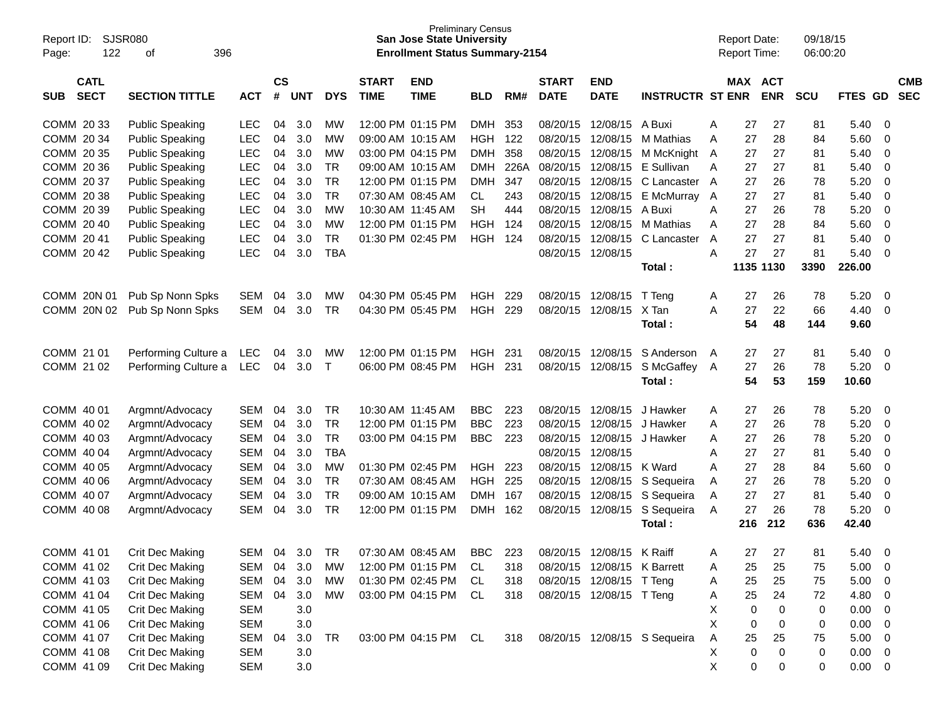| Report ID:<br>122<br>Page:               | <b>SJSR080</b><br>396<br>οf |            |                    |            |            |                             | <b>San Jose State University</b><br><b>Enrollment Status Summary-2154</b> | <b>Preliminary Census</b> |      |                             |                             |                              |   | <b>Report Date:</b><br>Report Time: |            | 09/18/15<br>06:00:20 |             |                          |                          |
|------------------------------------------|-----------------------------|------------|--------------------|------------|------------|-----------------------------|---------------------------------------------------------------------------|---------------------------|------|-----------------------------|-----------------------------|------------------------------|---|-------------------------------------|------------|----------------------|-------------|--------------------------|--------------------------|
| <b>CATL</b><br><b>SECT</b><br><b>SUB</b> | <b>SECTION TITTLE</b>       | <b>ACT</b> | $\mathsf{cs}$<br># | <b>UNT</b> | <b>DYS</b> | <b>START</b><br><b>TIME</b> | <b>END</b><br><b>TIME</b>                                                 | <b>BLD</b>                | RM#  | <b>START</b><br><b>DATE</b> | <b>END</b><br><b>DATE</b>   | <b>INSTRUCTR ST ENR</b>      |   | MAX ACT                             | <b>ENR</b> | <b>SCU</b>           | FTES GD     |                          | <b>CMB</b><br><b>SEC</b> |
| COMM 20 33                               | <b>Public Speaking</b>      | LEC        | 04                 | 3.0        | MW         |                             | 12:00 PM 01:15 PM                                                         | DMH.                      | 353  | 08/20/15                    | 12/08/15                    | A Buxi                       | A | 27                                  | 27         | 81                   | 5.40        | 0                        |                          |
| COMM 20 34                               | <b>Public Speaking</b>      | <b>LEC</b> | 04                 | 3.0        | MW         |                             | 09:00 AM 10:15 AM                                                         | <b>HGH</b>                | 122  | 08/20/15                    | 12/08/15                    | M Mathias                    | A | 27                                  | 28         | 84                   | 5.60        | 0                        |                          |
| COMM 20 35                               | <b>Public Speaking</b>      | <b>LEC</b> | 04                 | 3.0        | MW         |                             | 03:00 PM 04:15 PM                                                         | <b>DMH</b>                | 358  | 08/20/15                    | 12/08/15                    | M McKnight                   | A | 27                                  | 27         | 81                   | 5.40        | 0                        |                          |
| COMM 20 36                               | <b>Public Speaking</b>      | <b>LEC</b> | 04                 | 3.0        | <b>TR</b>  |                             | 09:00 AM 10:15 AM                                                         | DMH                       | 226A | 08/20/15                    | 12/08/15                    | E Sullivan                   | A | 27                                  | 27         | 81                   | 5.40        | 0                        |                          |
| COMM 20 37                               | <b>Public Speaking</b>      | <b>LEC</b> | 04                 | 3.0        | <b>TR</b>  |                             | 12:00 PM 01:15 PM                                                         | DMH                       | 347  | 08/20/15                    | 12/08/15                    | C Lancaster                  | A | 27                                  | 26         | 78                   | 5.20        | 0                        |                          |
| COMM 20 38                               | <b>Public Speaking</b>      | <b>LEC</b> | 04                 | 3.0        | <b>TR</b>  |                             | 07:30 AM 08:45 AM                                                         | CL.                       | 243  | 08/20/15                    | 12/08/15                    | E McMurray                   | A | 27                                  | 27         | 81                   | 5.40        | 0                        |                          |
| COMM 20 39                               | <b>Public Speaking</b>      | <b>LEC</b> | 04                 | 3.0        | MW         |                             | 10:30 AM 11:45 AM                                                         | <b>SH</b>                 | 444  | 08/20/15                    | 12/08/15                    | A Buxi                       | A | 27                                  | 26         | 78                   | 5.20        | 0                        |                          |
| COMM 20 40                               | <b>Public Speaking</b>      | <b>LEC</b> | 04                 | 3.0        | MW         |                             | 12:00 PM 01:15 PM                                                         | <b>HGH</b>                | 124  | 08/20/15                    | 12/08/15                    | M Mathias                    | A | 27                                  | 28         | 84                   | 5.60        | 0                        |                          |
| COMM 2041                                | <b>Public Speaking</b>      | <b>LEC</b> | 04                 | 3.0        | <b>TR</b>  |                             | 01:30 PM 02:45 PM                                                         | <b>HGH</b>                | 124  | 08/20/15                    | 12/08/15                    | C Lancaster                  | A | 27                                  | 27         | 81                   | 5.40        | 0                        |                          |
| COMM 2042                                | <b>Public Speaking</b>      | <b>LEC</b> | 04                 | 3.0        | <b>TBA</b> |                             |                                                                           |                           |      |                             | 08/20/15 12/08/15           |                              | A | 27                                  | 27         | 81                   | 5.40        | 0                        |                          |
|                                          |                             |            |                    |            |            |                             |                                                                           |                           |      |                             |                             | Total:                       |   |                                     | 1135 1130  | 3390                 | 226.00      |                          |                          |
| COMM 20N 01                              | Pub Sp Nonn Spks            | SEM        | 04                 | 3.0        | MW         |                             | 04:30 PM 05:45 PM                                                         | <b>HGH</b>                | 229  | 08/20/15                    | 12/08/15                    | T Teng                       | A | 27                                  | 26         | 78                   | 5.20        | 0                        |                          |
| COMM 20N 02                              | Pub Sp Nonn Spks            | SEM        | 04                 | 3.0        | TR         |                             | 04:30 PM 05:45 PM                                                         | <b>HGH</b>                | 229  |                             | 08/20/15 12/08/15           | X Tan                        | A | 27                                  | 22         | 66                   | 4.40        | 0                        |                          |
|                                          |                             |            |                    |            |            |                             |                                                                           |                           |      |                             |                             | Total:                       |   | 54                                  | 48         | 144                  | 9.60        |                          |                          |
| COMM 21 01                               | Performing Culture a        | LEC        | 04                 | 3.0        | MW         |                             | 12:00 PM 01:15 PM                                                         | <b>HGH</b>                | 231  | 08/20/15                    | 12/08/15                    | S Anderson                   | A | 27                                  | 27         | 81                   | 5.40        | $\overline{0}$           |                          |
| COMM 21 02                               | Performing Culture a        | <b>LEC</b> | 04                 | 3.0        | $\top$     |                             | 06:00 PM 08:45 PM                                                         | <b>HGH</b>                | -231 |                             | 08/20/15 12/08/15           | S McGaffey                   | A | 27                                  | 26         | 78                   | 5.20        | 0                        |                          |
|                                          |                             |            |                    |            |            |                             |                                                                           |                           |      |                             |                             | Total:                       |   | 54                                  | 53         | 159                  | 10.60       |                          |                          |
| COMM 40 01                               | Argmnt/Advocacy             | <b>SEM</b> | 04                 | 3.0        | <b>TR</b>  | 10:30 AM 11:45 AM           |                                                                           | <b>BBC</b>                | 223  | 08/20/15                    | 12/08/15                    | J Hawker                     | A | 27                                  | 26         | 78                   | 5.20        | 0                        |                          |
| COMM 40 02                               | Argmnt/Advocacy             | <b>SEM</b> | 04                 | 3.0        | <b>TR</b>  |                             | 12:00 PM 01:15 PM                                                         | <b>BBC</b>                | 223  | 08/20/15                    | 12/08/15                    | J Hawker                     | A | 27                                  | 26         | 78                   | 5.20        | 0                        |                          |
| COMM 40 03                               | Argmnt/Advocacy             | <b>SEM</b> | 04                 | 3.0        | <b>TR</b>  |                             | 03:00 PM 04:15 PM                                                         | <b>BBC</b>                | 223  | 08/20/15                    | 12/08/15                    | J Hawker                     | A | 27                                  | 26         | 78                   | 5.20        | 0                        |                          |
| COMM 40 04                               | Argmnt/Advocacy             | <b>SEM</b> | 04                 | 3.0        | <b>TBA</b> |                             |                                                                           |                           |      |                             | 08/20/15 12/08/15           |                              | A | 27                                  | 27         | 81                   | 5.40        | 0                        |                          |
| COMM 40 05                               | Argmnt/Advocacy             | <b>SEM</b> | 04                 | 3.0        | MW         |                             | 01:30 PM 02:45 PM                                                         | <b>HGH</b>                | 223  | 08/20/15                    | 12/08/15                    | K Ward                       | A | 27                                  | 28         | 84                   | 5.60        | 0                        |                          |
| COMM 40 06                               | Argmnt/Advocacy             | <b>SEM</b> | 04                 | 3.0        | TR         |                             | 07:30 AM 08:45 AM                                                         | HGH                       | 225  | 08/20/15                    | 12/08/15                    | S Sequeira                   | A | 27                                  | 26         | 78                   | 5.20        | 0                        |                          |
| COMM 40 07                               | Argmnt/Advocacy             | <b>SEM</b> | 04                 | 3.0        | <b>TR</b>  |                             | 09:00 AM 10:15 AM                                                         | <b>DMH</b>                | 167  | 08/20/15                    | 12/08/15                    | S Sequeira                   | Α | 27                                  | 27         | 81                   | 5.40        | 0                        |                          |
| COMM 40 08                               | Argmnt/Advocacy             | SEM        | 04                 | 3.0        | <b>TR</b>  |                             | 12:00 PM 01:15 PM                                                         | DMH.                      | 162  |                             | 08/20/15 12/08/15           | S Sequeira                   | A | 27                                  | 26         | 78                   | 5.20        | 0                        |                          |
|                                          |                             |            |                    |            |            |                             |                                                                           |                           |      |                             |                             | Total:                       |   | 216                                 | 212        | 636                  | 42.40       |                          |                          |
| COMM 41 01                               | <b>Crit Dec Making</b>      | SEM        | 04                 | 3.O        | TR         |                             | 07:30 AM 08:45 AM                                                         | BBC.                      | 223  | 08/20/15                    | 12/08/15                    | K Raiff                      | A | 27                                  | 27         | 81                   | 5.40        | $\Omega$                 |                          |
| COMM 41 02                               | <b>Crit Dec Making</b>      | SEM 04 3.0 |                    |            | МW         |                             | 12:00 PM 01:15 PM                                                         | CL.                       | 318  |                             | 08/20/15 12/08/15 K Barrett |                              | A | 25                                  | 25         | 75                   | 5.00        | $\overline{\phantom{0}}$ |                          |
| COMM 41 03                               | Crit Dec Making             | SEM        | 04                 | 3.0        | МW         |                             | 01:30 PM 02:45 PM                                                         | CL.                       | 318  |                             | 08/20/15 12/08/15 T Teng    |                              | A | 25                                  | 25         | 75                   | 5.00        | $\overline{\mathbf{0}}$  |                          |
| COMM 41 04                               | Crit Dec Making             | SEM        | 04                 | 3.0        | MW         |                             | 03:00 PM 04:15 PM                                                         | CL                        | 318  |                             | 08/20/15 12/08/15 T Teng    |                              | A | 25                                  | 24         | 72                   | 4.80        | $\overline{\mathbf{0}}$  |                          |
| COMM 41 05                               | Crit Dec Making             | SEM        |                    | 3.0        |            |                             |                                                                           |                           |      |                             |                             |                              | X | 0                                   | 0          | 0                    | 0.00        | 0                        |                          |
| COMM 41 06                               | Crit Dec Making             | <b>SEM</b> |                    | 3.0        |            |                             |                                                                           |                           |      |                             |                             |                              | X | 0                                   | 0          | 0                    | 0.00        | $\overline{\mathbf{0}}$  |                          |
| COMM 41 07                               | Crit Dec Making             | SEM        | 04                 | 3.0        | <b>TR</b>  |                             | 03:00 PM 04:15 PM CL                                                      |                           | 318  |                             |                             | 08/20/15 12/08/15 S Sequeira | A | 25                                  | 25         | 75                   | 5.00        | $\overline{\mathbf{0}}$  |                          |
| COMM 41 08                               | Crit Dec Making             | <b>SEM</b> |                    | 3.0        |            |                             |                                                                           |                           |      |                             |                             |                              | X | 0                                   | 0          | 0                    | $0.00 \t 0$ |                          |                          |
| COMM 41 09                               | <b>Crit Dec Making</b>      | <b>SEM</b> |                    | 3.0        |            |                             |                                                                           |                           |      |                             |                             |                              | Χ | 0                                   | 0          | 0                    | $0.00 \t 0$ |                          |                          |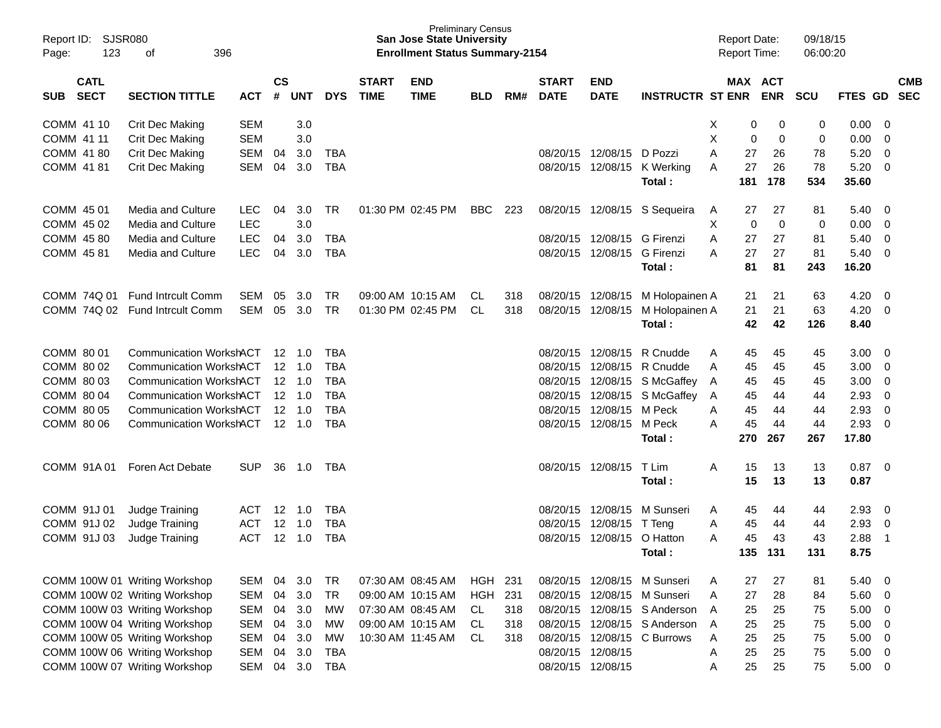| Report ID:<br>Page: | <b>SJSR080</b><br>123      | 396<br>оf                      |            |                   |                |            |                             | <b>Preliminary Census</b><br><b>San Jose State University</b><br><b>Enrollment Status Summary-2154</b> |            |     |                             |                             |                              | <b>Report Date:</b><br><b>Report Time:</b> |     |             | 09/18/15<br>06:00:20 |             |                         |            |
|---------------------|----------------------------|--------------------------------|------------|-------------------|----------------|------------|-----------------------------|--------------------------------------------------------------------------------------------------------|------------|-----|-----------------------------|-----------------------------|------------------------------|--------------------------------------------|-----|-------------|----------------------|-------------|-------------------------|------------|
| <b>SUB</b>          | <b>CATL</b><br><b>SECT</b> | <b>SECTION TITTLE</b>          | <b>ACT</b> | <b>CS</b><br>#    | <b>UNT</b>     | <b>DYS</b> | <b>START</b><br><b>TIME</b> | <b>END</b><br><b>TIME</b>                                                                              | <b>BLD</b> | RM# | <b>START</b><br><b>DATE</b> | <b>END</b><br><b>DATE</b>   | <b>INSTRUCTR ST ENR</b>      | MAX ACT                                    |     | <b>ENR</b>  | <b>SCU</b>           | FTES GD SEC |                         | <b>CMB</b> |
| COMM 41 10          |                            | Crit Dec Making                | <b>SEM</b> |                   | 3.0            |            |                             |                                                                                                        |            |     |                             |                             |                              | X                                          | 0   | 0           | 0                    | 0.00        | 0                       |            |
| COMM 41 11          |                            | Crit Dec Making                | <b>SEM</b> |                   | 3.0            |            |                             |                                                                                                        |            |     |                             |                             |                              | X                                          | 0   | 0           | 0                    | 0.00        | 0                       |            |
| COMM 41 80          |                            | Crit Dec Making                | <b>SEM</b> | 04                | 3.0            | <b>TBA</b> |                             |                                                                                                        |            |     | 08/20/15                    | 12/08/15                    | D Pozzi                      | A                                          | 27  | 26          | 78                   | 5.20        | 0                       |            |
| COMM 41 81          |                            | Crit Dec Making                | <b>SEM</b> | 04                | 3.0            | <b>TBA</b> |                             |                                                                                                        |            |     |                             |                             | 08/20/15 12/08/15 K Werking  | A                                          | 27  | 26          | 78                   | 5.20        | 0                       |            |
|                     |                            |                                |            |                   |                |            |                             |                                                                                                        |            |     |                             |                             | Total:                       |                                            | 181 | 178         | 534                  | 35.60       |                         |            |
| COMM 45 01          |                            | Media and Culture              | <b>LEC</b> | 04                | 3.0            | <b>TR</b>  |                             | 01:30 PM 02:45 PM                                                                                      | BBC        | 223 |                             |                             | 08/20/15 12/08/15 S Sequeira | A                                          | 27  | 27          | 81                   | 5.40        | - 0                     |            |
| COMM 45 02          |                            | Media and Culture              | <b>LEC</b> |                   | 3.0            |            |                             |                                                                                                        |            |     |                             |                             |                              | Χ                                          | 0   | $\mathbf 0$ | 0                    | 0.00        | 0                       |            |
| COMM 45 80          |                            | Media and Culture              | <b>LEC</b> | 04                | 3.0            | <b>TBA</b> |                             |                                                                                                        |            |     | 08/20/15                    | 12/08/15                    | <b>G</b> Firenzi             | A                                          | 27  | 27          | 81                   | 5.40        | 0                       |            |
| COMM 45 81          |                            | Media and Culture              | <b>LEC</b> | 04                | 3.0            | <b>TBA</b> |                             |                                                                                                        |            |     |                             | 08/20/15 12/08/15 G Firenzi |                              | A                                          | 27  | 27          | 81                   | 5.40        | 0                       |            |
|                     |                            |                                |            |                   |                |            |                             |                                                                                                        |            |     |                             |                             | Total:                       |                                            | 81  | 81          | 243                  | 16.20       |                         |            |
|                     | COMM 74Q 01                | <b>Fund Intrcult Comm</b>      | <b>SEM</b> | 05                | 3.0            | <b>TR</b>  |                             | 09:00 AM 10:15 AM                                                                                      | CL.        | 318 | 08/20/15 12/08/15           |                             | M Holopainen A               |                                            | 21  | 21          | 63                   | 4.20        | $\overline{0}$          |            |
|                     | COMM 74Q 02                | <b>Fund Intrcult Comm</b>      | <b>SEM</b> |                   | 05 3.0         | <b>TR</b>  |                             | 01:30 PM 02:45 PM                                                                                      | CL         | 318 | 08/20/15 12/08/15           |                             | M Holopainen A               |                                            | 21  | 21          | 63                   | 4.20        | $\mathbf{0}$            |            |
|                     |                            |                                |            |                   |                |            |                             |                                                                                                        |            |     |                             |                             | Total:                       |                                            | 42  | 42          | 126                  | 8.40        |                         |            |
| COMM 80 01          |                            | <b>Communication WorkshACT</b> |            | 12 <sup>°</sup>   | 1.0            | <b>TBA</b> |                             |                                                                                                        |            |     | 08/20/15                    | 12/08/15                    | R Cnudde                     | Α                                          | 45  | 45          | 45                   | 3.00        | 0                       |            |
| COMM 80 02          |                            | <b>Communication WorkshACT</b> |            |                   | $12 \quad 1.0$ | <b>TBA</b> |                             |                                                                                                        |            |     | 08/20/15                    | 12/08/15                    | R Cnudde                     | A                                          | 45  | 45          | 45                   | 3.00        | 0                       |            |
| COMM 80 03          |                            | <b>Communication WorkshACT</b> |            |                   | $12 \quad 1.0$ | <b>TBA</b> |                             |                                                                                                        |            |     | 08/20/15                    | 12/08/15                    | S McGaffey                   | A                                          | 45  | 45          | 45                   | 3.00        | 0                       |            |
| COMM 80 04          |                            | <b>Communication WorkshACT</b> |            |                   | $12 \quad 1.0$ | <b>TBA</b> |                             |                                                                                                        |            |     | 08/20/15                    | 12/08/15                    | S McGaffey                   | A                                          | 45  | 44          | 44                   | 2.93        | 0                       |            |
| COMM 80 05          |                            | <b>Communication WorkshACT</b> |            |                   | $12 \quad 1.0$ | <b>TBA</b> |                             |                                                                                                        |            |     | 08/20/15                    | 12/08/15                    | M Peck                       | A                                          | 45  | 44          | 44                   | 2.93        | 0                       |            |
| COMM 80 06          |                            | <b>Communication WorkshACT</b> |            |                   | 12 1.0         | <b>TBA</b> |                             |                                                                                                        |            |     | 08/20/15                    | 12/08/15                    | M Peck                       | A                                          | 45  | 44          | 44                   | 2.93        | $\overline{0}$          |            |
|                     |                            |                                |            |                   |                |            |                             |                                                                                                        |            |     |                             |                             | Total:                       | 270                                        |     | 267         | 267                  | 17.80       |                         |            |
| COMM 91A01          |                            | Foren Act Debate               | <b>SUP</b> | 36                | 1.0            | TBA        |                             |                                                                                                        |            |     | 08/20/15 12/08/15           |                             | T Lim                        | A                                          | 15  | 13          | 13                   | 0.87        | $\overline{\mathbf{0}}$ |            |
|                     |                            |                                |            |                   |                |            |                             |                                                                                                        |            |     |                             |                             | Total:                       |                                            | 15  | 13          | 13                   | 0.87        |                         |            |
| COMM 91J 01         |                            | Judge Training                 | ACT        | $12 \overline{ }$ | 1.0            | <b>TBA</b> |                             |                                                                                                        |            |     | 08/20/15                    | 12/08/15                    | M Sunseri                    | A                                          | 45  | 44          | 44                   | 2.93        | 0                       |            |
| COMM 91J 02         |                            | Judge Training                 | <b>ACT</b> | 12                | 1.0            | <b>TBA</b> |                             |                                                                                                        |            |     | 08/20/15                    | 12/08/15                    | T Tena                       | Α                                          | 45  | 44          | 44                   | 2.93        | 0                       |            |
| COMM 91J 03         |                            | Judge Training                 | <b>ACT</b> | 12                | 1.0            | <b>TBA</b> |                             |                                                                                                        |            |     | 08/20/15                    | 12/08/15                    | O Hatton                     | A                                          | 45  | 43          | 43                   | 2.88        | -1                      |            |
|                     |                            |                                |            |                   |                |            |                             |                                                                                                        |            |     |                             |                             | Total:                       |                                            | 135 | 131         | 131                  | 8.75        |                         |            |
|                     |                            | COMM 100W 01 Writing Workshop  | <b>SEM</b> | 04                | 3.0            | <b>TR</b>  |                             | 07:30 AM 08:45 AM                                                                                      | <b>HGH</b> | 231 |                             |                             | 08/20/15 12/08/15 M Sunseri  | Α                                          | 27  | 27          | 81                   | 5.40        | 0                       |            |
|                     |                            | COMM 100W 02 Writing Workshop  | <b>SEM</b> | 04                | 3.0            | <b>TR</b>  |                             | 09:00 AM 10:15 AM                                                                                      | <b>HGH</b> | 231 | 08/20/15                    |                             | 12/08/15 M Sunseri           | A                                          | 27  | 28          | 84                   | 5.60        | $\overline{0}$          |            |
|                     |                            | COMM 100W 03 Writing Workshop  | <b>SEM</b> | 04                | 3.0            | <b>MW</b>  |                             | 07:30 AM 08:45 AM                                                                                      | CL.        | 318 |                             |                             | 08/20/15 12/08/15 S Anderson | A                                          | 25  | 25          | 75                   | 5.00        | $\mathbf 0$             |            |
|                     |                            | COMM 100W 04 Writing Workshop  | <b>SEM</b> | 04                | 3.0            | <b>MW</b>  |                             | 09:00 AM 10:15 AM                                                                                      | CL.        | 318 | 08/20/15                    |                             | 12/08/15 S Anderson          | A                                          | 25  | 25          | 75                   | 5.00        | $\mathbf 0$             |            |
|                     |                            | COMM 100W 05 Writing Workshop  | <b>SEM</b> | 04                | 3.0            | <b>MW</b>  |                             | 10:30 AM 11:45 AM                                                                                      | CL.        | 318 | 08/20/15                    |                             | 12/08/15 C Burrows           | Α                                          | 25  | 25          | 75                   | 5.00        | $\mathbf 0$             |            |
|                     |                            | COMM 100W 06 Writing Workshop  | <b>SEM</b> | 04                | 3.0            | <b>TBA</b> |                             |                                                                                                        |            |     | 08/20/15 12/08/15           |                             |                              | Α                                          | 25  | 25          | 75                   | 5.00        | $\mathbf 0$             |            |
|                     |                            | COMM 100W 07 Writing Workshop  | <b>SEM</b> |                   | 04 3.0         | <b>TBA</b> |                             |                                                                                                        |            |     | 08/20/15 12/08/15           |                             |                              | Α                                          | 25  | 25          | 75                   | 5.00        | $\overline{\mathbf{0}}$ |            |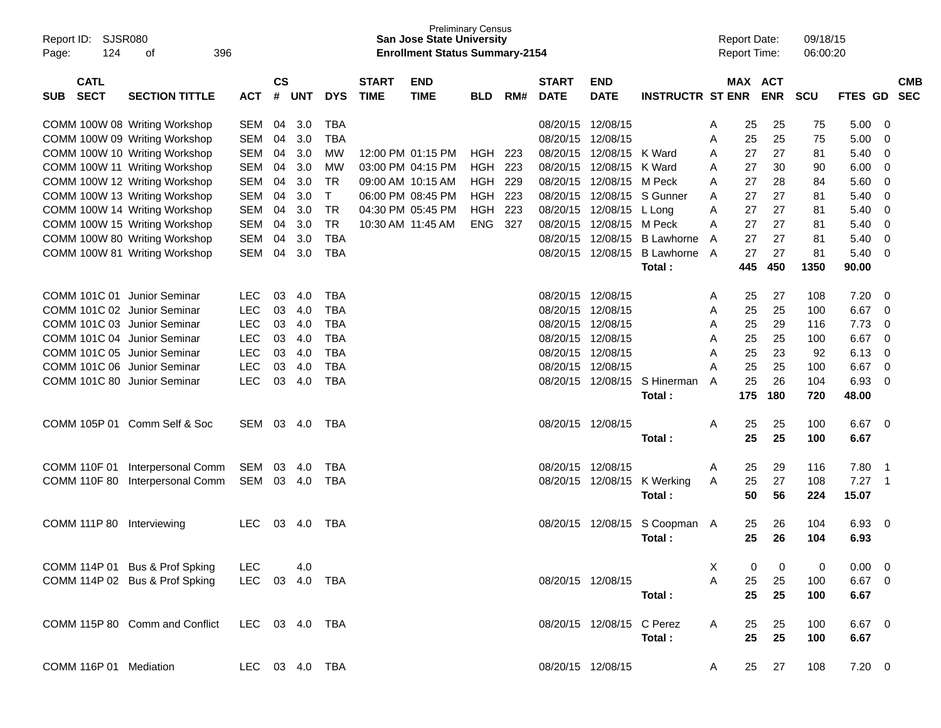| Report ID:<br>124<br>Page:               | SJSR080<br>396<br>οf                                           |                          |                    |            |            |                                        | <b>Preliminary Census</b><br><b>San Jose State University</b><br><b>Enrollment Status Summary-2154</b> |             |            |                             |                           |                         |        | <b>Report Date:</b><br><b>Report Time:</b> |            | 09/18/15<br>06:00:20 |                |                          |
|------------------------------------------|----------------------------------------------------------------|--------------------------|--------------------|------------|------------|----------------------------------------|--------------------------------------------------------------------------------------------------------|-------------|------------|-----------------------------|---------------------------|-------------------------|--------|--------------------------------------------|------------|----------------------|----------------|--------------------------|
| <b>CATL</b><br><b>SECT</b><br><b>SUB</b> | <b>SECTION TITTLE</b>                                          | <b>ACT</b>               | $\mathsf{cs}$<br># | <b>UNT</b> | <b>DYS</b> | <b>START</b><br><b>TIME</b>            | <b>END</b><br><b>TIME</b>                                                                              | <b>BLD</b>  | RM#        | <b>START</b><br><b>DATE</b> | <b>END</b><br><b>DATE</b> | <b>INSTRUCTR ST ENR</b> |        | <b>MAX ACT</b>                             | <b>ENR</b> | <b>SCU</b>           | <b>FTES GD</b> | <b>CMB</b><br><b>SEC</b> |
|                                          |                                                                |                          |                    |            |            |                                        |                                                                                                        |             |            |                             |                           |                         |        |                                            |            |                      |                |                          |
|                                          | COMM 100W 08 Writing Workshop                                  | <b>SEM</b>               | 04                 | 3.0        | <b>TBA</b> |                                        |                                                                                                        |             |            | 08/20/15                    | 12/08/15                  |                         | A      | 25                                         | 25         | 75                   | 5.00           | 0                        |
|                                          | COMM 100W 09 Writing Workshop                                  | <b>SEM</b>               | 04                 | 3.0        | TBA        |                                        |                                                                                                        |             |            | 08/20/15                    | 12/08/15                  |                         | A      | 25                                         | 25         | 75                   | 5.00           | 0                        |
|                                          | COMM 100W 10 Writing Workshop                                  | <b>SEM</b>               | 04                 | 3.0        | МW         | 12:00 PM 01:15 PM                      |                                                                                                        | <b>HGH</b>  | 223        | 08/20/15                    | 12/08/15                  | K Ward                  | A      | 27                                         | 27         | 81                   | 5.40           | 0                        |
|                                          | COMM 100W 11 Writing Workshop                                  | <b>SEM</b>               | 04                 | 3.0        | МW         | 03:00 PM 04:15 PM                      |                                                                                                        | <b>HGH</b>  | 223        | 08/20/15                    | 12/08/15                  | K Ward                  | A      | 27                                         | 30         | 90                   | 6.00           | 0                        |
|                                          | COMM 100W 12 Writing Workshop                                  | <b>SEM</b>               | 04                 | 3.0        | TR         | 09:00 AM 10:15 AM                      |                                                                                                        | <b>HGH</b>  | 229        | 08/20/15                    | 12/08/15                  | M Peck                  | A      | 27                                         | 28         | 84                   | 5.60           | 0                        |
|                                          | COMM 100W 13 Writing Workshop                                  | <b>SEM</b><br><b>SEM</b> | 04<br>04           | 3.0<br>3.0 | т<br>TR    | 06:00 PM 08:45 PM<br>04:30 PM 05:45 PM |                                                                                                        | HGH.<br>HGH | 223<br>223 | 08/20/15<br>08/20/15        | 12/08/15<br>12/08/15      | S Gunner                | A<br>A | 27<br>27                                   | 27<br>27   | 81                   | 5.40<br>5.40   | 0<br>0                   |
|                                          | COMM 100W 14 Writing Workshop<br>COMM 100W 15 Writing Workshop | <b>SEM</b>               | 04                 | 3.0        | TR         | 10:30 AM 11:45 AM                      |                                                                                                        | <b>ENG</b>  | 327        | 08/20/15                    | 12/08/15                  | L Long<br>M Peck        | A      | 27                                         | 27         | 81<br>81             | 5.40           | 0                        |
|                                          | COMM 100W 80 Writing Workshop                                  | <b>SEM</b>               | 04                 | 3.0        | TBA        |                                        |                                                                                                        |             |            | 08/20/15                    | 12/08/15                  | <b>B</b> Lawhorne       | A      | 27                                         | 27         | 81                   | 5.40           | 0                        |
|                                          | COMM 100W 81 Writing Workshop                                  | SEM                      | 04                 | 3.0        | TBA        |                                        |                                                                                                        |             |            | 08/20/15                    | 12/08/15                  | <b>B</b> Lawhorne       | A      | 27                                         | 27         | 81                   | 5.40           | 0                        |
|                                          |                                                                |                          |                    |            |            |                                        |                                                                                                        |             |            |                             |                           | Total:                  |        | 445                                        | 450        | 1350                 | 90.00          |                          |
|                                          |                                                                |                          |                    |            |            |                                        |                                                                                                        |             |            |                             |                           |                         |        |                                            |            |                      |                |                          |
| COMM 101C 01 Junior Seminar              |                                                                | <b>LEC</b>               | 03                 | 4.0        | <b>TBA</b> |                                        |                                                                                                        |             |            | 08/20/15                    | 12/08/15                  |                         | A      | 25                                         | 27         | 108                  | 7.20           | 0                        |
| COMM 101C 02 Junior Seminar              |                                                                | <b>LEC</b>               | 03                 | 4.0        | TBA        |                                        |                                                                                                        |             |            | 08/20/15                    | 12/08/15                  |                         | A      | 25                                         | 25         | 100                  | 6.67           | 0                        |
| COMM 101C 03 Junior Seminar              |                                                                | <b>LEC</b>               | 03                 | 4.0        | TBA        |                                        |                                                                                                        |             |            | 08/20/15                    | 12/08/15                  |                         | A      | 25                                         | 29         | 116                  | 7.73           | 0                        |
| COMM 101C 04 Junior Seminar              |                                                                | <b>LEC</b>               | 03                 | 4.0        | TBA        |                                        |                                                                                                        |             |            | 08/20/15                    | 12/08/15                  |                         | A      | 25                                         | 25         | 100                  | 6.67           | 0                        |
| COMM 101C 05 Junior Seminar              |                                                                | <b>LEC</b>               | 03                 | 4.0        | TBA        |                                        |                                                                                                        |             |            | 08/20/15                    | 12/08/15                  |                         | A      | 25                                         | 23         | 92                   | 6.13           | 0                        |
| COMM 101C 06 Junior Seminar              |                                                                | <b>LEC</b>               | 03                 | 4.0        | TBA        |                                        |                                                                                                        |             |            | 08/20/15                    | 12/08/15                  |                         | Α      | 25                                         | 25         | 100                  | 6.67           | 0                        |
| COMM 101C 80 Junior Seminar              |                                                                | <b>LEC</b>               | 03                 | 4.0        | TBA        |                                        |                                                                                                        |             |            | 08/20/15                    | 12/08/15                  | S Hinerman              | A      | 25                                         | 26         | 104                  | 6.93           | 0                        |
|                                          |                                                                |                          |                    |            |            |                                        |                                                                                                        |             |            |                             |                           | Total:                  |        | 175                                        | 180        | 720                  | 48.00          |                          |
|                                          | COMM 105P 01 Comm Self & Soc                                   | SEM                      | 03                 | 4.0        | <b>TBA</b> |                                        |                                                                                                        |             |            |                             | 08/20/15 12/08/15         |                         | Α      | 25                                         | 25         | 100                  | 6.67           | 0                        |
|                                          |                                                                |                          |                    |            |            |                                        |                                                                                                        |             |            |                             |                           | Total:                  |        | 25                                         | 25         | 100                  | 6.67           |                          |
|                                          |                                                                |                          |                    |            |            |                                        |                                                                                                        |             |            |                             |                           |                         |        |                                            |            |                      |                |                          |
| COMM 110F 01                             | Interpersonal Comm                                             | <b>SEM</b>               | 03                 | 4.0        | <b>TBA</b> |                                        |                                                                                                        |             |            | 08/20/15                    | 12/08/15                  |                         | A      | 25                                         | 29         | 116                  | 7.80           | -1                       |
| <b>COMM 110F 80</b>                      | Interpersonal Comm                                             | <b>SEM</b>               | 03                 | 4.0        | TBA        |                                        |                                                                                                        |             |            | 08/20/15                    | 12/08/15                  | K Werking               | A      | 25                                         | 27         | 108                  | 7.27           | -1                       |
|                                          |                                                                |                          |                    |            |            |                                        |                                                                                                        |             |            |                             |                           | Total:                  |        | 50                                         | 56         | 224                  | 15.07          |                          |
| COMM 111P 80                             | Interviewing                                                   | LEC                      | 03                 | 4.0        | <b>TBA</b> |                                        |                                                                                                        |             |            | 08/20/15                    | 12/08/15                  | S Coopman A             |        | 25                                         | 26         | 104                  | 6.93           | 0                        |
|                                          |                                                                |                          |                    |            |            |                                        |                                                                                                        |             |            |                             |                           | Total:                  |        | 25                                         | 26         | 104                  | 6.93           |                          |
|                                          |                                                                |                          |                    |            |            |                                        |                                                                                                        |             |            |                             |                           |                         |        |                                            |            |                      |                |                          |
|                                          | COMM 114P 01 Bus & Prof Spking                                 | LEC                      |                    | 4.0        |            |                                        |                                                                                                        |             |            |                             |                           |                         | Χ      | 0                                          | 0          | 0                    | 0.00           | $\mathbf 0$              |
|                                          | COMM 114P 02 Bus & Prof Spking                                 | <b>LEC</b>               |                    | 03 4.0     | TBA        |                                        |                                                                                                        |             |            |                             | 08/20/15 12/08/15         |                         | A      | 25                                         | 25         | 100                  | 6.67           | 0                        |
|                                          |                                                                |                          |                    |            |            |                                        |                                                                                                        |             |            |                             |                           | Total:                  |        | 25                                         | 25         | 100                  | 6.67           |                          |
|                                          |                                                                |                          |                    |            |            |                                        |                                                                                                        |             |            |                             |                           |                         |        |                                            |            |                      |                |                          |
|                                          | COMM 115P 80 Comm and Conflict                                 | LEC 03 4.0 TBA           |                    |            |            |                                        |                                                                                                        |             |            |                             | 08/20/15 12/08/15 C Perez |                         | A      | 25                                         | 25         | 100                  | $6.67$ 0       |                          |
|                                          |                                                                |                          |                    |            |            |                                        |                                                                                                        |             |            |                             |                           | Total:                  |        | 25                                         | 25         | 100                  | 6.67           |                          |
|                                          |                                                                |                          |                    |            |            |                                        |                                                                                                        |             |            |                             |                           |                         | A      | 25                                         | 27         | 108                  |                |                          |
| COMM 116P 01 Mediation                   |                                                                | LEC 03 4.0 TBA           |                    |            |            |                                        |                                                                                                        |             |            |                             | 08/20/15 12/08/15         |                         |        |                                            |            |                      | $7.20 \t 0$    |                          |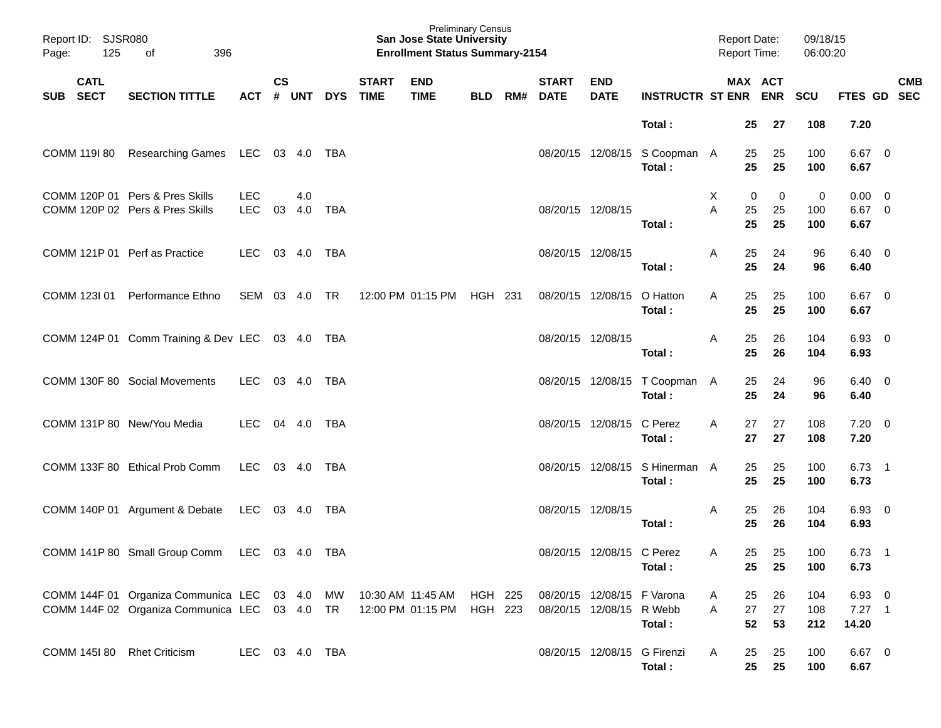| Page:      | Report ID: SJSR080<br>125  | 396<br>οf                                                                                                                                  |                          |                    |            |            |                             | <b>Preliminary Census</b><br><b>San Jose State University</b><br><b>Enrollment Status Summary-2154</b> |            |     |                             |                                                        |                                          | <b>Report Date:</b><br><b>Report Time:</b> |                |                         | 09/18/15<br>06:00:20 |                                 |            |  |
|------------|----------------------------|--------------------------------------------------------------------------------------------------------------------------------------------|--------------------------|--------------------|------------|------------|-----------------------------|--------------------------------------------------------------------------------------------------------|------------|-----|-----------------------------|--------------------------------------------------------|------------------------------------------|--------------------------------------------|----------------|-------------------------|----------------------|---------------------------------|------------|--|
| <b>SUB</b> | <b>CATL</b><br><b>SECT</b> | <b>SECTION TITTLE</b>                                                                                                                      | ACT                      | $\mathsf{cs}$<br># | <b>UNT</b> | <b>DYS</b> | <b>START</b><br><b>TIME</b> | <b>END</b><br><b>TIME</b>                                                                              | <b>BLD</b> | RM# | <b>START</b><br><b>DATE</b> | <b>END</b><br><b>DATE</b>                              | <b>INSTRUCTR ST ENR ENR</b>              |                                            |                | MAX ACT                 | <b>SCU</b>           | FTES GD SEC                     | <b>CMB</b> |  |
|            |                            |                                                                                                                                            |                          |                    |            |            |                             |                                                                                                        |            |     |                             |                                                        | Total:                                   |                                            | 25             | 27                      | 108                  | 7.20                            |            |  |
|            | COMM 119I 80               | <b>Researching Games</b>                                                                                                                   | LEC 03 4.0               |                    |            | TBA        |                             |                                                                                                        |            |     |                             |                                                        | 08/20/15 12/08/15 S Coopman A<br>Total:  |                                            | 25<br>25       | 25<br>25                | 100<br>100           | $6.67$ 0<br>6.67                |            |  |
|            |                            | COMM 120P 01 Pers & Pres Skills<br>COMM 120P 02 Pers & Pres Skills                                                                         | <b>LEC</b><br><b>LEC</b> | 03                 | 4.0<br>4.0 | <b>TBA</b> |                             |                                                                                                        |            |     | 08/20/15 12/08/15           |                                                        | Total:                                   | Χ<br>Α                                     | 0<br>25<br>25  | $\mathbf 0$<br>25<br>25 | 0<br>100<br>100      | $0.00 \t 0$<br>$6.67$ 0<br>6.67 |            |  |
|            |                            | COMM 121P 01 Perf as Practice                                                                                                              | <b>LEC</b>               |                    | 03 4.0     | <b>TBA</b> |                             |                                                                                                        |            |     | 08/20/15 12/08/15           |                                                        | Total:                                   | A                                          | 25<br>25       | 24<br>24                | 96<br>96             | $6.40 \quad 0$<br>6.40          |            |  |
|            |                            | COMM 123I 01 Performance Ethno                                                                                                             | SEM 03 4.0               |                    |            | TR         |                             | 12:00 PM 01:15 PM                                                                                      | HGH 231    |     |                             | 08/20/15 12/08/15                                      | O Hatton<br>Total:                       | A                                          | 25<br>25       | 25<br>25                | 100<br>100           | $6.67$ 0<br>6.67                |            |  |
|            |                            | COMM 124P 01 Comm Training & Dev LEC 03 4.0                                                                                                |                          |                    |            | TBA        |                             |                                                                                                        |            |     | 08/20/15 12/08/15           |                                                        | Total :                                  | A                                          | 25<br>25       | 26<br>26                | 104<br>104           | $6.93$ 0<br>6.93                |            |  |
|            |                            | COMM 130F 80 Social Movements                                                                                                              | LEC                      |                    | 03 4.0     | TBA        |                             |                                                                                                        |            |     |                             |                                                        | 08/20/15 12/08/15 T Coopman A<br>Total:  |                                            | 25<br>25       | 24<br>24                | 96<br>96             | $6.40 \quad 0$<br>6.40          |            |  |
|            |                            | COMM 131P 80 New/You Media                                                                                                                 | <b>LEC</b>               |                    | 04 4.0     | TBA        |                             |                                                                                                        |            |     |                             | 08/20/15 12/08/15 C Perez                              | Total :                                  | A                                          | 27<br>27       | 27<br>27                | 108<br>108           | $7.20 \t 0$<br>7.20             |            |  |
|            |                            | COMM 133F 80 Ethical Prob Comm                                                                                                             | LEC                      |                    | 03 4.0     | TBA        |                             |                                                                                                        |            |     |                             |                                                        | 08/20/15 12/08/15 S Hinerman A<br>Total: |                                            | 25<br>25       | 25<br>25                | 100<br>100           | $6.73$ 1<br>6.73                |            |  |
|            |                            | COMM 140P 01 Argument & Debate                                                                                                             | LEC                      |                    | 03 4.0     | TBA        |                             |                                                                                                        |            |     | 08/20/15 12/08/15           |                                                        | Total:                                   | A                                          | 25<br>25       | 26<br>26                | 104<br>104           | $6.93$ 0<br>6.93                |            |  |
|            |                            | COMM 141P 80 Small Group Comm LEC 03 4.0 TBA                                                                                               |                          |                    |            |            |                             |                                                                                                        |            |     |                             | 08/20/15 12/08/15 C Perez                              | Total:                                   | $\mathsf{A}$                               | 25<br>25       | 25<br>25                | 100<br>100           | $6.73$ 1<br>6.73                |            |  |
|            |                            | COMM 144F 01 Organiza Communica LEC 03 4.0 MW 10:30 AM 11:45 AM HGH 225<br>COMM 144F 02 Organiza Communica LEC 03 4.0 TR 12:00 PM 01:15 PM |                          |                    |            |            |                             |                                                                                                        | HGH 223    |     |                             | 08/20/15 12/08/15 F Varona<br>08/20/15 12/08/15 R Webb | Total:                                   | A<br>Α                                     | 25<br>27<br>52 | 26<br>27<br>53          | 104<br>108<br>212    | 6.93 0<br>$7.27$ 1<br>14.20     |            |  |
|            |                            | COMM 145I 80 Rhet Criticism                                                                                                                | LEC 03 4.0 TBA           |                    |            |            |                             |                                                                                                        |            |     |                             | 08/20/15 12/08/15 G Firenzi                            | Total:                                   | A                                          | 25<br>25       | 25<br>25                | 100<br>100           | 6.67 0<br>6.67                  |            |  |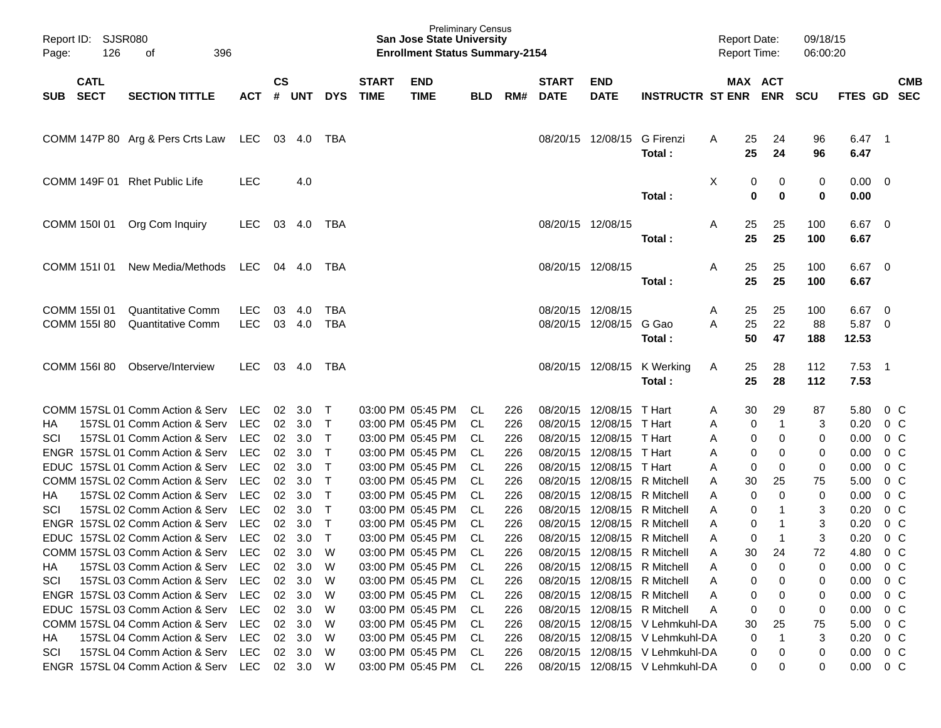| Report ID:<br>Page: | SJSR080<br>126               | 396<br>οf                                                            |                          |                    |               |                              |                             | <b>Preliminary Census</b><br><b>San Jose State University</b><br><b>Enrollment Status Summary-2154</b> |            |            |                             |                               |                                       |        | <b>Report Date:</b><br><b>Report Time:</b> |                       | 09/18/15<br>06:00:20 |                       |                                                     |                          |
|---------------------|------------------------------|----------------------------------------------------------------------|--------------------------|--------------------|---------------|------------------------------|-----------------------------|--------------------------------------------------------------------------------------------------------|------------|------------|-----------------------------|-------------------------------|---------------------------------------|--------|--------------------------------------------|-----------------------|----------------------|-----------------------|-----------------------------------------------------|--------------------------|
| <b>SUB</b>          | <b>CATL</b><br><b>SECT</b>   | <b>SECTION TITTLE</b>                                                | <b>ACT</b>               | $\mathsf{cs}$<br># | <b>UNT</b>    | <b>DYS</b>                   | <b>START</b><br><b>TIME</b> | <b>END</b><br><b>TIME</b>                                                                              | <b>BLD</b> | RM#        | <b>START</b><br><b>DATE</b> | <b>END</b><br><b>DATE</b>     | <b>INSTRUCTR ST ENR</b>               |        |                                            | MAX ACT<br><b>ENR</b> | <b>SCU</b>           | FTES GD               |                                                     | <b>CMB</b><br><b>SEC</b> |
|                     |                              | COMM 147P 80 Arg & Pers Crts Law                                     | LEC                      |                    | 03 4.0        | TBA                          |                             |                                                                                                        |            |            | 08/20/15                    | 12/08/15                      | G Firenzi<br>Total:                   | A      | 25<br>25                                   | 24<br>24              | 96<br>96             | 6.47<br>6.47          | $\overline{\phantom{0}}$ 1                          |                          |
|                     | COMM 149F 01                 | <b>Rhet Public Life</b>                                              | <b>LEC</b>               |                    | 4.0           |                              |                             |                                                                                                        |            |            |                             |                               | Total:                                | Χ      | 0<br>0                                     | 0<br>$\mathbf 0$      | 0<br>0               | $0.00 \t 0$<br>0.00   |                                                     |                          |
|                     | COMM 150I 01                 | Org Com Inquiry                                                      | <b>LEC</b>               | 03                 | 4.0           | TBA                          |                             |                                                                                                        |            |            | 08/20/15 12/08/15           |                               | Total:                                | A      | 25<br>25                                   | 25<br>25              | 100<br>100           | 6.67<br>6.67          | $\overline{\mathbf{0}}$                             |                          |
|                     | COMM 151101                  | New Media/Methods                                                    | LEC                      |                    | 04 4.0        | TBA                          |                             |                                                                                                        |            |            | 08/20/15 12/08/15           |                               | Total:                                | A      | 25<br>25                                   | 25<br>25              | 100<br>100           | 6.67<br>6.67          | $\overline{\mathbf{0}}$                             |                          |
|                     | COMM 1551 01<br>COMM 155I 80 | Quantitative Comm<br><b>Quantitative Comm</b>                        | <b>LEC</b><br><b>LEC</b> | 03                 | 4.0<br>03 4.0 | <b>TBA</b><br><b>TBA</b>     |                             |                                                                                                        |            |            | 08/20/15                    | 12/08/15<br>08/20/15 12/08/15 | G Gao<br>Total:                       | A<br>A | 25<br>25<br>50                             | 25<br>22<br>47        | 100<br>88<br>188     | 6.67<br>5.87<br>12.53 | $\overline{\mathbf{0}}$<br>$\overline{\phantom{0}}$ |                          |
|                     | COMM 156I 80                 | Observe/Interview                                                    | <b>LEC</b>               |                    | 03 4.0        | TBA                          |                             |                                                                                                        |            |            |                             |                               | 08/20/15 12/08/15 K Werking<br>Total: | A      | 25<br>25                                   | 28<br>28              | 112<br>112           | $7.53$ 1<br>7.53      |                                                     |                          |
|                     |                              | COMM 157SL 01 Comm Action & Serv                                     | LEC                      | 02                 | 3.0           | $\top$                       |                             | 03:00 PM 05:45 PM                                                                                      | CL         | 226        | 08/20/15                    | 12/08/15                      | T Hart                                | Α      | 30                                         | 29                    | 87                   | 5.80                  |                                                     | $0\,$ C                  |
| НA                  |                              | 157SL 01 Comm Action & Serv                                          | <b>LEC</b>               | 02                 | 3.0           | $\top$                       |                             | 03:00 PM 05:45 PM                                                                                      | CL         | 226        | 08/20/15                    | 12/08/15                      | T Hart                                | A      | 0                                          | $\overline{1}$        | 3                    | 0.20                  |                                                     | $0\,$ C                  |
| SCI                 |                              | 157SL 01 Comm Action & Serv                                          | <b>LEC</b>               | 02                 | 3.0           | $\top$                       |                             | 03:00 PM 05:45 PM                                                                                      | CL         | 226        | 08/20/15                    | 12/08/15                      | T Hart                                | A      | 0                                          | 0                     | 0                    | 0.00                  |                                                     | 0 <sup>C</sup>           |
|                     |                              | ENGR 157SL 01 Comm Action & Serv                                     | <b>LEC</b>               | 02                 | 3.0           | $\mathsf{T}$                 |                             | 03:00 PM 05:45 PM                                                                                      | CL         | 226        | 08/20/15                    | 12/08/15                      | T Hart                                | Α      | 0                                          | 0                     | 0                    | 0.00                  |                                                     | 0 <sup>C</sup>           |
|                     |                              | EDUC 157SL 01 Comm Action & Serv<br>COMM 157SL 02 Comm Action & Serv | <b>LEC</b><br><b>LEC</b> | 02                 | 3.0           | $\mathsf{T}$                 |                             | 03:00 PM 05:45 PM<br>03:00 PM 05:45 PM                                                                 | CL         | 226        | 08/20/15                    | 12/08/15<br>12/08/15          | T Hart<br>R Mitchell                  | A      | 0                                          | 0                     | 0                    | 0.00                  |                                                     | $0\,C$<br>$0\,C$         |
| НA                  |                              | 157SL 02 Comm Action & Serv                                          | <b>LEC</b>               | 02<br>02           | 3.0<br>3.0    | $\mathsf{T}$<br>$\mathsf{T}$ |                             | 03:00 PM 05:45 PM                                                                                      | CL<br>CL   | 226<br>226 | 08/20/15<br>08/20/15        | 12/08/15                      | R Mitchell                            | A<br>A | 30<br>0                                    | 25<br>0               | 75<br>0              | 5.00<br>0.00          |                                                     | 0 <sup>C</sup>           |
| SCI                 |                              | 157SL 02 Comm Action & Serv                                          | <b>LEC</b>               | 02                 | 3.0           | $\mathsf{T}$                 |                             | 03:00 PM 05:45 PM                                                                                      | <b>CL</b>  | 226        | 08/20/15                    | 12/08/15                      | R Mitchell                            | A      | 0                                          | -1                    | 3                    | 0.20                  |                                                     | 0 <sup>C</sup>           |
|                     |                              | ENGR 157SL 02 Comm Action & Serv                                     | <b>LEC</b>               | 02                 | 3.0           | $\top$                       |                             | 03:00 PM 05:45 PM                                                                                      | CL         | 226        | 08/20/15                    | 12/08/15                      | R Mitchell                            | A      | 0                                          | -1                    | 3                    | 0.20                  |                                                     | $0\,C$                   |
|                     |                              | EDUC 157SL 02 Comm Action & Serv                                     | <b>LEC</b>               | 02                 | 3.0           | $\mathsf{T}$                 |                             | 03:00 PM 05:45 PM                                                                                      | CL         | 226        | 08/20/15                    |                               | 12/08/15 R Mitchell                   | A      | 0                                          | -1                    | 3                    | 0.20                  |                                                     | 0 <sup>C</sup>           |
|                     |                              | COMM 157SL 03 Comm Action & Serv LEC 02 3.0                          |                          |                    |               | W                            |                             | 03:00 PM 05:45 PM                                                                                      | CL         | 226        |                             |                               | 08/20/15 12/08/15 R Mitchell          | Α      | 30                                         | 24                    | 72                   | 4.80                  |                                                     | $0\,C$                   |
| НA                  |                              | 157SL 03 Comm Action & Serv                                          | LEC.                     |                    | 02 3.0        | W                            |                             | 03:00 PM 05:45 PM                                                                                      | - CL       | 226        |                             |                               | 08/20/15 12/08/15 R Mitchell          | Α      | 0                                          | 0                     | 0                    | 0.00                  | 0 C                                                 |                          |
| SCI                 |                              | 157SL 03 Comm Action & Serv                                          | <b>LEC</b>               | 02                 | 3.0           | W                            |                             | 03:00 PM 05:45 PM                                                                                      | - CL       | 226        |                             |                               | 08/20/15 12/08/15 R Mitchell          | Α      | 0                                          | 0                     | 0                    | 0.00                  |                                                     | 0 C                      |
|                     |                              | ENGR 157SL 03 Comm Action & Serv                                     | <b>LEC</b>               |                    | 02 3.0        | W                            |                             | 03:00 PM 05:45 PM                                                                                      | - CL       | 226        |                             |                               | 08/20/15 12/08/15 R Mitchell          | Α      | 0                                          | 0                     | 0                    | 0.00                  |                                                     | 0 C                      |
|                     |                              | EDUC 157SL 03 Comm Action & Serv                                     | <b>LEC</b>               |                    | 02 3.0        | W                            |                             | 03:00 PM 05:45 PM                                                                                      | - CL       | 226        |                             |                               | 08/20/15 12/08/15 R Mitchell          | Α      | 0                                          | 0                     | 0                    | 0.00                  |                                                     | $0\,C$                   |
|                     |                              | COMM 157SL 04 Comm Action & Serv                                     | <b>LEC</b>               |                    | 02 3.0        | W                            |                             | 03:00 PM 05:45 PM                                                                                      | - CL       | 226        |                             |                               | 08/20/15 12/08/15 V Lehmkuhl-DA       |        | 30                                         | 25                    | 75                   | 5.00                  |                                                     | 0 C                      |
| HA.                 |                              | 157SL 04 Comm Action & Serv                                          | <b>LEC</b>               |                    | 02 3.0        | W                            |                             | 03:00 PM 05:45 PM                                                                                      | - CL       | 226        |                             |                               | 08/20/15 12/08/15 V Lehmkuhl-DA       |        | 0                                          | -1                    | 3                    | 0.20                  |                                                     | 0 C                      |
| SCI                 |                              | 157SL 04 Comm Action & Serv                                          | LEC                      |                    | 02 3.0        | W                            |                             | 03:00 PM 05:45 PM                                                                                      | - CL       | 226        |                             |                               | 08/20/15 12/08/15 V Lehmkuhl-DA       |        | 0                                          | 0                     | 0                    | 0.00                  | $0\,$ C                                             |                          |
|                     |                              | ENGR 157SL 04 Comm Action & Serv                                     | LEC 02 3.0               |                    |               | W                            |                             | 03:00 PM 05:45 PM                                                                                      | CL         | 226        |                             |                               | 08/20/15 12/08/15 V Lehmkuhl-DA       |        | 0                                          | 0                     | 0                    | $0.00 \t 0 C$         |                                                     |                          |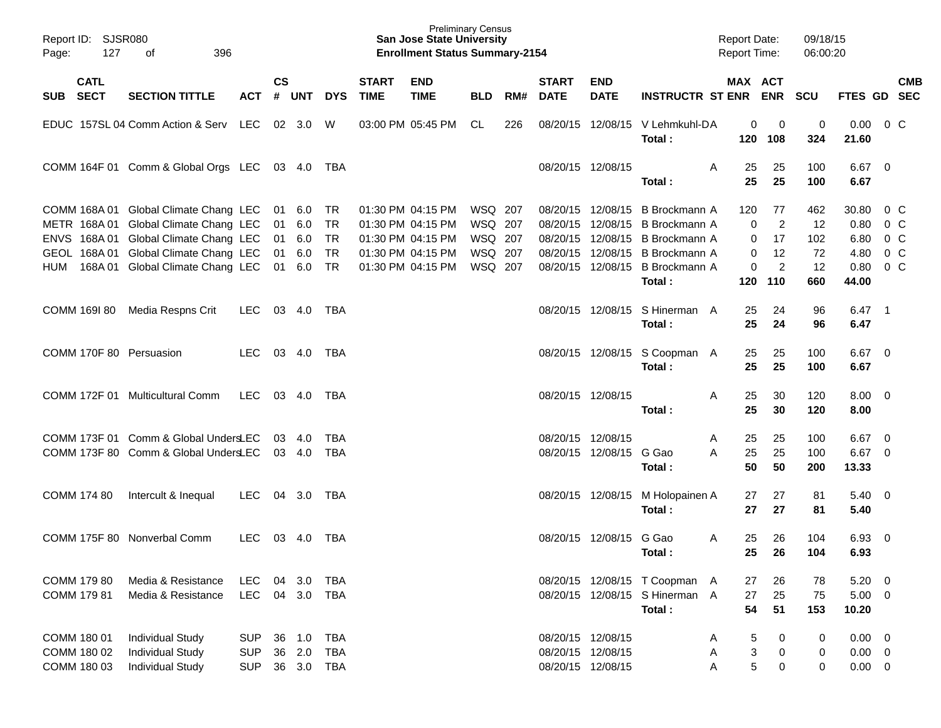| 127<br>Page:                              | Report ID: SJSR080<br>396<br>of                                                |                                        |                    |                      |                                 |                             | <b>Preliminary Census</b><br><b>San Jose State University</b><br><b>Enrollment Status Summary-2154</b> |                    |     |                                                             |                           |                                                                              | <b>Report Date:</b><br><b>Report Time:</b> |                       | 09/18/15<br>06:00:20 |                                           |                          |            |
|-------------------------------------------|--------------------------------------------------------------------------------|----------------------------------------|--------------------|----------------------|---------------------------------|-----------------------------|--------------------------------------------------------------------------------------------------------|--------------------|-----|-------------------------------------------------------------|---------------------------|------------------------------------------------------------------------------|--------------------------------------------|-----------------------|----------------------|-------------------------------------------|--------------------------|------------|
| <b>CATL</b><br>SUB SECT                   | <b>SECTION TITTLE</b>                                                          | <b>ACT</b>                             | $\mathsf{cs}$<br># | UNT                  | <b>DYS</b>                      | <b>START</b><br><b>TIME</b> | <b>END</b><br><b>TIME</b>                                                                              | <b>BLD</b>         | RM# | <b>START</b><br><b>DATE</b>                                 | <b>END</b><br><b>DATE</b> | <b>INSTRUCTR ST ENR ENR</b>                                                  | MAX ACT                                    |                       | <b>SCU</b>           | FTES GD SEC                               |                          | <b>CMB</b> |
|                                           | EDUC 157SL 04 Comm Action & Serv LEC                                           |                                        |                    | 02 3.0               | W                               |                             | 03:00 PM 05:45 PM                                                                                      | CL                 | 226 |                                                             |                           | 08/20/15 12/08/15 V Lehmkuhl-DA<br>Total:                                    | 0<br>120                                   | 0<br>108              | 0<br>324             | 0.00<br>21.60                             | $0\,$ C                  |            |
|                                           | COMM 164F 01 Comm & Global Orgs LEC 03 4.0 TBA                                 |                                        |                    |                      |                                 |                             |                                                                                                        |                    |     | 08/20/15 12/08/15                                           |                           | Total:                                                                       | A<br>25<br>25                              | 25<br>25              | 100<br>100           | $6.67$ 0<br>6.67                          |                          |            |
|                                           | COMM 168A 01 Global Climate Chang LEC<br>METR 168A 01 Global Climate Chang LEC |                                        | 01                 | 01 6.0<br>6.0        | TR<br><b>TR</b>                 |                             | 01:30 PM 04:15 PM<br>01:30 PM 04:15 PM                                                                 | WSQ 207<br>WSQ 207 |     | 08/20/15                                                    |                           | 08/20/15 12/08/15 B Brockmann A<br>12/08/15 B Brockmann A                    | 120<br>0                                   | 77<br>$\overline{2}$  | 462<br>12            | 30.80<br>0.80                             | 0 C<br>0 <sup>o</sup>    |            |
|                                           | ENVS 168A 01 Global Climate Chang LEC<br>GEOL 168A 01 Global Climate Chang LEC |                                        |                    | 01 6.0<br>01 6.0     | <b>TR</b><br><b>TR</b>          |                             | 01:30 PM 04:15 PM<br>01:30 PM 04:15 PM                                                                 | WSQ 207<br>WSQ 207 |     |                                                             |                           | 08/20/15 12/08/15 B Brockmann A<br>08/20/15 12/08/15 B Brockmann A           | $\mathbf 0$<br>$\mathbf 0$                 | 17<br>12              | 102<br>72            | 6.80 0 C<br>4.80 0 C                      |                          |            |
| HUM                                       | 168A 01 Global Climate Chang LEC                                               |                                        |                    | 01 6.0               | TR                              |                             | 01:30 PM 04:15 PM                                                                                      | WSQ 207            |     |                                                             |                           | 08/20/15 12/08/15 B Brockmann A<br>Total:                                    | 0<br>120                                   | $\overline{c}$<br>110 | 12<br>660            | $0.80 \t 0 C$<br>44.00                    |                          |            |
| COMM 169I 80                              | Media Respns Crit                                                              | LEC.                                   |                    | 03 4.0               | TBA                             |                             |                                                                                                        |                    |     |                                                             |                           | 08/20/15 12/08/15 S Hinerman A<br>Total:                                     | 25<br>25                                   | 24<br>24              | 96<br>96             | $6.47$ 1<br>6.47                          |                          |            |
| COMM 170F 80 Persuasion                   |                                                                                | <b>LEC</b>                             |                    | 03 4.0               | TBA                             |                             |                                                                                                        |                    |     |                                                             |                           | 08/20/15 12/08/15 S Coopman A<br>Total:                                      | 25<br>25                                   | 25<br>25              | 100<br>100           | $6.67$ 0<br>6.67                          |                          |            |
|                                           | COMM 172F 01 Multicultural Comm                                                | <b>LEC</b>                             |                    | 03 4.0               | TBA                             |                             |                                                                                                        |                    |     | 08/20/15 12/08/15                                           |                           | Total:                                                                       | 25<br>Α<br>25                              | 30<br>30              | 120<br>120           | $8.00 \t 0$<br>8.00                       |                          |            |
|                                           | COMM 173F 01 Comm & Global UndersLEC<br>COMM 173F 80 Comm & Global UndersLEC   |                                        |                    | 03 4.0<br>03 4.0     | <b>TBA</b><br><b>TBA</b>        |                             |                                                                                                        |                    |     | 08/20/15 12/08/15                                           | 08/20/15 12/08/15 G Gao   | Total:                                                                       | 25<br>A<br>A<br>25<br>50                   | 25<br>25<br>50        | 100<br>100<br>200    | 6.67<br>6.67 0<br>13.33                   | $\overline{\phantom{0}}$ |            |
| COMM 174 80                               | Intercult & Inequal                                                            | LEC.                                   |                    | 04 3.0               | TBA                             |                             |                                                                                                        |                    |     |                                                             |                           | 08/20/15 12/08/15 M Holopainen A<br>Total:                                   | 27<br>27                                   | 27<br>27              | 81<br>81             | $5.40 \ 0$<br>5.40                        |                          |            |
|                                           | COMM 175F 80 Nonverbal Comm                                                    | <b>LEC</b>                             | 03                 | 4.0                  | TBA                             |                             |                                                                                                        |                    |     |                                                             | 08/20/15 12/08/15         | G Gao<br>Total:                                                              | A<br>25<br>25                              | 26<br>26              | 104<br>104           | $6.93$ 0<br>6.93                          |                          |            |
| COMM 179 80<br>COMM 179 81                | Media & Resistance<br>Media & Resistance                                       | <b>LEC</b><br><b>LEC</b>               | 04                 | 3.0<br>04 3.0        | TBA<br>TBA                      |                             |                                                                                                        |                    |     |                                                             |                           | 08/20/15 12/08/15 T Coopman<br>A<br>08/20/15 12/08/15 S Hinerman A<br>Total: | 27<br>27<br>54                             | 26<br>25<br>51        | 78<br>75<br>153      | 5.20<br>$5.00 \t 0$<br>10.20              | $\overline{\phantom{0}}$ |            |
| COMM 180 01<br>COMM 180 02<br>COMM 180 03 | <b>Individual Study</b><br><b>Individual Study</b><br><b>Individual Study</b>  | <b>SUP</b><br><b>SUP</b><br><b>SUP</b> | 36<br>36           | 1.0<br>2.0<br>36 3.0 | <b>TBA</b><br><b>TBA</b><br>TBA |                             |                                                                                                        |                    |     | 08/20/15 12/08/15<br>08/20/15 12/08/15<br>08/20/15 12/08/15 |                           |                                                                              | 5<br>Α<br>3<br>Α<br>5<br>Α                 | 0<br>0<br>0           | 0<br>0<br>0          | $0.00 \t 0$<br>$0.00 \t 0$<br>$0.00 \t 0$ |                          |            |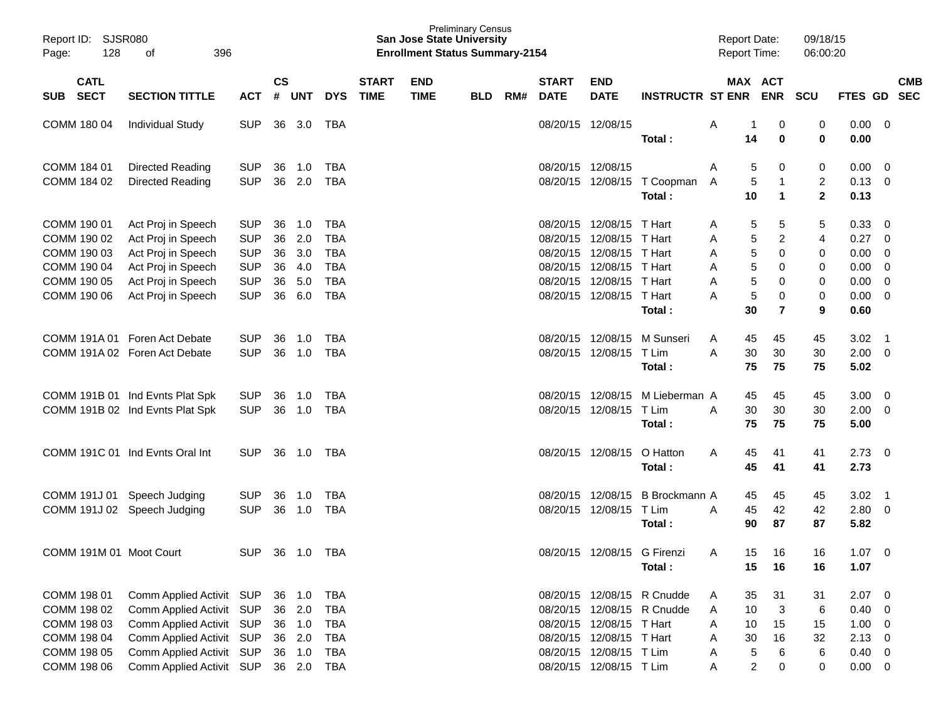| Report ID:<br>128<br>Page:               | <b>SJSR080</b><br>396<br>оf     |                |                    |            |            |                             | <b>Preliminary Census</b><br><b>San Jose State University</b><br><b>Enrollment Status Summary-2154</b> |            |     |                             |                           |                             | <b>Report Date:</b><br><b>Report Time:</b> |                              | 09/18/15<br>06:00:20 |              |                         |                          |
|------------------------------------------|---------------------------------|----------------|--------------------|------------|------------|-----------------------------|--------------------------------------------------------------------------------------------------------|------------|-----|-----------------------------|---------------------------|-----------------------------|--------------------------------------------|------------------------------|----------------------|--------------|-------------------------|--------------------------|
| <b>CATL</b><br><b>SECT</b><br><b>SUB</b> | <b>SECTION TITTLE</b>           | <b>ACT</b>     | $\mathsf{cs}$<br># | <b>UNT</b> | <b>DYS</b> | <b>START</b><br><b>TIME</b> | <b>END</b><br><b>TIME</b>                                                                              | <b>BLD</b> | RM# | <b>START</b><br><b>DATE</b> | <b>END</b><br><b>DATE</b> | <b>INSTRUCTR ST ENR</b>     |                                            | <b>MAX ACT</b><br><b>ENR</b> | <b>SCU</b>           | FTES GD      |                         | <b>CMB</b><br><b>SEC</b> |
| COMM 180 04                              | <b>Individual Study</b>         | <b>SUP</b>     | 36                 | 3.0        | TBA        |                             |                                                                                                        |            |     | 08/20/15 12/08/15           |                           |                             | A<br>1                                     | 0                            | 0                    | 0.00         | - 0                     |                          |
|                                          |                                 |                |                    |            |            |                             |                                                                                                        |            |     |                             |                           | Total:                      | 14                                         | 0                            | 0                    | 0.00         |                         |                          |
| COMM 184 01                              | Directed Reading                | <b>SUP</b>     | 36                 | 1.0        | <b>TBA</b> |                             |                                                                                                        |            |     | 08/20/15                    | 12/08/15                  |                             | A<br>5                                     | 0                            | 0                    | 0.00         | 0                       |                          |
| COMM 184 02                              | Directed Reading                | <b>SUP</b>     | 36                 | 2.0        | <b>TBA</b> |                             |                                                                                                        |            |     |                             | 08/20/15 12/08/15         | T Coopman                   | 5<br>A                                     | $\mathbf 1$                  | 2                    | 0.13         | 0                       |                          |
|                                          |                                 |                |                    |            |            |                             |                                                                                                        |            |     |                             |                           | Total:                      | 10                                         | $\mathbf{1}$                 | $\mathbf{2}$         | 0.13         |                         |                          |
| COMM 190 01                              | Act Proj in Speech              | <b>SUP</b>     | 36                 | 1.0        | <b>TBA</b> |                             |                                                                                                        |            |     | 08/20/15                    | 12/08/15                  | T Hart                      | 5<br>A                                     | 5                            | 5                    | 0.33         | 0                       |                          |
| COMM 190 02                              | Act Proj in Speech              | <b>SUP</b>     | 36                 | 2.0        | <b>TBA</b> |                             |                                                                                                        |            |     | 08/20/15                    | 12/08/15                  | T Hart                      | 5<br>A                                     | 2                            | 4                    | 0.27         | 0                       |                          |
| COMM 190 03                              | Act Proj in Speech              | <b>SUP</b>     | 36                 | 3.0        | <b>TBA</b> |                             |                                                                                                        |            |     | 08/20/15                    | 12/08/15                  | T Hart                      | 5<br>A                                     | 0                            | 0                    | 0.00         | $\mathbf 0$             |                          |
| COMM 190 04                              | Act Proj in Speech              | <b>SUP</b>     | 36                 | 4.0        | <b>TBA</b> |                             |                                                                                                        |            |     | 08/20/15                    | 12/08/15                  | T Hart                      | 5<br>A                                     | 0                            | 0                    | 0.00         | $\mathbf 0$             |                          |
| COMM 190 05                              | Act Proj in Speech              | <b>SUP</b>     | 36                 | 5.0        | <b>TBA</b> |                             |                                                                                                        |            |     | 08/20/15                    | 12/08/15                  | T Hart                      | 5<br>Α                                     | 0                            | 0                    | 0.00         | $\mathbf 0$             |                          |
| COMM 190 06                              | Act Proj in Speech              | <b>SUP</b>     | 36                 | 6.0        | <b>TBA</b> |                             |                                                                                                        |            |     |                             | 08/20/15 12/08/15         | T Hart<br>Total:            | 5<br>Α<br>30                               | 0<br>$\overline{7}$          | 0<br>9               | 0.00<br>0.60 | $\mathbf 0$             |                          |
|                                          |                                 |                |                    |            |            |                             |                                                                                                        |            |     |                             |                           |                             |                                            |                              |                      |              |                         |                          |
|                                          | COMM 191A 01 Foren Act Debate   | <b>SUP</b>     | 36                 | 1.0        | <b>TBA</b> |                             |                                                                                                        |            |     | 08/20/15                    | 12/08/15                  | M Sunseri                   | A<br>45                                    | 45                           | 45                   | 3.02         | $\overline{1}$          |                          |
|                                          | COMM 191A 02 Foren Act Debate   | <b>SUP</b>     | 36                 | 1.0        | <b>TBA</b> |                             |                                                                                                        |            |     |                             | 08/20/15 12/08/15         | T Lim                       | A<br>30                                    | 30                           | 30                   | 2.00         | 0                       |                          |
|                                          |                                 |                |                    |            |            |                             |                                                                                                        |            |     |                             |                           | Total:                      | 75                                         | 75                           | 75                   | 5.02         |                         |                          |
|                                          | COMM 191B 01 Ind Evnts Plat Spk | <b>SUP</b>     | 36                 | 1.0        | <b>TBA</b> |                             |                                                                                                        |            |     | 08/20/15                    | 12/08/15                  | M Lieberman A               | 45                                         | 45                           | 45                   | 3.00         | 0                       |                          |
|                                          | COMM 191B 02 Ind Evnts Plat Spk | <b>SUP</b>     | 36                 | 1.0        | <b>TBA</b> |                             |                                                                                                        |            |     |                             | 08/20/15 12/08/15         | T Lim                       | 30<br>A                                    | 30                           | 30                   | 2.00         | 0                       |                          |
|                                          |                                 |                |                    |            |            |                             |                                                                                                        |            |     |                             |                           | Total:                      | 75                                         | 75                           | 75                   | 5.00         |                         |                          |
|                                          | COMM 191C 01 Ind Evnts Oral Int | <b>SUP</b>     |                    | 36 1.0     | TBA        |                             |                                                                                                        |            |     |                             | 08/20/15 12/08/15         | O Hatton                    | A<br>45                                    | 41                           | 41                   | 2.73         | 0                       |                          |
|                                          |                                 |                |                    |            |            |                             |                                                                                                        |            |     |                             |                           | Total:                      | 45                                         | 41                           | 41                   | 2.73         |                         |                          |
| COMM 191J 01                             | Speech Judging                  | <b>SUP</b>     | 36                 | 1.0        | <b>TBA</b> |                             |                                                                                                        |            |     | 08/20/15                    | 12/08/15                  | B Brockmann A               | 45                                         | 45                           | 45                   | 3.02         | $\overline{1}$          |                          |
|                                          | COMM 191J 02 Speech Judging     | <b>SUP</b>     | 36                 | 1.0        | <b>TBA</b> |                             |                                                                                                        |            |     |                             | 08/20/15 12/08/15         | T Lim                       | A<br>45                                    | 42                           | 42                   | 2.80         | 0                       |                          |
|                                          |                                 |                |                    |            |            |                             |                                                                                                        |            |     |                             |                           | Total:                      | 90                                         | 87                           | 87                   | 5.82         |                         |                          |
| COMM 191M 01 Moot Court                  |                                 | SUP 36 1.0 TBA |                    |            |            |                             |                                                                                                        |            |     |                             |                           | 08/20/15 12/08/15 G Firenzi | A                                          | 16<br>15                     | 16                   | $1.07 \t 0$  |                         |                          |
|                                          |                                 |                |                    |            |            |                             |                                                                                                        |            |     |                             |                           | Total:                      | 15                                         | 16                           | 16                   | 1.07         |                         |                          |
|                                          |                                 |                |                    |            |            |                             |                                                                                                        |            |     |                             |                           |                             |                                            |                              |                      |              |                         |                          |
| COMM 198 01                              | Comm Applied Activit SUP        |                |                    | 36 1.0     | <b>TBA</b> |                             |                                                                                                        |            |     |                             |                           | 08/20/15 12/08/15 R Cnudde  | 35<br>A                                    | 31                           | 31                   | 2.07         | $\overline{\mathbf{0}}$ |                          |
| COMM 198 02                              | Comm Applied Activit SUP        |                |                    | 36 2.0     | <b>TBA</b> |                             |                                                                                                        |            |     |                             |                           | 08/20/15 12/08/15 R Cnudde  | 10<br>Α                                    | 3                            | 6                    | 0.40         | 0                       |                          |
| COMM 198 03                              | Comm Applied Activit SUP        |                |                    | 36 1.0     | <b>TBA</b> |                             |                                                                                                        |            |     |                             | 08/20/15 12/08/15 T Hart  |                             | Α<br>10                                    | 15                           | 15                   | 1.00         | 0                       |                          |
| COMM 198 04                              | Comm Applied Activit SUP        |                |                    | 36 2.0     | <b>TBA</b> |                             |                                                                                                        |            |     |                             | 08/20/15 12/08/15 T Hart  |                             | 30<br>Α                                    | 16                           | 32                   | 2.13         | 0                       |                          |
| COMM 198 05                              | Comm Applied Activit SUP        |                |                    | 36 1.0     | <b>TBA</b> |                             |                                                                                                        |            |     |                             | 08/20/15 12/08/15 T Lim   |                             | 5<br>A                                     | 6                            | 6                    | 0.40         | 0                       |                          |
| COMM 198 06                              | Comm Applied Activit SUP        |                |                    | 36 2.0     | TBA        |                             |                                                                                                        |            |     |                             | 08/20/15 12/08/15 T Lim   |                             | 2<br>A                                     | 0                            | 0                    | $0.00 \t 0$  |                         |                          |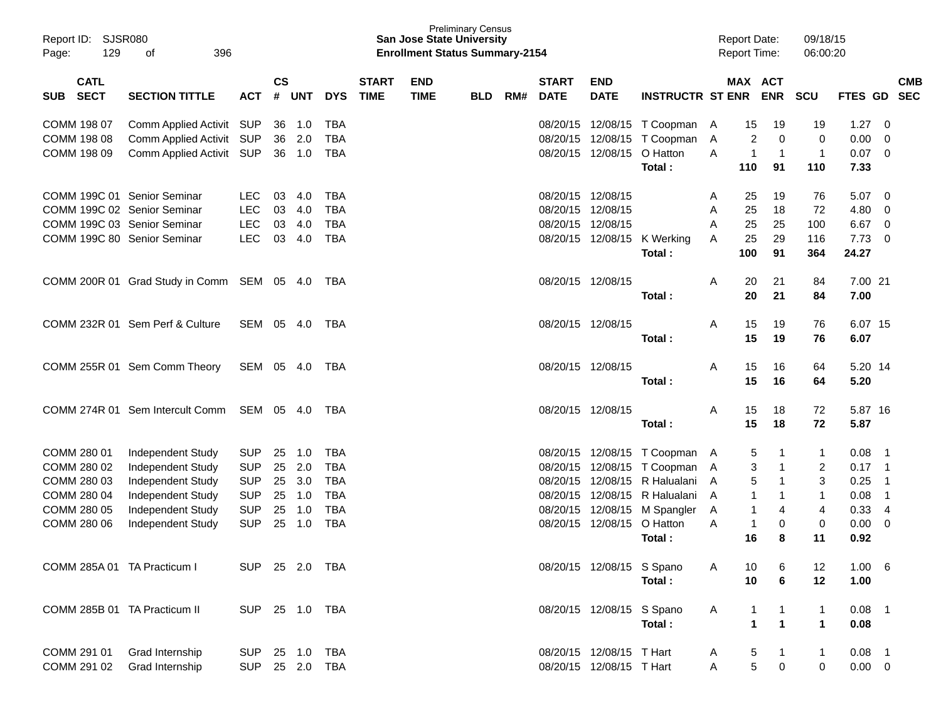| Report ID:<br>129<br>Page:   | SJSR080<br>396<br>οf                   |                          |               |            |                          |              | <b>San Jose State University</b><br><b>Enrollment Status Summary-2154</b> | <b>Preliminary Census</b> |     |                   |                               |                             |        |                   | <b>Report Date:</b><br><b>Report Time:</b> | 09/18/15<br>06:00:20 |              |                               |            |
|------------------------------|----------------------------------------|--------------------------|---------------|------------|--------------------------|--------------|---------------------------------------------------------------------------|---------------------------|-----|-------------------|-------------------------------|-----------------------------|--------|-------------------|--------------------------------------------|----------------------|--------------|-------------------------------|------------|
| <b>CATL</b>                  |                                        |                          | $\mathsf{cs}$ |            |                          | <b>START</b> | <b>END</b>                                                                |                           |     | <b>START</b>      | <b>END</b>                    |                             |        |                   | MAX ACT                                    |                      |              |                               | <b>CMB</b> |
| <b>SECT</b><br><b>SUB</b>    | <b>SECTION TITTLE</b>                  | <b>ACT</b>               | $\pmb{\#}$    | <b>UNT</b> | <b>DYS</b>               | <b>TIME</b>  | <b>TIME</b>                                                               | <b>BLD</b>                | RM# | <b>DATE</b>       | <b>DATE</b>                   | <b>INSTRUCTR ST ENR</b>     |        |                   | <b>ENR</b>                                 | <b>SCU</b>           | FTES GD      |                               | <b>SEC</b> |
| COMM 198 07                  | Comm Applied Activit SUP               |                          | 36            | 1.0        | <b>TBA</b>               |              |                                                                           |                           |     |                   | 08/20/15 12/08/15             | T Coopman                   | A      | 15                | 19                                         | 19                   | 1.27         | 0                             |            |
| COMM 198 08                  | Comm Applied Activit                   | <b>SUP</b>               | 36            | 2.0        | <b>TBA</b>               |              |                                                                           |                           |     | 08/20/15          | 12/08/15                      | T Coopman                   | Α      | 2                 | $\mathbf 0$                                | 0                    | 0.00         | 0                             |            |
| COMM 198 09                  | Comm Applied Activit                   | <b>SUP</b>               | 36            | 1.0        | TBA                      |              |                                                                           |                           |     |                   | 08/20/15 12/08/15             | O Hatton                    | A      | 1                 | $\mathbf{1}$                               | $\mathbf{1}$         | 0.07         | $\mathbf 0$                   |            |
|                              |                                        |                          |               |            |                          |              |                                                                           |                           |     |                   |                               | Total:                      |        | 110               | 91                                         | 110                  | 7.33         |                               |            |
| COMM 199C 01 Senior Seminar  |                                        | <b>LEC</b>               | 03            | 4.0        | <b>TBA</b>               |              |                                                                           |                           |     | 08/20/15 12/08/15 |                               |                             | A      | 25                | 19                                         | 76                   | 5.07         | 0                             |            |
| COMM 199C 02 Senior Seminar  |                                        | <b>LEC</b>               | 03            | 4.0        | <b>TBA</b>               |              |                                                                           |                           |     | 08/20/15 12/08/15 |                               |                             | A      | 25                | 18                                         | 72                   | 4.80         | 0                             |            |
| COMM 199C 03 Senior Seminar  |                                        | <b>LEC</b>               | 03            | 4.0        | <b>TBA</b>               |              |                                                                           |                           |     | 08/20/15 12/08/15 |                               |                             | Α      | 25                | 25                                         | 100                  | 6.67         | 0                             |            |
| COMM 199C 80 Senior Seminar  |                                        | <b>LEC</b>               | 03            | 4.0        | <b>TBA</b>               |              |                                                                           |                           |     |                   | 08/20/15 12/08/15             | K Werking                   | Α      | 25                | 29                                         | 116                  | 7.73         | 0                             |            |
|                              |                                        |                          |               |            |                          |              |                                                                           |                           |     |                   |                               | Total:                      |        | 100               | 91                                         | 364                  | 24.27        |                               |            |
|                              | COMM 200R 01 Grad Study in Comm        | SEM 05 4.0               |               |            | TBA                      |              |                                                                           |                           |     | 08/20/15 12/08/15 |                               |                             | Α      | 20                | 21                                         | 84                   | 7.00 21      |                               |            |
|                              |                                        |                          |               |            |                          |              |                                                                           |                           |     |                   |                               | Total:                      |        | 20                | 21                                         | 84                   | 7.00         |                               |            |
|                              |                                        |                          |               |            |                          |              |                                                                           |                           |     |                   |                               |                             |        |                   |                                            |                      |              |                               |            |
|                              | COMM 232R 01 Sem Perf & Culture        | SEM 05 4.0               |               |            | TBA                      |              |                                                                           |                           |     | 08/20/15 12/08/15 |                               |                             | Α      | 15                | 19                                         | 76                   | 6.07 15      |                               |            |
|                              |                                        |                          |               |            |                          |              |                                                                           |                           |     |                   |                               | Total:                      |        | 15                | 19                                         | 76                   | 6.07         |                               |            |
|                              | COMM 255R 01 Sem Comm Theory           | SEM 05 4.0               |               |            | TBA                      |              |                                                                           |                           |     |                   | 08/20/15 12/08/15             |                             | Α      | 15                | 16                                         | 64                   | 5.20 14      |                               |            |
|                              |                                        |                          |               |            |                          |              |                                                                           |                           |     |                   |                               | Total:                      |        | 15                | 16                                         | 64                   | 5.20         |                               |            |
|                              | COMM 274R 01 Sem Intercult Comm        | SEM 05 4.0               |               |            | TBA                      |              |                                                                           |                           |     |                   | 08/20/15 12/08/15             |                             | Α      | 15                | 18                                         | 72                   | 5.87 16      |                               |            |
|                              |                                        |                          |               |            |                          |              |                                                                           |                           |     |                   |                               | Total:                      |        | 15                | 18                                         | 72                   | 5.87         |                               |            |
|                              |                                        |                          |               |            |                          |              |                                                                           |                           |     |                   |                               |                             |        |                   |                                            |                      |              |                               |            |
| COMM 280 01                  | Independent Study                      | <b>SUP</b>               | 25            | 1.0        | <b>TBA</b>               |              |                                                                           |                           |     |                   |                               | 08/20/15 12/08/15 T Coopman | A      | 5                 | 1                                          | 1                    | 0.08         | -1                            |            |
| COMM 280 02                  | Independent Study                      | <b>SUP</b>               | 25            | 2.0        | <b>TBA</b>               |              |                                                                           |                           |     | 08/20/15          | 12/08/15                      | T Coopman                   | A      | 3                 | 1                                          | 2                    | 0.17         | -1                            |            |
| COMM 280 03                  | Independent Study                      | <b>SUP</b>               | 25            | 3.0        | <b>TBA</b>               |              |                                                                           |                           |     | 08/20/15          | 12/08/15                      | R Halualani                 | A      | 5                 | 1                                          | 3                    | 0.25         | -1                            |            |
| COMM 280 04                  | Independent Study                      | <b>SUP</b>               | 25            | 1.0        | <b>TBA</b>               |              |                                                                           |                           |     | 08/20/15          | 12/08/15                      | R Halualani                 | A      | 1<br>$\mathbf{1}$ | 1<br>4                                     | $\mathbf{1}$         | 0.08         | -1                            |            |
| COMM 280 05<br>COMM 280 06   | Independent Study<br>Independent Study | <b>SUP</b><br><b>SUP</b> | 25<br>25      | 1.0<br>1.0 | <b>TBA</b><br><b>TBA</b> |              |                                                                           |                           |     | 08/20/15          | 12/08/15<br>08/20/15 12/08/15 | M Spangler<br>O Hatton      | A<br>A | $\overline{1}$    | $\mathbf 0$                                | 4<br>0               | 0.33<br>0.00 | $\overline{4}$<br>$\mathbf 0$ |            |
|                              |                                        |                          |               |            |                          |              |                                                                           |                           |     |                   |                               | Total:                      |        | 16                | 8                                          | 11                   | 0.92         |                               |            |
|                              |                                        |                          |               |            |                          |              |                                                                           |                           |     |                   |                               |                             |        |                   |                                            |                      |              |                               |            |
| COMM 285A 01 TA Practicum I  |                                        | SUP 25 2.0 TBA           |               |            |                          |              |                                                                           |                           |     |                   | 08/20/15 12/08/15 S Spano     |                             | A      | 10                | 6                                          | 12                   | 1.00 6       |                               |            |
|                              |                                        |                          |               |            |                          |              |                                                                           |                           |     |                   |                               | Total:                      |        | 10                | 6                                          | 12                   | 1.00         |                               |            |
| COMM 285B 01 TA Practicum II |                                        | SUP 25 1.0 TBA           |               |            |                          |              |                                                                           |                           |     |                   | 08/20/15 12/08/15 S Spano     |                             | A      | 1                 | 1                                          | $\mathbf{1}$         | $0.08$ 1     |                               |            |
|                              |                                        |                          |               |            |                          |              |                                                                           |                           |     |                   |                               | Total:                      |        | 1                 | $\mathbf{1}$                               | $\mathbf{1}$         | 0.08         |                               |            |
|                              |                                        |                          |               |            |                          |              |                                                                           |                           |     |                   |                               |                             |        |                   |                                            |                      |              |                               |            |
| COMM 291 01                  | Grad Internship                        | <b>SUP</b>               |               |            |                          |              |                                                                           |                           |     |                   | 08/20/15 12/08/15 T Hart      |                             | A      | 5                 | $\mathbf{1}$                               | $\mathbf{1}$         | $0.08$ 1     |                               |            |
| COMM 291 02                  | Grad Internship                        | SUP 25 2.0 TBA           |               |            |                          |              |                                                                           |                           |     |                   | 08/20/15 12/08/15 T Hart      |                             | Α      | 5                 | 0                                          | $\mathbf 0$          | $0.00 \t 0$  |                               |            |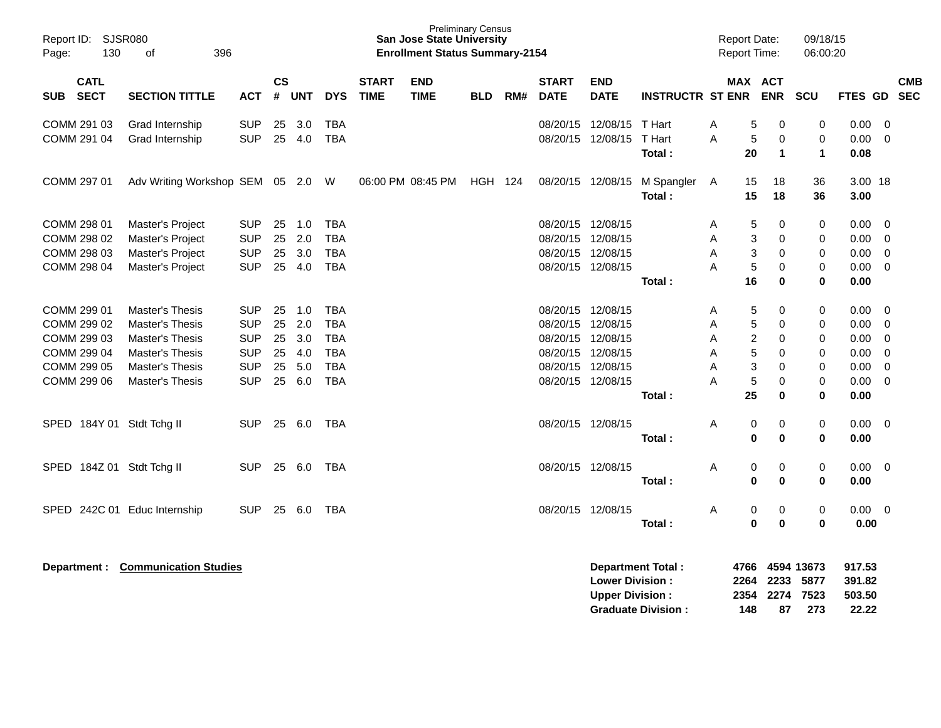| Report ID:<br>SJSR080<br>130<br>Page:                                                  | 396<br>of                                                                                                                                  |                                                                                  |                            |                                           |                                                                                  |                             | <b>Preliminary Census</b><br><b>San Jose State University</b><br><b>Enrollment Status Summary-2154</b> |            |     |                                                                                                          |                           |                             | <b>Report Date:</b><br><b>Report Time:</b>                                                    |                                                  | 09/18/15<br>06:00:20                      |                                                      |                                                                                                 |                          |
|----------------------------------------------------------------------------------------|--------------------------------------------------------------------------------------------------------------------------------------------|----------------------------------------------------------------------------------|----------------------------|-------------------------------------------|----------------------------------------------------------------------------------|-----------------------------|--------------------------------------------------------------------------------------------------------|------------|-----|----------------------------------------------------------------------------------------------------------|---------------------------|-----------------------------|-----------------------------------------------------------------------------------------------|--------------------------------------------------|-------------------------------------------|------------------------------------------------------|-------------------------------------------------------------------------------------------------|--------------------------|
| <b>CATL</b><br>SUB SECT                                                                | <b>SECTION TITTLE</b>                                                                                                                      | <b>ACT</b>                                                                       | <b>CS</b><br>#             | <b>UNT</b>                                | <b>DYS</b>                                                                       | <b>START</b><br><b>TIME</b> | <b>END</b><br><b>TIME</b>                                                                              | <b>BLD</b> | RM# | <b>START</b><br><b>DATE</b>                                                                              | <b>END</b><br><b>DATE</b> | <b>INSTRUCTR ST ENR ENR</b> |                                                                                               | MAX ACT                                          | SCU                                       | FTES GD                                              |                                                                                                 | <b>CMB</b><br><b>SEC</b> |
| COMM 291 03<br>COMM 291 04                                                             | Grad Internship<br>Grad Internship                                                                                                         | <b>SUP</b><br><b>SUP</b>                                                         | 25<br>25                   | 3.0<br>4.0                                | <b>TBA</b><br><b>TBA</b>                                                         |                             |                                                                                                        |            |     | 08/20/15<br>08/20/15                                                                                     | 12/08/15<br>12/08/15      | T Hart<br>T Hart<br>Total:  | 5<br>A<br>A<br>$\sqrt{5}$<br>20                                                               | 0<br>$\mathbf 0$<br>1                            | 0<br>$\mathbf 0$<br>$\mathbf{1}$          | 0.00<br>0.00<br>0.08                                 | $\overline{0}$<br>$\mathbf 0$                                                                   |                          |
| COMM 297 01                                                                            | Adv Writing Workshop SEM 05 2.0 W                                                                                                          |                                                                                  |                            |                                           |                                                                                  |                             | 06:00 PM 08:45 PM HGH 124                                                                              |            |     | 08/20/15 12/08/15                                                                                        |                           | M Spangler<br>Total:        | 15<br>A<br>15                                                                                 | 18<br>18                                         | 36<br>36                                  | 3.00 18<br>3.00                                      |                                                                                                 |                          |
| COMM 298 01<br>COMM 298 02<br>COMM 298 03<br>COMM 298 04                               | Master's Project<br>Master's Project<br>Master's Project<br>Master's Project                                                               | <b>SUP</b><br><b>SUP</b><br><b>SUP</b><br><b>SUP</b>                             | 25<br>25<br>25<br>25       | 1.0<br>2.0<br>3.0<br>4.0                  | <b>TBA</b><br><b>TBA</b><br><b>TBA</b><br><b>TBA</b>                             |                             |                                                                                                        |            |     | 08/20/15 12/08/15<br>08/20/15 12/08/15<br>08/20/15<br>08/20/15 12/08/15                                  | 12/08/15                  | Total:                      | 5<br>A<br>3<br>A<br>$\sqrt{3}$<br>A<br>$\sqrt{5}$<br>A<br>16                                  | 0<br>0<br>0<br>0<br>$\bf{0}$                     | 0<br>0<br>$\mathbf 0$<br>0<br>$\mathbf 0$ | 0.00<br>0.00<br>0.00<br>0.00<br>0.00                 | - 0<br>$\overline{0}$<br>$\mathbf 0$<br>$\mathbf 0$                                             |                          |
| COMM 299 01<br>COMM 299 02<br>COMM 299 03<br>COMM 299 04<br>COMM 299 05<br>COMM 299 06 | <b>Master's Thesis</b><br>Master's Thesis<br><b>Master's Thesis</b><br><b>Master's Thesis</b><br>Master's Thesis<br><b>Master's Thesis</b> | <b>SUP</b><br><b>SUP</b><br><b>SUP</b><br><b>SUP</b><br><b>SUP</b><br><b>SUP</b> | 25<br>25<br>25<br>25<br>25 | 1.0<br>2.0<br>3.0<br>4.0<br>5.0<br>25 6.0 | <b>TBA</b><br><b>TBA</b><br><b>TBA</b><br><b>TBA</b><br><b>TBA</b><br><b>TBA</b> |                             |                                                                                                        |            |     | 08/20/15 12/08/15<br>08/20/15<br>08/20/15<br>08/20/15 12/08/15<br>08/20/15 12/08/15<br>08/20/15 12/08/15 | 12/08/15<br>12/08/15      | Total:                      | 5<br>A<br>5<br>A<br>$\overline{c}$<br>A<br>$\sqrt{5}$<br>Α<br>3<br>A<br>$\sqrt{5}$<br>A<br>25 | 0<br>0<br>0<br>0<br>0<br>$\mathbf 0$<br>$\bf{0}$ | 0<br>0<br>0<br>0<br>0<br>0<br>$\mathbf 0$ | 0.00<br>0.00<br>0.00<br>0.00<br>0.00<br>0.00<br>0.00 | $\overline{0}$<br>$\mathbf 0$<br>$\mathbf 0$<br>$\mathbf 0$<br>$\overline{0}$<br>$\overline{0}$ |                          |
| SPED 184Y 01 Stdt Tchg II                                                              |                                                                                                                                            | <b>SUP</b>                                                                       |                            | 25 6.0                                    | TBA                                                                              |                             |                                                                                                        |            |     | 08/20/15 12/08/15                                                                                        |                           | Total:                      | Α<br>0                                                                                        | 0<br>$\mathbf{0}$<br>$\bf{0}$                    | 0<br>$\mathbf 0$                          | $0.00 \t 0$<br>0.00                                  |                                                                                                 |                          |
| SPED 184Z 01 Stdt Tchg II                                                              |                                                                                                                                            | <b>SUP</b>                                                                       |                            | 25 6.0                                    | TBA                                                                              |                             |                                                                                                        |            |     | 08/20/15 12/08/15                                                                                        |                           | Total:                      | 0<br>A<br>0                                                                                   | 0<br>$\bf{0}$                                    | 0<br>0                                    | $0.00 \t 0$<br>0.00                                  |                                                                                                 |                          |
| SPED 242C 01 Educ Internship                                                           |                                                                                                                                            | <b>SUP</b>                                                                       |                            | 25 6.0                                    | TBA                                                                              |                             |                                                                                                        |            |     | 08/20/15 12/08/15                                                                                        |                           | Total:                      | 0<br>A                                                                                        | 0<br>$\mathbf{0}$<br>$\bf{0}$                    | 0<br>$\mathbf 0$                          | $0.00 \t 0$<br>0.00                                  |                                                                                                 |                          |
|                                                                                        | <b>Department: Communication Studies</b>                                                                                                   |                                                                                  |                            |                                           |                                                                                  |                             |                                                                                                        |            |     |                                                                                                          |                           | Department Total:           |                                                                                               |                                                  | 4766 4594 13673                           | 917.53                                               |                                                                                                 |                          |

| <b>Lower Division:</b>    |     | 2264 2233 5877 |      | 391.82 |
|---------------------------|-----|----------------|------|--------|
| <b>Upper Division:</b>    |     | 2354 2274 7523 |      | 503.50 |
| <b>Graduate Division:</b> | 148 | 87             | -273 | 22.22  |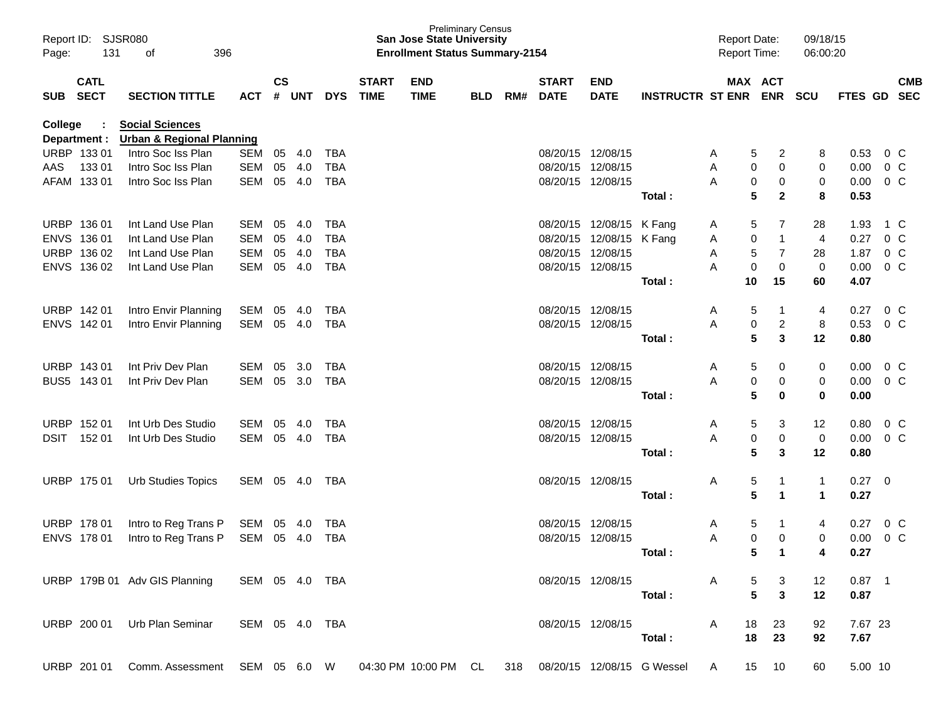| Page:          | Report ID: SJSR080<br>131 | 396<br>οf                                                                                     |                |                    |            |            |                             | <b>San Jose State University</b><br><b>Enrollment Status Summary-2154</b> | <b>Preliminary Census</b> |     |                             |                           |                         | Report Date:<br>Report Time: |                       | 09/18/15<br>06:00:20 |             |                |            |
|----------------|---------------------------|-----------------------------------------------------------------------------------------------|----------------|--------------------|------------|------------|-----------------------------|---------------------------------------------------------------------------|---------------------------|-----|-----------------------------|---------------------------|-------------------------|------------------------------|-----------------------|----------------------|-------------|----------------|------------|
| SUB SECT       | <b>CATL</b>               | <b>SECTION TITTLE</b>                                                                         | <b>ACT</b>     | $\mathsf{cs}$<br># | <b>UNT</b> | <b>DYS</b> | <b>START</b><br><b>TIME</b> | <b>END</b><br><b>TIME</b>                                                 | <b>BLD</b>                | RM# | <b>START</b><br><b>DATE</b> | <b>END</b><br><b>DATE</b> | <b>INSTRUCTR ST ENR</b> |                              | MAX ACT<br><b>ENR</b> | <b>SCU</b>           | FTES GD SEC |                | <b>CMB</b> |
| <b>College</b> | Department :              | <b>Social Sciences</b><br><b>Urban &amp; Regional Planning</b>                                |                |                    |            |            |                             |                                                                           |                           |     |                             |                           |                         |                              |                       |                      |             |                |            |
|                | URBP 133 01               | Intro Soc Iss Plan                                                                            | SEM            | 05                 | 4.0        | <b>TBA</b> |                             |                                                                           |                           |     |                             | 08/20/15 12/08/15         |                         | A                            | 5<br>2                | 8                    | 0.53        | $0\,$ C        |            |
| AAS            | 13301                     | Intro Soc Iss Plan                                                                            | <b>SEM</b>     | 05                 | 4.0        | <b>TBA</b> |                             |                                                                           |                           |     |                             | 08/20/15 12/08/15         |                         | Α                            | 0<br>0                | 0                    | 0.00        | 0 <sup>o</sup> |            |
|                | AFAM 133 01               | Intro Soc Iss Plan                                                                            | SEM            | 05                 | 4.0        | <b>TBA</b> |                             |                                                                           |                           |     |                             | 08/20/15 12/08/15         |                         | A                            | 0<br>0                | 0                    | 0.00        | 0 <sup>o</sup> |            |
|                |                           |                                                                                               |                |                    |            |            |                             |                                                                           |                           |     |                             |                           | Total:                  |                              | 5<br>$\mathbf{2}$     | 8                    | 0.53        |                |            |
|                | URBP 136 01               | Int Land Use Plan                                                                             | SEM            | 05                 | 4.0        | <b>TBA</b> |                             |                                                                           |                           |     |                             | 08/20/15 12/08/15 K Fang  |                         | A                            | 5<br>7                | 28                   | 1.93        | 1 C            |            |
|                | ENVS 136 01               | Int Land Use Plan                                                                             | SEM            | 05                 | 4.0        | <b>TBA</b> |                             |                                                                           |                           |     |                             | 08/20/15 12/08/15 K Fang  |                         | Α                            | $\mathbf 0$<br>1      | 4                    | 0.27        | 0 <sup>o</sup> |            |
|                | URBP 136 02               | Int Land Use Plan                                                                             | SEM            | 05                 | 4.0        | <b>TBA</b> |                             |                                                                           |                           |     |                             | 08/20/15 12/08/15         |                         | Α                            | $\sqrt{5}$<br>7       | 28                   | 1.87        | 0 <sup>o</sup> |            |
|                | ENVS 136 02               | Int Land Use Plan                                                                             | SEM            | 05                 | 4.0        | <b>TBA</b> |                             |                                                                           |                           |     |                             | 08/20/15 12/08/15         |                         | Α                            | 0<br>$\mathbf 0$      | $\mathbf 0$          | 0.00        | 0 <sup>o</sup> |            |
|                |                           |                                                                                               |                |                    |            |            |                             |                                                                           |                           |     |                             |                           | Total:                  |                              | 10<br>15              | 60                   | 4.07        |                |            |
|                | URBP 142 01               | Intro Envir Planning                                                                          | SEM            | 05                 | 4.0        | <b>TBA</b> |                             |                                                                           |                           |     |                             | 08/20/15 12/08/15         |                         | A                            | 5                     | 4                    | 0.27        | $0\,$ C        |            |
|                | ENVS 142 01               | Intro Envir Planning                                                                          | SEM            | 05                 | 4.0        | <b>TBA</b> |                             |                                                                           |                           |     |                             | 08/20/15 12/08/15         |                         | Α                            | 0<br>$\overline{c}$   | 8                    | 0.53        | 0 <sup>o</sup> |            |
|                |                           |                                                                                               |                |                    |            |            |                             |                                                                           |                           |     |                             |                           | Total:                  |                              | 5<br>3                | 12                   | 0.80        |                |            |
|                | URBP 143 01               | Int Priv Dev Plan                                                                             | SEM            | 05                 | 3.0        | <b>TBA</b> |                             |                                                                           |                           |     |                             | 08/20/15 12/08/15         |                         | Α                            | 5<br>0                | 0                    | 0.00        | $0\,$ C        |            |
|                | BUS5 143 01               | Int Priv Dev Plan                                                                             | SEM            | 05                 | 3.0        | TBA        |                             |                                                                           |                           |     |                             | 08/20/15 12/08/15         |                         | A                            | 0<br>0                | 0                    | 0.00        | 0 <sup>o</sup> |            |
|                |                           |                                                                                               |                |                    |            |            |                             |                                                                           |                           |     |                             |                           | Total:                  |                              | 5<br>0                | $\mathbf 0$          | 0.00        |                |            |
|                | URBP 152 01               | Int Urb Des Studio                                                                            | SEM            | 05                 | 4.0        | <b>TBA</b> |                             |                                                                           |                           |     |                             | 08/20/15 12/08/15         |                         | Α                            | 5<br>3                | 12                   | 0.80        | 0 <sup>o</sup> |            |
| DSIT           | 152 01                    | Int Urb Des Studio                                                                            | SEM            | 05                 | 4.0        | <b>TBA</b> |                             |                                                                           |                           |     |                             | 08/20/15 12/08/15         |                         | А                            | 0<br>0                | 0                    | 0.00        | 0 <sup>o</sup> |            |
|                |                           |                                                                                               |                |                    |            |            |                             |                                                                           |                           |     |                             |                           | Total:                  |                              | 5<br>3                | 12                   | 0.80        |                |            |
|                | URBP 175 01               | Urb Studies Topics                                                                            | SEM 05         |                    | 4.0        | TBA        |                             |                                                                           |                           |     |                             | 08/20/15 12/08/15         |                         | Α                            | $\sqrt{5}$            | $\mathbf{1}$         | $0.27 \t 0$ |                |            |
|                |                           |                                                                                               |                |                    |            |            |                             |                                                                           |                           |     |                             |                           | Total:                  |                              | 5<br>$\mathbf 1$      | $\mathbf{1}$         | 0.27        |                |            |
|                | URBP 178 01               | Intro to Reg Trans P                                                                          | SEM 05         |                    | 4.0        | TBA        |                             |                                                                           |                           |     |                             | 08/20/15 12/08/15         |                         | A                            | 5                     | 4                    | 0.27        | 0 <sup>o</sup> |            |
|                | ENVS 178 01               | Intro to Reg Trans P                                                                          | SEM 05         |                    | - 4.0      | <b>TBA</b> |                             |                                                                           |                           |     |                             | 08/20/15 12/08/15         |                         | A                            | 0<br>0                | 0                    | 0.00        | 0 <sup>o</sup> |            |
|                |                           |                                                                                               |                |                    |            |            |                             |                                                                           |                           |     |                             |                           | Total:                  |                              | 5<br>$\mathbf 1$      | 4                    | 0.27        |                |            |
|                |                           | URBP 179B 01 Adv GIS Planning SEM 05 4.0 TBA                                                  |                |                    |            |            |                             |                                                                           |                           |     |                             | 08/20/15 12/08/15         |                         |                              | 3<br>5                | 12                   | $0.87$ 1    |                |            |
|                |                           |                                                                                               |                |                    |            |            |                             |                                                                           |                           |     |                             |                           | Total:                  |                              | 5<br>3                | 12                   | 0.87        |                |            |
|                |                           | URBP 200 01 Urb Plan Seminar                                                                  | SEM 05 4.0 TBA |                    |            |            |                             |                                                                           |                           |     |                             | 08/20/15 12/08/15         |                         | $\mathsf{A}$                 | 18<br>23              | 92                   | 7.67 23     |                |            |
|                |                           |                                                                                               |                |                    |            |            |                             |                                                                           |                           |     |                             |                           | Total:                  |                              | 18<br>23              | 92                   | 7.67        |                |            |
|                |                           | URBP 201 01 Comm. Assessment SEM 05 6.0 W 04:30 PM 10:00 PM CL 318 08/20/15 12/08/15 G Wessel |                |                    |            |            |                             |                                                                           |                           |     |                             |                           |                         | A                            | 15 10                 | 60                   | 5.00 10     |                |            |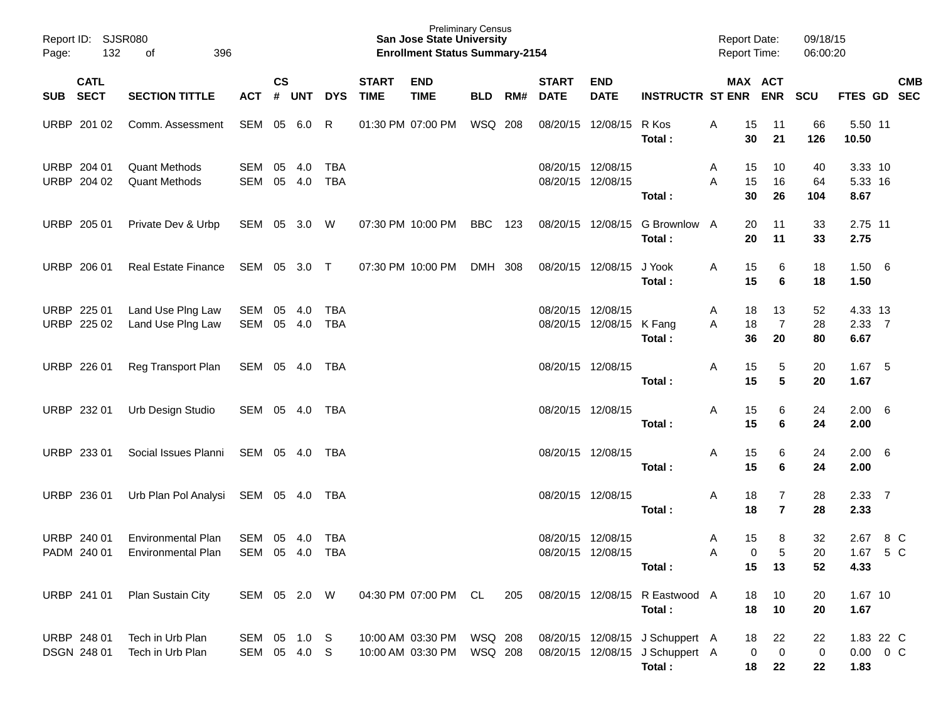| Page: | Report ID: SJSR080<br>132  | 396<br>of                                              |                              |               |               |                   |                             | <b>Preliminary Census</b><br><b>San Jose State University</b><br><b>Enrollment Status Summary-2154</b> |                    |     |                             |                                               |                                                                              | <b>Report Date:</b><br>Report Time: |                                           | 09/18/15<br>06:00:20 |                                    |            |
|-------|----------------------------|--------------------------------------------------------|------------------------------|---------------|---------------|-------------------|-----------------------------|--------------------------------------------------------------------------------------------------------|--------------------|-----|-----------------------------|-----------------------------------------------|------------------------------------------------------------------------------|-------------------------------------|-------------------------------------------|----------------------|------------------------------------|------------|
|       | <b>CATL</b><br>SUB SECT    | <b>SECTION TITTLE</b>                                  | ACT                          | $\mathsf{cs}$ | # UNT         | <b>DYS</b>        | <b>START</b><br><b>TIME</b> | <b>END</b><br><b>TIME</b>                                                                              | <b>BLD</b>         | RM# | <b>START</b><br><b>DATE</b> | <b>END</b><br><b>DATE</b>                     | INSTRUCTR ST ENR ENR                                                         |                                     | MAX ACT                                   | <b>SCU</b>           | FTES GD SEC                        | <b>CMB</b> |
|       | URBP 201 02                | Comm. Assessment                                       | SEM 05 6.0                   |               |               | R                 |                             | 01:30 PM 07:00 PM                                                                                      | WSQ 208            |     |                             | 08/20/15 12/08/15                             | R Kos<br>Total:                                                              | Α<br>15<br>30                       | 11<br>21                                  | 66<br>126            | 5.50 11<br>10.50                   |            |
|       | URBP 204 01<br>URBP 204 02 | <b>Quant Methods</b><br><b>Quant Methods</b>           | SEM 05<br>SEM                |               | 4.0<br>05 4.0 | TBA<br><b>TBA</b> |                             |                                                                                                        |                    |     |                             | 08/20/15 12/08/15<br>08/20/15 12/08/15        | Total:                                                                       | 15<br>A<br>15<br>A<br>30            | 10<br>16<br>26                            | 40<br>64<br>104      | 3.33 10<br>5.33 16<br>8.67         |            |
|       | URBP 205 01                | Private Dev & Urbp                                     | SEM 05 3.0 W                 |               |               |                   |                             | 07:30 PM 10:00 PM                                                                                      | <b>BBC</b>         | 123 |                             | 08/20/15 12/08/15                             | G Brownlow A<br>Total:                                                       | 20<br>20                            | 11<br>11                                  | 33<br>33             | 2.75 11<br>2.75                    |            |
|       | URBP 206 01                | Real Estate Finance                                    | SEM 05 3.0 T                 |               |               |                   |                             | 07:30 PM 10:00 PM                                                                                      | DMH 308            |     |                             | 08/20/15 12/08/15                             | J Yook<br>Total:                                                             | 15<br>Α<br>15                       | 6<br>6                                    | 18<br>18             | 1.506<br>1.50                      |            |
|       | URBP 225 01<br>URBP 225 02 | Land Use Plng Law<br>Land Use Plng Law                 | SEM 05<br>SEM 05 4.0         |               | - 4.0         | TBA<br>TBA        |                             |                                                                                                        |                    |     |                             | 08/20/15 12/08/15<br>08/20/15 12/08/15 K Fang | Total:                                                                       | 18<br>Α<br>18<br>A<br>36            | 13<br>$\overline{7}$<br>20                | 52<br>28<br>80       | 4.33 13<br>2.33 7<br>6.67          |            |
|       | URBP 226 01                | Reg Transport Plan                                     | SEM 05 4.0 TBA               |               |               |                   |                             |                                                                                                        |                    |     |                             | 08/20/15 12/08/15                             | Total:                                                                       | 15<br>Α<br>15                       | 5<br>$5\phantom{.0}$                      | 20<br>20             | $1.67$ 5<br>1.67                   |            |
|       | URBP 232 01                | Urb Design Studio                                      | SEM 05 4.0                   |               |               | TBA               |                             |                                                                                                        |                    |     |                             | 08/20/15 12/08/15                             | Total:                                                                       | 15<br>Α<br>15                       | 6<br>6                                    | 24<br>24             | $2.00\quad 6$<br>2.00              |            |
|       | URBP 233 01                | Social Issues Planni                                   | SEM 05 4.0 TBA               |               |               |                   |                             |                                                                                                        |                    |     |                             | 08/20/15 12/08/15                             | Total:                                                                       | 15<br>Α<br>15                       | 6<br>6                                    | 24<br>24             | $2.00\quad 6$<br>2.00              |            |
|       | URBP 236 01                | Urb Plan Pol Analysi                                   | SEM 05 4.0 TBA               |               |               |                   |                             |                                                                                                        |                    |     |                             | 08/20/15 12/08/15                             | Total:                                                                       | Α<br>18<br>18                       | $\overline{7}$<br>$\overline{\mathbf{r}}$ | 28<br>28             | 2.3377<br>2.33                     |            |
|       | URBP 240 01<br>PADM 240 01 | <b>Environmental Plan</b><br><b>Environmental Plan</b> | SEM<br>SEM 05 4.0            | 05            | 4.0           | TBA<br>TBA        |                             |                                                                                                        |                    |     |                             | 08/20/15 12/08/15<br>08/20/15 12/08/15        | Total:                                                                       | 15<br>A<br>Α<br>15                  | 8<br>0<br>5<br>13                         | 32<br>20<br>52       | 2.67<br>1.67<br>4.33               | 8 C<br>5 C |
|       | URBP 241 01                | Plan Sustain City                                      | SEM 05 2.0 W                 |               |               |                   |                             | 04:30 PM 07:00 PM                                                                                      | CL                 | 205 |                             |                                               | 08/20/15 12/08/15 R Eastwood A<br>Total:                                     | 18<br>18                            | 10<br>10                                  | 20<br>20             | 1.67 10<br>1.67                    |            |
|       | URBP 248 01<br>DSGN 248 01 | Tech in Urb Plan<br>Tech in Urb Plan                   | SEM 05 1.0 S<br>SEM 05 4.0 S |               |               |                   |                             | 10:00 AM 03:30 PM<br>10:00 AM 03:30 PM                                                                 | WSQ 208<br>WSQ 208 |     |                             |                                               | 08/20/15 12/08/15 J Schuppert A<br>08/20/15 12/08/15 J Schuppert A<br>Total: | 18<br>18                            | 22<br>$\mathbf 0$<br>0<br>22              | 22<br>0<br>22        | 1.83 22 C<br>$0.00 \t 0 C$<br>1.83 |            |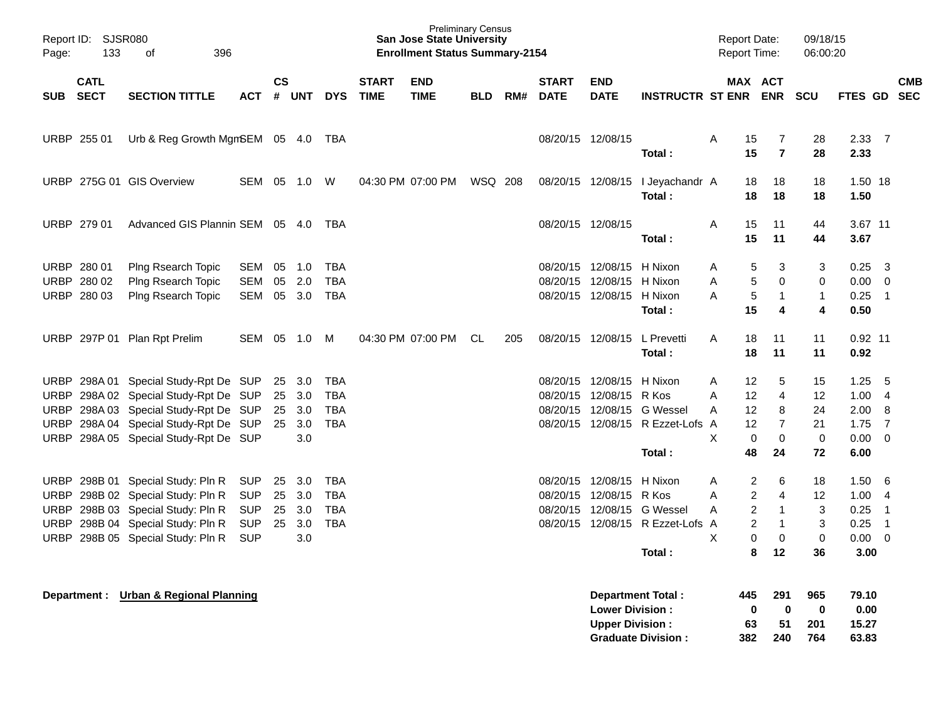| Page:       | Report ID: SJSR080<br>133  | 396<br>οf                             |            |                    |        |            |                             | <b>Preliminary Census</b><br><b>San Jose State University</b><br><b>Enrollment Status Summary-2154</b> |         |     |                             |                           |                                            | Report Date:<br>Report Time: |                   |                       | 09/18/15<br>06:00:20 |                 |                            |            |
|-------------|----------------------------|---------------------------------------|------------|--------------------|--------|------------|-----------------------------|--------------------------------------------------------------------------------------------------------|---------|-----|-----------------------------|---------------------------|--------------------------------------------|------------------------------|-------------------|-----------------------|----------------------|-----------------|----------------------------|------------|
| <b>SUB</b>  | <b>CATL</b><br><b>SECT</b> | <b>SECTION TITTLE</b>                 | <b>ACT</b> | $\mathsf{cs}$<br># | UNT    | <b>DYS</b> | <b>START</b><br><b>TIME</b> | <b>END</b><br><b>TIME</b>                                                                              | BLD     | RM# | <b>START</b><br><b>DATE</b> | <b>END</b><br><b>DATE</b> | <b>INSTRUCTR ST ENR</b>                    |                              |                   | MAX ACT<br><b>ENR</b> | <b>SCU</b>           | FTES GD SEC     |                            | <b>CMB</b> |
|             | URBP 255 01                | Urb & Reg Growth MgmSEM 05 4.0        |            |                    |        | TBA        |                             |                                                                                                        |         |     | 08/20/15 12/08/15           |                           |                                            | Α                            | 15                | 7                     | 28                   | 2.33 7          |                            |            |
|             |                            |                                       |            |                    |        |            |                             |                                                                                                        |         |     |                             |                           | Total:                                     |                              | 15                | $\overline{7}$        | 28                   | 2.33            |                            |            |
|             |                            | URBP 275G 01 GIS Overview             | SEM        | 05                 | 1.0    | W          |                             | 04:30 PM 07:00 PM                                                                                      | WSQ 208 |     |                             |                           | 08/20/15 12/08/15 I Jeyachandr A<br>Total: |                              | 18<br>18          | 18<br>18              | 18<br>18             | 1.50 18<br>1.50 |                            |            |
|             | URBP 279 01                | Advanced GIS Plannin SEM 05 4.0       |            |                    |        | TBA        |                             |                                                                                                        |         |     | 08/20/15 12/08/15           |                           |                                            | Α                            | 15                | 11                    | 44                   | 3.67 11         |                            |            |
|             |                            |                                       |            |                    |        |            |                             |                                                                                                        |         |     |                             |                           | Total:                                     |                              | 15                | 11                    | 44                   | 3.67            |                            |            |
| URBP        | 280 01                     | Plng Rsearch Topic                    | SEM        | 05                 | 1.0    | <b>TBA</b> |                             |                                                                                                        |         |     |                             | 08/20/15 12/08/15 H Nixon |                                            | A                            | 5                 | 3                     | 3                    | 0.25            | $\overline{\mathbf{3}}$    |            |
|             | URBP 280 02                | Plng Rsearch Topic                    | SEM        | 05                 | 2.0    | <b>TBA</b> |                             |                                                                                                        |         |     |                             | 08/20/15 12/08/15 H Nixon |                                            | A                            | 5                 | $\mathbf 0$           | 0                    | $0.00 \t 0$     |                            |            |
|             | URBP 280 03                | Plng Rsearch Topic                    | SEM        |                    | 05 3.0 | TBA        |                             |                                                                                                        |         |     |                             | 08/20/15 12/08/15 H Nixon |                                            | Α                            | 5                 | 1                     | $\mathbf{1}$         | 0.25            | $\overline{\phantom{0}}$ 1 |            |
|             |                            |                                       |            |                    |        |            |                             |                                                                                                        |         |     |                             |                           | Total:                                     |                              | 15                | 4                     | 4                    | 0.50            |                            |            |
|             |                            | URBP 297P 01 Plan Rpt Prelim          | SEM        | 05                 | 1.0    | M          |                             | 04:30 PM 07:00 PM                                                                                      | CL.     | 205 |                             | 08/20/15 12/08/15         | L Prevetti                                 | A                            | 18                | 11                    | 11                   | $0.92$ 11       |                            |            |
|             |                            |                                       |            |                    |        |            |                             |                                                                                                        |         |     |                             |                           | Total:                                     |                              | 18                | 11                    | 11                   | 0.92            |                            |            |
|             | URBP 298A01                | Special Study-Rpt De SUP              |            | 25                 | 3.0    | TBA        |                             |                                                                                                        |         |     |                             | 08/20/15 12/08/15 H Nixon |                                            | Α                            | 12                | 5                     | 15                   | 1.25            | -5                         |            |
| URBP        |                            | 298A 02 Special Study-Rpt De SUP      |            |                    | 25 3.0 | <b>TBA</b> |                             |                                                                                                        |         |     |                             | 08/20/15 12/08/15 R Kos   |                                            | Α                            | 12                | 4                     | 12                   | 1.004           |                            |            |
|             |                            | URBP 298A 03 Special Study-Rpt De SUP |            | 25                 | 3.0    | TBA        |                             |                                                                                                        |         |     |                             |                           | 08/20/15 12/08/15 G Wessel                 | Α                            | $12 \overline{ }$ | 8                     | 24                   | 2.00            | 8                          |            |
| URBP        |                            | 298A 04 Special Study-Rpt De SUP      |            |                    | 25 3.0 | <b>TBA</b> |                             |                                                                                                        |         |     |                             |                           | 08/20/15 12/08/15 R Ezzet-Lofs             | A                            | 12                | $\overline{7}$        | 21                   | 1.75            | $\overline{7}$             |            |
| URBP        |                            | 298A 05 Special Study-Rpt De SUP      |            |                    | 3.0    |            |                             |                                                                                                        |         |     |                             |                           |                                            | X                            | $\mathbf 0$       | 0                     | 0                    | $0.00 \quad 0$  |                            |            |
|             |                            |                                       |            |                    |        |            |                             |                                                                                                        |         |     |                             |                           | Total:                                     |                              | 48                | 24                    | 72                   | 6.00            |                            |            |
| <b>URBP</b> |                            | 298B 01 Special Study: Pln R          | <b>SUP</b> | 25                 | 3.0    | <b>TBA</b> |                             |                                                                                                        |         |     |                             | 08/20/15 12/08/15 H Nixon |                                            | A                            | 2                 | 6                     | 18                   | 1.50            | -6                         |            |
| URBP        |                            | 298B 02 Special Study: Pln R          | <b>SUP</b> | 25                 | 3.0    | <b>TBA</b> |                             |                                                                                                        |         |     |                             | 08/20/15 12/08/15 R Kos   |                                            | Α                            | $\overline{c}$    | 4                     | 12                   | 1.004           |                            |            |
| URBP        |                            | 298B 03 Special Study: Pln R          | <b>SUP</b> | 25                 | 3.0    | <b>TBA</b> |                             |                                                                                                        |         |     |                             |                           | 08/20/15 12/08/15 G Wessel                 | Α                            | 2                 | 1                     | 3                    | 0.25            | $\overline{1}$             |            |
| URBP        |                            | 298B 04 Special Study: Pln R          | <b>SUP</b> | 25                 | 3.0    | <b>TBA</b> |                             |                                                                                                        |         |     |                             |                           | 08/20/15 12/08/15 R Ezzet-Lofs A           |                              | 2                 | $\mathbf 1$           | 3                    | 0.25            | $\overline{1}$             |            |
| URBP        |                            | 298B 05 Special Study: Pln R          | <b>SUP</b> |                    | 3.0    |            |                             |                                                                                                        |         |     |                             |                           |                                            | X                            | 0                 | 0                     | $\pmb{0}$            | $0.00 \t 0$     |                            |            |
|             |                            |                                       |            |                    |        |            |                             |                                                                                                        |         |     |                             |                           | Total:                                     |                              | 8                 | $12 \,$               | 36                   | 3.00            |                            |            |
|             |                            | Department: Urban & Regional Planning |            |                    |        |            |                             |                                                                                                        |         |     |                             |                           | Department Total:                          |                              | 445               | 291                   | 965                  | 79.10           |                            |            |
|             |                            |                                       |            |                    |        |            |                             |                                                                                                        |         |     |                             | <b>Lower Division:</b>    |                                            |                              | $\pmb{0}$         | $\mathbf 0$           | $\bf{0}$             | 0.00            |                            |            |
|             |                            |                                       |            |                    |        |            |                             |                                                                                                        |         |     |                             | <b>Upper Division:</b>    |                                            |                              | 63                | 51                    | 201                  | 15.27           |                            |            |
|             |                            |                                       |            |                    |        |            |                             |                                                                                                        |         |     |                             |                           | <b>Graduate Division:</b>                  |                              | 382               | 240                   | 764                  | 63.83           |                            |            |